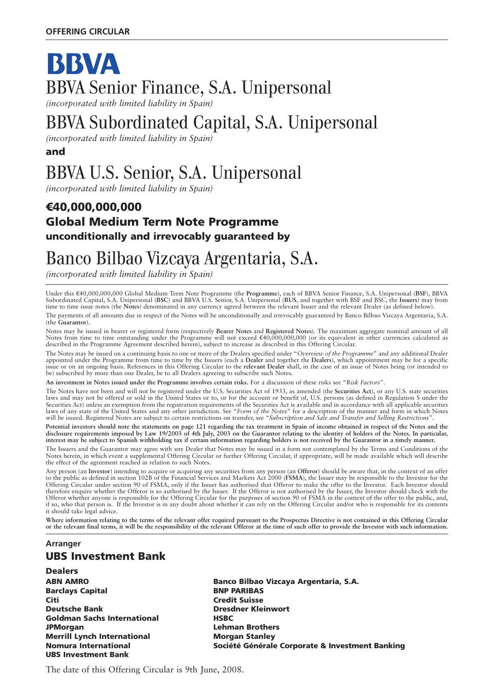## BBVA BBVA Senior Finance, S.A. Unipersonal *(incorporated with limited liability in Spain)*

## BBVA Subordinated Capital, S.A. Unipersonal

*(incorporated with limited liability in Spain)*

**and**

# BBVA U.S. Senior, S.A. Unipersonal

*(incorporated with limited liability in Spain)*

### 7**40,000,000,000 Global Medium Term Note Programme unconditionally and irrevocably guaranteed by**

## Banco Bilbao Vizcaya Argentaria, S.A.

*(incorporated with limited liability in Spain)*

Under this A40,000,000,000 Global Medium Term Note Programme (the **Programme**), each of BBVA Senior Finance, S.A. Unipersonal (**BSF**), BBVA Subordinated Capital, S.A. Unipersonal (**BSC**) and BBVA U.S. Senior, S.A. Unipersonal (**BUS**, and together with BSF and BSC, the **Issuers**) may from time to time issue notes (the **Notes**) denominated in any currency agreed between the relevant Issuer and the relevant Dealer (as defined below).

The payments of all amounts due in respect of the Notes will be unconditionally and irrevocably guaranteed by Banco Bilbao Vizcaya Argentaria, S.A. (the **Guarantor**).

Notes may be issued in bearer or registered form (respectively **Bearer Notes** and **Registered Notes**). The maximum aggregate nominal amount of all<br>Notes from time to time outstanding under the Programme will not exceed €4 described in the Programme Agreement described herein), subject to increase as described in this Offering Circular.

The Notes may be issued on a continuing basis to one or more of the Dealers specified under "*Overview of the Programme*" and any additional Dealer appointed under the Programme from time to time by the Issuers (each a **Dealer** and together the **Dealers**), which appointment may be for a specific issue or on an ongoing basis. References in this Offering Circular to the **relevant Dealer** shall, in the case of an issue of Notes being (or intended to be) subscribed by more than one Dealer, be to all Dealers agreeing to subscribe such Notes.

**An investment in Notes issued under the Programme involves certain risks.** For a discussion of these risks see "*Risk Factors*".

The Notes have not been and will not be registered under the U.S. Securities Act of 1933, as amended (the **Securities Act**), or any U.S. state securities laws and may not be offered or sold in the United States or to, or for the account or benefit of, U.S. persons (as defined in Regulation S under the Securities Act) unless an exemption from the registration requirements of the Securities Act is available and in accordance with all applicable securities laws of any state of the United States and any other jurisdiction. See "*Form of the Notes*" for a description of the manner and form in which Notes will be issued. Registered Notes are subject to certain restrictions on transfer, see "*Subscription and Sale and Transfer and Selling Restrictions*".

**Potential investors should note the statements on page 121 regarding the tax treatment in Spain of income obtained in respect of the Notes and the disclosure requirements imposed by Law 19/2003 of 4th July, 2003 on the Guarantor relating to the identity of holders of the Notes. In particular, interest may be subject to Spanish withholding tax if certain information regarding holders is not received by the Guarantor in a timely manner.**

The Issuers and the Guarantor may agree with any Dealer that Notes may be issued in a form not contemplated by the Terms and Conditions of the Notes herein, in which event a supplemental Offering Circular or further Offering Circular, if appropriate, will be made available which will describe the effect of the agreement reached in relation to such Notes.

Any person (an **Investor**) intending to acquire or acquiring any securities from any person (an **Offeror**) should be aware that, in the context of an offer to the public as defined in section 102B of the Financial Services and Markets Act 2000 (**FSMA**), the Issuer may be responsible to the Investor for the Offering Circular under section 90 of FSMA, only if the Issuer has authorised that Offeror to make the offer to the Investor. Each Investor should therefore enquire whether the Offeror is so authorised by the Issuer. If the Offeror is not authorised by the Issuer, the Investor should check with the Offeror whether anyone is responsible for the Offering Circular for the purposes of section 90 of FSMA in the context of the offer to the public, and, if so, who that person is. If the Investor is in any doubt about whether it can rely on the Offering Circular and/or who is responsible for its contents it should take legal advice.

**Where information relating to the terms of the relevant offer required pursuant to the Prospectus Directive is not contained in this Offering Circular or the relevant final terms, it will be the responsibility of the relevant Offeror at the time of such offer to provide the Investor with such information.**

#### **Arranger UBS Investment Bank**

**Dealers Barclays Capital BNP PARIBAS Citi Credit Suisse Deutsche Bank Christian Christian Bank Christian Dresdner Kleinwort Goldman Sachs International THESBC JPMorgan Lehman Brothers Merrill Lynch International Morgan Stanley UBS Investment Bank**

**ABN AMRO Banco Bilbao Vizcaya Argentaria, S.A. Nomura International Société Générale Corporate & Investment Banking**

The date of this Offering Circular is 9th June, 2008.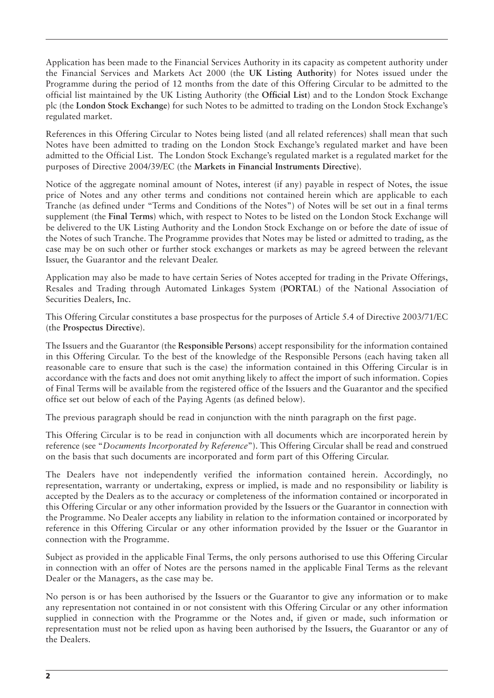Application has been made to the Financial Services Authority in its capacity as competent authority under the Financial Services and Markets Act 2000 (the **UK Listing Authority**) for Notes issued under the Programme during the period of 12 months from the date of this Offering Circular to be admitted to the official list maintained by the UK Listing Authority (the **Official List**) and to the London Stock Exchange plc (the **London Stock Exchange**) for such Notes to be admitted to trading on the London Stock Exchange's regulated market.

References in this Offering Circular to Notes being listed (and all related references) shall mean that such Notes have been admitted to trading on the London Stock Exchange's regulated market and have been admitted to the Official List. The London Stock Exchange's regulated market is a regulated market for the purposes of Directive 2004/39/EC (the **Markets in Financial Instruments Directive**).

Notice of the aggregate nominal amount of Notes, interest (if any) payable in respect of Notes, the issue price of Notes and any other terms and conditions not contained herein which are applicable to each Tranche (as defined under "Terms and Conditions of the Notes") of Notes will be set out in a final terms supplement (the **Final Terms**) which, with respect to Notes to be listed on the London Stock Exchange will be delivered to the UK Listing Authority and the London Stock Exchange on or before the date of issue of the Notes of such Tranche. The Programme provides that Notes may be listed or admitted to trading, as the case may be on such other or further stock exchanges or markets as may be agreed between the relevant Issuer, the Guarantor and the relevant Dealer.

Application may also be made to have certain Series of Notes accepted for trading in the Private Offerings, Resales and Trading through Automated Linkages System (**PORTAL**) of the National Association of Securities Dealers, Inc.

This Offering Circular constitutes a base prospectus for the purposes of Article 5.4 of Directive 2003/71/EC (the **Prospectus Directive**).

The Issuers and the Guarantor (the **Responsible Persons**) accept responsibility for the information contained in this Offering Circular. To the best of the knowledge of the Responsible Persons (each having taken all reasonable care to ensure that such is the case) the information contained in this Offering Circular is in accordance with the facts and does not omit anything likely to affect the import of such information. Copies of Final Terms will be available from the registered office of the Issuers and the Guarantor and the specified office set out below of each of the Paying Agents (as defined below).

The previous paragraph should be read in conjunction with the ninth paragraph on the first page.

This Offering Circular is to be read in conjunction with all documents which are incorporated herein by reference (see "*Documents Incorporated by Reference*"). This Offering Circular shall be read and construed on the basis that such documents are incorporated and form part of this Offering Circular.

The Dealers have not independently verified the information contained herein. Accordingly, no representation, warranty or undertaking, express or implied, is made and no responsibility or liability is accepted by the Dealers as to the accuracy or completeness of the information contained or incorporated in this Offering Circular or any other information provided by the Issuers or the Guarantor in connection with the Programme. No Dealer accepts any liability in relation to the information contained or incorporated by reference in this Offering Circular or any other information provided by the Issuer or the Guarantor in connection with the Programme.

Subject as provided in the applicable Final Terms, the only persons authorised to use this Offering Circular in connection with an offer of Notes are the persons named in the applicable Final Terms as the relevant Dealer or the Managers, as the case may be.

No person is or has been authorised by the Issuers or the Guarantor to give any information or to make any representation not contained in or not consistent with this Offering Circular or any other information supplied in connection with the Programme or the Notes and, if given or made, such information or representation must not be relied upon as having been authorised by the Issuers, the Guarantor or any of the Dealers.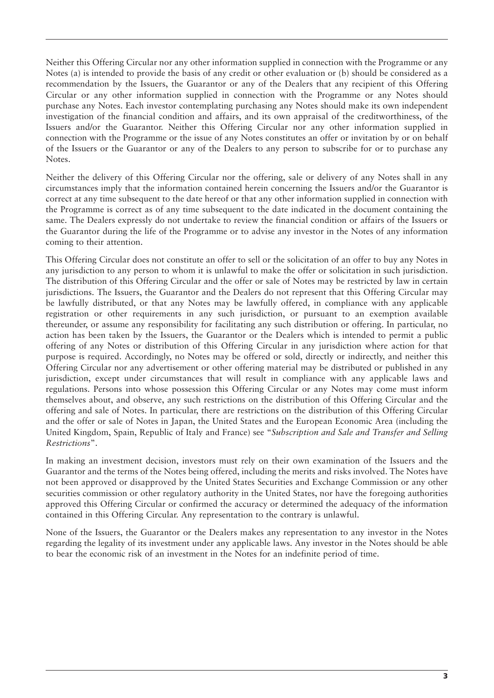Neither this Offering Circular nor any other information supplied in connection with the Programme or any Notes (a) is intended to provide the basis of any credit or other evaluation or (b) should be considered as a recommendation by the Issuers, the Guarantor or any of the Dealers that any recipient of this Offering Circular or any other information supplied in connection with the Programme or any Notes should purchase any Notes. Each investor contemplating purchasing any Notes should make its own independent investigation of the financial condition and affairs, and its own appraisal of the creditworthiness, of the Issuers and/or the Guarantor. Neither this Offering Circular nor any other information supplied in connection with the Programme or the issue of any Notes constitutes an offer or invitation by or on behalf of the Issuers or the Guarantor or any of the Dealers to any person to subscribe for or to purchase any Notes.

Neither the delivery of this Offering Circular nor the offering, sale or delivery of any Notes shall in any circumstances imply that the information contained herein concerning the Issuers and/or the Guarantor is correct at any time subsequent to the date hereof or that any other information supplied in connection with the Programme is correct as of any time subsequent to the date indicated in the document containing the same. The Dealers expressly do not undertake to review the financial condition or affairs of the Issuers or the Guarantor during the life of the Programme or to advise any investor in the Notes of any information coming to their attention.

This Offering Circular does not constitute an offer to sell or the solicitation of an offer to buy any Notes in any jurisdiction to any person to whom it is unlawful to make the offer or solicitation in such jurisdiction. The distribution of this Offering Circular and the offer or sale of Notes may be restricted by law in certain jurisdictions. The Issuers, the Guarantor and the Dealers do not represent that this Offering Circular may be lawfully distributed, or that any Notes may be lawfully offered, in compliance with any applicable registration or other requirements in any such jurisdiction, or pursuant to an exemption available thereunder, or assume any responsibility for facilitating any such distribution or offering. In particular, no action has been taken by the Issuers, the Guarantor or the Dealers which is intended to permit a public offering of any Notes or distribution of this Offering Circular in any jurisdiction where action for that purpose is required. Accordingly, no Notes may be offered or sold, directly or indirectly, and neither this Offering Circular nor any advertisement or other offering material may be distributed or published in any jurisdiction, except under circumstances that will result in compliance with any applicable laws and regulations. Persons into whose possession this Offering Circular or any Notes may come must inform themselves about, and observe, any such restrictions on the distribution of this Offering Circular and the offering and sale of Notes. In particular, there are restrictions on the distribution of this Offering Circular and the offer or sale of Notes in Japan, the United States and the European Economic Area (including the United Kingdom, Spain, Republic of Italy and France) see "*Subscription and Sale and Transfer and Selling Restrictions*".

In making an investment decision, investors must rely on their own examination of the Issuers and the Guarantor and the terms of the Notes being offered, including the merits and risks involved. The Notes have not been approved or disapproved by the United States Securities and Exchange Commission or any other securities commission or other regulatory authority in the United States, nor have the foregoing authorities approved this Offering Circular or confirmed the accuracy or determined the adequacy of the information contained in this Offering Circular. Any representation to the contrary is unlawful.

None of the Issuers, the Guarantor or the Dealers makes any representation to any investor in the Notes regarding the legality of its investment under any applicable laws. Any investor in the Notes should be able to bear the economic risk of an investment in the Notes for an indefinite period of time.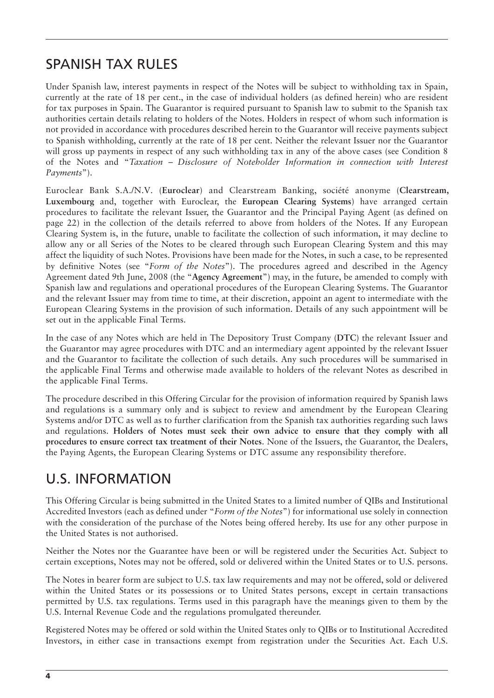## SPANISH TAX RULES

Under Spanish law, interest payments in respect of the Notes will be subject to withholding tax in Spain, currently at the rate of 18 per cent., in the case of individual holders (as defined herein) who are resident for tax purposes in Spain. The Guarantor is required pursuant to Spanish law to submit to the Spanish tax authorities certain details relating to holders of the Notes. Holders in respect of whom such information is not provided in accordance with procedures described herein to the Guarantor will receive payments subject to Spanish withholding, currently at the rate of 18 per cent. Neither the relevant Issuer nor the Guarantor will gross up payments in respect of any such withholding tax in any of the above cases (see Condition 8 of the Notes and "*Taxation – Disclosure of Noteholder Information in connection with Interest Payments*").

Euroclear Bank S.A./N.V. (**Euroclear**) and Clearstream Banking, société anonyme (**Clearstream, Luxembourg** and, together with Euroclear, the **European Clearing Systems**) have arranged certain procedures to facilitate the relevant Issuer, the Guarantor and the Principal Paying Agent (as defined on page 22) in the collection of the details referred to above from holders of the Notes. If any European Clearing System is, in the future, unable to facilitate the collection of such information, it may decline to allow any or all Series of the Notes to be cleared through such European Clearing System and this may affect the liquidity of such Notes. Provisions have been made for the Notes, in such a case, to be represented by definitive Notes (see "*Form of the Notes*"). The procedures agreed and described in the Agency Agreement dated 9th June, 2008 (the "**Agency Agreement**") may, in the future, be amended to comply with Spanish law and regulations and operational procedures of the European Clearing Systems. The Guarantor and the relevant Issuer may from time to time, at their discretion, appoint an agent to intermediate with the European Clearing Systems in the provision of such information. Details of any such appointment will be set out in the applicable Final Terms.

In the case of any Notes which are held in The Depository Trust Company (**DTC**) the relevant Issuer and the Guarantor may agree procedures with DTC and an intermediary agent appointed by the relevant Issuer and the Guarantor to facilitate the collection of such details. Any such procedures will be summarised in the applicable Final Terms and otherwise made available to holders of the relevant Notes as described in the applicable Final Terms.

The procedure described in this Offering Circular for the provision of information required by Spanish laws and regulations is a summary only and is subject to review and amendment by the European Clearing Systems and/or DTC as well as to further clarification from the Spanish tax authorities regarding such laws and regulations. **Holders of Notes must seek their own advice to ensure that they comply with all procedures to ensure correct tax treatment of their Notes**. None of the Issuers, the Guarantor, the Dealers, the Paying Agents, the European Clearing Systems or DTC assume any responsibility therefore.

### U.S. INFORMATION

This Offering Circular is being submitted in the United States to a limited number of QIBs and Institutional Accredited Investors (each as defined under "*Form of the Notes*") for informational use solely in connection with the consideration of the purchase of the Notes being offered hereby. Its use for any other purpose in the United States is not authorised.

Neither the Notes nor the Guarantee have been or will be registered under the Securities Act. Subject to certain exceptions, Notes may not be offered, sold or delivered within the United States or to U.S. persons.

The Notes in bearer form are subject to U.S. tax law requirements and may not be offered, sold or delivered within the United States or its possessions or to United States persons, except in certain transactions permitted by U.S. tax regulations. Terms used in this paragraph have the meanings given to them by the U.S. Internal Revenue Code and the regulations promulgated thereunder.

Registered Notes may be offered or sold within the United States only to QIBs or to Institutional Accredited Investors, in either case in transactions exempt from registration under the Securities Act. Each U.S.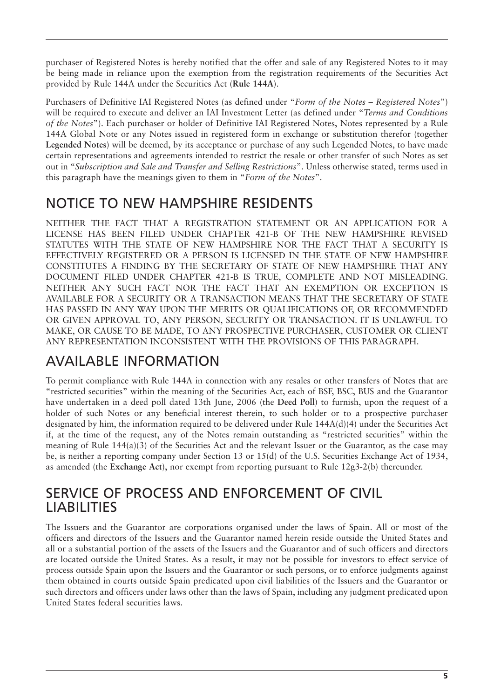purchaser of Registered Notes is hereby notified that the offer and sale of any Registered Notes to it may be being made in reliance upon the exemption from the registration requirements of the Securities Act provided by Rule 144A under the Securities Act (**Rule 144A**).

Purchasers of Definitive IAI Registered Notes (as defined under "*Form of the Notes – Registered Notes*") will be required to execute and deliver an IAI Investment Letter (as defined under "*Terms and Conditions of the Notes*"). Each purchaser or holder of Definitive IAI Registered Notes, Notes represented by a Rule 144A Global Note or any Notes issued in registered form in exchange or substitution therefor (together **Legended Notes**) will be deemed, by its acceptance or purchase of any such Legended Notes, to have made certain representations and agreements intended to restrict the resale or other transfer of such Notes as set out in "*Subscription and Sale and Transfer and Selling Restrictions*". Unless otherwise stated, terms used in this paragraph have the meanings given to them in "*Form of the Notes*".

### NOTICE TO NEW HAMPSHIRE RESIDENTS

NEITHER THE FACT THAT A REGISTRATION STATEMENT OR AN APPLICATION FOR A LICENSE HAS BEEN FILED UNDER CHAPTER 421-B OF THE NEW HAMPSHIRE REVISED STATUTES WITH THE STATE OF NEW HAMPSHIRE NOR THE FACT THAT A SECURITY IS EFFECTIVELY REGISTERED OR A PERSON IS LICENSED IN THE STATE OF NEW HAMPSHIRE CONSTITUTES A FINDING BY THE SECRETARY OF STATE OF NEW HAMPSHIRE THAT ANY DOCUMENT FILED UNDER CHAPTER 421-B IS TRUE, COMPLETE AND NOT MISLEADING. NEITHER ANY SUCH FACT NOR THE FACT THAT AN EXEMPTION OR EXCEPTION IS AVAILABLE FOR A SECURITY OR A TRANSACTION MEANS THAT THE SECRETARY OF STATE HAS PASSED IN ANY WAY UPON THE MERITS OR QUALIFICATIONS OF, OR RECOMMENDED OR GIVEN APPROVAL TO, ANY PERSON, SECURITY OR TRANSACTION. IT IS UNLAWFUL TO MAKE, OR CAUSE TO BE MADE, TO ANY PROSPECTIVE PURCHASER, CUSTOMER OR CLIENT ANY REPRESENTATION INCONSISTENT WITH THE PROVISIONS OF THIS PARAGRAPH.

### AVAILABLE INFORMATION

To permit compliance with Rule 144A in connection with any resales or other transfers of Notes that are "restricted securities" within the meaning of the Securities Act, each of BSF, BSC, BUS and the Guarantor have undertaken in a deed poll dated 13th June, 2006 (the **Deed Poll**) to furnish, upon the request of a holder of such Notes or any beneficial interest therein, to such holder or to a prospective purchaser designated by him, the information required to be delivered under Rule 144A(d)(4) under the Securities Act if, at the time of the request, any of the Notes remain outstanding as "restricted securities" within the meaning of Rule 144(a)(3) of the Securities Act and the relevant Issuer or the Guarantor, as the case may be, is neither a reporting company under Section 13 or 15(d) of the U.S. Securities Exchange Act of 1934, as amended (the **Exchange Act**), nor exempt from reporting pursuant to Rule 12g3-2(b) thereunder.

### SERVICE OF PROCESS AND ENFORCEMENT OF CIVIL LIABILITIES

The Issuers and the Guarantor are corporations organised under the laws of Spain. All or most of the officers and directors of the Issuers and the Guarantor named herein reside outside the United States and all or a substantial portion of the assets of the Issuers and the Guarantor and of such officers and directors are located outside the United States. As a result, it may not be possible for investors to effect service of process outside Spain upon the Issuers and the Guarantor or such persons, or to enforce judgments against them obtained in courts outside Spain predicated upon civil liabilities of the Issuers and the Guarantor or such directors and officers under laws other than the laws of Spain, including any judgment predicated upon United States federal securities laws.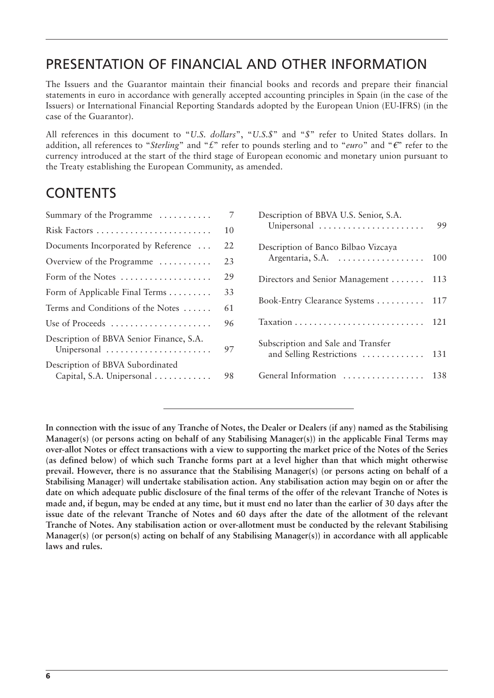### PRESENTATION OF FINANCIAL AND OTHER INFORMATION

The Issuers and the Guarantor maintain their financial books and records and prepare their financial statements in euro in accordance with generally accepted accounting principles in Spain (in the case of the Issuers) or International Financial Reporting Standards adopted by the European Union (EU-IFRS) (in the case of the Guarantor).

All references in this document to "*U.S. dollars*", "*U.S.\$*" and "*\$*" refer to United States dollars. In addition, all references to "*Sterling*" and " $\pounds$ " refer to pounds sterling and to "*euro*" and " $\pounds$ " refer to the currency introduced at the start of the third stage of European economic and monetary union pursuant to the Treaty establishing the European Community, as amended.

### **CONTENTS**

| Summary of the Programme $\dots\dots\dots$                    |    |  |
|---------------------------------------------------------------|----|--|
| Risk Factors                                                  | 10 |  |
| Documents Incorporated by Reference                           | 22 |  |
| Overview of the Programme                                     | 23 |  |
| Form of the Notes                                             | 29 |  |
| Form of Applicable Final Terms                                | 33 |  |
| Terms and Conditions of the Notes                             | 61 |  |
| Use of Proceeds                                               | 96 |  |
| Description of BBVA Senior Finance, S.A.<br>Unipersonal       | 97 |  |
| Description of BBVA Subordinated<br>Capital, S.A. Unipersonal | 98 |  |
|                                                               |    |  |

| Description of BBVA U.S. Senior, S.A.<br>Unipersonal           | 99  |
|----------------------------------------------------------------|-----|
| Description of Banco Bilbao Vizcaya<br>Argentaria, S.A.        | 100 |
| Directors and Senior Management                                | 113 |
| Book-Entry Clearance Systems                                   | 117 |
|                                                                | 121 |
| Subscription and Sale and Transfer<br>and Selling Restrictions | 131 |
| General Information                                            | 138 |
|                                                                |     |

**In connection with the issue of any Tranche of Notes, the Dealer or Dealers (if any) named as the Stabilising Manager(s) (or persons acting on behalf of any Stabilising Manager(s)) in the applicable Final Terms may over-allot Notes or effect transactions with a view to supporting the market price of the Notes of the Series (as defined below) of which such Tranche forms part at a level higher than that which might otherwise prevail. However, there is no assurance that the Stabilising Manager(s) (or persons acting on behalf of a Stabilising Manager) will undertake stabilisation action. Any stabilisation action may begin on or after the date on which adequate public disclosure of the final terms of the offer of the relevant Tranche of Notes is made and, if begun, may be ended at any time, but it must end no later than the earlier of 30 days after the issue date of the relevant Tranche of Notes and 60 days after the date of the allotment of the relevant Tranche of Notes. Any stabilisation action or over-allotment must be conducted by the relevant Stabilising Manager(s) (or person(s) acting on behalf of any Stabilising Manager(s)) in accordance with all applicable laws and rules.**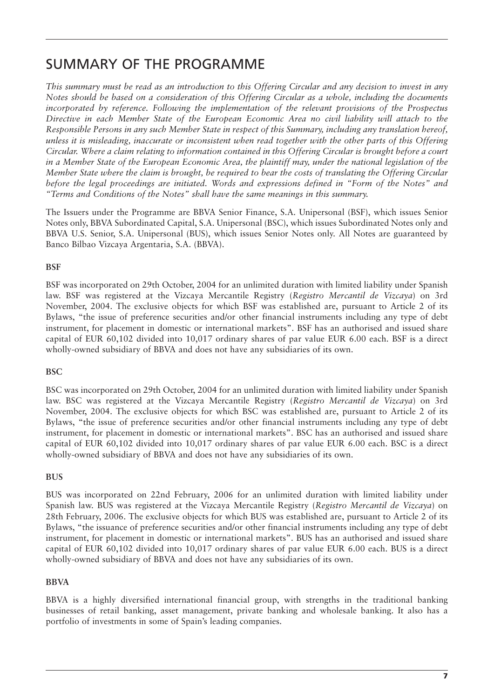### SUMMARY OF THE PROGRAMME

*This summary must be read as an introduction to this Offering Circular and any decision to invest in any Notes should be based on a consideration of this Offering Circular as a whole, including the documents incorporated by reference. Following the implementation of the relevant provisions of the Prospectus Directive in each Member State of the European Economic Area no civil liability will attach to the Responsible Persons in any such Member State in respect of this Summary, including any translation hereof, unless it is misleading, inaccurate or inconsistent when read together with the other parts of this Offering Circular. Where a claim relating to information contained in this Offering Circular is brought before a court in a Member State of the European Economic Area, the plaintiff may, under the national legislation of the Member State where the claim is brought, be required to bear the costs of translating the Offering Circular before the legal proceedings are initiated. Words and expressions defined in "Form of the Notes" and "Terms and Conditions of the Notes" shall have the same meanings in this summary.*

The Issuers under the Programme are BBVA Senior Finance, S.A. Unipersonal (BSF), which issues Senior Notes only, BBVA Subordinated Capital, S.A. Unipersonal (BSC), which issues Subordinated Notes only and BBVA U.S. Senior, S.A. Unipersonal (BUS), which issues Senior Notes only. All Notes are guaranteed by Banco Bilbao Vizcaya Argentaria, S.A. (BBVA).

#### **BSF**

BSF was incorporated on 29th October, 2004 for an unlimited duration with limited liability under Spanish law. BSF was registered at the Vizcaya Mercantile Registry (*Registro Mercantil de Vizcaya*) on 3rd November, 2004. The exclusive objects for which BSF was established are, pursuant to Article 2 of its Bylaws, "the issue of preference securities and/or other financial instruments including any type of debt instrument, for placement in domestic or international markets". BSF has an authorised and issued share capital of EUR 60,102 divided into 10,017 ordinary shares of par value EUR 6.00 each. BSF is a direct wholly-owned subsidiary of BBVA and does not have any subsidiaries of its own.

#### **BSC**

BSC was incorporated on 29th October, 2004 for an unlimited duration with limited liability under Spanish law. BSC was registered at the Vizcaya Mercantile Registry (*Registro Mercantil de Vizcaya*) on 3rd November, 2004. The exclusive objects for which BSC was established are, pursuant to Article 2 of its Bylaws, "the issue of preference securities and/or other financial instruments including any type of debt instrument, for placement in domestic or international markets". BSC has an authorised and issued share capital of EUR 60,102 divided into 10,017 ordinary shares of par value EUR 6.00 each. BSC is a direct wholly-owned subsidiary of BBVA and does not have any subsidiaries of its own.

#### **BUS**

BUS was incorporated on 22nd February, 2006 for an unlimited duration with limited liability under Spanish law. BUS was registered at the Vizcaya Mercantile Registry (*Registro Mercantil de Vizcaya*) on 28th February, 2006. The exclusive objects for which BUS was established are, pursuant to Article 2 of its Bylaws, "the issuance of preference securities and/or other financial instruments including any type of debt instrument, for placement in domestic or international markets". BUS has an authorised and issued share capital of EUR 60,102 divided into 10,017 ordinary shares of par value EUR 6.00 each. BUS is a direct wholly-owned subsidiary of BBVA and does not have any subsidiaries of its own.

#### **BBVA**

BBVA is a highly diversified international financial group, with strengths in the traditional banking businesses of retail banking, asset management, private banking and wholesale banking. It also has a portfolio of investments in some of Spain's leading companies.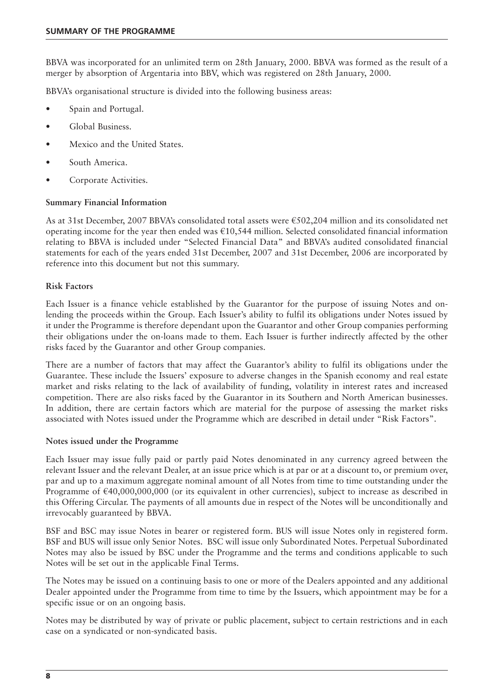BBVA was incorporated for an unlimited term on 28th January, 2000. BBVA was formed as the result of a merger by absorption of Argentaria into BBV, which was registered on 28th January, 2000.

BBVA's organisational structure is divided into the following business areas:

- Spain and Portugal.
- Global Business.
- Mexico and the United States.
- South America.
- Corporate Activities.

#### **Summary Financial Information**

As at 31st December, 2007 BBVA's consolidated total assets were €502,204 million and its consolidated net operating income for the year then ended was €10,544 million. Selected consolidated financial information relating to BBVA is included under "Selected Financial Data" and BBVA's audited consolidated financial statements for each of the years ended 31st December, 2007 and 31st December, 2006 are incorporated by reference into this document but not this summary.

#### **Risk Factors**

Each Issuer is a finance vehicle established by the Guarantor for the purpose of issuing Notes and onlending the proceeds within the Group. Each Issuer's ability to fulfil its obligations under Notes issued by it under the Programme is therefore dependant upon the Guarantor and other Group companies performing their obligations under the on-loans made to them. Each Issuer is further indirectly affected by the other risks faced by the Guarantor and other Group companies.

There are a number of factors that may affect the Guarantor's ability to fulfil its obligations under the Guarantee. These include the Issuers' exposure to adverse changes in the Spanish economy and real estate market and risks relating to the lack of availability of funding, volatility in interest rates and increased competition. There are also risks faced by the Guarantor in its Southern and North American businesses. In addition, there are certain factors which are material for the purpose of assessing the market risks associated with Notes issued under the Programme which are described in detail under "Risk Factors".

#### **Notes issued under the Programme**

Each Issuer may issue fully paid or partly paid Notes denominated in any currency agreed between the relevant Issuer and the relevant Dealer, at an issue price which is at par or at a discount to, or premium over, par and up to a maximum aggregate nominal amount of all Notes from time to time outstanding under the Programme of €40,000,000,000 (or its equivalent in other currencies), subject to increase as described in this Offering Circular. The payments of all amounts due in respect of the Notes will be unconditionally and irrevocably guaranteed by BBVA.

BSF and BSC may issue Notes in bearer or registered form. BUS will issue Notes only in registered form. BSF and BUS will issue only Senior Notes. BSC will issue only Subordinated Notes. Perpetual Subordinated Notes may also be issued by BSC under the Programme and the terms and conditions applicable to such Notes will be set out in the applicable Final Terms.

The Notes may be issued on a continuing basis to one or more of the Dealers appointed and any additional Dealer appointed under the Programme from time to time by the Issuers, which appointment may be for a specific issue or on an ongoing basis.

Notes may be distributed by way of private or public placement, subject to certain restrictions and in each case on a syndicated or non-syndicated basis.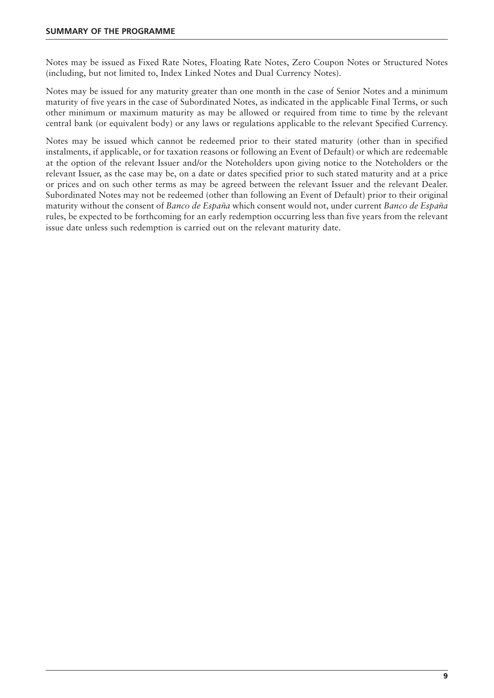Notes may be issued as Fixed Rate Notes, Floating Rate Notes, Zero Coupon Notes or Structured Notes (including, but not limited to, Index Linked Notes and Dual Currency Notes).

Notes may be issued for any maturity greater than one month in the case of Senior Notes and a minimum maturity of five years in the case of Subordinated Notes, as indicated in the applicable Final Terms, or such other minimum or maximum maturity as may be allowed or required from time to time by the relevant central bank (or equivalent body) or any laws or regulations applicable to the relevant Specified Currency.

Notes may be issued which cannot be redeemed prior to their stated maturity (other than in specified instalments, if applicable, or for taxation reasons or following an Event of Default) or which are redeemable at the option of the relevant Issuer and/or the Noteholders upon giving notice to the Noteholders or the relevant Issuer, as the case may be, on a date or dates specified prior to such stated maturity and at a price or prices and on such other terms as may be agreed between the relevant Issuer and the relevant Dealer. Subordinated Notes may not be redeemed (other than following an Event of Default) prior to their original maturity without the consent of *Banco de España* which consent would not, under current *Banco de España* rules, be expected to be forthcoming for an early redemption occurring less than five years from the relevant issue date unless such redemption is carried out on the relevant maturity date.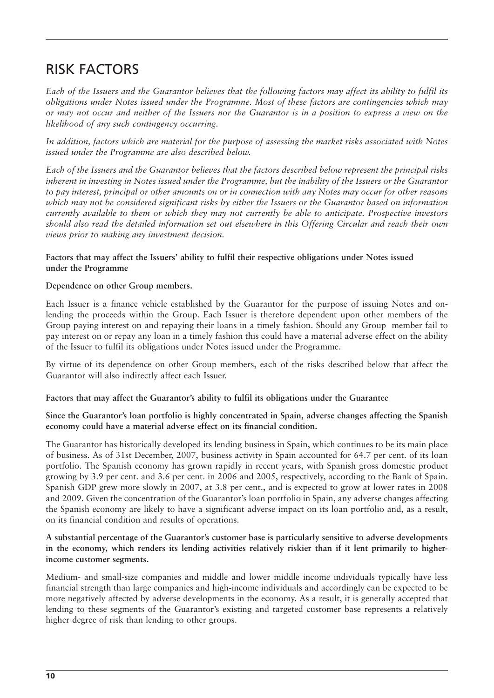### RISK FACTORS

*Each of the Issuers and the Guarantor believes that the following factors may affect its ability to fulfil its obligations under Notes issued under the Programme. Most of these factors are contingencies which may or may not occur and neither of the Issuers nor the Guarantor is in a position to express a view on the likelihood of any such contingency occurring.*

*In addition, factors which are material for the purpose of assessing the market risks associated with Notes issued under the Programme are also described below.*

*Each of the Issuers and the Guarantor believes that the factors described below represent the principal risks inherent in investing in Notes issued under the Programme, but the inability of the Issuers or the Guarantor to pay interest, principal or other amounts on or in connection with any Notes may occur for other reasons which may not be considered significant risks by either the Issuers or the Guarantor based on information currently available to them or which they may not currently be able to anticipate. Prospective investors should also read the detailed information set out elsewhere in this Offering Circular and reach their own views prior to making any investment decision.*

#### **Factors that may affect the Issuers' ability to fulfil their respective obligations under Notes issued under the Programme**

#### **Dependence on other Group members.**

Each Issuer is a finance vehicle established by the Guarantor for the purpose of issuing Notes and onlending the proceeds within the Group. Each Issuer is therefore dependent upon other members of the Group paying interest on and repaying their loans in a timely fashion. Should any Group member fail to pay interest on or repay any loan in a timely fashion this could have a material adverse effect on the ability of the Issuer to fulfil its obligations under Notes issued under the Programme.

By virtue of its dependence on other Group members, each of the risks described below that affect the Guarantor will also indirectly affect each Issuer.

#### **Factors that may affect the Guarantor's ability to fulfil its obligations under the Guarantee**

#### **Since the Guarantor's loan portfolio is highly concentrated in Spain, adverse changes affecting the Spanish economy could have a material adverse effect on its financial condition.**

The Guarantor has historically developed its lending business in Spain, which continues to be its main place of business. As of 31st December, 2007, business activity in Spain accounted for 64.7 per cent. of its loan portfolio. The Spanish economy has grown rapidly in recent years, with Spanish gross domestic product growing by 3.9 per cent. and 3.6 per cent. in 2006 and 2005, respectively, according to the Bank of Spain. Spanish GDP grew more slowly in 2007, at 3.8 per cent., and is expected to grow at lower rates in 2008 and 2009. Given the concentration of the Guarantor's loan portfolio in Spain, any adverse changes affecting the Spanish economy are likely to have a significant adverse impact on its loan portfolio and, as a result, on its financial condition and results of operations.

#### **A substantial percentage of the Guarantor's customer base is particularly sensitive to adverse developments in the economy, which renders its lending activities relatively riskier than if it lent primarily to higherincome customer segments.**

Medium- and small-size companies and middle and lower middle income individuals typically have less financial strength than large companies and high-income individuals and accordingly can be expected to be more negatively affected by adverse developments in the economy. As a result, it is generally accepted that lending to these segments of the Guarantor's existing and targeted customer base represents a relatively higher degree of risk than lending to other groups.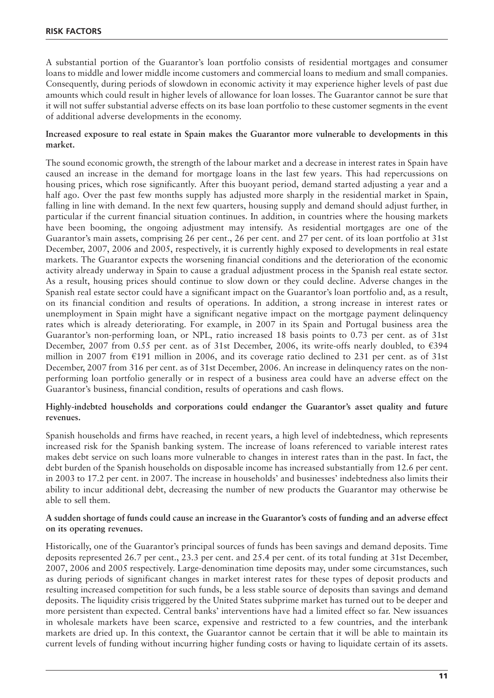A substantial portion of the Guarantor's loan portfolio consists of residential mortgages and consumer loans to middle and lower middle income customers and commercial loans to medium and small companies. Consequently, during periods of slowdown in economic activity it may experience higher levels of past due amounts which could result in higher levels of allowance for loan losses. The Guarantor cannot be sure that it will not suffer substantial adverse effects on its base loan portfolio to these customer segments in the event of additional adverse developments in the economy.

#### **Increased exposure to real estate in Spain makes the Guarantor more vulnerable to developments in this market.**

The sound economic growth, the strength of the labour market and a decrease in interest rates in Spain have caused an increase in the demand for mortgage loans in the last few years. This had repercussions on housing prices, which rose significantly. After this buoyant period, demand started adjusting a year and a half ago. Over the past few months supply has adjusted more sharply in the residential market in Spain, falling in line with demand. In the next few quarters, housing supply and demand should adjust further, in particular if the current financial situation continues. In addition, in countries where the housing markets have been booming, the ongoing adjustment may intensify. As residential mortgages are one of the Guarantor's main assets, comprising 26 per cent., 26 per cent. and 27 per cent. of its loan portfolio at 31st December, 2007, 2006 and 2005, respectively, it is currently highly exposed to developments in real estate markets. The Guarantor expects the worsening financial conditions and the deterioration of the economic activity already underway in Spain to cause a gradual adjustment process in the Spanish real estate sector. As a result, housing prices should continue to slow down or they could decline. Adverse changes in the Spanish real estate sector could have a significant impact on the Guarantor's loan portfolio and, as a result, on its financial condition and results of operations. In addition, a strong increase in interest rates or unemployment in Spain might have a significant negative impact on the mortgage payment delinquency rates which is already deteriorating. For example, in 2007 in its Spain and Portugal business area the Guarantor's non-performing loan, or NPL, ratio increased 18 basis points to 0.73 per cent. as of 31st December, 2007 from 0.55 per cent. as of 31st December, 2006, its write-offs nearly doubled, to  $\epsilon$ 394 million in 2007 from €191 million in 2006, and its coverage ratio declined to 231 per cent. as of 31st December, 2007 from 316 per cent. as of 31st December, 2006. An increase in delinquency rates on the nonperforming loan portfolio generally or in respect of a business area could have an adverse effect on the Guarantor's business, financial condition, results of operations and cash flows.

#### **Highly-indebted households and corporations could endanger the Guarantor's asset quality and future revenues.**

Spanish households and firms have reached, in recent years, a high level of indebtedness, which represents increased risk for the Spanish banking system. The increase of loans referenced to variable interest rates makes debt service on such loans more vulnerable to changes in interest rates than in the past. In fact, the debt burden of the Spanish households on disposable income has increased substantially from 12.6 per cent. in 2003 to 17.2 per cent. in 2007. The increase in households' and businesses' indebtedness also limits their ability to incur additional debt, decreasing the number of new products the Guarantor may otherwise be able to sell them.

#### **A sudden shortage of funds could cause an increase in the Guarantor's costs of funding and an adverse effect on its operating revenues.**

Historically, one of the Guarantor's principal sources of funds has been savings and demand deposits. Time deposits represented 26.7 per cent., 23.3 per cent. and 25.4 per cent. of its total funding at 31st December, 2007, 2006 and 2005 respectively. Large-denomination time deposits may, under some circumstances, such as during periods of significant changes in market interest rates for these types of deposit products and resulting increased competition for such funds, be a less stable source of deposits than savings and demand deposits. The liquidity crisis triggered by the United States subprime market has turned out to be deeper and more persistent than expected. Central banks' interventions have had a limited effect so far. New issuances in wholesale markets have been scarce, expensive and restricted to a few countries, and the interbank markets are dried up. In this context, the Guarantor cannot be certain that it will be able to maintain its current levels of funding without incurring higher funding costs or having to liquidate certain of its assets.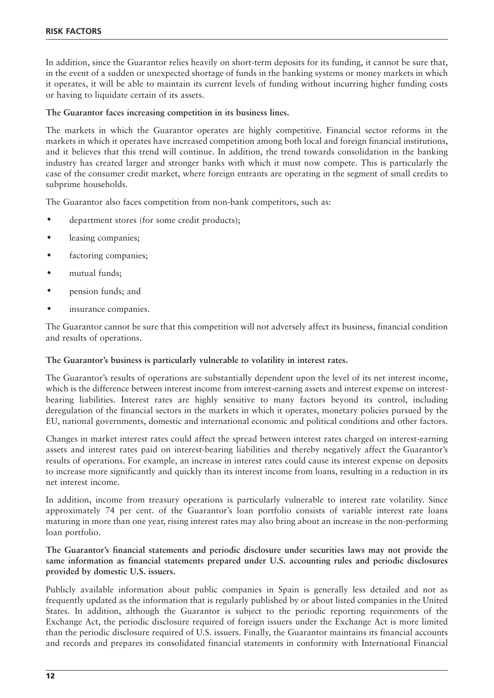In addition, since the Guarantor relies heavily on short-term deposits for its funding, it cannot be sure that, in the event of a sudden or unexpected shortage of funds in the banking systems or money markets in which it operates, it will be able to maintain its current levels of funding without incurring higher funding costs or having to liquidate certain of its assets.

#### **The Guarantor faces increasing competition in its business lines.**

The markets in which the Guarantor operates are highly competitive. Financial sector reforms in the markets in which it operates have increased competition among both local and foreign financial institutions, and it believes that this trend will continue. In addition, the trend towards consolidation in the banking industry has created larger and stronger banks with which it must now compete. This is particularly the case of the consumer credit market, where foreign entrants are operating in the segment of small credits to subprime households.

The Guarantor also faces competition from non-bank competitors, such as:

- department stores (for some credit products);
- leasing companies;
- factoring companies;
- mutual funds;
- pension funds; and
- insurance companies.

The Guarantor cannot be sure that this competition will not adversely affect its business, financial condition and results of operations.

#### **The Guarantor's business is particularly vulnerable to volatility in interest rates.**

The Guarantor's results of operations are substantially dependent upon the level of its net interest income, which is the difference between interest income from interest-earning assets and interest expense on interestbearing liabilities. Interest rates are highly sensitive to many factors beyond its control, including deregulation of the financial sectors in the markets in which it operates, monetary policies pursued by the EU, national governments, domestic and international economic and political conditions and other factors.

Changes in market interest rates could affect the spread between interest rates charged on interest-earning assets and interest rates paid on interest-bearing liabilities and thereby negatively affect the Guarantor's results of operations. For example, an increase in interest rates could cause its interest expense on deposits to increase more significantly and quickly than its interest income from loans, resulting in a reduction in its net interest income.

In addition, income from treasury operations is particularly vulnerable to interest rate volatility. Since approximately 74 per cent. of the Guarantor's loan portfolio consists of variable interest rate loans maturing in more than one year, rising interest rates may also bring about an increase in the non-performing loan portfolio.

#### **The Guarantor's financial statements and periodic disclosure under securities laws may not provide the same information as financial statements prepared under U.S. accounting rules and periodic disclosures provided by domestic U.S. issuers.**

Publicly available information about public companies in Spain is generally less detailed and not as frequently updated as the information that is regularly published by or about listed companies in the United States. In addition, although the Guarantor is subject to the periodic reporting requirements of the Exchange Act, the periodic disclosure required of foreign issuers under the Exchange Act is more limited than the periodic disclosure required of U.S. issuers. Finally, the Guarantor maintains its financial accounts and records and prepares its consolidated financial statements in conformity with International Financial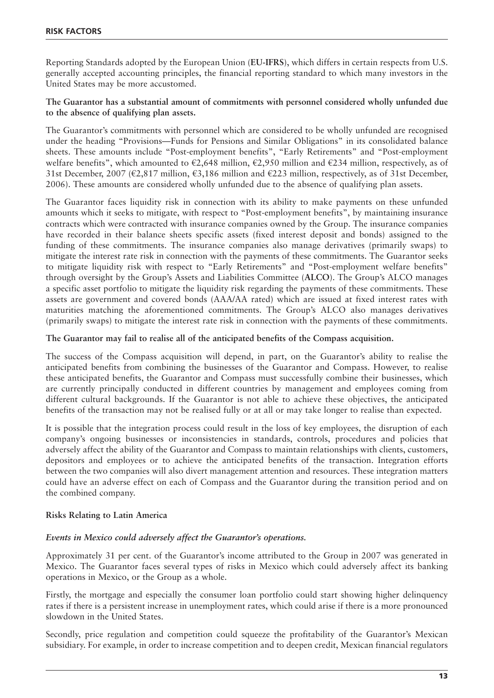Reporting Standards adopted by the European Union (**EU-IFRS**), which differs in certain respects from U.S. generally accepted accounting principles, the financial reporting standard to which many investors in the United States may be more accustomed.

**The Guarantor has a substantial amount of commitments with personnel considered wholly unfunded due to the absence of qualifying plan assets.**

The Guarantor's commitments with personnel which are considered to be wholly unfunded are recognised under the heading "Provisions—Funds for Pensions and Similar Obligations" in its consolidated balance sheets. These amounts include "Post-employment benefits", "Early Retirements" and "Post-employment welfare benefits", which amounted to  $\epsilon$ 2,648 million,  $\epsilon$ 2,950 million and  $\epsilon$ 234 million, respectively, as of 31st December, 2007 (€2,817 million, €3,186 million and €223 million, respectively, as of 31st December, 2006). These amounts are considered wholly unfunded due to the absence of qualifying plan assets.

The Guarantor faces liquidity risk in connection with its ability to make payments on these unfunded amounts which it seeks to mitigate, with respect to "Post-employment benefits", by maintaining insurance contracts which were contracted with insurance companies owned by the Group. The insurance companies have recorded in their balance sheets specific assets (fixed interest deposit and bonds) assigned to the funding of these commitments. The insurance companies also manage derivatives (primarily swaps) to mitigate the interest rate risk in connection with the payments of these commitments. The Guarantor seeks to mitigate liquidity risk with respect to "Early Retirements" and "Post-employment welfare benefits" through oversight by the Group's Assets and Liabilities Committee (**ALCO**). The Group's ALCO manages a specific asset portfolio to mitigate the liquidity risk regarding the payments of these commitments. These assets are government and covered bonds (AAA/AA rated) which are issued at fixed interest rates with maturities matching the aforementioned commitments. The Group's ALCO also manages derivatives (primarily swaps) to mitigate the interest rate risk in connection with the payments of these commitments.

**The Guarantor may fail to realise all of the anticipated benefits of the Compass acquisition.** 

The success of the Compass acquisition will depend, in part, on the Guarantor's ability to realise the anticipated benefits from combining the businesses of the Guarantor and Compass. However, to realise these anticipated benefits, the Guarantor and Compass must successfully combine their businesses, which are currently principally conducted in different countries by management and employees coming from different cultural backgrounds. If the Guarantor is not able to achieve these objectives, the anticipated benefits of the transaction may not be realised fully or at all or may take longer to realise than expected.

It is possible that the integration process could result in the loss of key employees, the disruption of each company's ongoing businesses or inconsistencies in standards, controls, procedures and policies that adversely affect the ability of the Guarantor and Compass to maintain relationships with clients, customers, depositors and employees or to achieve the anticipated benefits of the transaction. Integration efforts between the two companies will also divert management attention and resources. These integration matters could have an adverse effect on each of Compass and the Guarantor during the transition period and on the combined company.

#### **Risks Relating to Latin America**

#### *Events in Mexico could adversely affect the Guarantor's operations.*

Approximately 31 per cent. of the Guarantor's income attributed to the Group in 2007 was generated in Mexico. The Guarantor faces several types of risks in Mexico which could adversely affect its banking operations in Mexico, or the Group as a whole.

Firstly, the mortgage and especially the consumer loan portfolio could start showing higher delinquency rates if there is a persistent increase in unemployment rates, which could arise if there is a more pronounced slowdown in the United States.

Secondly, price regulation and competition could squeeze the profitability of the Guarantor's Mexican subsidiary. For example, in order to increase competition and to deepen credit, Mexican financial regulators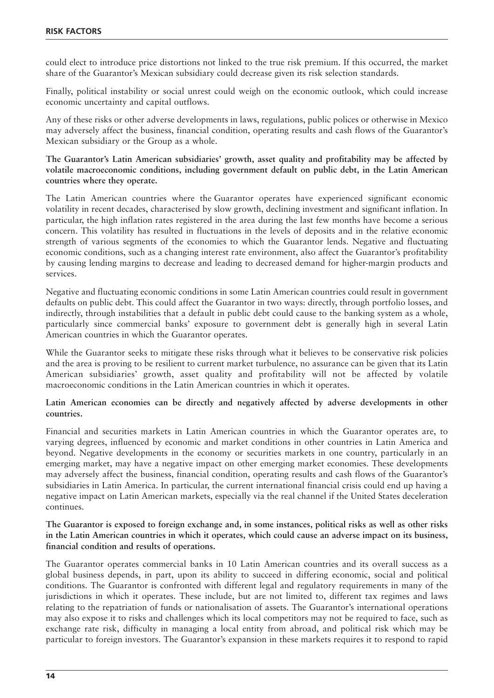could elect to introduce price distortions not linked to the true risk premium. If this occurred, the market share of the Guarantor's Mexican subsidiary could decrease given its risk selection standards.

Finally, political instability or social unrest could weigh on the economic outlook, which could increase economic uncertainty and capital outflows.

Any of these risks or other adverse developments in laws, regulations, public polices or otherwise in Mexico may adversely affect the business, financial condition, operating results and cash flows of the Guarantor's Mexican subsidiary or the Group as a whole.

**The Guarantor's Latin American subsidiaries' growth, asset quality and profitability may be affected by volatile macroeconomic conditions, including government default on public debt, in the Latin American countries where they operate.** 

The Latin American countries where the Guarantor operates have experienced significant economic volatility in recent decades, characterised by slow growth, declining investment and significant inflation. In particular, the high inflation rates registered in the area during the last few months have become a serious concern. This volatility has resulted in fluctuations in the levels of deposits and in the relative economic strength of various segments of the economies to which the Guarantor lends. Negative and fluctuating economic conditions, such as a changing interest rate environment, also affect the Guarantor's profitability by causing lending margins to decrease and leading to decreased demand for higher-margin products and services.

Negative and fluctuating economic conditions in some Latin American countries could result in government defaults on public debt. This could affect the Guarantor in two ways: directly, through portfolio losses, and indirectly, through instabilities that a default in public debt could cause to the banking system as a whole, particularly since commercial banks' exposure to government debt is generally high in several Latin American countries in which the Guarantor operates.

While the Guarantor seeks to mitigate these risks through what it believes to be conservative risk policies and the area is proving to be resilient to current market turbulence, no assurance can be given that its Latin American subsidiaries' growth, asset quality and profitability will not be affected by volatile macroeconomic conditions in the Latin American countries in which it operates.

**Latin American economies can be directly and negatively affected by adverse developments in other countries.** 

Financial and securities markets in Latin American countries in which the Guarantor operates are, to varying degrees, influenced by economic and market conditions in other countries in Latin America and beyond. Negative developments in the economy or securities markets in one country, particularly in an emerging market, may have a negative impact on other emerging market economies. These developments may adversely affect the business, financial condition, operating results and cash flows of the Guarantor's subsidiaries in Latin America. In particular, the current international financial crisis could end up having a negative impact on Latin American markets, especially via the real channel if the United States deceleration continues.

**The Guarantor is exposed to foreign exchange and, in some instances, political risks as well as other risks in the Latin American countries in which it operates, which could cause an adverse impact on its business, financial condition and results of operations.** 

The Guarantor operates commercial banks in 10 Latin American countries and its overall success as a global business depends, in part, upon its ability to succeed in differing economic, social and political conditions. The Guarantor is confronted with different legal and regulatory requirements in many of the jurisdictions in which it operates. These include, but are not limited to, different tax regimes and laws relating to the repatriation of funds or nationalisation of assets. The Guarantor's international operations may also expose it to risks and challenges which its local competitors may not be required to face, such as exchange rate risk, difficulty in managing a local entity from abroad, and political risk which may be particular to foreign investors. The Guarantor's expansion in these markets requires it to respond to rapid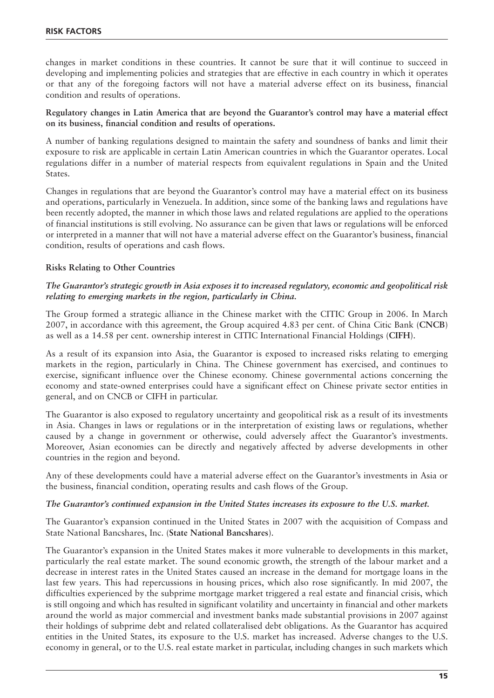changes in market conditions in these countries. It cannot be sure that it will continue to succeed in developing and implementing policies and strategies that are effective in each country in which it operates or that any of the foregoing factors will not have a material adverse effect on its business, financial condition and results of operations.

#### **Regulatory changes in Latin America that are beyond the Guarantor's control may have a material effect on its business, financial condition and results of operations.**

A number of banking regulations designed to maintain the safety and soundness of banks and limit their exposure to risk are applicable in certain Latin American countries in which the Guarantor operates. Local regulations differ in a number of material respects from equivalent regulations in Spain and the United States.

Changes in regulations that are beyond the Guarantor's control may have a material effect on its business and operations, particularly in Venezuela. In addition, since some of the banking laws and regulations have been recently adopted, the manner in which those laws and related regulations are applied to the operations of financial institutions is still evolving. No assurance can be given that laws or regulations will be enforced or interpreted in a manner that will not have a material adverse effect on the Guarantor's business, financial condition, results of operations and cash flows.

#### **Risks Relating to Other Countries**

#### *The Guarantor's strategic growth in Asia exposes it to increased regulatory, economic and geopolitical risk relating to emerging markets in the region, particularly in China.*

The Group formed a strategic alliance in the Chinese market with the CITIC Group in 2006. In March 2007, in accordance with this agreement, the Group acquired 4.83 per cent. of China Citic Bank (**CNCB**) as well as a 14.58 per cent. ownership interest in CITIC International Financial Holdings (**CIFH**).

As a result of its expansion into Asia, the Guarantor is exposed to increased risks relating to emerging markets in the region, particularly in China. The Chinese government has exercised, and continues to exercise, significant influence over the Chinese economy. Chinese governmental actions concerning the economy and state-owned enterprises could have a significant effect on Chinese private sector entities in general, and on CNCB or CIFH in particular.

The Guarantor is also exposed to regulatory uncertainty and geopolitical risk as a result of its investments in Asia. Changes in laws or regulations or in the interpretation of existing laws or regulations, whether caused by a change in government or otherwise, could adversely affect the Guarantor's investments. Moreover, Asian economies can be directly and negatively affected by adverse developments in other countries in the region and beyond.

Any of these developments could have a material adverse effect on the Guarantor's investments in Asia or the business, financial condition, operating results and cash flows of the Group.

#### *The Guarantor's continued expansion in the United States increases its exposure to the U.S. market.*

The Guarantor's expansion continued in the United States in 2007 with the acquisition of Compass and State National Bancshares, Inc. (**State National Bancshares**).

The Guarantor's expansion in the United States makes it more vulnerable to developments in this market, particularly the real estate market. The sound economic growth, the strength of the labour market and a decrease in interest rates in the United States caused an increase in the demand for mortgage loans in the last few years. This had repercussions in housing prices, which also rose significantly. In mid 2007, the difficulties experienced by the subprime mortgage market triggered a real estate and financial crisis, which is still ongoing and which has resulted in significant volatility and uncertainty in financial and other markets around the world as major commercial and investment banks made substantial provisions in 2007 against their holdings of subprime debt and related collateralised debt obligations. As the Guarantor has acquired entities in the United States, its exposure to the U.S. market has increased. Adverse changes to the U.S. economy in general, or to the U.S. real estate market in particular, including changes in such markets which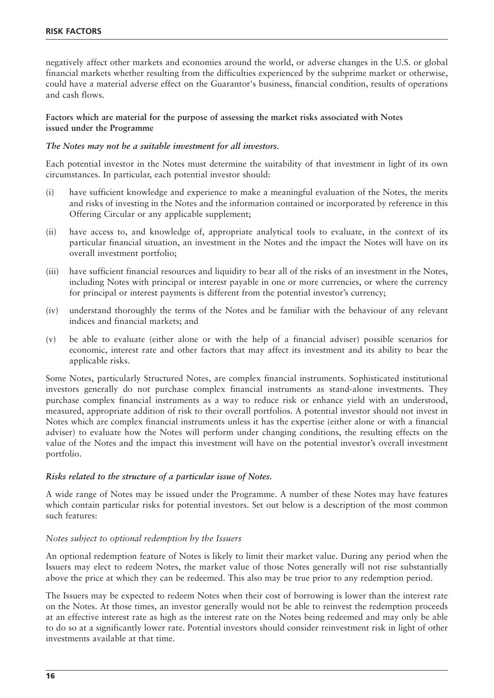negatively affect other markets and economies around the world, or adverse changes in the U.S. or global financial markets whether resulting from the difficulties experienced by the subprime market or otherwise, could have a material adverse effect on the Guarantor's business, financial condition, results of operations and cash flows.

#### **Factors which are material for the purpose of assessing the market risks associated with Notes issued under the Programme**

#### *The Notes may not be a suitable investment for all investors.*

Each potential investor in the Notes must determine the suitability of that investment in light of its own circumstances. In particular, each potential investor should:

- (i) have sufficient knowledge and experience to make a meaningful evaluation of the Notes, the merits and risks of investing in the Notes and the information contained or incorporated by reference in this Offering Circular or any applicable supplement;
- (ii) have access to, and knowledge of, appropriate analytical tools to evaluate, in the context of its particular financial situation, an investment in the Notes and the impact the Notes will have on its overall investment portfolio;
- (iii) have sufficient financial resources and liquidity to bear all of the risks of an investment in the Notes, including Notes with principal or interest payable in one or more currencies, or where the currency for principal or interest payments is different from the potential investor's currency;
- (iv) understand thoroughly the terms of the Notes and be familiar with the behaviour of any relevant indices and financial markets; and
- (v) be able to evaluate (either alone or with the help of a financial adviser) possible scenarios for economic, interest rate and other factors that may affect its investment and its ability to bear the applicable risks.

Some Notes, particularly Structured Notes, are complex financial instruments. Sophisticated institutional investors generally do not purchase complex financial instruments as stand-alone investments. They purchase complex financial instruments as a way to reduce risk or enhance yield with an understood, measured, appropriate addition of risk to their overall portfolios. A potential investor should not invest in Notes which are complex financial instruments unless it has the expertise (either alone or with a financial adviser) to evaluate how the Notes will perform under changing conditions, the resulting effects on the value of the Notes and the impact this investment will have on the potential investor's overall investment portfolio.

#### *Risks related to the structure of a particular issue of Notes.*

A wide range of Notes may be issued under the Programme. A number of these Notes may have features which contain particular risks for potential investors. Set out below is a description of the most common such features:

#### *Notes subject to optional redemption by the Issuers*

An optional redemption feature of Notes is likely to limit their market value. During any period when the Issuers may elect to redeem Notes, the market value of those Notes generally will not rise substantially above the price at which they can be redeemed. This also may be true prior to any redemption period.

The Issuers may be expected to redeem Notes when their cost of borrowing is lower than the interest rate on the Notes. At those times, an investor generally would not be able to reinvest the redemption proceeds at an effective interest rate as high as the interest rate on the Notes being redeemed and may only be able to do so at a significantly lower rate. Potential investors should consider reinvestment risk in light of other investments available at that time.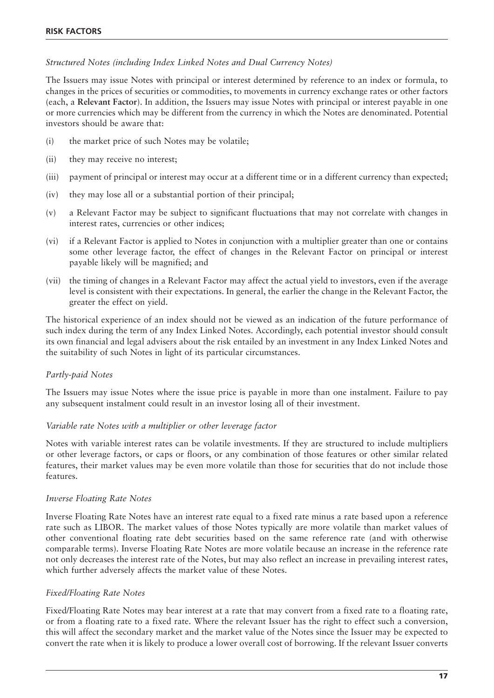#### *Structured Notes (including Index Linked Notes and Dual Currency Notes)*

The Issuers may issue Notes with principal or interest determined by reference to an index or formula, to changes in the prices of securities or commodities, to movements in currency exchange rates or other factors (each, a **Relevant Factor**). In addition, the Issuers may issue Notes with principal or interest payable in one or more currencies which may be different from the currency in which the Notes are denominated. Potential investors should be aware that:

- (i) the market price of such Notes may be volatile;
- (ii) they may receive no interest;
- (iii) payment of principal or interest may occur at a different time or in a different currency than expected;
- (iv) they may lose all or a substantial portion of their principal;
- (v) a Relevant Factor may be subject to significant fluctuations that may not correlate with changes in interest rates, currencies or other indices;
- (vi) if a Relevant Factor is applied to Notes in conjunction with a multiplier greater than one or contains some other leverage factor, the effect of changes in the Relevant Factor on principal or interest payable likely will be magnified; and
- (vii) the timing of changes in a Relevant Factor may affect the actual yield to investors, even if the average level is consistent with their expectations. In general, the earlier the change in the Relevant Factor, the greater the effect on yield.

The historical experience of an index should not be viewed as an indication of the future performance of such index during the term of any Index Linked Notes. Accordingly, each potential investor should consult its own financial and legal advisers about the risk entailed by an investment in any Index Linked Notes and the suitability of such Notes in light of its particular circumstances.

#### *Partly-paid Notes*

The Issuers may issue Notes where the issue price is payable in more than one instalment. Failure to pay any subsequent instalment could result in an investor losing all of their investment.

#### *Variable rate Notes with a multiplier or other leverage factor*

Notes with variable interest rates can be volatile investments. If they are structured to include multipliers or other leverage factors, or caps or floors, or any combination of those features or other similar related features, their market values may be even more volatile than those for securities that do not include those features.

#### *Inverse Floating Rate Notes*

Inverse Floating Rate Notes have an interest rate equal to a fixed rate minus a rate based upon a reference rate such as LIBOR. The market values of those Notes typically are more volatile than market values of other conventional floating rate debt securities based on the same reference rate (and with otherwise comparable terms). Inverse Floating Rate Notes are more volatile because an increase in the reference rate not only decreases the interest rate of the Notes, but may also reflect an increase in prevailing interest rates, which further adversely affects the market value of these Notes.

#### *Fixed/Floating Rate Notes*

Fixed/Floating Rate Notes may bear interest at a rate that may convert from a fixed rate to a floating rate, or from a floating rate to a fixed rate. Where the relevant Issuer has the right to effect such a conversion, this will affect the secondary market and the market value of the Notes since the Issuer may be expected to convert the rate when it is likely to produce a lower overall cost of borrowing. If the relevant Issuer converts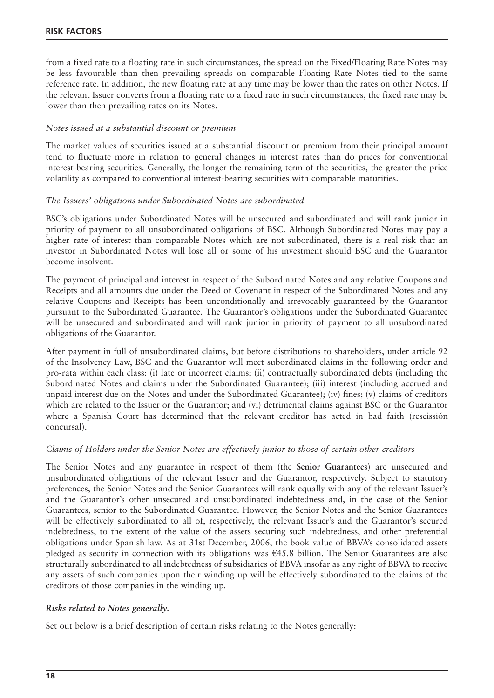from a fixed rate to a floating rate in such circumstances, the spread on the Fixed/Floating Rate Notes may be less favourable than then prevailing spreads on comparable Floating Rate Notes tied to the same reference rate. In addition, the new floating rate at any time may be lower than the rates on other Notes. If the relevant Issuer converts from a floating rate to a fixed rate in such circumstances, the fixed rate may be lower than then prevailing rates on its Notes.

#### *Notes issued at a substantial discount or premium*

The market values of securities issued at a substantial discount or premium from their principal amount tend to fluctuate more in relation to general changes in interest rates than do prices for conventional interest-bearing securities. Generally, the longer the remaining term of the securities, the greater the price volatility as compared to conventional interest-bearing securities with comparable maturities.

#### *The Issuers' obligations under Subordinated Notes are subordinated*

BSC's obligations under Subordinated Notes will be unsecured and subordinated and will rank junior in priority of payment to all unsubordinated obligations of BSC. Although Subordinated Notes may pay a higher rate of interest than comparable Notes which are not subordinated, there is a real risk that an investor in Subordinated Notes will lose all or some of his investment should BSC and the Guarantor become insolvent.

The payment of principal and interest in respect of the Subordinated Notes and any relative Coupons and Receipts and all amounts due under the Deed of Covenant in respect of the Subordinated Notes and any relative Coupons and Receipts has been unconditionally and irrevocably guaranteed by the Guarantor pursuant to the Subordinated Guarantee. The Guarantor's obligations under the Subordinated Guarantee will be unsecured and subordinated and will rank junior in priority of payment to all unsubordinated obligations of the Guarantor.

After payment in full of unsubordinated claims, but before distributions to shareholders, under article 92 of the Insolvency Law, BSC and the Guarantor will meet subordinated claims in the following order and pro-rata within each class: (i) late or incorrect claims; (ii) contractually subordinated debts (including the Subordinated Notes and claims under the Subordinated Guarantee); (iii) interest (including accrued and unpaid interest due on the Notes and under the Subordinated Guarantee); (iv) fines; (v) claims of creditors which are related to the Issuer or the Guarantor; and (vi) detrimental claims against BSC or the Guarantor where a Spanish Court has determined that the relevant creditor has acted in bad faith (rescissión concursal).

#### *Claims of Holders under the Senior Notes are effectively junior to those of certain other creditors*

The Senior Notes and any guarantee in respect of them (the **Senior Guarantees**) are unsecured and unsubordinated obligations of the relevant Issuer and the Guarantor, respectively. Subject to statutory preferences, the Senior Notes and the Senior Guarantees will rank equally with any of the relevant Issuer's and the Guarantor's other unsecured and unsubordinated indebtedness and, in the case of the Senior Guarantees, senior to the Subordinated Guarantee. However, the Senior Notes and the Senior Guarantees will be effectively subordinated to all of, respectively, the relevant Issuer's and the Guarantor's secured indebtedness, to the extent of the value of the assets securing such indebtedness, and other preferential obligations under Spanish law. As at 31st December, 2006, the book value of BBVA's consolidated assets pledged as security in connection with its obligations was  $\epsilon$ 45.8 billion. The Senior Guarantees are also structurally subordinated to all indebtedness of subsidiaries of BBVA insofar as any right of BBVA to receive any assets of such companies upon their winding up will be effectively subordinated to the claims of the creditors of those companies in the winding up.

#### *Risks related to Notes generally.*

Set out below is a brief description of certain risks relating to the Notes generally: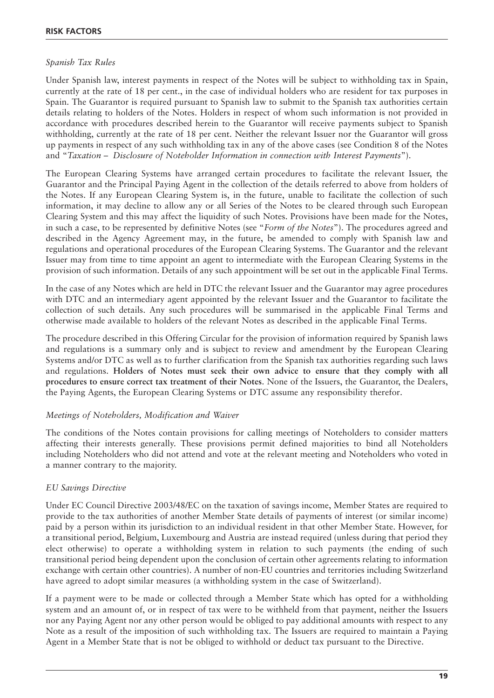#### *Spanish Tax Rules*

Under Spanish law, interest payments in respect of the Notes will be subject to withholding tax in Spain, currently at the rate of 18 per cent., in the case of individual holders who are resident for tax purposes in Spain. The Guarantor is required pursuant to Spanish law to submit to the Spanish tax authorities certain details relating to holders of the Notes. Holders in respect of whom such information is not provided in accordance with procedures described herein to the Guarantor will receive payments subject to Spanish withholding, currently at the rate of 18 per cent. Neither the relevant Issuer nor the Guarantor will gross up payments in respect of any such withholding tax in any of the above cases (see Condition 8 of the Notes and "*Taxation – Disclosure of Noteholder Information in connection with Interest Payments*").

The European Clearing Systems have arranged certain procedures to facilitate the relevant Issuer, the Guarantor and the Principal Paying Agent in the collection of the details referred to above from holders of the Notes. If any European Clearing System is, in the future, unable to facilitate the collection of such information, it may decline to allow any or all Series of the Notes to be cleared through such European Clearing System and this may affect the liquidity of such Notes. Provisions have been made for the Notes, in such a case, to be represented by definitive Notes (see "*Form of the Notes*"). The procedures agreed and described in the Agency Agreement may, in the future, be amended to comply with Spanish law and regulations and operational procedures of the European Clearing Systems. The Guarantor and the relevant Issuer may from time to time appoint an agent to intermediate with the European Clearing Systems in the provision of such information. Details of any such appointment will be set out in the applicable Final Terms.

In the case of any Notes which are held in DTC the relevant Issuer and the Guarantor may agree procedures with DTC and an intermediary agent appointed by the relevant Issuer and the Guarantor to facilitate the collection of such details. Any such procedures will be summarised in the applicable Final Terms and otherwise made available to holders of the relevant Notes as described in the applicable Final Terms.

The procedure described in this Offering Circular for the provision of information required by Spanish laws and regulations is a summary only and is subject to review and amendment by the European Clearing Systems and/or DTC as well as to further clarification from the Spanish tax authorities regarding such laws and regulations. **Holders of Notes must seek their own advice to ensure that they comply with all procedures to ensure correct tax treatment of their Notes**. None of the Issuers, the Guarantor, the Dealers, the Paying Agents, the European Clearing Systems or DTC assume any responsibility therefor.

#### *Meetings of Noteholders, Modification and Waiver*

The conditions of the Notes contain provisions for calling meetings of Noteholders to consider matters affecting their interests generally. These provisions permit defined majorities to bind all Noteholders including Noteholders who did not attend and vote at the relevant meeting and Noteholders who voted in a manner contrary to the majority.

#### *EU Savings Directive*

Under EC Council Directive 2003/48/EC on the taxation of savings income, Member States are required to provide to the tax authorities of another Member State details of payments of interest (or similar income) paid by a person within its jurisdiction to an individual resident in that other Member State. However, for a transitional period, Belgium, Luxembourg and Austria are instead required (unless during that period they elect otherwise) to operate a withholding system in relation to such payments (the ending of such transitional period being dependent upon the conclusion of certain other agreements relating to information exchange with certain other countries). A number of non-EU countries and territories including Switzerland have agreed to adopt similar measures (a withholding system in the case of Switzerland).

If a payment were to be made or collected through a Member State which has opted for a withholding system and an amount of, or in respect of tax were to be withheld from that payment, neither the Issuers nor any Paying Agent nor any other person would be obliged to pay additional amounts with respect to any Note as a result of the imposition of such withholding tax. The Issuers are required to maintain a Paying Agent in a Member State that is not be obliged to withhold or deduct tax pursuant to the Directive.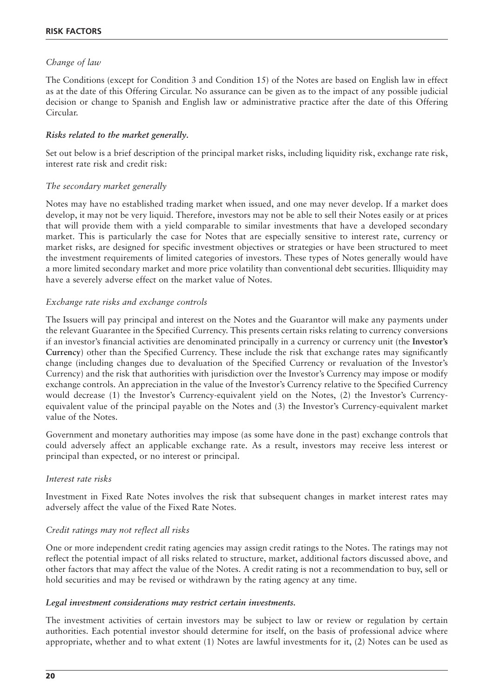#### *Change of law*

The Conditions (except for Condition 3 and Condition 15) of the Notes are based on English law in effect as at the date of this Offering Circular. No assurance can be given as to the impact of any possible judicial decision or change to Spanish and English law or administrative practice after the date of this Offering Circular.

#### *Risks related to the market generally.*

Set out below is a brief description of the principal market risks, including liquidity risk, exchange rate risk, interest rate risk and credit risk:

#### *The secondary market generally*

Notes may have no established trading market when issued, and one may never develop. If a market does develop, it may not be very liquid. Therefore, investors may not be able to sell their Notes easily or at prices that will provide them with a yield comparable to similar investments that have a developed secondary market. This is particularly the case for Notes that are especially sensitive to interest rate, currency or market risks, are designed for specific investment objectives or strategies or have been structured to meet the investment requirements of limited categories of investors. These types of Notes generally would have a more limited secondary market and more price volatility than conventional debt securities. Illiquidity may have a severely adverse effect on the market value of Notes.

#### *Exchange rate risks and exchange controls*

The Issuers will pay principal and interest on the Notes and the Guarantor will make any payments under the relevant Guarantee in the Specified Currency. This presents certain risks relating to currency conversions if an investor's financial activities are denominated principally in a currency or currency unit (the **Investor's Currency**) other than the Specified Currency. These include the risk that exchange rates may significantly change (including changes due to devaluation of the Specified Currency or revaluation of the Investor's Currency) and the risk that authorities with jurisdiction over the Investor's Currency may impose or modify exchange controls. An appreciation in the value of the Investor's Currency relative to the Specified Currency would decrease (1) the Investor's Currency-equivalent yield on the Notes, (2) the Investor's Currencyequivalent value of the principal payable on the Notes and (3) the Investor's Currency-equivalent market value of the Notes.

Government and monetary authorities may impose (as some have done in the past) exchange controls that could adversely affect an applicable exchange rate. As a result, investors may receive less interest or principal than expected, or no interest or principal.

#### *Interest rate risks*

Investment in Fixed Rate Notes involves the risk that subsequent changes in market interest rates may adversely affect the value of the Fixed Rate Notes.

#### *Credit ratings may not reflect all risks*

One or more independent credit rating agencies may assign credit ratings to the Notes. The ratings may not reflect the potential impact of all risks related to structure, market, additional factors discussed above, and other factors that may affect the value of the Notes. A credit rating is not a recommendation to buy, sell or hold securities and may be revised or withdrawn by the rating agency at any time.

#### *Legal investment considerations may restrict certain investments.*

The investment activities of certain investors may be subject to law or review or regulation by certain authorities. Each potential investor should determine for itself, on the basis of professional advice where appropriate, whether and to what extent (1) Notes are lawful investments for it, (2) Notes can be used as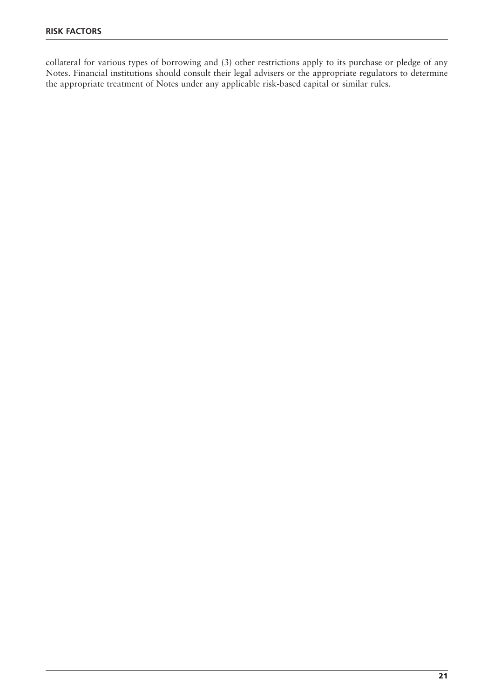collateral for various types of borrowing and (3) other restrictions apply to its purchase or pledge of any Notes. Financial institutions should consult their legal advisers or the appropriate regulators to determine the appropriate treatment of Notes under any applicable risk-based capital or similar rules.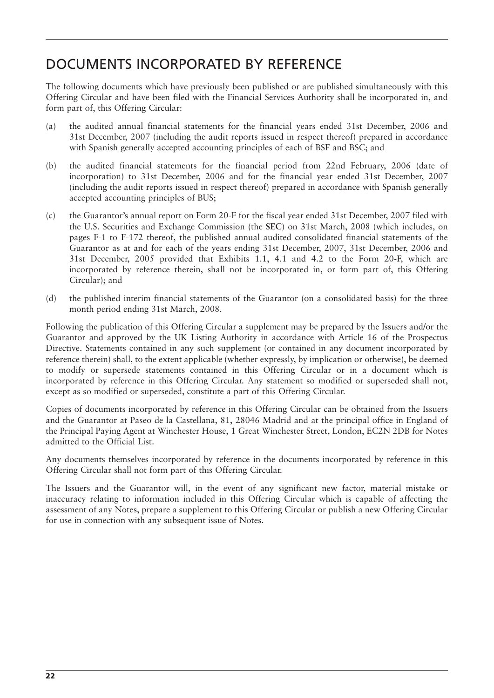### DOCUMENTS INCORPORATED BY REFERENCE

The following documents which have previously been published or are published simultaneously with this Offering Circular and have been filed with the Financial Services Authority shall be incorporated in, and form part of, this Offering Circular:

- (a) the audited annual financial statements for the financial years ended 31st December, 2006 and 31st December, 2007 (including the audit reports issued in respect thereof) prepared in accordance with Spanish generally accepted accounting principles of each of BSF and BSC; and
- (b) the audited financial statements for the financial period from 22nd February, 2006 (date of incorporation) to 31st December, 2006 and for the financial year ended 31st December, 2007 (including the audit reports issued in respect thereof) prepared in accordance with Spanish generally accepted accounting principles of BUS;
- (c) the Guarantor's annual report on Form 20-F for the fiscal year ended 31st December, 2007 filed with the U.S. Securities and Exchange Commission (the **SEC**) on 31st March, 2008 (which includes, on pages F-1 to F-172 thereof, the published annual audited consolidated financial statements of the Guarantor as at and for each of the years ending 31st December, 2007, 31st December, 2006 and 31st December, 2005 provided that Exhibits 1.1, 4.1 and 4.2 to the Form 20-F, which are incorporated by reference therein, shall not be incorporated in, or form part of, this Offering Circular); and
- (d) the published interim financial statements of the Guarantor (on a consolidated basis) for the three month period ending 31st March, 2008.

Following the publication of this Offering Circular a supplement may be prepared by the Issuers and/or the Guarantor and approved by the UK Listing Authority in accordance with Article 16 of the Prospectus Directive. Statements contained in any such supplement (or contained in any document incorporated by reference therein) shall, to the extent applicable (whether expressly, by implication or otherwise), be deemed to modify or supersede statements contained in this Offering Circular or in a document which is incorporated by reference in this Offering Circular. Any statement so modified or superseded shall not, except as so modified or superseded, constitute a part of this Offering Circular.

Copies of documents incorporated by reference in this Offering Circular can be obtained from the Issuers and the Guarantor at Paseo de la Castellana, 81, 28046 Madrid and at the principal office in England of the Principal Paying Agent at Winchester House, 1 Great Winchester Street, London, EC2N 2DB for Notes admitted to the Official List.

Any documents themselves incorporated by reference in the documents incorporated by reference in this Offering Circular shall not form part of this Offering Circular.

The Issuers and the Guarantor will, in the event of any significant new factor, material mistake or inaccuracy relating to information included in this Offering Circular which is capable of affecting the assessment of any Notes, prepare a supplement to this Offering Circular or publish a new Offering Circular for use in connection with any subsequent issue of Notes.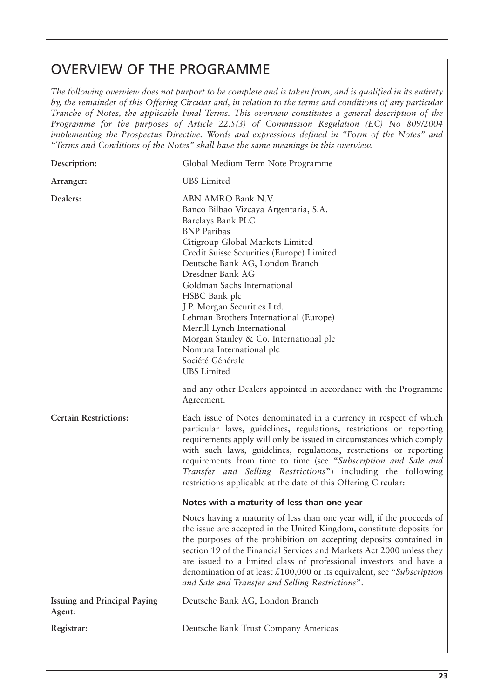### OVERVIEW OF THE PROGRAMME

*The following overview does not purport to be complete and is taken from, and is qualified in its entirety by, the remainder of this Offering Circular and, in relation to the terms and conditions of any particular Tranche of Notes, the applicable Final Terms. This overview constitutes a general description of the Programme for the purposes of Article 22.5(3) of Commission Regulation (EC) No 809/2004 implementing the Prospectus Directive. Words and expressions defined in "Form of the Notes" and "Terms and Conditions of the Notes" shall have the same meanings in this overview.*

| Description:                                  | Global Medium Term Note Programme                                                                                                                                                                                                                                                                                                                                                                                                                                                                                                                                                                        |  |
|-----------------------------------------------|----------------------------------------------------------------------------------------------------------------------------------------------------------------------------------------------------------------------------------------------------------------------------------------------------------------------------------------------------------------------------------------------------------------------------------------------------------------------------------------------------------------------------------------------------------------------------------------------------------|--|
| Arranger:                                     | <b>UBS</b> Limited                                                                                                                                                                                                                                                                                                                                                                                                                                                                                                                                                                                       |  |
| Dealers:                                      | ABN AMRO Bank N.V.<br>Banco Bilbao Vizcaya Argentaria, S.A.<br>Barclays Bank PLC<br><b>BNP</b> Paribas<br>Citigroup Global Markets Limited<br>Credit Suisse Securities (Europe) Limited<br>Deutsche Bank AG, London Branch<br>Dresdner Bank AG<br>Goldman Sachs International<br>HSBC Bank plc<br>J.P. Morgan Securities Ltd.<br>Lehman Brothers International (Europe)<br>Merrill Lynch International<br>Morgan Stanley & Co. International plc<br>Nomura International plc<br>Société Générale<br><b>UBS</b> Limited<br>and any other Dealers appointed in accordance with the Programme<br>Agreement. |  |
| <b>Certain Restrictions:</b>                  | Each issue of Notes denominated in a currency in respect of which<br>particular laws, guidelines, regulations, restrictions or reporting<br>requirements apply will only be issued in circumstances which comply<br>with such laws, guidelines, regulations, restrictions or reporting<br>requirements from time to time (see "Subscription and Sale and<br>Transfer and Selling Restrictions") including the following<br>restrictions applicable at the date of this Offering Circular:                                                                                                                |  |
|                                               | Notes with a maturity of less than one year                                                                                                                                                                                                                                                                                                                                                                                                                                                                                                                                                              |  |
|                                               | Notes having a maturity of less than one year will, if the proceeds of<br>the issue are accepted in the United Kingdom, constitute deposits for<br>the purposes of the prohibition on accepting deposits contained in<br>section 19 of the Financial Services and Markets Act 2000 unless they<br>are issued to a limited class of professional investors and have a<br>denomination of at least $£100,000$ or its equivalent, see "Subscription"<br>and Sale and Transfer and Selling Restrictions".                                                                                                    |  |
| <b>Issuing and Principal Paying</b><br>Agent: | Deutsche Bank AG, London Branch                                                                                                                                                                                                                                                                                                                                                                                                                                                                                                                                                                          |  |
| Registrar:                                    | Deutsche Bank Trust Company Americas                                                                                                                                                                                                                                                                                                                                                                                                                                                                                                                                                                     |  |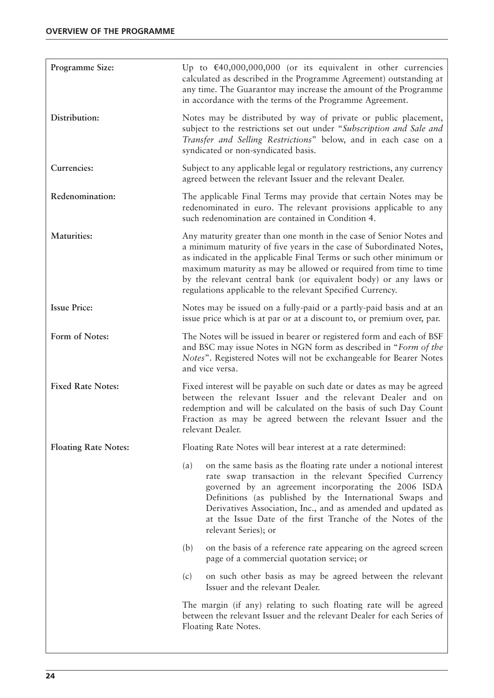| Programme Size:             | Up to $\text{\textsterling}40,000,000,000$ (or its equivalent in other currencies<br>calculated as described in the Programme Agreement) outstanding at<br>any time. The Guarantor may increase the amount of the Programme<br>in accordance with the terms of the Programme Agreement.                                                                                                                                 |  |
|-----------------------------|-------------------------------------------------------------------------------------------------------------------------------------------------------------------------------------------------------------------------------------------------------------------------------------------------------------------------------------------------------------------------------------------------------------------------|--|
| Distribution:               | Notes may be distributed by way of private or public placement,<br>subject to the restrictions set out under "Subscription and Sale and<br>Transfer and Selling Restrictions" below, and in each case on a<br>syndicated or non-syndicated basis.                                                                                                                                                                       |  |
| Currencies:                 | Subject to any applicable legal or regulatory restrictions, any currency<br>agreed between the relevant Issuer and the relevant Dealer.                                                                                                                                                                                                                                                                                 |  |
| Redenomination:             | The applicable Final Terms may provide that certain Notes may be<br>redenominated in euro. The relevant provisions applicable to any<br>such redenomination are contained in Condition 4.                                                                                                                                                                                                                               |  |
| <b>Maturities:</b>          | Any maturity greater than one month in the case of Senior Notes and<br>a minimum maturity of five years in the case of Subordinated Notes,<br>as indicated in the applicable Final Terms or such other minimum or<br>maximum maturity as may be allowed or required from time to time<br>by the relevant central bank (or equivalent body) or any laws or<br>regulations applicable to the relevant Specified Currency. |  |
| <b>Issue Price:</b>         | Notes may be issued on a fully-paid or a partly-paid basis and at an<br>issue price which is at par or at a discount to, or premium over, par.                                                                                                                                                                                                                                                                          |  |
| Form of Notes:              | The Notes will be issued in bearer or registered form and each of BSF<br>and BSC may issue Notes in NGN form as described in "Form of the<br>Notes". Registered Notes will not be exchangeable for Bearer Notes<br>and vice versa.                                                                                                                                                                                      |  |
| <b>Fixed Rate Notes:</b>    | Fixed interest will be payable on such date or dates as may be agreed<br>between the relevant Issuer and the relevant Dealer and on<br>redemption and will be calculated on the basis of such Day Count<br>Fraction as may be agreed between the relevant Issuer and the<br>relevant Dealer.                                                                                                                            |  |
| <b>Floating Rate Notes:</b> | Floating Rate Notes will bear interest at a rate determined:                                                                                                                                                                                                                                                                                                                                                            |  |
|                             | on the same basis as the floating rate under a notional interest<br>(a)<br>rate swap transaction in the relevant Specified Currency<br>governed by an agreement incorporating the 2006 ISDA<br>Definitions (as published by the International Swaps and<br>Derivatives Association, Inc., and as amended and updated as<br>at the Issue Date of the first Tranche of the Notes of the<br>relevant Series); or           |  |
|                             | on the basis of a reference rate appearing on the agreed screen<br>(b)<br>page of a commercial quotation service; or                                                                                                                                                                                                                                                                                                    |  |
|                             | on such other basis as may be agreed between the relevant<br>(c)<br>Issuer and the relevant Dealer.                                                                                                                                                                                                                                                                                                                     |  |
|                             | The margin (if any) relating to such floating rate will be agreed<br>between the relevant Issuer and the relevant Dealer for each Series of<br>Floating Rate Notes.                                                                                                                                                                                                                                                     |  |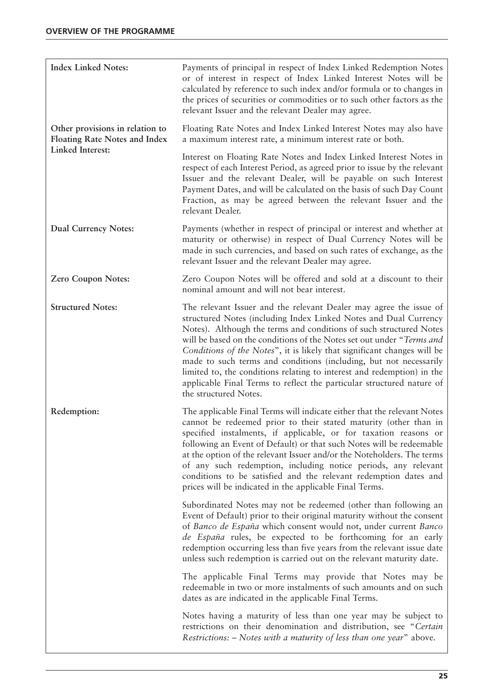| <b>Index Linked Notes:</b>                                              | Payments of principal in respect of Index Linked Redemption Notes<br>or of interest in respect of Index Linked Interest Notes will be<br>calculated by reference to such index and/or formula or to changes in<br>the prices of securities or commodities or to such other factors as the<br>relevant Issuer and the relevant Dealer may agree.                                                                                                                                                                                                                                                                   |
|-------------------------------------------------------------------------|-------------------------------------------------------------------------------------------------------------------------------------------------------------------------------------------------------------------------------------------------------------------------------------------------------------------------------------------------------------------------------------------------------------------------------------------------------------------------------------------------------------------------------------------------------------------------------------------------------------------|
| Other provisions in relation to<br><b>Floating Rate Notes and Index</b> | Floating Rate Notes and Index Linked Interest Notes may also have<br>a maximum interest rate, a minimum interest rate or both.                                                                                                                                                                                                                                                                                                                                                                                                                                                                                    |
| Linked Interest:                                                        | Interest on Floating Rate Notes and Index Linked Interest Notes in<br>respect of each Interest Period, as agreed prior to issue by the relevant<br>Issuer and the relevant Dealer, will be payable on such Interest<br>Payment Dates, and will be calculated on the basis of such Day Count<br>Fraction, as may be agreed between the relevant Issuer and the<br>relevant Dealer.                                                                                                                                                                                                                                 |
| <b>Dual Currency Notes:</b>                                             | Payments (whether in respect of principal or interest and whether at<br>maturity or otherwise) in respect of Dual Currency Notes will be<br>made in such currencies, and based on such rates of exchange, as the<br>relevant Issuer and the relevant Dealer may agree.                                                                                                                                                                                                                                                                                                                                            |
| Zero Coupon Notes:                                                      | Zero Coupon Notes will be offered and sold at a discount to their<br>nominal amount and will not bear interest.                                                                                                                                                                                                                                                                                                                                                                                                                                                                                                   |
| <b>Structured Notes:</b>                                                | The relevant Issuer and the relevant Dealer may agree the issue of<br>structured Notes (including Index Linked Notes and Dual Currency<br>Notes). Although the terms and conditions of such structured Notes<br>will be based on the conditions of the Notes set out under "Terms and<br>Conditions of the Notes", it is likely that significant changes will be<br>made to such terms and conditions (including, but not necessarily<br>limited to, the conditions relating to interest and redemption) in the<br>applicable Final Terms to reflect the particular structured nature of<br>the structured Notes. |
| Redemption:                                                             | The applicable Final Terms will indicate either that the relevant Notes<br>cannot be redeemed prior to their stated maturity (other than in<br>specified instalments, if applicable, or for taxation reasons or<br>following an Event of Default) or that such Notes will be redeemable<br>at the option of the relevant Issuer and/or the Noteholders. The terms<br>of any such redemption, including notice periods, any relevant<br>conditions to be satisfied and the relevant redemption dates and<br>prices will be indicated in the applicable Final Terms.                                                |
|                                                                         | Subordinated Notes may not be redeemed (other than following an<br>Event of Default) prior to their original maturity without the consent<br>of Banco de España which consent would not, under current Banco<br>de España rules, be expected to be forthcoming for an early<br>redemption occurring less than five years from the relevant issue date<br>unless such redemption is carried out on the relevant maturity date.                                                                                                                                                                                     |
|                                                                         | The applicable Final Terms may provide that Notes may be<br>redeemable in two or more instalments of such amounts and on such<br>dates as are indicated in the applicable Final Terms.                                                                                                                                                                                                                                                                                                                                                                                                                            |
|                                                                         | Notes having a maturity of less than one year may be subject to<br>restrictions on their denomination and distribution, see "Certain<br>Restrictions: – Notes with a maturity of less than one year" above.                                                                                                                                                                                                                                                                                                                                                                                                       |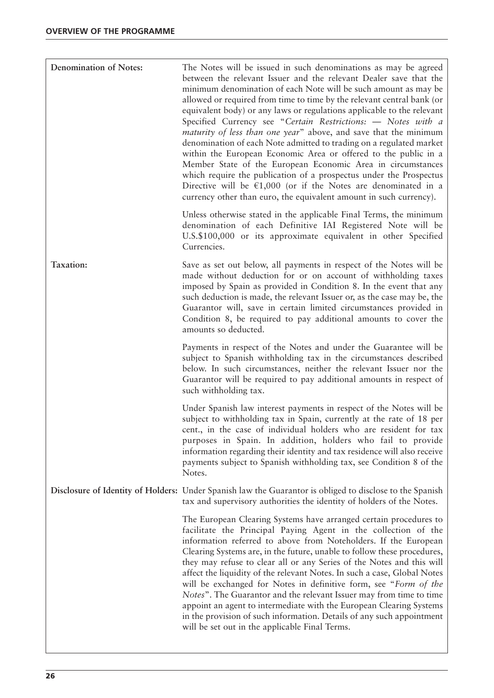| Denomination of Notes: | The Notes will be issued in such denominations as may be agreed<br>between the relevant Issuer and the relevant Dealer save that the<br>minimum denomination of each Note will be such amount as may be<br>allowed or required from time to time by the relevant central bank (or<br>equivalent body) or any laws or regulations applicable to the relevant<br>Specified Currency see "Certain Restrictions: - Notes with a<br><i>maturity of less than one year</i> " above, and save that the minimum<br>denomination of each Note admitted to trading on a regulated market<br>within the European Economic Area or offered to the public in a<br>Member State of the European Economic Area in circumstances<br>which require the publication of a prospectus under the Prospectus<br>Directive will be $\epsilon$ 1,000 (or if the Notes are denominated in a<br>currency other than euro, the equivalent amount in such currency). |
|------------------------|------------------------------------------------------------------------------------------------------------------------------------------------------------------------------------------------------------------------------------------------------------------------------------------------------------------------------------------------------------------------------------------------------------------------------------------------------------------------------------------------------------------------------------------------------------------------------------------------------------------------------------------------------------------------------------------------------------------------------------------------------------------------------------------------------------------------------------------------------------------------------------------------------------------------------------------|
|                        | Unless otherwise stated in the applicable Final Terms, the minimum<br>denomination of each Definitive IAI Registered Note will be<br>U.S.\$100,000 or its approximate equivalent in other Specified<br>Currencies.                                                                                                                                                                                                                                                                                                                                                                                                                                                                                                                                                                                                                                                                                                                       |
| Taxation:              | Save as set out below, all payments in respect of the Notes will be<br>made without deduction for or on account of withholding taxes<br>imposed by Spain as provided in Condition 8. In the event that any<br>such deduction is made, the relevant Issuer or, as the case may be, the<br>Guarantor will, save in certain limited circumstances provided in<br>Condition 8, be required to pay additional amounts to cover the<br>amounts so deducted.                                                                                                                                                                                                                                                                                                                                                                                                                                                                                    |
|                        | Payments in respect of the Notes and under the Guarantee will be<br>subject to Spanish withholding tax in the circumstances described<br>below. In such circumstances, neither the relevant Issuer nor the<br>Guarantor will be required to pay additional amounts in respect of<br>such withholding tax.                                                                                                                                                                                                                                                                                                                                                                                                                                                                                                                                                                                                                                |
|                        | Under Spanish law interest payments in respect of the Notes will be<br>subject to withholding tax in Spain, currently at the rate of 18 per<br>cent., in the case of individual holders who are resident for tax<br>purposes in Spain. In addition, holders who fail to provide<br>information regarding their identity and tax residence will also receive<br>payments subject to Spanish withholding tax, see Condition 8 of the<br>Notes.                                                                                                                                                                                                                                                                                                                                                                                                                                                                                             |
|                        | Disclosure of Identity of Holders: Under Spanish law the Guarantor is obliged to disclose to the Spanish<br>tax and supervisory authorities the identity of holders of the Notes.                                                                                                                                                                                                                                                                                                                                                                                                                                                                                                                                                                                                                                                                                                                                                        |
|                        | The European Clearing Systems have arranged certain procedures to<br>facilitate the Principal Paying Agent in the collection of the<br>information referred to above from Noteholders. If the European<br>Clearing Systems are, in the future, unable to follow these procedures,<br>they may refuse to clear all or any Series of the Notes and this will<br>affect the liquidity of the relevant Notes. In such a case, Global Notes<br>will be exchanged for Notes in definitive form, see "Form of the<br>Notes". The Guarantor and the relevant Issuer may from time to time<br>appoint an agent to intermediate with the European Clearing Systems<br>in the provision of such information. Details of any such appointment<br>will be set out in the applicable Final Terms.                                                                                                                                                      |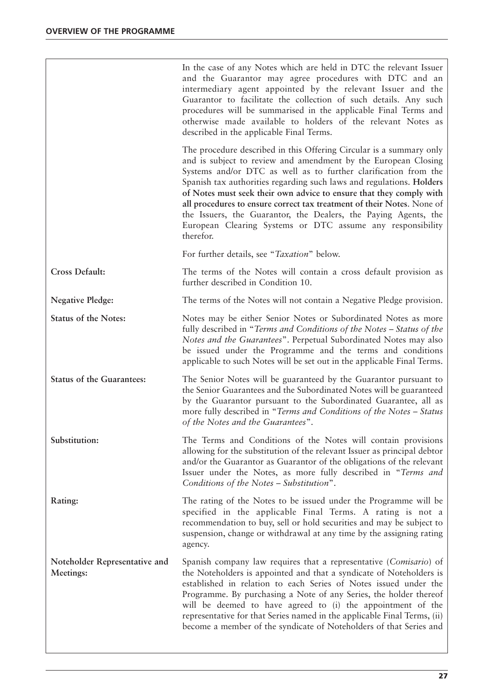|                                            | In the case of any Notes which are held in DTC the relevant Issuer<br>and the Guarantor may agree procedures with DTC and an<br>intermediary agent appointed by the relevant Issuer and the<br>Guarantor to facilitate the collection of such details. Any such<br>procedures will be summarised in the applicable Final Terms and<br>otherwise made available to holders of the relevant Notes as<br>described in the applicable Final Terms.                                                                                                                                  |
|--------------------------------------------|---------------------------------------------------------------------------------------------------------------------------------------------------------------------------------------------------------------------------------------------------------------------------------------------------------------------------------------------------------------------------------------------------------------------------------------------------------------------------------------------------------------------------------------------------------------------------------|
|                                            | The procedure described in this Offering Circular is a summary only<br>and is subject to review and amendment by the European Closing<br>Systems and/or DTC as well as to further clarification from the<br>Spanish tax authorities regarding such laws and regulations. Holders<br>of Notes must seek their own advice to ensure that they comply with<br>all procedures to ensure correct tax treatment of their Notes. None of<br>the Issuers, the Guarantor, the Dealers, the Paying Agents, the<br>European Clearing Systems or DTC assume any responsibility<br>therefor. |
|                                            | For further details, see "Taxation" below.                                                                                                                                                                                                                                                                                                                                                                                                                                                                                                                                      |
| <b>Cross Default:</b>                      | The terms of the Notes will contain a cross default provision as<br>further described in Condition 10.                                                                                                                                                                                                                                                                                                                                                                                                                                                                          |
| <b>Negative Pledge:</b>                    | The terms of the Notes will not contain a Negative Pledge provision.                                                                                                                                                                                                                                                                                                                                                                                                                                                                                                            |
| <b>Status of the Notes:</b>                | Notes may be either Senior Notes or Subordinated Notes as more<br>fully described in "Terms and Conditions of the Notes – Status of the<br>Notes and the Guarantees". Perpetual Subordinated Notes may also<br>be issued under the Programme and the terms and conditions<br>applicable to such Notes will be set out in the applicable Final Terms.                                                                                                                                                                                                                            |
| <b>Status of the Guarantees:</b>           | The Senior Notes will be guaranteed by the Guarantor pursuant to<br>the Senior Guarantees and the Subordinated Notes will be guaranteed<br>by the Guarantor pursuant to the Subordinated Guarantee, all as<br>more fully described in "Terms and Conditions of the Notes - Status<br>of the Notes and the Guarantees".                                                                                                                                                                                                                                                          |
| Substitution:                              | The Terms and Conditions of the Notes will contain provisions<br>allowing for the substitution of the relevant Issuer as principal debtor<br>and/or the Guarantor as Guarantor of the obligations of the relevant<br>Issuer under the Notes, as more fully described in "Terms and<br>Conditions of the Notes - Substitution".                                                                                                                                                                                                                                                  |
| Rating:                                    | The rating of the Notes to be issued under the Programme will be<br>specified in the applicable Final Terms. A rating is not a<br>recommendation to buy, sell or hold securities and may be subject to<br>suspension, change or withdrawal at any time by the assigning rating<br>agency.                                                                                                                                                                                                                                                                                       |
| Noteholder Representative and<br>Meetings: | Spanish company law requires that a representative (Comisario) of<br>the Noteholders is appointed and that a syndicate of Noteholders is<br>established in relation to each Series of Notes issued under the<br>Programme. By purchasing a Note of any Series, the holder thereof<br>will be deemed to have agreed to (i) the appointment of the<br>representative for that Series named in the applicable Final Terms, (ii)<br>become a member of the syndicate of Noteholders of that Series and                                                                              |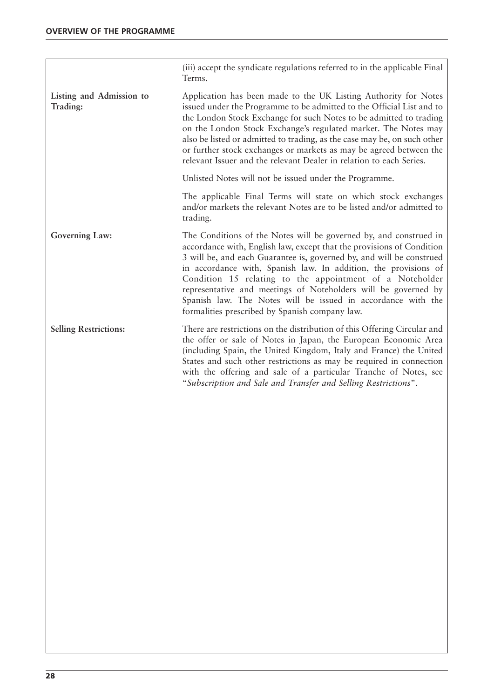|                                      | (iii) accept the syndicate regulations referred to in the applicable Final<br>Terms.                                                                                                                                                                                                                                                                                                                                                                                                                                                  |
|--------------------------------------|---------------------------------------------------------------------------------------------------------------------------------------------------------------------------------------------------------------------------------------------------------------------------------------------------------------------------------------------------------------------------------------------------------------------------------------------------------------------------------------------------------------------------------------|
| Listing and Admission to<br>Trading: | Application has been made to the UK Listing Authority for Notes<br>issued under the Programme to be admitted to the Official List and to<br>the London Stock Exchange for such Notes to be admitted to trading<br>on the London Stock Exchange's regulated market. The Notes may<br>also be listed or admitted to trading, as the case may be, on such other<br>or further stock exchanges or markets as may be agreed between the<br>relevant Issuer and the relevant Dealer in relation to each Series.                             |
|                                      | Unlisted Notes will not be issued under the Programme.                                                                                                                                                                                                                                                                                                                                                                                                                                                                                |
|                                      | The applicable Final Terms will state on which stock exchanges<br>and/or markets the relevant Notes are to be listed and/or admitted to<br>trading.                                                                                                                                                                                                                                                                                                                                                                                   |
| Governing Law:                       | The Conditions of the Notes will be governed by, and construed in<br>accordance with, English law, except that the provisions of Condition<br>3 will be, and each Guarantee is, governed by, and will be construed<br>in accordance with, Spanish law. In addition, the provisions of<br>Condition 15 relating to the appointment of a Noteholder<br>representative and meetings of Noteholders will be governed by<br>Spanish law. The Notes will be issued in accordance with the<br>formalities prescribed by Spanish company law. |
| <b>Selling Restrictions:</b>         | There are restrictions on the distribution of this Offering Circular and<br>the offer or sale of Notes in Japan, the European Economic Area<br>(including Spain, the United Kingdom, Italy and France) the United<br>States and such other restrictions as may be required in connection<br>with the offering and sale of a particular Tranche of Notes, see<br>"Subscription and Sale and Transfer and Selling Restrictions".                                                                                                        |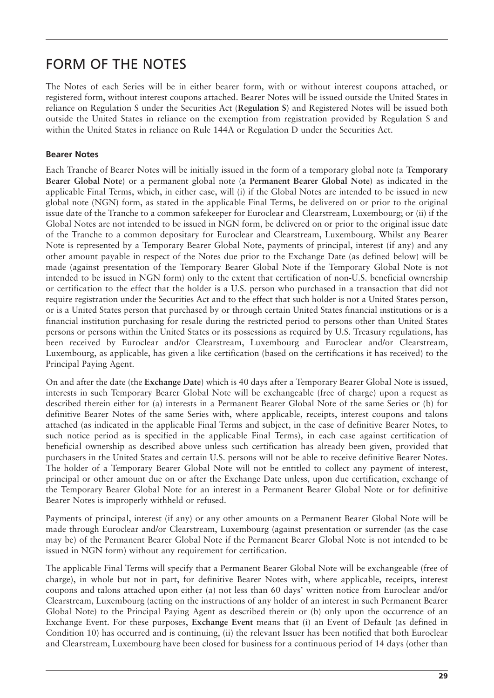### FORM OF THE NOTES

The Notes of each Series will be in either bearer form, with or without interest coupons attached, or registered form, without interest coupons attached. Bearer Notes will be issued outside the United States in reliance on Regulation S under the Securities Act (**Regulation S**) and Registered Notes will be issued both outside the United States in reliance on the exemption from registration provided by Regulation S and within the United States in reliance on Rule 144A or Regulation D under the Securities Act.

#### **Bearer Notes**

Each Tranche of Bearer Notes will be initially issued in the form of a temporary global note (a **Temporary Bearer Global Note**) or a permanent global note (a **Permanent Bearer Global Note**) as indicated in the applicable Final Terms, which, in either case, will (i) if the Global Notes are intended to be issued in new global note (NGN) form, as stated in the applicable Final Terms, be delivered on or prior to the original issue date of the Tranche to a common safekeeper for Euroclear and Clearstream, Luxembourg; or (ii) if the Global Notes are not intended to be issued in NGN form, be delivered on or prior to the original issue date of the Tranche to a common depositary for Euroclear and Clearstream, Luxembourg. Whilst any Bearer Note is represented by a Temporary Bearer Global Note, payments of principal, interest (if any) and any other amount payable in respect of the Notes due prior to the Exchange Date (as defined below) will be made (against presentation of the Temporary Bearer Global Note if the Temporary Global Note is not intended to be issued in NGN form) only to the extent that certification of non-U.S. beneficial ownership or certification to the effect that the holder is a U.S. person who purchased in a transaction that did not require registration under the Securities Act and to the effect that such holder is not a United States person, or is a United States person that purchased by or through certain United States financial institutions or is a financial institution purchasing for resale during the restricted period to persons other than United States persons or persons within the United States or its possessions as required by U.S. Treasury regulations, has been received by Euroclear and/or Clearstream, Luxembourg and Euroclear and/or Clearstream, Luxembourg, as applicable, has given a like certification (based on the certifications it has received) to the Principal Paying Agent.

On and after the date (the **Exchange Date**) which is 40 days after a Temporary Bearer Global Note is issued, interests in such Temporary Bearer Global Note will be exchangeable (free of charge) upon a request as described therein either for (a) interests in a Permanent Bearer Global Note of the same Series or (b) for definitive Bearer Notes of the same Series with, where applicable, receipts, interest coupons and talons attached (as indicated in the applicable Final Terms and subject, in the case of definitive Bearer Notes, to such notice period as is specified in the applicable Final Terms), in each case against certification of beneficial ownership as described above unless such certification has already been given, provided that purchasers in the United States and certain U.S. persons will not be able to receive definitive Bearer Notes. The holder of a Temporary Bearer Global Note will not be entitled to collect any payment of interest, principal or other amount due on or after the Exchange Date unless, upon due certification, exchange of the Temporary Bearer Global Note for an interest in a Permanent Bearer Global Note or for definitive Bearer Notes is improperly withheld or refused.

Payments of principal, interest (if any) or any other amounts on a Permanent Bearer Global Note will be made through Euroclear and/or Clearstream, Luxembourg (against presentation or surrender (as the case may be) of the Permanent Bearer Global Note if the Permanent Bearer Global Note is not intended to be issued in NGN form) without any requirement for certification.

The applicable Final Terms will specify that a Permanent Bearer Global Note will be exchangeable (free of charge), in whole but not in part, for definitive Bearer Notes with, where applicable, receipts, interest coupons and talons attached upon either (a) not less than 60 days' written notice from Euroclear and/or Clearstream, Luxembourg (acting on the instructions of any holder of an interest in such Permanent Bearer Global Note) to the Principal Paying Agent as described therein or (b) only upon the occurrence of an Exchange Event. For these purposes, **Exchange Event** means that (i) an Event of Default (as defined in Condition 10) has occurred and is continuing, (ii) the relevant Issuer has been notified that both Euroclear and Clearstream, Luxembourg have been closed for business for a continuous period of 14 days (other than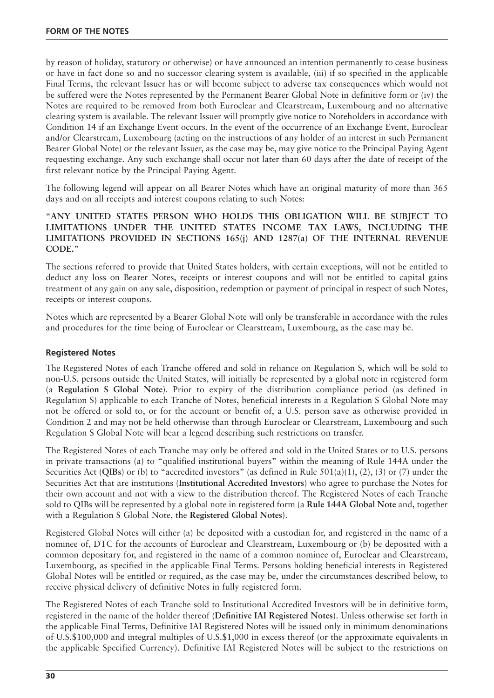by reason of holiday, statutory or otherwise) or have announced an intention permanently to cease business or have in fact done so and no successor clearing system is available, (iii) if so specified in the applicable Final Terms, the relevant Issuer has or will become subject to adverse tax consequences which would not be suffered were the Notes represented by the Permanent Bearer Global Note in definitive form or (iv) the Notes are required to be removed from both Euroclear and Clearstream, Luxembourg and no alternative clearing system is available. The relevant Issuer will promptly give notice to Noteholders in accordance with Condition 14 if an Exchange Event occurs. In the event of the occurrence of an Exchange Event, Euroclear and/or Clearstream, Luxembourg (acting on the instructions of any holder of an interest in such Permanent Bearer Global Note) or the relevant Issuer, as the case may be, may give notice to the Principal Paying Agent requesting exchange. Any such exchange shall occur not later than 60 days after the date of receipt of the first relevant notice by the Principal Paying Agent.

The following legend will appear on all Bearer Notes which have an original maturity of more than 365 days and on all receipts and interest coupons relating to such Notes:

"**ANY UNITED STATES PERSON WHO HOLDS THIS OBLIGATION WILL BE SUBJECT TO LIMITATIONS UNDER THE UNITED STATES INCOME TAX LAWS, INCLUDING THE LIMITATIONS PROVIDED IN SECTIONS 165(j) AND 1287(a) OF THE INTERNAL REVENUE CODE.**"

The sections referred to provide that United States holders, with certain exceptions, will not be entitled to deduct any loss on Bearer Notes, receipts or interest coupons and will not be entitled to capital gains treatment of any gain on any sale, disposition, redemption or payment of principal in respect of such Notes, receipts or interest coupons.

Notes which are represented by a Bearer Global Note will only be transferable in accordance with the rules and procedures for the time being of Euroclear or Clearstream, Luxembourg, as the case may be.

#### **Registered Notes**

The Registered Notes of each Tranche offered and sold in reliance on Regulation S, which will be sold to non-U.S. persons outside the United States, will initially be represented by a global note in registered form (a **Regulation S Global Note**). Prior to expiry of the distribution compliance period (as defined in Regulation S) applicable to each Tranche of Notes, beneficial interests in a Regulation S Global Note may not be offered or sold to, or for the account or benefit of, a U.S. person save as otherwise provided in Condition 2 and may not be held otherwise than through Euroclear or Clearstream, Luxembourg and such Regulation S Global Note will bear a legend describing such restrictions on transfer.

The Registered Notes of each Tranche may only be offered and sold in the United States or to U.S. persons in private transactions (a) to "qualified institutional buyers" within the meaning of Rule 144A under the Securities Act (**QIBs**) or (b) to "accredited investors" (as defined in Rule 501(a)(1), (2), (3) or (7) under the Securities Act that are institutions (**Institutional Accredited Investors**) who agree to purchase the Notes for their own account and not with a view to the distribution thereof. The Registered Notes of each Tranche sold to QIBs will be represented by a global note in registered form (a **Rule 144A Global Note** and, together with a Regulation S Global Note, the **Registered Global Notes**).

Registered Global Notes will either (a) be deposited with a custodian for, and registered in the name of a nominee of, DTC for the accounts of Euroclear and Clearstream, Luxembourg or (b) be deposited with a common depositary for, and registered in the name of a common nominee of, Euroclear and Clearstream, Luxembourg, as specified in the applicable Final Terms. Persons holding beneficial interests in Registered Global Notes will be entitled or required, as the case may be, under the circumstances described below, to receive physical delivery of definitive Notes in fully registered form.

The Registered Notes of each Tranche sold to Institutional Accredited Investors will be in definitive form, registered in the name of the holder thereof (**Definitive IAI Registered Notes**). Unless otherwise set forth in the applicable Final Terms, Definitive IAI Registered Notes will be issued only in minimum denominations of U.S.\$100,000 and integral multiples of U.S.\$1,000 in excess thereof (or the approximate equivalents in the applicable Specified Currency). Definitive IAI Registered Notes will be subject to the restrictions on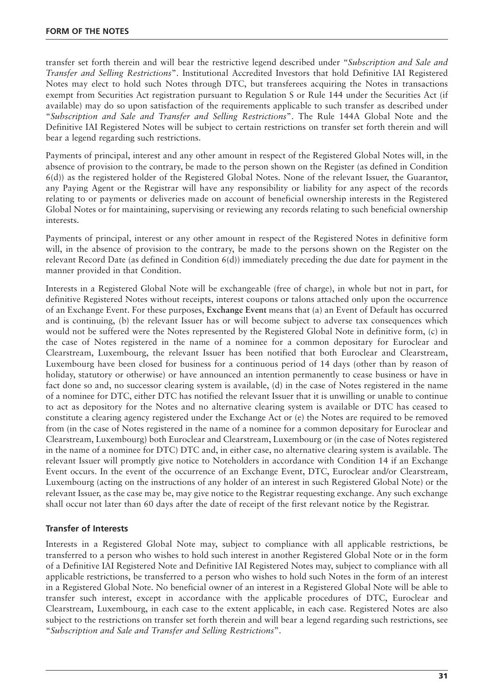transfer set forth therein and will bear the restrictive legend described under "*Subscription and Sale and Transfer and Selling Restrictions*". Institutional Accredited Investors that hold Definitive IAI Registered Notes may elect to hold such Notes through DTC, but transferees acquiring the Notes in transactions exempt from Securities Act registration pursuant to Regulation S or Rule 144 under the Securities Act (if available) may do so upon satisfaction of the requirements applicable to such transfer as described under "*Subscription and Sale and Transfer and Selling Restrictions*". The Rule 144A Global Note and the Definitive IAI Registered Notes will be subject to certain restrictions on transfer set forth therein and will bear a legend regarding such restrictions.

Payments of principal, interest and any other amount in respect of the Registered Global Notes will, in the absence of provision to the contrary, be made to the person shown on the Register (as defined in Condition 6(d)) as the registered holder of the Registered Global Notes. None of the relevant Issuer, the Guarantor, any Paying Agent or the Registrar will have any responsibility or liability for any aspect of the records relating to or payments or deliveries made on account of beneficial ownership interests in the Registered Global Notes or for maintaining, supervising or reviewing any records relating to such beneficial ownership interests.

Payments of principal, interest or any other amount in respect of the Registered Notes in definitive form will, in the absence of provision to the contrary, be made to the persons shown on the Register on the relevant Record Date (as defined in Condition 6(d)) immediately preceding the due date for payment in the manner provided in that Condition.

Interests in a Registered Global Note will be exchangeable (free of charge), in whole but not in part, for definitive Registered Notes without receipts, interest coupons or talons attached only upon the occurrence of an Exchange Event. For these purposes, **Exchange Event** means that (a) an Event of Default has occurred and is continuing, (b) the relevant Issuer has or will become subject to adverse tax consequences which would not be suffered were the Notes represented by the Registered Global Note in definitive form, (c) in the case of Notes registered in the name of a nominee for a common depositary for Euroclear and Clearstream, Luxembourg, the relevant Issuer has been notified that both Euroclear and Clearstream, Luxembourg have been closed for business for a continuous period of 14 days (other than by reason of holiday, statutory or otherwise) or have announced an intention permanently to cease business or have in fact done so and, no successor clearing system is available, (d) in the case of Notes registered in the name of a nominee for DTC, either DTC has notified the relevant Issuer that it is unwilling or unable to continue to act as depository for the Notes and no alternative clearing system is available or DTC has ceased to constitute a clearing agency registered under the Exchange Act or (e) the Notes are required to be removed from (in the case of Notes registered in the name of a nominee for a common depositary for Euroclear and Clearstream, Luxembourg) both Euroclear and Clearstream, Luxembourg or (in the case of Notes registered in the name of a nominee for DTC) DTC and, in either case, no alternative clearing system is available. The relevant Issuer will promptly give notice to Noteholders in accordance with Condition 14 if an Exchange Event occurs. In the event of the occurrence of an Exchange Event, DTC, Euroclear and/or Clearstream, Luxembourg (acting on the instructions of any holder of an interest in such Registered Global Note) or the relevant Issuer, as the case may be, may give notice to the Registrar requesting exchange. Any such exchange shall occur not later than 60 days after the date of receipt of the first relevant notice by the Registrar.

#### **Transfer of Interests**

Interests in a Registered Global Note may, subject to compliance with all applicable restrictions, be transferred to a person who wishes to hold such interest in another Registered Global Note or in the form of a Definitive IAI Registered Note and Definitive IAI Registered Notes may, subject to compliance with all applicable restrictions, be transferred to a person who wishes to hold such Notes in the form of an interest in a Registered Global Note. No beneficial owner of an interest in a Registered Global Note will be able to transfer such interest, except in accordance with the applicable procedures of DTC, Euroclear and Clearstream, Luxembourg, in each case to the extent applicable, in each case. Registered Notes are also subject to the restrictions on transfer set forth therein and will bear a legend regarding such restrictions, see "*Subscription and Sale and Transfer and Selling Restrictions*".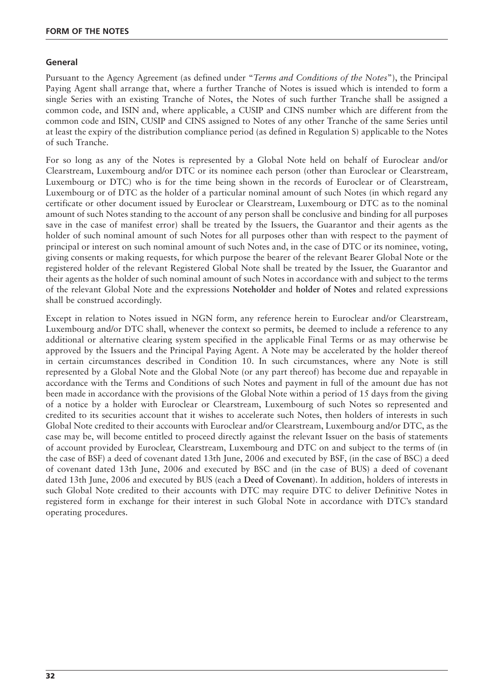#### **General**

Pursuant to the Agency Agreement (as defined under "*Terms and Conditions of the Notes*"), the Principal Paying Agent shall arrange that, where a further Tranche of Notes is issued which is intended to form a single Series with an existing Tranche of Notes, the Notes of such further Tranche shall be assigned a common code, and ISIN and, where applicable, a CUSIP and CINS number which are different from the common code and ISIN, CUSIP and CINS assigned to Notes of any other Tranche of the same Series until at least the expiry of the distribution compliance period (as defined in Regulation S) applicable to the Notes of such Tranche.

For so long as any of the Notes is represented by a Global Note held on behalf of Euroclear and/or Clearstream, Luxembourg and/or DTC or its nominee each person (other than Euroclear or Clearstream, Luxembourg or DTC) who is for the time being shown in the records of Euroclear or of Clearstream, Luxembourg or of DTC as the holder of a particular nominal amount of such Notes (in which regard any certificate or other document issued by Euroclear or Clearstream, Luxembourg or DTC as to the nominal amount of such Notes standing to the account of any person shall be conclusive and binding for all purposes save in the case of manifest error) shall be treated by the Issuers, the Guarantor and their agents as the holder of such nominal amount of such Notes for all purposes other than with respect to the payment of principal or interest on such nominal amount of such Notes and, in the case of DTC or its nominee, voting, giving consents or making requests, for which purpose the bearer of the relevant Bearer Global Note or the registered holder of the relevant Registered Global Note shall be treated by the Issuer, the Guarantor and their agents as the holder of such nominal amount of such Notes in accordance with and subject to the terms of the relevant Global Note and the expressions **Noteholder** and **holder of Notes** and related expressions shall be construed accordingly.

Except in relation to Notes issued in NGN form, any reference herein to Euroclear and/or Clearstream, Luxembourg and/or DTC shall, whenever the context so permits, be deemed to include a reference to any additional or alternative clearing system specified in the applicable Final Terms or as may otherwise be approved by the Issuers and the Principal Paying Agent. A Note may be accelerated by the holder thereof in certain circumstances described in Condition 10. In such circumstances, where any Note is still represented by a Global Note and the Global Note (or any part thereof) has become due and repayable in accordance with the Terms and Conditions of such Notes and payment in full of the amount due has not been made in accordance with the provisions of the Global Note within a period of 15 days from the giving of a notice by a holder with Euroclear or Clearstream, Luxembourg of such Notes so represented and credited to its securities account that it wishes to accelerate such Notes, then holders of interests in such Global Note credited to their accounts with Euroclear and/or Clearstream, Luxembourg and/or DTC, as the case may be, will become entitled to proceed directly against the relevant Issuer on the basis of statements of account provided by Euroclear, Clearstream, Luxembourg and DTC on and subject to the terms of (in the case of BSF) a deed of covenant dated 13th June, 2006 and executed by BSF, (in the case of BSC) a deed of covenant dated 13th June, 2006 and executed by BSC and (in the case of BUS) a deed of covenant dated 13th June, 2006 and executed by BUS (each a **Deed of Covenant**). In addition, holders of interests in such Global Note credited to their accounts with DTC may require DTC to deliver Definitive Notes in registered form in exchange for their interest in such Global Note in accordance with DTC's standard operating procedures.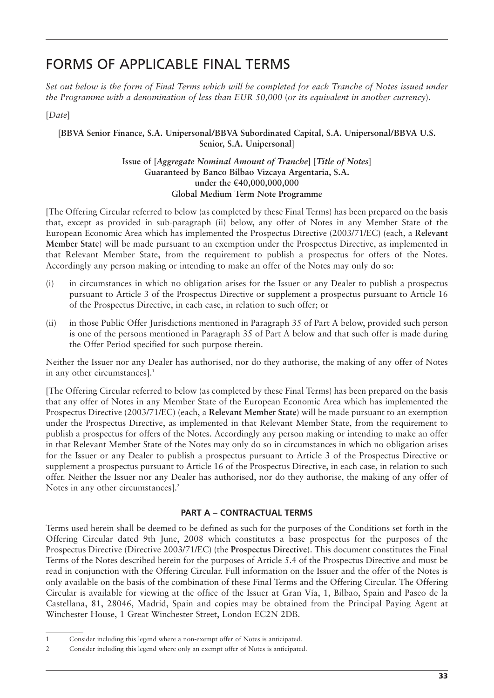### FORMS OF APPLICABLE FINAL TERMS

*Set out below is the form of Final Terms which will be completed for each Tranche of Notes issued under the Programme with a denomination of less than EUR 50,000 (or its equivalent in another currency).* 

[*Date*]

#### [**BBVA Senior Finance, S.A. Unipersonal/BBVA Subordinated Capital, S.A. Unipersonal/BBVA U.S. Senior, S.A. Unipersonal**]

#### **Issue of [***Aggregate Nominal Amount of Tranche***] [***Title of Notes***] Guaranteed by Banco Bilbao Vizcaya Argentaria, S.A. under the €40,000,000,000 Global Medium Term Note Programme**

[The Offering Circular referred to below (as completed by these Final Terms) has been prepared on the basis that, except as provided in sub-paragraph (ii) below, any offer of Notes in any Member State of the European Economic Area which has implemented the Prospectus Directive (2003/71/EC) (each, a **Relevant Member State**) will be made pursuant to an exemption under the Prospectus Directive, as implemented in that Relevant Member State, from the requirement to publish a prospectus for offers of the Notes. Accordingly any person making or intending to make an offer of the Notes may only do so:

- (i) in circumstances in which no obligation arises for the Issuer or any Dealer to publish a prospectus pursuant to Article 3 of the Prospectus Directive or supplement a prospectus pursuant to Article 16 of the Prospectus Directive, in each case, in relation to such offer; or
- (ii) in those Public Offer Jurisdictions mentioned in Paragraph 35 of Part A below, provided such person is one of the persons mentioned in Paragraph 35 of Part A below and that such offer is made during the Offer Period specified for such purpose therein.

Neither the Issuer nor any Dealer has authorised, nor do they authorise, the making of any offer of Notes in any other circumstances].<sup>1</sup>

[The Offering Circular referred to below (as completed by these Final Terms) has been prepared on the basis that any offer of Notes in any Member State of the European Economic Area which has implemented the Prospectus Directive (2003/71/EC) (each, a **Relevant Member State**) will be made pursuant to an exemption under the Prospectus Directive, as implemented in that Relevant Member State, from the requirement to publish a prospectus for offers of the Notes. Accordingly any person making or intending to make an offer in that Relevant Member State of the Notes may only do so in circumstances in which no obligation arises for the Issuer or any Dealer to publish a prospectus pursuant to Article 3 of the Prospectus Directive or supplement a prospectus pursuant to Article 16 of the Prospectus Directive, in each case, in relation to such offer. Neither the Issuer nor any Dealer has authorised, nor do they authorise, the making of any offer of Notes in any other circumstances].<sup>2</sup>

#### **PART A – CONTRACTUAL TERMS**

Terms used herein shall be deemed to be defined as such for the purposes of the Conditions set forth in the Offering Circular dated 9th June, 2008 which constitutes a base prospectus for the purposes of the Prospectus Directive (Directive 2003/71/EC) (the **Prospectus Directive**). This document constitutes the Final Terms of the Notes described herein for the purposes of Article 5.4 of the Prospectus Directive and must be read in conjunction with the Offering Circular. Full information on the Issuer and the offer of the Notes is only available on the basis of the combination of these Final Terms and the Offering Circular. The Offering Circular is available for viewing at the office of the Issuer at Gran Vía, 1, Bilbao, Spain and Paseo de la Castellana, 81, 28046, Madrid, Spain and copies may be obtained from the Principal Paying Agent at Winchester House, 1 Great Winchester Street, London EC2N 2DB.

<sup>1</sup> Consider including this legend where a non-exempt offer of Notes is anticipated.

<sup>2</sup> Consider including this legend where only an exempt offer of Notes is anticipated.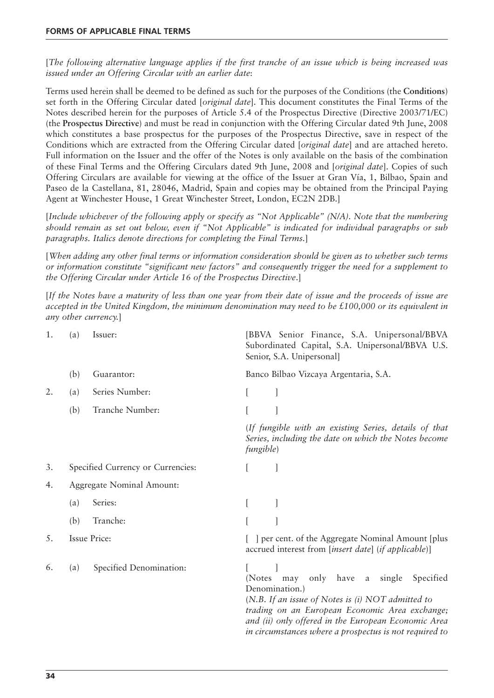[*The following alternative language applies if the first tranche of an issue which is being increased was issued under an Offering Circular with an earlier date*:

Terms used herein shall be deemed to be defined as such for the purposes of the Conditions (the **Conditions**) set forth in the Offering Circular dated [*original date*]. This document constitutes the Final Terms of the Notes described herein for the purposes of Article 5.4 of the Prospectus Directive (Directive 2003/71/EC) (the **Prospectus Directive**) and must be read in conjunction with the Offering Circular dated 9th June, 2008 which constitutes a base prospectus for the purposes of the Prospectus Directive, save in respect of the Conditions which are extracted from the Offering Circular dated [*original date*] and are attached hereto. Full information on the Issuer and the offer of the Notes is only available on the basis of the combination of these Final Terms and the Offering Circulars dated 9th June, 2008 and [*original date*]. Copies of such Offering Circulars are available for viewing at the office of the Issuer at Gran Vía, 1, Bilbao, Spain and Paseo de la Castellana, 81, 28046, Madrid, Spain and copies may be obtained from the Principal Paying Agent at Winchester House, 1 Great Winchester Street, London, EC2N 2DB.]

[*Include whichever of the following apply or specify as "Not Applicable" (N/A). Note that the numbering should remain as set out below, even if "Not Applicable" is indicated for individual paragraphs or sub paragraphs. Italics denote directions for completing the Final Terms.*]

[*When adding any other final terms or information consideration should be given as to whether such terms or information constitute "significant new factors" and consequently trigger the need for a supplement to the Offering Circular under Article 16 of the Prospectus Directive*.]

[*If the Notes have a maturity of less than one year from their date of issue and the proceeds of issue are accepted in the United Kingdom, the minimum denomination may need to be £100,000 or its equivalent in any other currency.*]

| 1. | (a)                 | Issuer:                           |                   | [BBVA Senior Finance, S.A. Unipersonal/BBVA<br>Subordinated Capital, S.A. Unipersonal/BBVA U.S.<br>Senior, S.A. Unipersonal]                                                                                                                                                          |
|----|---------------------|-----------------------------------|-------------------|---------------------------------------------------------------------------------------------------------------------------------------------------------------------------------------------------------------------------------------------------------------------------------------|
|    | (b)                 | Guarantor:                        |                   | Banco Bilbao Vizcaya Argentaria, S.A.                                                                                                                                                                                                                                                 |
| 2. | (a)                 | Series Number:                    |                   |                                                                                                                                                                                                                                                                                       |
|    | (b)                 | Tranche Number:                   |                   |                                                                                                                                                                                                                                                                                       |
|    |                     |                                   | <i>fungible</i> ) | (If fungible with an existing Series, details of that<br>Series, including the date on which the Notes become                                                                                                                                                                         |
| 3. |                     | Specified Currency or Currencies: |                   |                                                                                                                                                                                                                                                                                       |
| 4. |                     | Aggregate Nominal Amount:         |                   |                                                                                                                                                                                                                                                                                       |
|    | (a)                 | Series:                           |                   |                                                                                                                                                                                                                                                                                       |
|    | (b)                 | Tranche:                          |                   |                                                                                                                                                                                                                                                                                       |
| 5. | <b>Issue Price:</b> |                                   |                   | [ ] per cent. of the Aggregate Nominal Amount [plus<br>accrued interest from [insert date] (if applicable)]                                                                                                                                                                           |
| 6. | (a)                 | Specified Denomination:           | (Notes)           | a single<br>may<br>only have<br>Specified<br>Denomination.)<br>(N.B. If an issue of Notes is $(i)$ NOT admitted to<br>trading on an European Economic Area exchange;<br>and (ii) only offered in the European Economic Area<br>in circumstances where a prospectus is not required to |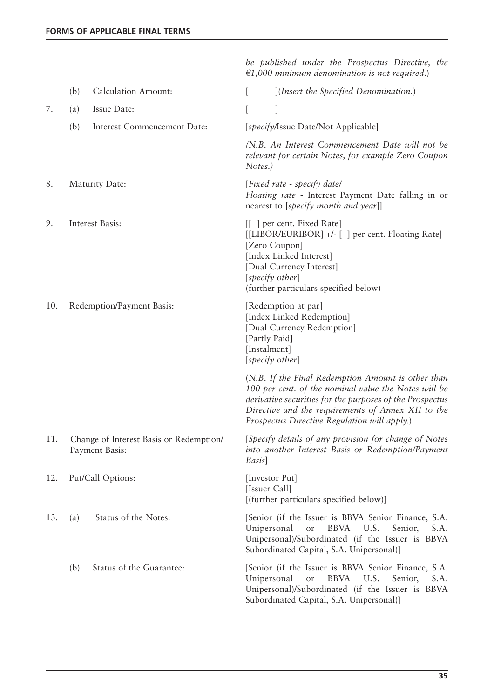*be published under the Prospectus Directive, the €1,000 minimum denomination is not required*.)

|     | <b>Calculation Amount:</b><br>(b)                         | [Insert the Specified Denomination.]                                                                                                                                                                                                                                         |
|-----|-----------------------------------------------------------|------------------------------------------------------------------------------------------------------------------------------------------------------------------------------------------------------------------------------------------------------------------------------|
| 7.  | Issue Date:<br>(a)                                        |                                                                                                                                                                                                                                                                              |
|     | (b)<br>Interest Commencement Date:                        | [specify/Issue Date/Not Applicable]                                                                                                                                                                                                                                          |
|     |                                                           | (N.B. An Interest Commencement Date will not be<br>relevant for certain Notes, for example Zero Coupon<br>Notes.)                                                                                                                                                            |
| 8.  | Maturity Date:                                            | [Fixed rate - specify date]<br>Floating rate - Interest Payment Date falling in or<br>nearest to [specify month and year]]                                                                                                                                                   |
| 9.  | Interest Basis:                                           | [[ ] per cent. Fixed Rate]<br>[[LIBOR/EURIBOR] +/- [] per cent. Floating Rate]<br>[Zero Coupon]<br>[Index Linked Interest]<br>[Dual Currency Interest]<br>[specify other]<br>(further particulars specified below)                                                           |
| 10. | Redemption/Payment Basis:                                 | [Redemption at par]<br>[Index Linked Redemption]<br>[Dual Currency Redemption]<br>[Partly Paid]<br>[Instalment]<br>[specify other]                                                                                                                                           |
|     |                                                           | (N.B. If the Final Redemption Amount is other than<br>100 per cent. of the nominal value the Notes will be<br>derivative securities for the purposes of the Prospectus<br>Directive and the requirements of Annex XII to the<br>Prospectus Directive Regulation will apply.) |
| 11. | Change of Interest Basis or Redemption/<br>Payment Basis: | [Specify details of any provision for change of Notes<br>into another Interest Basis or Redemption/Payment<br>Basis]                                                                                                                                                         |
| 12. | Put/Call Options:                                         | [Investor Put]<br>[Issuer Call]<br>[(further particulars specified below)]                                                                                                                                                                                                   |
| 13. | Status of the Notes:<br>(a)                               | [Senior (if the Issuer is BBVA Senior Finance, S.A.<br>Unipersonal<br><b>BBVA</b><br>U.S.<br>Senior,<br>S.A.<br>or<br>Unipersonal)/Subordinated (if the Issuer is BBVA<br>Subordinated Capital, S.A. Unipersonal)]                                                           |
|     | Status of the Guarantee:<br>(b)                           | [Senior (if the Issuer is BBVA Senior Finance, S.A.<br>Unipersonal<br><b>BBVA</b><br>U.S.<br>Senior,<br>S.A.<br>or<br>Unipersonal)/Subordinated (if the Issuer is BBVA<br>Subordinated Capital, S.A. Unipersonal)]                                                           |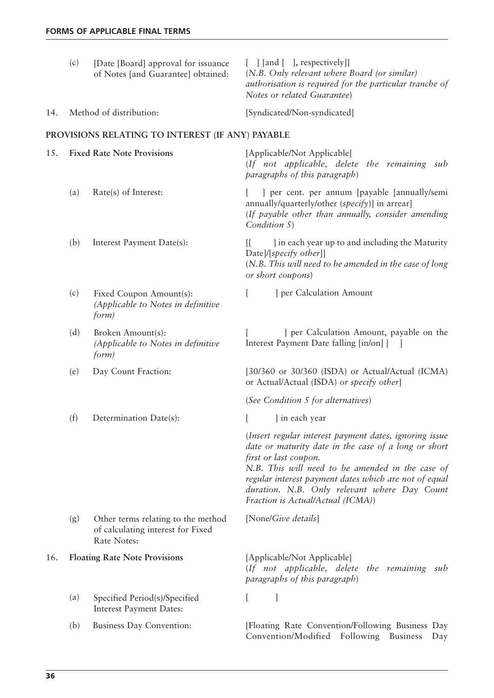|     | (c) | [Date [Board] approval for issuance]<br>of Notes [and Guarantee] obtained:             | $[$ ] [and [], respectively]]<br>(N.B. Only relevant where Board (or similar)<br>authorisation is required for the particular tranche of<br>Notes or related Guarantee)                                                                                                                                                                   |
|-----|-----|----------------------------------------------------------------------------------------|-------------------------------------------------------------------------------------------------------------------------------------------------------------------------------------------------------------------------------------------------------------------------------------------------------------------------------------------|
| 14. |     | Method of distribution:                                                                | [Syndicated/Non-syndicated]                                                                                                                                                                                                                                                                                                               |
|     |     | PROVISIONS RELATING TO INTEREST (IF ANY) PAYABLE                                       |                                                                                                                                                                                                                                                                                                                                           |
| 15. |     | <b>Fixed Rate Note Provisions</b>                                                      | [Applicable/Not Applicable]<br>(If not applicable, delete the remaining sub<br>paragraphs of this paragraph)                                                                                                                                                                                                                              |
|     | (a) | Rate(s) of Interest:                                                                   | ] per cent. per annum [payable [annually/semi]<br>annually/quarterly/other (specify)] in arrear]<br>(If payable other than annually, consider amending<br>Condition 5)                                                                                                                                                                    |
|     | (b) | Interest Payment Date(s):                                                              | I in each year up to and including the Maturity<br>$\mathbf{H}$<br>Date]/[specify other]]<br>(N.B. This will need to be amended in the case of long<br>or short coupons)                                                                                                                                                                  |
|     | (c) | Fixed Coupon Amount(s):<br>(Applicable to Notes in definitive<br>form)                 | ] per Calculation Amount<br>$\left[ \right]$                                                                                                                                                                                                                                                                                              |
|     | (d) | Broken Amount(s):<br>(Applicable to Notes in definitive<br>form)                       | ] per Calculation Amount, payable on the<br>Interest Payment Date falling [in/on] [                                                                                                                                                                                                                                                       |
|     | (e) | Day Count Fraction:                                                                    | $[30/360$ or $30/360$ (ISDA) or Actual/Actual (ICMA)<br>or Actual/Actual (ISDA) or specify other]                                                                                                                                                                                                                                         |
|     |     |                                                                                        | (See Condition 5 for alternatives)                                                                                                                                                                                                                                                                                                        |
|     | (f) | Determination Date(s):                                                                 | ] in each year                                                                                                                                                                                                                                                                                                                            |
|     |     |                                                                                        | (Insert regular interest payment dates, ignoring issue<br>date or maturity date in the case of a long or short<br>first or last coupon.<br>N.B. This will need to be amended in the case of<br>regular interest payment dates which are not of equal<br>duration. N.B. Only relevant where Day Count<br>Fraction is Actual/Actual (ICMA)) |
|     | (g) | Other terms relating to the method<br>of calculating interest for Fixed<br>Rate Notes: | [None/Give details]                                                                                                                                                                                                                                                                                                                       |
| 16. |     | <b>Floating Rate Note Provisions</b>                                                   | [Applicable/Not Applicable]<br>(If not applicable, delete the remaining sub<br>paragraphs of this paragraph)                                                                                                                                                                                                                              |
|     | (a) | Specified Period(s)/Specified<br><b>Interest Payment Dates:</b>                        | $\mathsf{L}$                                                                                                                                                                                                                                                                                                                              |
|     | (b) | Business Day Convention:                                                               | [Floating Rate Convention/Following Business Day<br>Convention/Modified<br>Following Business<br>Day                                                                                                                                                                                                                                      |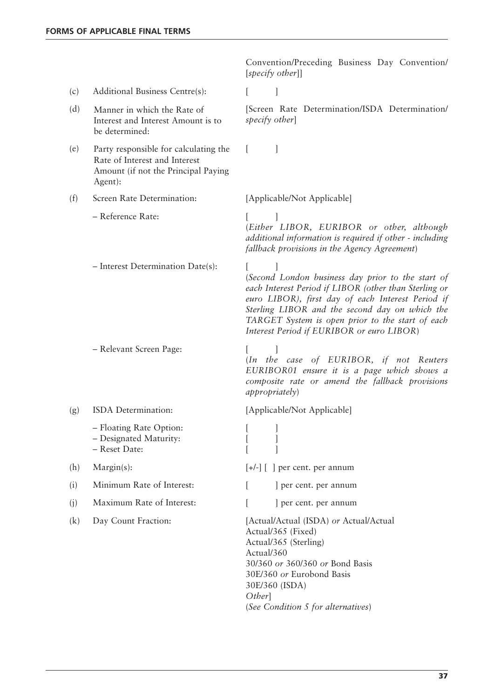Convention/Preceding Business Day Convention/ [*specify other*]]

- (c) Additional Business Centre(s): [ ]
- (d) Manner in which the Rate of [Screen Rate Determination/ISDA Determination/ Manner in which the Rate of Interest and Interest Amount is to be determined:
- (e) Party responsible for calculating the [ ] Rate of Interest and Interest Amount (if not the Principal Paying Agent):

(f) Screen Rate Determination: [Applicable/Not Applicable]

- Reference Rate: [ ]
- Interest Determination Date(s):

– Relevant Screen Page: [ ]

- - Floating Rate Option: [ ]
	- Designated Maturity: [ ]
	- Reset Date: [ ]
- 

(i) Minimum Rate of Interest:  $\begin{bmatrix} \cdot & \cdot \\ \cdot & \cdot \end{bmatrix}$  per cent. per annum

- (j) Maximum Rate of Interest:  $\begin{bmatrix} \cdot & \cdot \\ \cdot & \cdot \end{bmatrix}$  per cent. per annum
- 

*specify other*]

(*Either LIBOR, EURIBOR or other, although additional information is required if other - including fallback provisions in the Agency Agreement*)

(*Second London business day prior to the start of each Interest Period if LIBOR (other than Sterling or euro LIBOR), first day of each Interest Period if Sterling LIBOR and the second day on which the TARGET System is open prior to the start of each Interest Period if EURIBOR or euro LIBOR*)

(*In the case of EURIBOR, if not Reuters EURIBOR01 ensure it is a page which shows a composite rate or amend the fallback provisions appropriately*)

(g) ISDA Determination: [Applicable/Not Applicable]

(h) Margin(s):  $[+/]-$ ]  $[$  per cent. per annum

(k) Day Count Fraction: [Actual/Actual (ISDA) *or* Actual/Actual Actual/365 (Fixed) Actual/365 (Sterling) Actual/360 30/360 *or* 360/360 *or* Bond Basis 30E/360 *or* Eurobond Basis 30E/360 (ISDA) *Other*] (*See Condition 5 for alternatives*)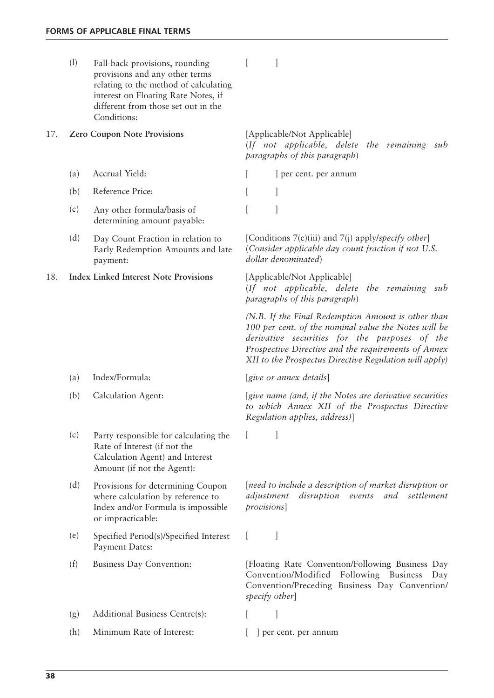|     | (1) | Fall-back provisions, rounding<br>provisions and any other terms<br>relating to the method of calculating<br>interest on Floating Rate Notes, if<br>different from those set out in the<br>Conditions: |                                                                                                                                                                                                                                                                              |
|-----|-----|--------------------------------------------------------------------------------------------------------------------------------------------------------------------------------------------------------|------------------------------------------------------------------------------------------------------------------------------------------------------------------------------------------------------------------------------------------------------------------------------|
| 17. |     | <b>Zero Coupon Note Provisions</b>                                                                                                                                                                     | [Applicable/Not Applicable]<br>(If not applicable, delete the remaining sub<br>paragraphs of this paragraph)                                                                                                                                                                 |
|     | (a) | Accrual Yield:                                                                                                                                                                                         | ] per cent. per annum                                                                                                                                                                                                                                                        |
|     | (b) | Reference Price:                                                                                                                                                                                       | 1                                                                                                                                                                                                                                                                            |
|     | (c) | Any other formula/basis of<br>determining amount payable:                                                                                                                                              |                                                                                                                                                                                                                                                                              |
|     | (d) | Day Count Fraction in relation to<br>Early Redemption Amounts and late<br>payment:                                                                                                                     | [Conditions $7(e)(iii)$ and $7(j)$ apply/specify other]<br>(Consider applicable day count fraction if not U.S.)<br>dollar denominated)                                                                                                                                       |
| 18. |     | <b>Index Linked Interest Note Provisions</b>                                                                                                                                                           | [Applicable/Not Applicable]<br>(If not applicable, delete the remaining sub<br>paragraphs of this paragraph)                                                                                                                                                                 |
|     |     |                                                                                                                                                                                                        | (N.B. If the Final Redemption Amount is other than<br>100 per cent. of the nominal value the Notes will be<br>derivative securities for the purposes of the<br>Prospective Directive and the requirements of Annex<br>XII to the Prospectus Directive Regulation will apply) |
|     | (a) | Index/Formula:                                                                                                                                                                                         | [give or annex details]                                                                                                                                                                                                                                                      |
|     | (b) | Calculation Agent:                                                                                                                                                                                     | [give name (and, if the Notes are derivative securities<br>to which Annex XII of the Prospectus Directive<br>Regulation applies, address)]                                                                                                                                   |
|     | (c) | Party responsible for calculating the<br>Rate of Interest (if not the<br>Calculation Agent) and Interest<br>Amount (if not the Agent):                                                                 |                                                                                                                                                                                                                                                                              |
|     | (d) | Provisions for determining Coupon<br>where calculation by reference to<br>Index and/or Formula is impossible<br>or impracticable:                                                                      | [need to include a description of market disruption or<br>disruption events and settlement<br>adjustment<br>provisions]                                                                                                                                                      |
|     | (e) | Specified Period(s)/Specified Interest<br>Payment Dates:                                                                                                                                               | $\mathbf{L}$                                                                                                                                                                                                                                                                 |
|     | (f) | Business Day Convention:                                                                                                                                                                               | [Floating Rate Convention/Following Business Day<br>Following Business<br>Convention/Modified<br>Day<br>Convention/Preceding Business Day Convention/<br>specify other                                                                                                       |
|     | (g) | Additional Business Centre(s):                                                                                                                                                                         |                                                                                                                                                                                                                                                                              |
|     | (h) | Minimum Rate of Interest:                                                                                                                                                                              | ] per cent. per annum                                                                                                                                                                                                                                                        |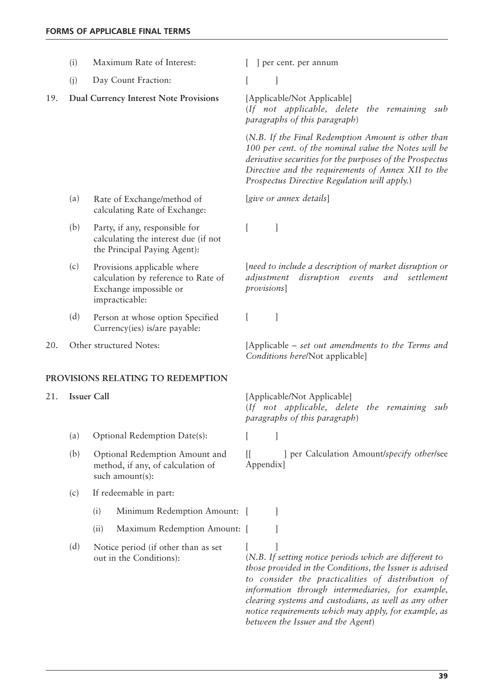|     | (i)                |      | Maximum Rate of Interest:                                                                                      | ] per cent. per annum                                                                                                                                                                                                                                                                                                                                                            |
|-----|--------------------|------|----------------------------------------------------------------------------------------------------------------|----------------------------------------------------------------------------------------------------------------------------------------------------------------------------------------------------------------------------------------------------------------------------------------------------------------------------------------------------------------------------------|
|     | (i)                |      | Day Count Fraction:                                                                                            |                                                                                                                                                                                                                                                                                                                                                                                  |
| 19. |                    |      | <b>Dual Currency Interest Note Provisions</b>                                                                  | [Applicable/Not Applicable]<br>(If not applicable, delete the remaining sub<br>paragraphs of this paragraph)                                                                                                                                                                                                                                                                     |
|     |                    |      |                                                                                                                | (N.B. If the Final Redemption Amount is other than<br>100 per cent. of the nominal value the Notes will be<br>derivative securities for the purposes of the Prospectus<br>Directive and the requirements of Annex XII to the<br>Prospectus Directive Regulation will apply.)                                                                                                     |
|     | (a)                |      | Rate of Exchange/method of<br>calculating Rate of Exchange:                                                    | [give or annex details]                                                                                                                                                                                                                                                                                                                                                          |
|     | (b)                |      | Party, if any, responsible for<br>calculating the interest due (if not<br>the Principal Paying Agent):         | 1                                                                                                                                                                                                                                                                                                                                                                                |
|     | (c)                |      | Provisions applicable where<br>calculation by reference to Rate of<br>Exchange impossible or<br>impracticable: | [need to include a description of market disruption or<br>disruption events and settlement<br>adjustment<br>provisions]                                                                                                                                                                                                                                                          |
|     | (d)                |      | Person at whose option Specified<br>Currency(ies) is/are payable:                                              | 1                                                                                                                                                                                                                                                                                                                                                                                |
| 20. |                    |      | Other structured Notes:                                                                                        | [Applicable – set out amendments to the Terms and<br>Conditions here/Not applicable]                                                                                                                                                                                                                                                                                             |
|     |                    |      | PROVISIONS RELATING TO REDEMPTION                                                                              |                                                                                                                                                                                                                                                                                                                                                                                  |
| 21. | <b>Issuer Call</b> |      |                                                                                                                | [Applicable/Not Applicable]<br>(If not applicable, delete the remaining sub<br>paragraphs of this paragraph)                                                                                                                                                                                                                                                                     |
|     | (a)                |      | Optional Redemption Date(s):                                                                                   |                                                                                                                                                                                                                                                                                                                                                                                  |
|     | (b)                |      | Optional Redemption Amount and<br>method, if any, of calculation of<br>such amount(s):                         | ] per Calculation Amount/specify other/see<br>$\mathbb{I}$<br>Appendix]                                                                                                                                                                                                                                                                                                          |
|     | (c)                |      | If redeemable in part:                                                                                         |                                                                                                                                                                                                                                                                                                                                                                                  |
|     |                    | (i)  | Minimum Redemption Amount: [                                                                                   |                                                                                                                                                                                                                                                                                                                                                                                  |
|     |                    | (ii) | Maximum Redemption Amount: [                                                                                   |                                                                                                                                                                                                                                                                                                                                                                                  |
|     | (d)                |      | Notice period (if other than as set<br>out in the Conditions):                                                 | (N.B. If setting notice periods which are different to<br>those provided in the Conditions, the Issuer is advised<br>to consider the practicalities of distribution of<br>information through intermediaries, for example,<br>clearing systems and custodians, as well as any other<br>notice requirements which may apply, for example, as<br>between the Issuer and the Agent) |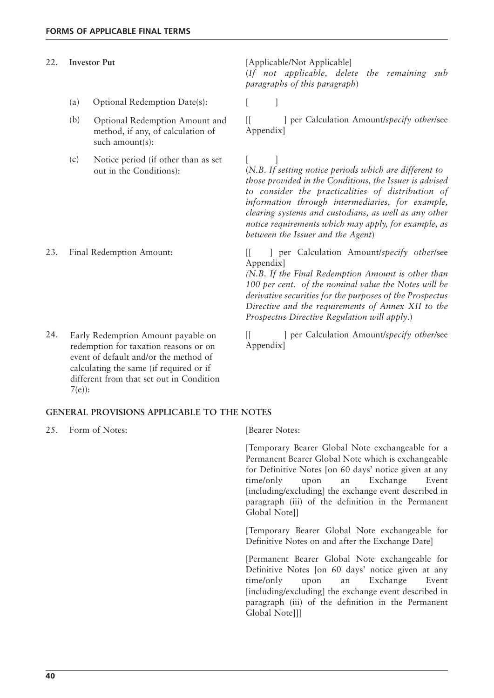## 22. **Investor Put** [Applicable/Not Applicable]

- (a) Optional Redemption Date(s): [ ]
- Optional Redemption Amount and method, if any, of calculation of such amount(s):
- $(c)$  Notice period (if other than as set  $[$  ] out in the Conditions):

redemption for taxation reasons or on event of default and/or the method of calculating the same (if required or if different from that set out in Condition 7(e)):

#### **GENERAL PROVISIONS APPLICABLE TO THE NOTES**

25. Form of Notes: [Bearer Notes:

[Temporary Bearer Global Note exchangeable for a Permanent Bearer Global Note which is exchangeable for Definitive Notes [on 60 days' notice given at any time/only upon an Exchange Event [including/excluding] the exchange event described in paragraph (iii) of the definition in the Permanent Global Note]]

[Temporary Bearer Global Note exchangeable for Definitive Notes on and after the Exchange Date]

[Permanent Bearer Global Note exchangeable for Definitive Notes [on 60 days' notice given at any time/only upon an Exchange Event [including/excluding] the exchange event described in paragraph (iii) of the definition in the Permanent Global Note]]]

(*If not applicable, delete the remaining sub paragraphs of this paragraph*)

(b) Optional Redemption Amount and [[ ] per Calculation Amount/*specify other/see* Appendix]

> (*N.B. If setting notice periods which are different to those provided in the Conditions, the Issuer is advised to consider the practicalities of distribution of information through intermediaries, for example, clearing systems and custodians, as well as any other notice requirements which may apply, for example, as between the Issuer and the Agent*)

23. Final Redemption Amount: [[ ] per Calculation Amount/*specify other*/see Appendix]

> *(N.B. If the Final Redemption Amount is other than 100 per cent. of the nominal value the Notes will be derivative securities for the purposes of the Prospectus Directive and the requirements of Annex XII to the Prospectus Directive Regulation will apply*.)

24. Early Redemption Amount payable on [[ ] per Calculation Amount/*specify other/see* Appendix]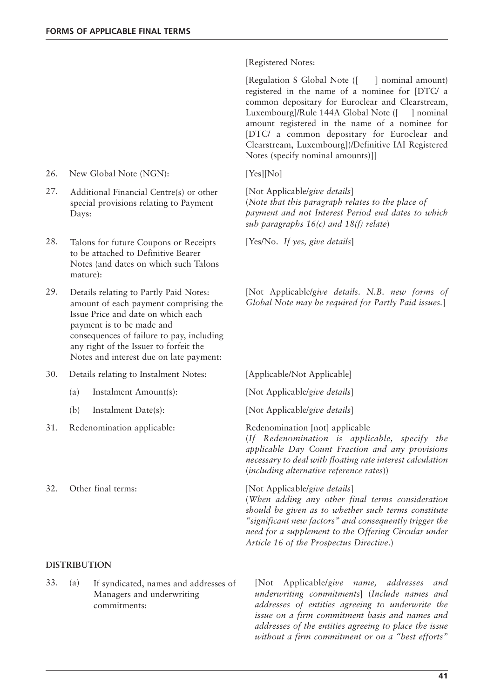[Registered Notes:

[Regulation S Global Note ([ ] nominal amount) registered in the name of a nominee for [DTC/ a common depositary for Euroclear and Clearstream, Luxembourg]/Rule 144A Global Note ([ ] nominal amount registered in the name of a nominee for [DTC/ a common depositary for Euroclear and Clearstream, Luxembourg])/Definitive IAI Registered Notes (specify nominal amounts)]]

(*Note that this paragraph relates to the place of payment and not Interest Period end dates to which sub paragraphs 16(c) and 18(f) relate*)

29. [Not Applicable/*give details*. *N.B. new forms of Global Note may be required for Partly Paid issues.*]

- 
- (b) Instalment Date(s): [Not Applicable/*give details*]

(*If Redenomination is applicable, specify the applicable Day Count Fraction and any provisions necessary to deal with floating rate interest calculation* (*including alternative reference rates*))

## 32. Other final terms: [Not Applicable/*give details*]

(*When adding any other final terms consideration should be given as to whether such terms constitute "significant new factors" and consequently trigger the need for a supplement to the Offering Circular under Article 16 of the Prospectus Directive*.)

33. (a) [Not Applicable/*give name, addresses and underwriting commitments*] (*Include names and addresses of entities agreeing to underwrite the issue on a firm commitment basis and names and addresses of the entities agreeing to place the issue without a firm commitment or on a "best efforts"*

- 26. New Global Note (NGN): [Yes][No]
- 27. Additional Financial Centre(s) or other [Not Applicable/give details] special provisions relating to Payment Days:
- 28. Talons for future Coupons or Receipts [Yes/No. If yes, give details] to be attached to Definitive Bearer Notes (and dates on which such Talons mature):
- Details relating to Partly Paid Notes: amount of each payment comprising the Issue Price and date on which each payment is to be made and consequences of failure to pay, including any right of the Issuer to forfeit the Notes and interest due on late payment:
- 30. Details relating to Instalment Notes: [Applicable/Not Applicable]
	- (a) Instalment Amount(s): [Not Applicable/*give details*]
	-
- 31. Redenomination applicable: Redenomination [not] applicable
- 

#### **DISTRIBUTION**

If syndicated, names and addresses of Managers and underwriting commitments: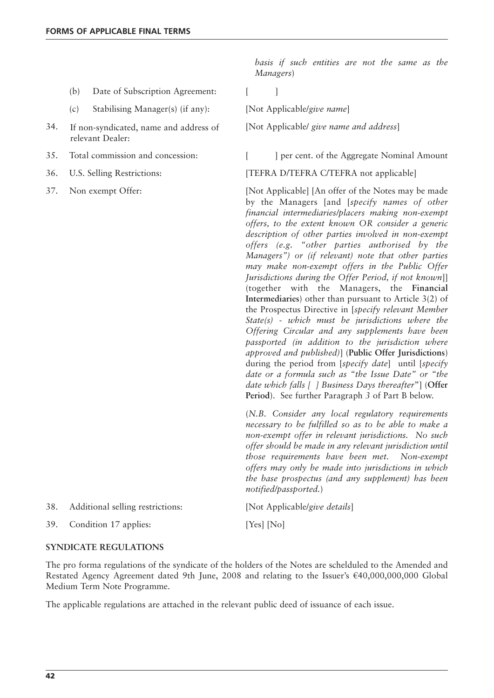- (b) Date of Subscription Agreement: [ ]
- (c) Stabilising Manager(s) (if any): [Not Applicable/*give name*]
- 34. If non-syndicated, name and address of [Not Applicable/ *give name and address*] If non-syndicated, name and address of relevant Dealer:
- 
- 
- 

*basis if such entities are not the same as the Managers*)

35. Total commission and concession: [ ] per cent. of the Aggregate Nominal Amount

36. U.S. Selling Restrictions: [TEFRA D/TEFRA C/TEFRA not applicable]

37. Non exempt Offer: [Not Applicable] [An offer of the Notes may be made by the Managers [and [*specify names of other financial intermediaries/placers making non-exempt offers, to the extent known OR consider a generic description of other parties involved in non-exempt offers (e.g. "other parties authorised by the Managers") or (if relevant) note that other parties may make non-exempt offers in the Public Offer Jurisdictions during the Offer Period, if not known*]] (together with the Managers, the **Financial Intermediaries**) other than pursuant to Article 3(2) of the Prospectus Directive in [*specify relevant Member State(s) - which must be jurisdictions where the Offering Circular and any supplements have been passported (in addition to the jurisdiction where approved and published)*] (**Public Offer Jurisdictions**) during the period from [*specify date*] until [*specify date or a formula such as "the Issue Date" or "the date which falls [ ] Business Days thereafter*"] (**Offer Period**). See further Paragraph *3* of Part B below.

> (*N.B. Consider any local regulatory requirements necessary to be fulfilled so as to be able to make a non-exempt offer in relevant jurisdictions. No such offer should be made in any relevant jurisdiction until those requirements have been met. Non-exempt offers may only be made into jurisdictions in which the base prospectus (and any supplement) has been notified/passported.*)

| 38. | Additional selling restrictions: | [Not Applicable/give details] |
|-----|----------------------------------|-------------------------------|
|     | 39. Condition 17 applies:        | [Yes] [No]                    |

## **SYNDICATE REGULATIONS**

The pro forma regulations of the syndicate of the holders of the Notes are schelduled to the Amended and Restated Agency Agreement dated 9th June, 2008 and relating to the Issuer's €40,000,000,000 Global Medium Term Note Programme.

The applicable regulations are attached in the relevant public deed of issuance of each issue.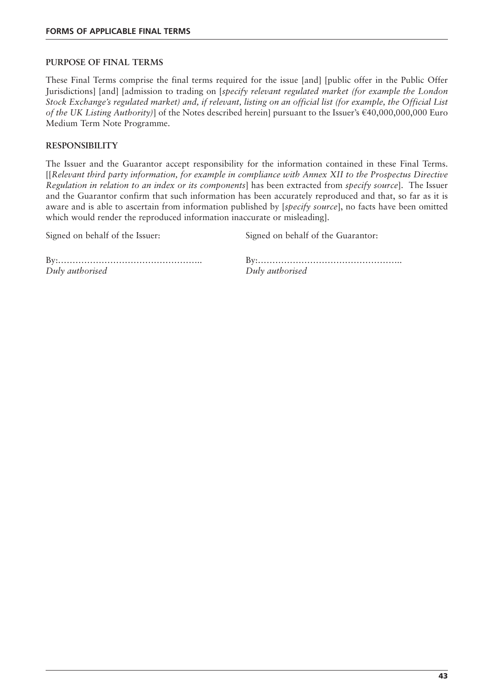## **PURPOSE OF FINAL TERMS**

These Final Terms comprise the final terms required for the issue [and] [public offer in the Public Offer Jurisdictions] [and] [admission to trading on [*specify relevant regulated market (for example the London Stock Exchange's regulated market) and, if relevant, listing on an official list (for example, the Official List of the UK Listing Authority)*] of the Notes described herein] pursuant to the Issuer's €40,000,000,000 Euro Medium Term Note Programme.

# **RESPONSIBILITY**

The Issuer and the Guarantor accept responsibility for the information contained in these Final Terms. [[*Relevant third party information, for example in compliance with Annex XII to the Prospectus Directive Regulation in relation to an index or its components*] has been extracted from *specify source*]. The Issuer and the Guarantor confirm that such information has been accurately reproduced and that, so far as it is aware and is able to ascertain from information published by [*specify source*], no facts have been omitted which would render the reproduced information inaccurate or misleading].

Signed on behalf of the Issuer: Signed on behalf of the Guarantor:

By:………………………………………….. By:………………………………………….. *Duly authorised Duly authorised*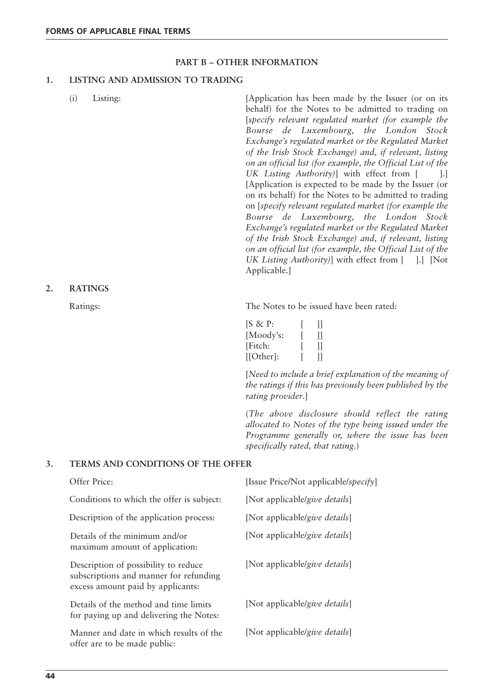# **PART B – OTHER INFORMATION**

# **1. LISTING AND ADMISSION TO TRADING**

|          | (i)<br>Listing:                                                 | [Application has been made by the Issuer (or on its<br>behalf) for the Notes to be admitted to trading on<br>[specify relevant regulated market (for example the<br>Bourse de Luxembourg, the London Stock<br>Exchange's regulated market or the Regulated Market<br>of the Irish Stock Exchange) and, if relevant, listing<br>on an official list (for example, the Official List of the<br>UK Listing Authority)] with effect from [<br>$\lceil . \rceil$<br>[Application is expected to be made by the Issuer (or<br>on its behalf) for the Notes to be admitted to trading<br>on [specify relevant regulated market (for example the<br>Bourse de Luxembourg, the London Stock<br>Exchange's regulated market or the Regulated Market<br>of the Irish Stock Exchange) and, if relevant, listing<br>on an official list (for example, the Official List of the<br>UK Listing Authority)] with effect from [<br>$\vert . \vert$ [Not<br>Applicable.] |
|----------|-----------------------------------------------------------------|--------------------------------------------------------------------------------------------------------------------------------------------------------------------------------------------------------------------------------------------------------------------------------------------------------------------------------------------------------------------------------------------------------------------------------------------------------------------------------------------------------------------------------------------------------------------------------------------------------------------------------------------------------------------------------------------------------------------------------------------------------------------------------------------------------------------------------------------------------------------------------------------------------------------------------------------------------|
|          | <b>RATINGS</b>                                                  |                                                                                                                                                                                                                                                                                                                                                                                                                                                                                                                                                                                                                                                                                                                                                                                                                                                                                                                                                        |
|          | Ratings:                                                        | The Notes to be issued have been rated:                                                                                                                                                                                                                                                                                                                                                                                                                                                                                                                                                                                                                                                                                                                                                                                                                                                                                                                |
|          |                                                                 | $[S \& P:$<br>]]<br>$\mathbf{ll}$<br>[Moody's:<br>[Fitch:<br>$] \hspace{0.1cm} ]$<br>$[ Other]$ :<br>$\mathbf{I}$                                                                                                                                                                                                                                                                                                                                                                                                                                                                                                                                                                                                                                                                                                                                                                                                                                      |
|          |                                                                 | [Need to include a brief explanation of the meaning of<br>the ratings if this has previously been published by the<br>rating provider.                                                                                                                                                                                                                                                                                                                                                                                                                                                                                                                                                                                                                                                                                                                                                                                                                 |
|          |                                                                 | (The above disclosure should reflect the rating<br>allocated to Notes of the type being issued under the<br>Programme generally or, where the issue has been<br>specifically rated, that rating.)                                                                                                                                                                                                                                                                                                                                                                                                                                                                                                                                                                                                                                                                                                                                                      |
|          | TERMS AND CONDITIONS OF THE OFFER                               |                                                                                                                                                                                                                                                                                                                                                                                                                                                                                                                                                                                                                                                                                                                                                                                                                                                                                                                                                        |
| 2.<br>3. | Offer Price:                                                    | [Issue Price/Not applicable/specify]                                                                                                                                                                                                                                                                                                                                                                                                                                                                                                                                                                                                                                                                                                                                                                                                                                                                                                                   |
|          | Conditions to which the offer is subject:                       | [Not applicable/give details]                                                                                                                                                                                                                                                                                                                                                                                                                                                                                                                                                                                                                                                                                                                                                                                                                                                                                                                          |
|          | Description of the application process:                         | [Not applicable/give details]                                                                                                                                                                                                                                                                                                                                                                                                                                                                                                                                                                                                                                                                                                                                                                                                                                                                                                                          |
|          | Details of the minimum and/or<br>maximum amount of application: | [Not applicable/give details]                                                                                                                                                                                                                                                                                                                                                                                                                                                                                                                                                                                                                                                                                                                                                                                                                                                                                                                          |
|          | Description of possibility to reduce                            | [Not applicable/give details]                                                                                                                                                                                                                                                                                                                                                                                                                                                                                                                                                                                                                                                                                                                                                                                                                                                                                                                          |

Description of possibility to reduce subscriptions and manner for refunding excess amount paid by applicants:

Details of the method and time limits for paying up and delivering the Notes:

Manner and date in which results of the [Not applicable/*give details*] offer are to be made public:

[Not applicable/*give details*]

**2.**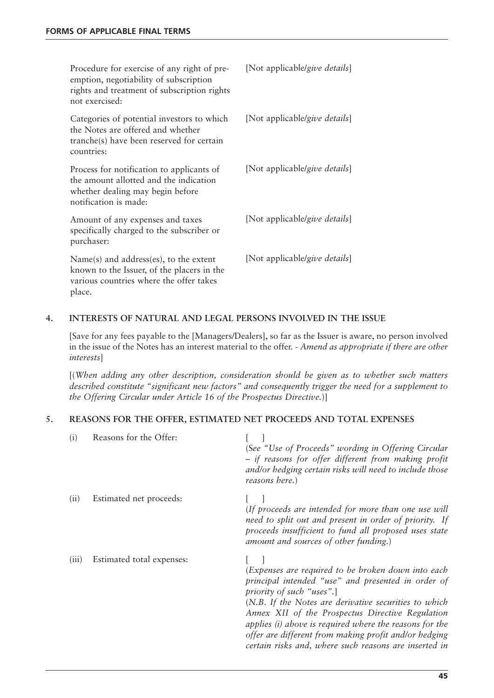| Procedure for exercise of any right of pre-<br>emption, negotiability of subscription<br>rights and treatment of subscription rights<br>not exercised: | [Not applicable/give details] |
|--------------------------------------------------------------------------------------------------------------------------------------------------------|-------------------------------|
| Categories of potential investors to which<br>the Notes are offered and whether<br>tranche(s) have been reserved for certain<br>countries:             | [Not applicable/give details] |
| Process for notification to applicants of<br>the amount allotted and the indication<br>whether dealing may begin before<br>notification is made:       | [Not applicable/give details] |
| Amount of any expenses and taxes<br>specifically charged to the subscriber or<br>purchaser:                                                            | [Not applicable/give details] |
| $Name(s)$ and address(es), to the extent<br>known to the Issuer, of the placers in the<br>various countries where the offer takes<br>place.            | [Not applicable/give details] |

# **4. INTERESTS OF NATURAL AND LEGAL PERSONS INVOLVED IN THE ISSUE**

[Save for any fees payable to the [Managers/Dealers], so far as the Issuer is aware, no person involved in the issue of the Notes has an interest material to the offer. - *Amend as appropriate if there are other interests*]

[(*When adding any other description, consideration should be given as to whether such matters described constitute "significant new factors" and consequently trigger the need for a supplement to the Offering Circular under Article 16 of the Prospectus Directive.*)]

# **5. REASONS FOR THE OFFER, ESTIMATED NET PROCEEDS AND TOTAL EXPENSES**

| (i)   | Reasons for the Offer:    | (See "Use of Proceeds" wording in Offering Circular<br>- if reasons for offer different from making profit<br>and/or hedging certain risks will need to include those<br>reasons here.)                                                                                                                                                                                                                                        |
|-------|---------------------------|--------------------------------------------------------------------------------------------------------------------------------------------------------------------------------------------------------------------------------------------------------------------------------------------------------------------------------------------------------------------------------------------------------------------------------|
| (ii)  | Estimated net proceeds:   | (If proceeds are intended for more than one use will<br>need to split out and present in order of priority. If<br>proceeds insufficient to fund all proposed uses state<br>amount and sources of other funding.)                                                                                                                                                                                                               |
| (111) | Estimated total expenses: | (Expenses are required to be broken down into each<br>principal intended "use" and presented in order of<br>priority of such "uses".<br>(N.B. If the Notes are derivative securities to which<br>Annex XII of the Prospectus Directive Regulation<br>applies (i) above is required where the reasons for the<br>offer are different from making profit and/or hedging<br>certain risks and, where such reasons are inserted in |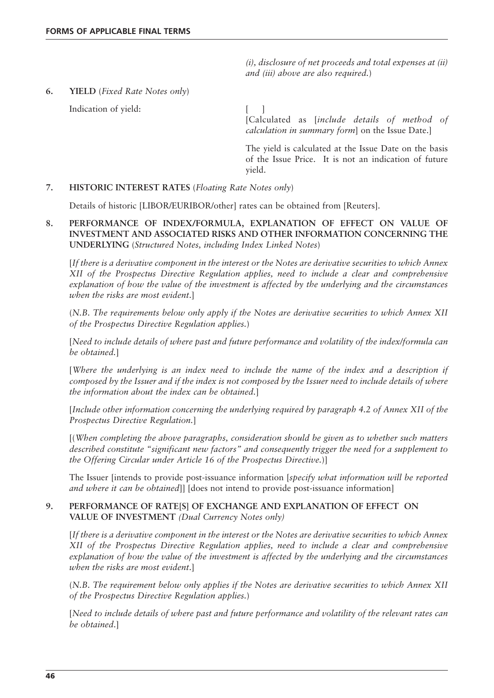*(i), disclosure of net proceeds and total expenses at (ii) and (iii) above are also required.*)

**6. YIELD** (*Fixed Rate Notes only*)

Indication of yield: [ ]

[Calculated as [*include details of method of calculation in summary form*] on the Issue Date.]

The yield is calculated at the Issue Date on the basis of the Issue Price. It is not an indication of future yield.

# **7. HISTORIC INTEREST RATES** (*Floating Rate Notes only*)

Details of historic [LIBOR/EURIBOR/other] rates can be obtained from [Reuters].

**8. PERFORMANCE OF INDEX/FORMULA, EXPLANATION OF EFFECT ON VALUE OF INVESTMENT AND ASSOCIATED RISKS AND OTHER INFORMATION CONCERNING THE UNDERLYING** (*Structured Notes, including Index Linked Notes*)

[*If there is a derivative component in the interest or the Notes are derivative securities to which Annex XII of the Prospectus Directive Regulation applies, need to include a clear and comprehensive explanation of how the value of the investment is affected by the underlying and the circumstances when the risks are most evident*.]

(*N.B. The requirements below only apply if the Notes are derivative securities to which Annex XII of the Prospectus Directive Regulation applies.*)

[*Need to include details of where past and future performance and volatility of the index/formula can be obtained.*]

[*Where the underlying is an index need to include the name of the index and a description if composed by the Issuer and if the index is not composed by the Issuer need to include details of where the information about the index can be obtained.*]

[*Include other information concerning the underlying required by paragraph 4.2 of Annex XII of the Prospectus Directive Regulation.*]

[(*When completing the above paragraphs, consideration should be given as to whether such matters described constitute "significant new factors" and consequently trigger the need for a supplement to the Offering Circular under Article 16 of the Prospectus Directive.*)]

The Issuer [intends to provide post-issuance information [*specify what information will be reported and where it can be obtained*]] [does not intend to provide post-issuance information]

# **9. PERFORMANCE OF RATE[S] OF EXCHANGE AND EXPLANATION OF EFFECT ON VALUE OF INVESTMENT** *(Dual Currency Notes only)*

[*If there is a derivative component in the interest or the Notes are derivative securities to which Annex XII of the Prospectus Directive Regulation applies, need to include a clear and comprehensive explanation of how the value of the investment is affected by the underlying and the circumstances when the risks are most evident*.]

(*N.B. The requirement below only applies if the Notes are derivative securities to which Annex XII of the Prospectus Directive Regulation applies.*)

[*Need to include details of where past and future performance and volatility of the relevant rates can be obtained*.]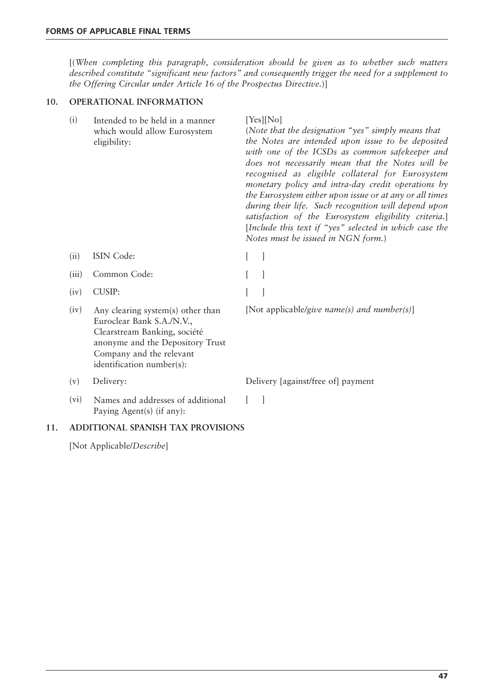[(*When completing this paragraph, consideration should be given as to whether such matters described constitute "significant new factors" and consequently trigger the need for a supplement to the Offering Circular under Article 16 of the Prospectus Directive.*)]

# **10. OPERATIONAL INFORMATION**

| (i)   | Intended to be held in a manner<br>which would allow Eurosystem<br>eligibility:                                                                                                             | [Yes][No]<br>(Note that the designation "yes" simply means that<br>the Notes are intended upon issue to be deposited<br>with one of the ICSDs as common safekeeper and<br>does not necessarily mean that the Notes will be<br>recognised as eligible collateral for Eurosystem<br>monetary policy and intra-day credit operations by<br>the Eurosystem either upon issue or at any or all times<br>during their life. Such recognition will depend upon<br>satisfaction of the Eurosystem eligibility criteria.]<br>[Include this text if "yes" selected in which case the<br>Notes must be issued in NGN form.) |
|-------|---------------------------------------------------------------------------------------------------------------------------------------------------------------------------------------------|------------------------------------------------------------------------------------------------------------------------------------------------------------------------------------------------------------------------------------------------------------------------------------------------------------------------------------------------------------------------------------------------------------------------------------------------------------------------------------------------------------------------------------------------------------------------------------------------------------------|
| (ii)  | ISIN Code:                                                                                                                                                                                  |                                                                                                                                                                                                                                                                                                                                                                                                                                                                                                                                                                                                                  |
| (iii) | Common Code:                                                                                                                                                                                |                                                                                                                                                                                                                                                                                                                                                                                                                                                                                                                                                                                                                  |
| (iv)  | <b>CUSIP:</b>                                                                                                                                                                               |                                                                                                                                                                                                                                                                                                                                                                                                                                                                                                                                                                                                                  |
| (iv)  | Any clearing system(s) other than<br>Euroclear Bank S.A./N.V.,<br>Clearstream Banking, société<br>anonyme and the Depository Trust<br>Company and the relevant<br>identification number(s): | [Not applicable/give name(s) and number(s)]                                                                                                                                                                                                                                                                                                                                                                                                                                                                                                                                                                      |
| (v)   | Delivery:                                                                                                                                                                                   | Delivery [against/free of] payment                                                                                                                                                                                                                                                                                                                                                                                                                                                                                                                                                                               |
| (vi)  | Names and addresses of additional<br>Paying Agent(s) (if any):                                                                                                                              |                                                                                                                                                                                                                                                                                                                                                                                                                                                                                                                                                                                                                  |

# **11. ADDITIONAL SPANISH TAX PROVISIONS**

[Not Applicable/*Describe*]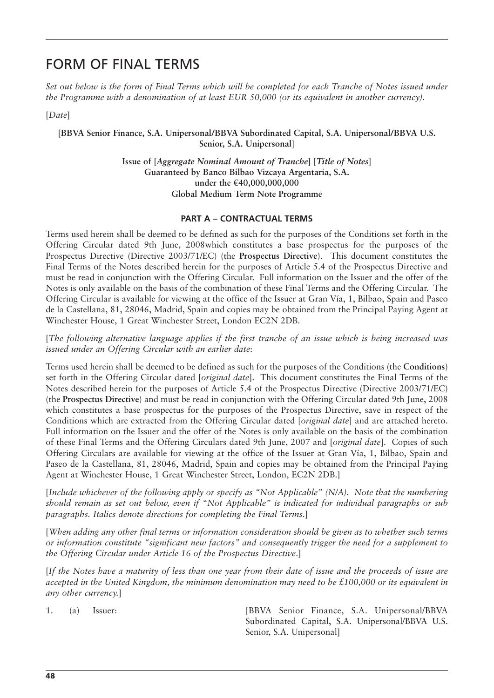# FORM OF FINAL TERMS

*Set out below is the form of Final Terms which will be completed for each Tranche of Notes issued under the Programme with a denomination of at least EUR 50,000 (or its equivalent in another currency).*

[*Date*]

[**BBVA Senior Finance, S.A. Unipersonal/BBVA Subordinated Capital, S.A. Unipersonal/BBVA U.S. Senior, S.A. Unipersonal**]

> **Issue of [***Aggregate Nominal Amount of Tranche***] [***Title of Notes***] Guaranteed by Banco Bilbao Vizcaya Argentaria, S.A. under the €40,000,000,000 Global Medium Term Note Programme**

## **PART A – CONTRACTUAL TERMS**

Terms used herein shall be deemed to be defined as such for the purposes of the Conditions set forth in the Offering Circular dated 9th June, 2008which constitutes a base prospectus for the purposes of the Prospectus Directive (Directive 2003/71/EC) (the **Prospectus Directive**). This document constitutes the Final Terms of the Notes described herein for the purposes of Article 5.4 of the Prospectus Directive and must be read in conjunction with the Offering Circular. Full information on the Issuer and the offer of the Notes is only available on the basis of the combination of these Final Terms and the Offering Circular. The Offering Circular is available for viewing at the office of the Issuer at Gran Vía, 1, Bilbao, Spain and Paseo de la Castellana, 81, 28046, Madrid, Spain and copies may be obtained from the Principal Paying Agent at Winchester House, 1 Great Winchester Street, London EC2N 2DB.

[*The following alternative language applies if the first tranche of an issue which is being increased was issued under an Offering Circular with an earlier date*:

Terms used herein shall be deemed to be defined as such for the purposes of the Conditions (the **Conditions**) set forth in the Offering Circular dated [*original date*]. This document constitutes the Final Terms of the Notes described herein for the purposes of Article 5.4 of the Prospectus Directive (Directive 2003/71/EC) (the **Prospectus Directive**) and must be read in conjunction with the Offering Circular dated 9th June, 2008 which constitutes a base prospectus for the purposes of the Prospectus Directive, save in respect of the Conditions which are extracted from the Offering Circular dated [*original date*] and are attached hereto. Full information on the Issuer and the offer of the Notes is only available on the basis of the combination of these Final Terms and the Offering Circulars dated 9th June, 2007 and [*original date*]. Copies of such Offering Circulars are available for viewing at the office of the Issuer at Gran Vía, 1, Bilbao, Spain and Paseo de la Castellana, 81, 28046, Madrid, Spain and copies may be obtained from the Principal Paying Agent at Winchester House, 1 Great Winchester Street, London, EC2N 2DB.]

[*Include whichever of the following apply or specify as "Not Applicable" (N/A). Note that the numbering should remain as set out below, even if "Not Applicable" is indicated for individual paragraphs or sub paragraphs. Italics denote directions for completing the Final Terms.*]

[*When adding any other final terms or information consideration should be given as to whether such terms or information constitute "significant new factors" and consequently trigger the need for a supplement to the Offering Circular under Article 16 of the Prospectus Directive*.]

[*If the Notes have a maturity of less than one year from their date of issue and the proceeds of issue are accepted in the United Kingdom, the minimum denomination may need to be £100,000 or its equivalent in any other currency.*]

1. (a) Issuer: [BBVA Senior Finance, S.A. Unipersonal/BBVA Subordinated Capital, S.A. Unipersonal/BBVA U.S. Senior, S.A. Unipersonal]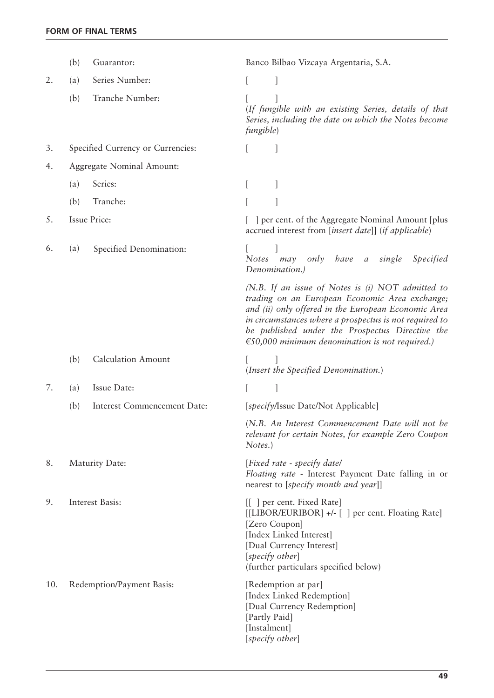|     | (b) | Guarantor:                        | Banco Bilbao Vizcaya Argentaria, S.A.                                                                                                                                                                                                                                                                                       |
|-----|-----|-----------------------------------|-----------------------------------------------------------------------------------------------------------------------------------------------------------------------------------------------------------------------------------------------------------------------------------------------------------------------------|
| 2.  | (a) | Series Number:                    |                                                                                                                                                                                                                                                                                                                             |
|     | (b) | Tranche Number:                   | (If fungible with an existing Series, details of that<br>Series, including the date on which the Notes become<br><i>fungible</i> )                                                                                                                                                                                          |
| 3.  |     | Specified Currency or Currencies: |                                                                                                                                                                                                                                                                                                                             |
| 4.  |     | Aggregate Nominal Amount:         |                                                                                                                                                                                                                                                                                                                             |
|     | (a) | Series:                           | t                                                                                                                                                                                                                                                                                                                           |
|     | (b) | Tranche:                          |                                                                                                                                                                                                                                                                                                                             |
| 5.  |     | <b>Issue Price:</b>               | ] per cent. of the Aggregate Nominal Amount [plus<br>accrued interest from [insert date]] (if applicable)                                                                                                                                                                                                                   |
| 6.  | (a) | Specified Denomination:           | have<br>single<br><i>Specified</i><br><b>Notes</b><br>may<br>only<br>$\boldsymbol{a}$<br>Denomination.)                                                                                                                                                                                                                     |
|     |     |                                   | (N.B. If an issue of Notes is $(i)$ NOT admitted to<br>trading on an European Economic Area exchange;<br>and (ii) only offered in the European Economic Area<br>in circumstances where a prospectus is not required to<br>be published under the Prospectus Directive the<br>€50,000 minimum denomination is not required.) |
|     | (b) | <b>Calculation Amount</b>         | (Insert the Specified Denomination.)                                                                                                                                                                                                                                                                                        |
| 7.  | (a) | Issue Date:                       |                                                                                                                                                                                                                                                                                                                             |
|     | (b) | Interest Commencement Date:       | [specify/Issue Date/Not Applicable]                                                                                                                                                                                                                                                                                         |
|     |     |                                   | (N.B. An Interest Commencement Date will not be<br>relevant for certain Notes, for example Zero Coupon<br>Notes.)                                                                                                                                                                                                           |
| 8.  |     | Maturity Date:                    | [Fixed rate - specify date]<br>Floating rate - Interest Payment Date falling in or<br>nearest to [specify month and year]]                                                                                                                                                                                                  |
| 9.  |     | Interest Basis:                   | [[ ] per cent. Fixed Rate]<br>[[LIBOR/EURIBOR] +/- [] per cent. Floating Rate]<br>[Zero Coupon]<br>[Index Linked Interest]<br>[Dual Currency Interest]<br>[specify other]<br>(further particulars specified below)                                                                                                          |
| 10. |     | Redemption/Payment Basis:         | [Redemption at par]<br>[Index Linked Redemption]<br>[Dual Currency Redemption]<br>[Partly Paid]<br>[Instalment]<br>[specify other]                                                                                                                                                                                          |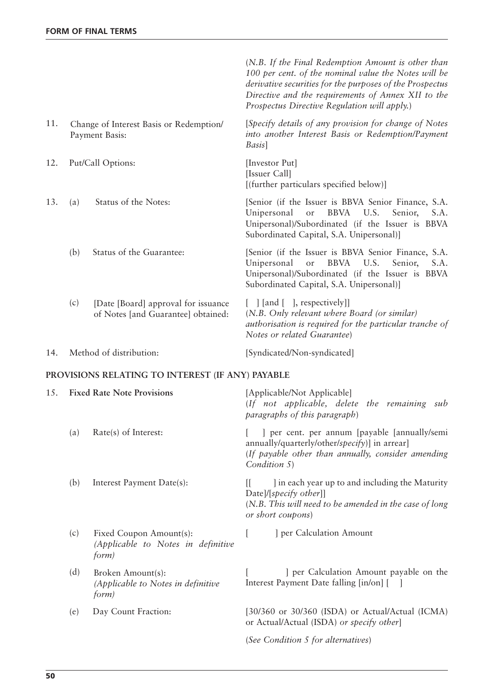|     |     |                                                                            | (N.B. If the Final Redemption Amount is other than<br>100 per cent. of the nominal value the Notes will be<br>derivative securities for the purposes of the Prospectus<br>Directive and the requirements of Annex XII to the<br>Prospectus Directive Regulation will apply.) |
|-----|-----|----------------------------------------------------------------------------|------------------------------------------------------------------------------------------------------------------------------------------------------------------------------------------------------------------------------------------------------------------------------|
| 11. |     | Change of Interest Basis or Redemption/<br>Payment Basis:                  | [Specify details of any provision for change of Notes<br>into another Interest Basis or Redemption/Payment<br>Basis]                                                                                                                                                         |
| 12. |     | Put/Call Options:                                                          | [Investor Put]<br>[Issuer Call]<br>[(further particulars specified below)]                                                                                                                                                                                                   |
| 13. | (a) | Status of the Notes:                                                       | [Senior (if the Issuer is BBVA Senior Finance, S.A.<br>Unipersonal<br><b>BBVA</b><br>U.S.<br>S.A.<br>Senior,<br>or<br>Unipersonal)/Subordinated (if the Issuer is BBVA<br>Subordinated Capital, S.A. Unipersonal)]                                                           |
|     | (b) | Status of the Guarantee:                                                   | [Senior (if the Issuer is BBVA Senior Finance, S.A.<br>Unipersonal<br><b>BBVA</b><br>U.S.<br>Senior,<br>S.A.<br>or<br>Unipersonal)/Subordinated (if the Issuer is BBVA<br>Subordinated Capital, S.A. Unipersonal)]                                                           |
|     | (c) | [Date [Board] approval for issuance]<br>of Notes [and Guarantee] obtained: | $[$ ] [and [], respectively]]<br>(N.B. Only relevant where Board (or similar)<br>authorisation is required for the particular tranche of<br>Notes or related Guarantee)                                                                                                      |
| 14. |     | Method of distribution:                                                    | [Syndicated/Non-syndicated]                                                                                                                                                                                                                                                  |
|     |     | PROVISIONS RELATING TO INTEREST (IF ANY) PAYABLE                           |                                                                                                                                                                                                                                                                              |
| 15. |     | <b>Fixed Rate Note Provisions</b>                                          | [Applicable/Not Applicable]<br>(If not applicable, delete the remaining<br>sub<br>paragraphs of this paragraph)                                                                                                                                                              |
|     | (a) | Rate(s) of Interest:                                                       | ] per cent. per annum [payable [annually/semi<br>annually/quarterly/other/specify)] in arrear]<br>(If payable other than annually, consider amending<br>Condition 5)                                                                                                         |
|     | (b) | Interest Payment Date(s):                                                  | I in each year up to and including the Maturity<br>Date]/[specify other]]<br>(N.B. This will need to be amended in the case of long<br>or short coupons)                                                                                                                     |
|     | (c) | Fixed Coupon Amount(s):<br>(Applicable to Notes in definitive<br>form)     | ] per Calculation Amount<br>t                                                                                                                                                                                                                                                |
|     | (d) | Broken Amount(s):<br>(Applicable to Notes in definitive<br>form)           | ] per Calculation Amount payable on the<br>Interest Payment Date falling [in/on] [ ]                                                                                                                                                                                         |
|     | (e) | Day Count Fraction:                                                        | [30/360 or 30/360 (ISDA) or Actual/Actual (ICMA)                                                                                                                                                                                                                             |

or Actual/Actual (ISDA) *or specify other*]

(*See Condition 5 for alternatives*)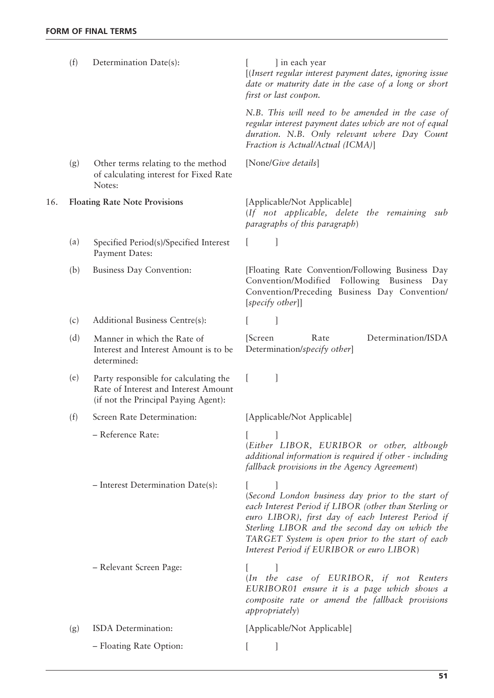|     | (f) | Determination Date(s):                                                                                                | ] in each year<br>[(Insert regular interest payment dates, ignoring issue<br>date or maturity date in the case of a long or short<br>first or last coupon.                                                                                                                                                         |
|-----|-----|-----------------------------------------------------------------------------------------------------------------------|--------------------------------------------------------------------------------------------------------------------------------------------------------------------------------------------------------------------------------------------------------------------------------------------------------------------|
|     |     |                                                                                                                       | N.B. This will need to be amended in the case of<br>regular interest payment dates which are not of equal<br>duration. N.B. Only relevant where Day Count<br>Fraction is Actual/Actual (ICMA)]                                                                                                                     |
|     | (g) | Other terms relating to the method<br>of calculating interest for Fixed Rate<br>Notes:                                | [None/Give details]                                                                                                                                                                                                                                                                                                |
| 16. |     | <b>Floating Rate Note Provisions</b>                                                                                  | [Applicable/Not Applicable]<br>(If not applicable, delete the remaining sub<br>paragraphs of this paragraph)                                                                                                                                                                                                       |
|     | (a) | Specified Period(s)/Specified Interest<br>Payment Dates:                                                              | 1                                                                                                                                                                                                                                                                                                                  |
|     | (b) | <b>Business Day Convention:</b>                                                                                       | [Floating Rate Convention/Following Business Day<br>Convention/Modified<br>Following Business<br>Day<br>Convention/Preceding Business Day Convention/<br>$[specify\ other]]$                                                                                                                                       |
|     | (c) | Additional Business Centre(s):                                                                                        |                                                                                                                                                                                                                                                                                                                    |
|     | (d) | Manner in which the Rate of<br>Interest and Interest Amount is to be<br>determined:                                   | Determination/ISDA<br>Rate<br>[Screen]<br>Determination/specify other]                                                                                                                                                                                                                                             |
|     | (e) | Party responsible for calculating the<br>Rate of Interest and Interest Amount<br>(if not the Principal Paying Agent): | $\left\lceil \cdot \right\rceil$                                                                                                                                                                                                                                                                                   |
|     | (f) | Screen Rate Determination:                                                                                            | [Applicable/Not Applicable]                                                                                                                                                                                                                                                                                        |
|     |     | - Reference Rate:                                                                                                     | (Either LIBOR, EURIBOR or other, although<br>additional information is required if other - including<br>fallback provisions in the Agency Agreement)                                                                                                                                                               |
|     |     | - Interest Determination Date(s):                                                                                     | (Second London business day prior to the start of<br>each Interest Period if LIBOR (other than Sterling or<br>euro LIBOR), first day of each Interest Period if<br>Sterling LIBOR and the second day on which the<br>TARGET System is open prior to the start of each<br>Interest Period if EURIBOR or euro LIBOR) |
|     |     | - Relevant Screen Page:                                                                                               | (In the case of EURIBOR, if not Reuters<br>EURIBOR01 ensure it is a page which shows a<br>composite rate or amend the fallback provisions<br><i>appropriately</i> )                                                                                                                                                |
|     | (g) | ISDA Determination:                                                                                                   | [Applicable/Not Applicable]                                                                                                                                                                                                                                                                                        |
|     |     | - Floating Rate Option:                                                                                               |                                                                                                                                                                                                                                                                                                                    |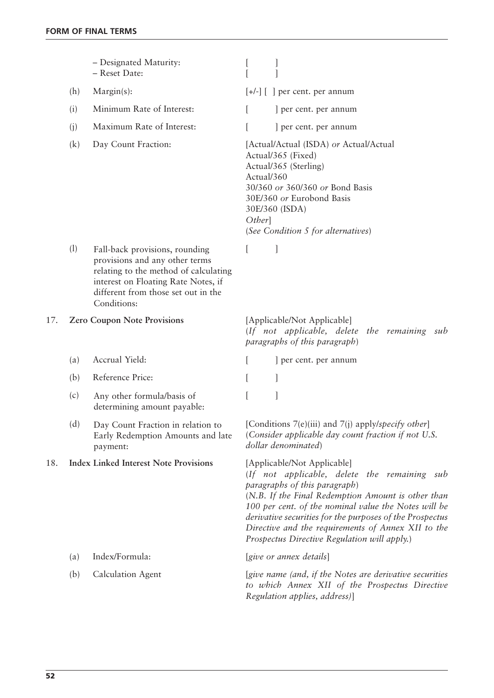|     |     | - Designated Maturity:<br>- Reset Date:                                                                                                                                                                |                      |                                                                                                                                                                                                                                                                                                                                                                                              |
|-----|-----|--------------------------------------------------------------------------------------------------------------------------------------------------------------------------------------------------------|----------------------|----------------------------------------------------------------------------------------------------------------------------------------------------------------------------------------------------------------------------------------------------------------------------------------------------------------------------------------------------------------------------------------------|
|     | (h) | $Margin(s)$ :                                                                                                                                                                                          |                      | $[+/$ ] $[$ ] per cent. per annum                                                                                                                                                                                                                                                                                                                                                            |
|     | (i) | Minimum Rate of Interest:                                                                                                                                                                              | L                    | ] per cent. per annum                                                                                                                                                                                                                                                                                                                                                                        |
|     | (i) | Maximum Rate of Interest:                                                                                                                                                                              |                      | ] per cent. per annum                                                                                                                                                                                                                                                                                                                                                                        |
|     | (k) | Day Count Fraction:                                                                                                                                                                                    | Actual/360<br>Other] | [Actual/Actual (ISDA) or Actual/Actual<br>Actual/365 (Fixed)<br>Actual/365 (Sterling)<br>30/360 or 360/360 or Bond Basis<br>30E/360 or Eurobond Basis<br>30E/360 (ISDA)<br>(See Condition 5 for alternatives)                                                                                                                                                                                |
|     | (1) | Fall-back provisions, rounding<br>provisions and any other terms<br>relating to the method of calculating<br>interest on Floating Rate Notes, if<br>different from those set out in the<br>Conditions: | $\mathbf{L}$         |                                                                                                                                                                                                                                                                                                                                                                                              |
| 17. |     | <b>Zero Coupon Note Provisions</b>                                                                                                                                                                     |                      | [Applicable/Not Applicable]<br>(If not applicable, delete the remaining sub<br>paragraphs of this paragraph)                                                                                                                                                                                                                                                                                 |
|     | (a) | Accrual Yield:                                                                                                                                                                                         |                      | ] per cent. per annum                                                                                                                                                                                                                                                                                                                                                                        |
|     | (b) | Reference Price:                                                                                                                                                                                       |                      |                                                                                                                                                                                                                                                                                                                                                                                              |
|     | (c) | Any other formula/basis of<br>determining amount payable:                                                                                                                                              |                      |                                                                                                                                                                                                                                                                                                                                                                                              |
|     | (d) | Day Count Fraction in relation to<br>Early Redemption Amounts and late<br>payment:                                                                                                                     |                      | [Conditions $7(e)(iii)$ and $7(i)$ apply/specify other]<br>(Consider applicable day count fraction if not U.S.<br>dollar denominated)                                                                                                                                                                                                                                                        |
| 18. |     | <b>Index Linked Interest Note Provisions</b>                                                                                                                                                           |                      | [Applicable/Not Applicable]<br>(If not applicable, delete the remaining sub<br>paragraphs of this paragraph)<br>(N.B. If the Final Redemption Amount is other than<br>100 per cent. of the nominal value the Notes will be<br>derivative securities for the purposes of the Prospectus<br>Directive and the requirements of Annex XII to the<br>Prospectus Directive Regulation will apply.) |
|     | (a) | Index/Formula:                                                                                                                                                                                         |                      | [give or annex details]                                                                                                                                                                                                                                                                                                                                                                      |
|     | (b) | <b>Calculation Agent</b>                                                                                                                                                                               |                      | [give name (and, if the Notes are derivative securities<br>to which Annex XII of the Prospectus Directive<br>Regulation applies, address)]                                                                                                                                                                                                                                                   |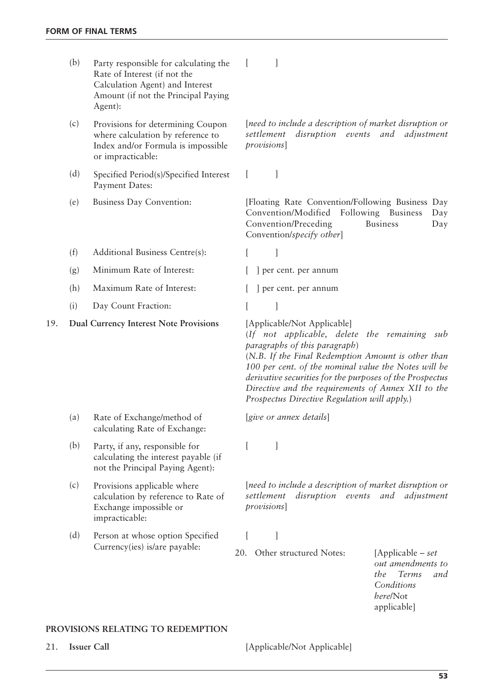|     | (b) | Party responsible for calculating the<br>Rate of Interest (if not the<br>Calculation Agent) and Interest<br>Amount (if not the Principal Paying<br>Agent): |                                                                                                                                                                                                                                                                                                                                                                                              |
|-----|-----|------------------------------------------------------------------------------------------------------------------------------------------------------------|----------------------------------------------------------------------------------------------------------------------------------------------------------------------------------------------------------------------------------------------------------------------------------------------------------------------------------------------------------------------------------------------|
|     | (c) | Provisions for determining Coupon<br>where calculation by reference to<br>Index and/or Formula is impossible<br>or impracticable:                          | [need to include a description of market disruption or<br>settlement<br>disruption events and<br>adjustment<br>provisions]                                                                                                                                                                                                                                                                   |
|     | (d) | Specified Period(s)/Specified Interest<br>Payment Dates:                                                                                                   | 1                                                                                                                                                                                                                                                                                                                                                                                            |
|     | (e) | Business Day Convention:                                                                                                                                   | [Floating Rate Convention/Following Business Day<br>Convention/Modified<br>Following Business<br>Day<br>Convention/Preceding<br><b>Business</b><br>Day<br>Convention/specify other]                                                                                                                                                                                                          |
|     | (f) | Additional Business Centre(s):                                                                                                                             | ]                                                                                                                                                                                                                                                                                                                                                                                            |
|     | (g) | Minimum Rate of Interest:                                                                                                                                  | ] per cent. per annum                                                                                                                                                                                                                                                                                                                                                                        |
|     | (h) | Maximum Rate of Interest:                                                                                                                                  | ] per cent. per annum                                                                                                                                                                                                                                                                                                                                                                        |
|     | (i) | Day Count Fraction:                                                                                                                                        |                                                                                                                                                                                                                                                                                                                                                                                              |
| 19. |     | <b>Dual Currency Interest Note Provisions</b>                                                                                                              | [Applicable/Not Applicable]<br>(If not applicable, delete the remaining sub<br>paragraphs of this paragraph)<br>(N.B. If the Final Redemption Amount is other than<br>100 per cent. of the nominal value the Notes will be<br>derivative securities for the purposes of the Prospectus<br>Directive and the requirements of Annex XII to the<br>Prospectus Directive Regulation will apply.) |
|     | (a) | Rate of Exchange/method of<br>calculating Rate of Exchange:                                                                                                | [give or annex details]                                                                                                                                                                                                                                                                                                                                                                      |
|     | (b) | Party, if any, responsible for<br>calculating the interest payable (if<br>not the Principal Paying Agent):                                                 |                                                                                                                                                                                                                                                                                                                                                                                              |
|     | (c) | Provisions applicable where<br>calculation by reference to Rate of<br>Exchange impossible or<br>impracticable:                                             | [need to include a description of market disruption or<br>settlement<br>disruption events<br>and<br>adjustment<br>provisions]                                                                                                                                                                                                                                                                |
|     | (d) | Person at whose option Specified                                                                                                                           |                                                                                                                                                                                                                                                                                                                                                                                              |
|     |     | Currency(ies) is/are payable:                                                                                                                              | Other structured Notes:<br>20.<br>[Applicable – set<br>out amendments to                                                                                                                                                                                                                                                                                                                     |

*the Terms and Conditions here*/Not applicable]

# **PROVISIONS RELATING TO REDEMPTION**

21. **Issuer Call** [Applicable/Not Applicable]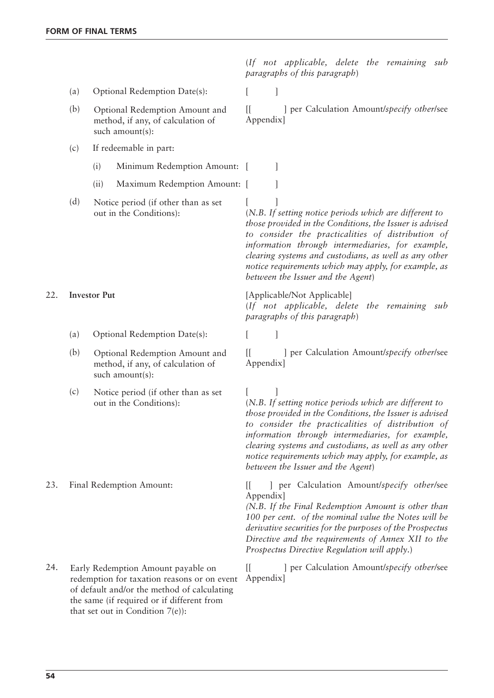(*If not applicable, delete the remaining sub paragraphs of this paragraph*)

- (a) Optional Redemption Date(s):
- Optional Redemption Amount and method, if any, of calculation of such amount(s):
- (c) If redeemable in part:
	- (i) Minimum Redemption Amount: [ ]
	- (ii) Maximum Redemption Amount: [ ]
- (d) Notice period (if other than as set [ out in the Conditions):

- (a) Optional Redemption Date(s): [ ]
- Optional Redemption Amount and method, if any, of calculation of such amount(s):
- $(c)$  Notice period (if other than as set  $[$ out in the Conditions):

redemption for taxation reasons or on event of default and/or the method of calculating the same (if required or if different from that set out in Condition 7(e)):

(b) Optional Redemption Amount and [[ ] per Calculation Amount/*specify other/see* Appendix]

> (*N.B. If setting notice periods which are different to those provided in the Conditions, the Issuer is advised to consider the practicalities of distribution of information through intermediaries, for example, clearing systems and custodians, as well as any other notice requirements which may apply, for example, as between the Issuer and the Agent*)

22. **Investor Put** [Applicable/Not Applicable] (*If not applicable, delete the remaining sub paragraphs of this paragraph*)

(b) Optional Redemption Amount and [[ ] per Calculation Amount/*specify other/see* Appendix]

> (*N.B. If setting notice periods which are different to those provided in the Conditions, the Issuer is advised to consider the practicalities of distribution of information through intermediaries, for example, clearing systems and custodians, as well as any other notice requirements which may apply, for example, as between the Issuer and the Agent*)

23. Final Redemption Amount: [[ ] per Calculation Amount/*specify other/*see Appendix]

> *(N.B. If the Final Redemption Amount is other than 100 per cent. of the nominal value the Notes will be derivative securities for the purposes of the Prospectus Directive and the requirements of Annex XII to the Prospectus Directive Regulation will apply*.)

24. Early Redemption Amount payable on [[ ] per Calculation Amount/*specify other/see* Appendix]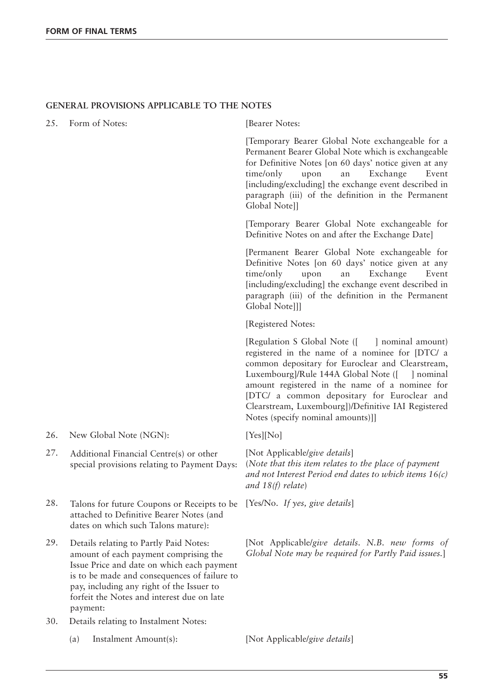# **GENERAL PROVISIONS APPLICABLE TO THE NOTES**

25. Form of Notes: [Bearer Notes:

[Temporary Bearer Global Note exchangeable for a Permanent Bearer Global Note which is exchangeable for Definitive Notes [on 60 days' notice given at any time/only upon an Exchange Event [including/excluding] the exchange event described in paragraph (iii) of the definition in the Permanent Global Note]]

[Temporary Bearer Global Note exchangeable for Definitive Notes on and after the Exchange Date]

[Permanent Bearer Global Note exchangeable for Definitive Notes [on 60 days' notice given at any time/only upon an Exchange Event [including/excluding] the exchange event described in paragraph (iii) of the definition in the Permanent Global Notelll

[Registered Notes:

[Regulation S Global Note ([ ] nominal amount) registered in the name of a nominee for [DTC/ a common depositary for Euroclear and Clearstream, Luxembourg]/Rule 144A Global Note ([ ] nominal amount registered in the name of a nominee for [DTC/ a common depositary for Euroclear and Clearstream, Luxembourg])/Definitive IAI Registered Notes (specify nominal amounts)]]

26. New Global Note (NGN): [Yes][No]

(*Note that this item relates to the place of payment and not Interest Period end dates to which items 16(c) and 18(f) relate*)

29. [Not Applicable/*give details*. *N.B. new forms of Global Note may be required for Partly Paid issues.*]

- 
- 27. Additional Financial Centre(s) or other [Not Applicable/give details] special provisions relating to Payment Days:
- 28. Talons for future Coupons or Receipts to be [Yes/No. If yes, give details] attached to Definitive Bearer Notes (and dates on which such Talons mature):
- Details relating to Partly Paid Notes: amount of each payment comprising the Issue Price and date on which each payment is to be made and consequences of failure to pay, including any right of the Issuer to forfeit the Notes and interest due on late payment:
- 30. Details relating to Instalment Notes:
	- (a) Instalment Amount(s): [Not Applicable/*give details*]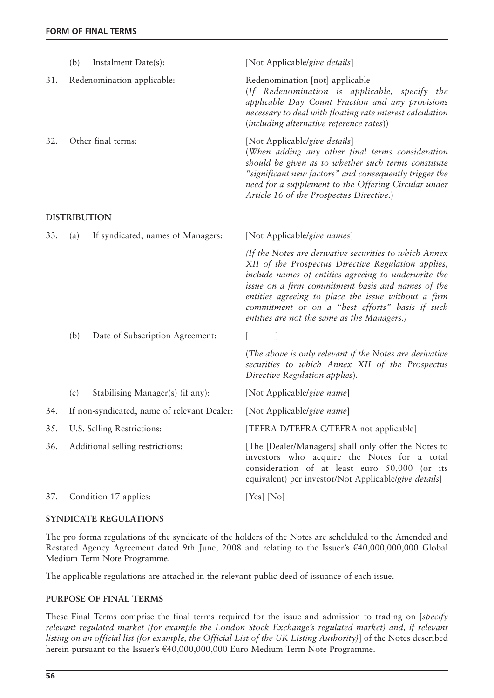|                     | (b)                                         | Instalment Date(s):               | [Not Applicable/give details]                                                                                                                                                                                                                                                                                                                                                       |  |  |  |
|---------------------|---------------------------------------------|-----------------------------------|-------------------------------------------------------------------------------------------------------------------------------------------------------------------------------------------------------------------------------------------------------------------------------------------------------------------------------------------------------------------------------------|--|--|--|
| 31.                 |                                             | Redenomination applicable:        | Redenomination [not] applicable<br>(If Redenomination is applicable, specify the<br>applicable Day Count Fraction and any provisions<br>necessary to deal with floating rate interest calculation<br>(including alternative reference rates))                                                                                                                                       |  |  |  |
| 32.                 |                                             | Other final terms:                | [Not Applicable/give details]<br>(When adding any other final terms consideration<br>should be given as to whether such terms constitute<br>"significant new factors" and consequently trigger the<br>need for a supplement to the Offering Circular under<br>Article 16 of the Prospectus Directive.)                                                                              |  |  |  |
| <b>DISTRIBUTION</b> |                                             |                                   |                                                                                                                                                                                                                                                                                                                                                                                     |  |  |  |
| 33.                 | (a)                                         | If syndicated, names of Managers: | [Not Applicable/give names]                                                                                                                                                                                                                                                                                                                                                         |  |  |  |
|                     |                                             |                                   | (If the Notes are derivative securities to which Annex<br>XII of the Prospectus Directive Regulation applies,<br>include names of entities agreeing to underwrite the<br>issue on a firm commitment basis and names of the<br>entities agreeing to place the issue without a firm<br>commitment or on a "best efforts" basis if such<br>entities are not the same as the Managers.) |  |  |  |
|                     | (b)                                         | Date of Subscription Agreement:   |                                                                                                                                                                                                                                                                                                                                                                                     |  |  |  |
|                     |                                             |                                   | (The above is only relevant if the Notes are derivative<br>securities to which Annex XII of the Prospectus<br>Directive Regulation applies).                                                                                                                                                                                                                                        |  |  |  |
|                     | (c)                                         | Stabilising Manager(s) (if any):  | [Not Applicable/give name]                                                                                                                                                                                                                                                                                                                                                          |  |  |  |
| 34.                 | If non-syndicated, name of relevant Dealer: |                                   | [Not Applicable/give name]                                                                                                                                                                                                                                                                                                                                                          |  |  |  |
| 35.                 | U.S. Selling Restrictions:                  |                                   | [TEFRA D/TEFRA C/TEFRA not applicable]                                                                                                                                                                                                                                                                                                                                              |  |  |  |
| 36.                 | Additional selling restrictions:            |                                   | [The [Dealer/Managers] shall only offer the Notes to<br>investors who acquire the Notes for a total<br>consideration of at least euro 50,000 (or its<br>equivalent) per investor/Not Applicable/give details]                                                                                                                                                                       |  |  |  |
| 37.                 | Condition 17 applies:                       |                                   | [Yes] [No]                                                                                                                                                                                                                                                                                                                                                                          |  |  |  |

# **SYNDICATE REGULATIONS**

The pro forma regulations of the syndicate of the holders of the Notes are schelduled to the Amended and Restated Agency Agreement dated 9th June, 2008 and relating to the Issuer's €40,000,000,000 Global Medium Term Note Programme.

The applicable regulations are attached in the relevant public deed of issuance of each issue.

# **PURPOSE OF FINAL TERMS**

These Final Terms comprise the final terms required for the issue and admission to trading on [*specify relevant regulated market (for example the London Stock Exchange's regulated market) and, if relevant listing on an official list (for example, the Official List of the UK Listing Authority)*] of the Notes described herein pursuant to the Issuer's €40,000,000,000 Euro Medium Term Note Programme.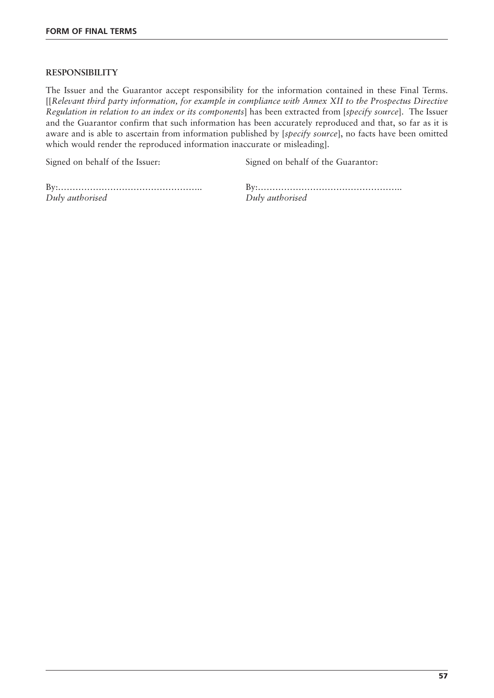# **RESPONSIBILITY**

The Issuer and the Guarantor accept responsibility for the information contained in these Final Terms. [[*Relevant third party information, for example in compliance with Annex XII to the Prospectus Directive Regulation in relation to an index or its components*] has been extracted from [*specify source*]. The Issuer and the Guarantor confirm that such information has been accurately reproduced and that, so far as it is aware and is able to ascertain from information published by [*specify source*], no facts have been omitted which would render the reproduced information inaccurate or misleading].

Signed on behalf of the Issuer: Signed on behalf of the Guarantor:

*Duly authorised Duly authorised*

By:………………………………………….. By:…………………………………………..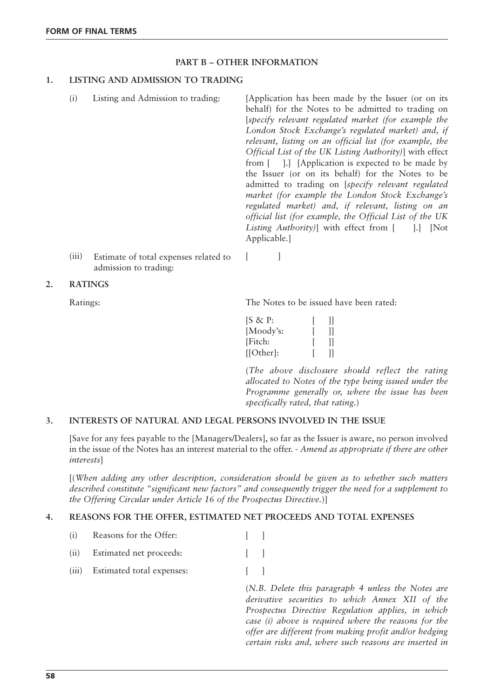# **PART B – OTHER INFORMATION**

# **1. LISTING AND ADMISSION TO TRADING**

(i) Listing and Admission to trading: [Application has been made by the Issuer (or on its behalf) for the Notes to be admitted to trading on [*specify relevant regulated market (for example the London Stock Exchange's regulated market) and, if relevant, listing on an official list (for example, the Official List of the UK Listing Authority)*] with effect from [ ].] [Application is expected to be made by the Issuer (or on its behalf) for the Notes to be admitted to trading on [*specify relevant regulated market (for example the London Stock Exchange's regulated market) and, if relevant, listing on an official list (for example, the Official List of the UK Listing Authority*)] with effect from [ ].] [Not Applicable.]

- (iii) Estimate of total expenses related to [ admission to trading:
- **2. RATINGS**

Ratings: The Notes to be issued have been rated:

| $[S \& P:$   | Ш            |
|--------------|--------------|
| [Moody's:    | $\mathbf{I}$ |
| [Fitch:      | $\mathbf{I}$ |
| $[ Other]$ : |              |

(*The above disclosure should reflect the rating allocated to Notes of the type being issued under the Programme generally or, where the issue has been specifically rated, that rating.*)

## **3. INTERESTS OF NATURAL AND LEGAL PERSONS INVOLVED IN THE ISSUE**

[Save for any fees payable to the [Managers/Dealers], so far as the Issuer is aware, no person involved in the issue of the Notes has an interest material to the offer. - *Amend as appropriate if there are other interests*]

[(*When adding any other description, consideration should be given as to whether such matters described constitute "significant new factors" and consequently trigger the need for a supplement to the Offering Circular under Article 16 of the Prospectus Directive.*)]

## **4. REASONS FOR THE OFFER, ESTIMATED NET PROCEEDS AND TOTAL EXPENSES**

- (i) Reasons for the Offer: [ ]
- (ii) Estimated net proceeds: [ ]
- (iii) Estimated total expenses: [ ]

(*N.B. Delete this paragraph 4 unless the Notes are derivative securities to which Annex XII of the Prospectus Directive Regulation applies, in which case (i) above is required where the reasons for the offer are different from making profit and/or hedging certain risks and, where such reasons are inserted in*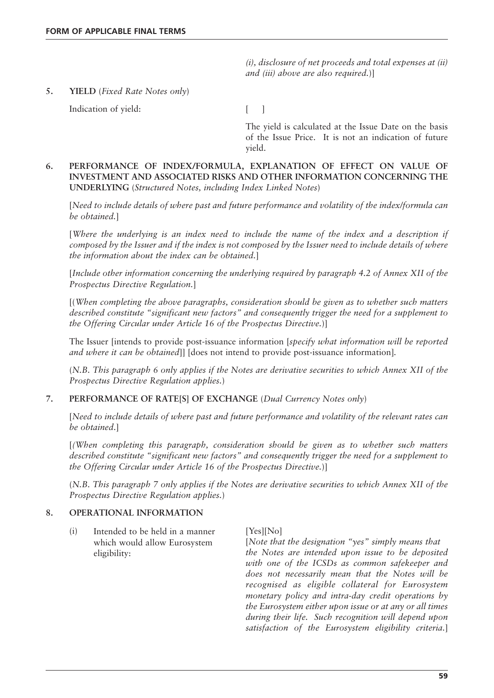*(i), disclosure of net proceeds and total expenses at (ii) and (iii) above are also required.*)]

**5. YIELD** (*Fixed Rate Notes only*)

Indication of yield: [ ]

The yield is calculated at the Issue Date on the basis of the Issue Price. It is not an indication of future yield.

# **6. PERFORMANCE OF INDEX/FORMULA, EXPLANATION OF EFFECT ON VALUE OF INVESTMENT AND ASSOCIATED RISKS AND OTHER INFORMATION CONCERNING THE UNDERLYING** (*Structured Notes, including Index Linked Notes*)

[*Need to include details of where past and future performance and volatility of the index/formula can be obtained.*]

[*Where the underlying is an index need to include the name of the index and a description if composed by the Issuer and if the index is not composed by the Issuer need to include details of where the information about the index can be obtained.*]

[*Include other information concerning the underlying required by paragraph 4.2 of Annex XII of the Prospectus Directive Regulation.*]

[(*When completing the above paragraphs, consideration should be given as to whether such matters described constitute "significant new factors" and consequently trigger the need for a supplement to the Offering Circular under Article 16 of the Prospectus Directive.*)]

The Issuer [intends to provide post-issuance information [*specify what information will be reported and where it can be obtained*]] [does not intend to provide post-issuance information]*.*

(*N.B. This paragraph 6 only applies if the Notes are derivative securities to which Annex XII of the Prospectus Directive Regulation applies.*)

# **7. PERFORMANCE OF RATE[S] OF EXCHANGE** (*Dual Currency Notes only*)

[*Need to include details of where past and future performance and volatility of the relevant rates can be obtained*.]

[*(When completing this paragraph, consideration should be given as to whether such matters described constitute "significant new factors" and consequently trigger the need for a supplement to the Offering Circular under Article 16 of the Prospectus Directive.*)]

(*N.B. This paragraph 7 only applies if the Notes are derivative securities to which Annex XII of the Prospectus Directive Regulation applies.*)

# **8. OPERATIONAL INFORMATION**

 $(i)$  Intended to be held in a manner [Yes][No] which would allow Eurosystem eligibility:

[*Note that the designation "yes" simply means that the Notes are intended upon issue to be deposited with one of the ICSDs as common safekeeper and does not necessarily mean that the Notes will be recognised as eligible collateral for Eurosystem monetary policy and intra-day credit operations by the Eurosystem either upon issue or at any or all times during their life. Such recognition will depend upon satisfaction of the Eurosystem eligibility criteria.*]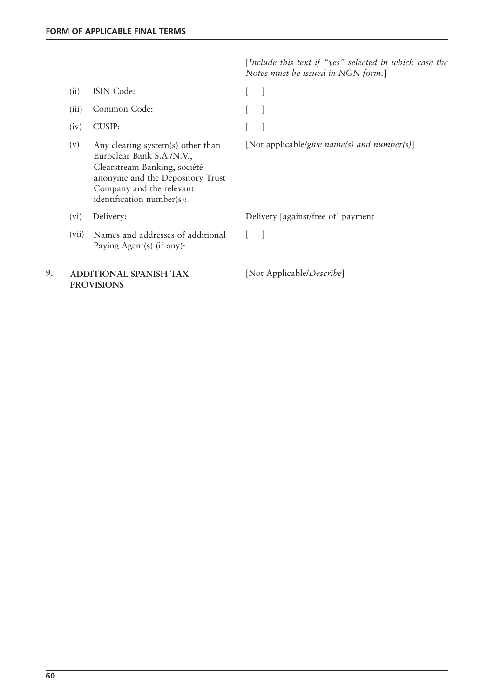[*Include this text if "yes" selected in which case the Notes must be issued in NGN form.*]

|    | (ii)  | ISIN Code:                                                                                                                                                                                  |                                             |
|----|-------|---------------------------------------------------------------------------------------------------------------------------------------------------------------------------------------------|---------------------------------------------|
|    | (iii) | Common Code:                                                                                                                                                                                |                                             |
|    | (iv)  | <b>CUSIP:</b>                                                                                                                                                                               |                                             |
|    | (v)   | Any clearing system(s) other than<br>Euroclear Bank S.A./N.V.,<br>Clearstream Banking, société<br>anonyme and the Depository Trust<br>Company and the relevant<br>identification number(s): | [Not applicable/give name(s) and number(s)] |
|    | (vi)  | Delivery:                                                                                                                                                                                   | Delivery [against/free of] payment          |
|    | (vii) | Names and addresses of additional<br>Paying Agent(s) (if any):                                                                                                                              |                                             |
| 9. |       | <b>ADDITIONAL SPANISH TAX</b><br><b>PROVISIONS</b>                                                                                                                                          | [Not Applicable/Describe]                   |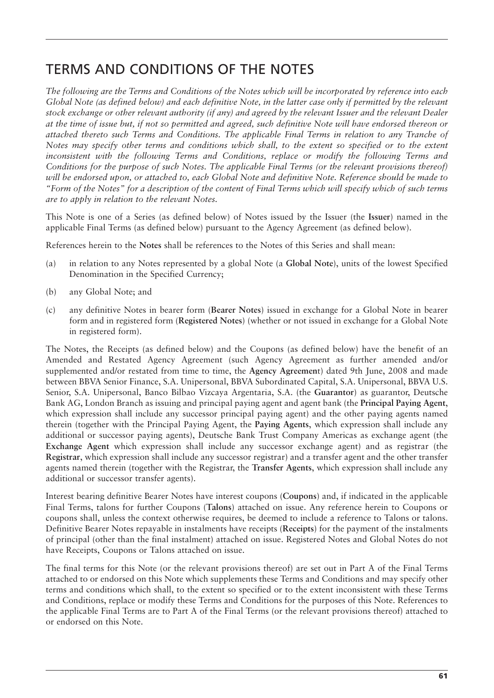# TERMS AND CONDITIONS OF THE NOTES

*The following are the Terms and Conditions of the Notes which will be incorporated by reference into each Global Note (as defined below) and each definitive Note, in the latter case only if permitted by the relevant stock exchange or other relevant authority (if any) and agreed by the relevant Issuer and the relevant Dealer at the time of issue but, if not so permitted and agreed, such definitive Note will have endorsed thereon or attached thereto such Terms and Conditions. The applicable Final Terms in relation to any Tranche of Notes may specify other terms and conditions which shall, to the extent so specified or to the extent inconsistent with the following Terms and Conditions, replace or modify the following Terms and Conditions for the purpose of such Notes. The applicable Final Terms (or the relevant provisions thereof) will be endorsed upon, or attached to, each Global Note and definitive Note. Reference should be made to "Form of the Notes" for a description of the content of Final Terms which will specify which of such terms are to apply in relation to the relevant Notes.*

This Note is one of a Series (as defined below) of Notes issued by the Issuer (the **Issuer**) named in the applicable Final Terms (as defined below) pursuant to the Agency Agreement (as defined below).

References herein to the **Notes** shall be references to the Notes of this Series and shall mean:

- (a) in relation to any Notes represented by a global Note (a **Global Note**), units of the lowest Specified Denomination in the Specified Currency;
- (b) any Global Note; and
- (c) any definitive Notes in bearer form (**Bearer Notes**) issued in exchange for a Global Note in bearer form and in registered form (**Registered Notes**) (whether or not issued in exchange for a Global Note in registered form).

The Notes, the Receipts (as defined below) and the Coupons (as defined below) have the benefit of an Amended and Restated Agency Agreement (such Agency Agreement as further amended and/or supplemented and/or restated from time to time, the **Agency Agreemen**t) dated 9th June, 2008 and made between BBVA Senior Finance, S.A. Unipersonal, BBVA Subordinated Capital, S.A. Unipersonal, BBVA U.S. Senior, S.A. Unipersonal, Banco Bilbao Vizcaya Argentaria, S.A. (the **Guarantor**) as guarantor, Deutsche Bank AG, London Branch as issuing and principal paying agent and agent bank (the **Principal Paying Agent**, which expression shall include any successor principal paying agent) and the other paying agents named therein (together with the Principal Paying Agent, the **Paying Agents**, which expression shall include any additional or successor paying agents), Deutsche Bank Trust Company Americas as exchange agent (the **Exchange Agent** which expression shall include any successor exchange agent) and as registrar (the **Registrar**, which expression shall include any successor registrar) and a transfer agent and the other transfer agents named therein (together with the Registrar, the **Transfer Agents**, which expression shall include any additional or successor transfer agents).

Interest bearing definitive Bearer Notes have interest coupons (**Coupons**) and, if indicated in the applicable Final Terms, talons for further Coupons (**Talons**) attached on issue. Any reference herein to Coupons or coupons shall, unless the context otherwise requires, be deemed to include a reference to Talons or talons. Definitive Bearer Notes repayable in instalments have receipts (**Receipts**) for the payment of the instalments of principal (other than the final instalment) attached on issue. Registered Notes and Global Notes do not have Receipts, Coupons or Talons attached on issue.

The final terms for this Note (or the relevant provisions thereof) are set out in Part A of the Final Terms attached to or endorsed on this Note which supplements these Terms and Conditions and may specify other terms and conditions which shall, to the extent so specified or to the extent inconsistent with these Terms and Conditions, replace or modify these Terms and Conditions for the purposes of this Note. References to the applicable Final Terms are to Part A of the Final Terms (or the relevant provisions thereof) attached to or endorsed on this Note.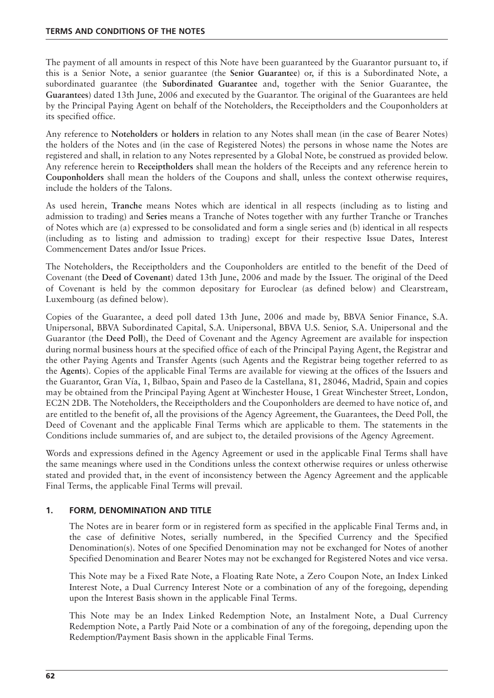The payment of all amounts in respect of this Note have been guaranteed by the Guarantor pursuant to, if this is a Senior Note, a senior guarantee (the **Senior Guarantee**) or, if this is a Subordinated Note, a subordinated guarantee (the **Subordinated Guarantee** and, together with the Senior Guarantee, the **Guarantees**) dated 13th June, 2006 and executed by the Guarantor. The original of the Guarantees are held by the Principal Paying Agent on behalf of the Noteholders, the Receiptholders and the Couponholders at its specified office.

Any reference to **Noteholders** or **holders** in relation to any Notes shall mean (in the case of Bearer Notes) the holders of the Notes and (in the case of Registered Notes) the persons in whose name the Notes are registered and shall, in relation to any Notes represented by a Global Note, be construed as provided below. Any reference herein to **Receiptholders** shall mean the holders of the Receipts and any reference herein to **Couponholders** shall mean the holders of the Coupons and shall, unless the context otherwise requires, include the holders of the Talons.

As used herein, **Tranche** means Notes which are identical in all respects (including as to listing and admission to trading) and **Series** means a Tranche of Notes together with any further Tranche or Tranches of Notes which are (a) expressed to be consolidated and form a single series and (b) identical in all respects (including as to listing and admission to trading) except for their respective Issue Dates, Interest Commencement Dates and/or Issue Prices.

The Noteholders, the Receiptholders and the Couponholders are entitled to the benefit of the Deed of Covenant (the **Deed of Covenant**) dated 13th June, 2006 and made by the Issuer. The original of the Deed of Covenant is held by the common depositary for Euroclear (as defined below) and Clearstream, Luxembourg (as defined below).

Copies of the Guarantee, a deed poll dated 13th June, 2006 and made by, BBVA Senior Finance, S.A. Unipersonal, BBVA Subordinated Capital, S.A. Unipersonal, BBVA U.S. Senior, S.A. Unipersonal and the Guarantor (the **Deed Poll**), the Deed of Covenant and the Agency Agreement are available for inspection during normal business hours at the specified office of each of the Principal Paying Agent, the Registrar and the other Paying Agents and Transfer Agents (such Agents and the Registrar being together referred to as the **Agents**). Copies of the applicable Final Terms are available for viewing at the offices of the Issuers and the Guarantor, Gran Vía, 1, Bilbao, Spain and Paseo de la Castellana, 81, 28046, Madrid, Spain and copies may be obtained from the Principal Paying Agent at Winchester House, 1 Great Winchester Street, London, EC2N 2DB. The Noteholders, the Receiptholders and the Couponholders are deemed to have notice of, and are entitled to the benefit of, all the provisions of the Agency Agreement, the Guarantees, the Deed Poll, the Deed of Covenant and the applicable Final Terms which are applicable to them. The statements in the Conditions include summaries of, and are subject to, the detailed provisions of the Agency Agreement.

Words and expressions defined in the Agency Agreement or used in the applicable Final Terms shall have the same meanings where used in the Conditions unless the context otherwise requires or unless otherwise stated and provided that, in the event of inconsistency between the Agency Agreement and the applicable Final Terms, the applicable Final Terms will prevail.

# **1. FORM, DENOMINATION AND TITLE**

The Notes are in bearer form or in registered form as specified in the applicable Final Terms and, in the case of definitive Notes, serially numbered, in the Specified Currency and the Specified Denomination(s). Notes of one Specified Denomination may not be exchanged for Notes of another Specified Denomination and Bearer Notes may not be exchanged for Registered Notes and vice versa.

This Note may be a Fixed Rate Note, a Floating Rate Note, a Zero Coupon Note, an Index Linked Interest Note, a Dual Currency Interest Note or a combination of any of the foregoing, depending upon the Interest Basis shown in the applicable Final Terms.

This Note may be an Index Linked Redemption Note, an Instalment Note, a Dual Currency Redemption Note, a Partly Paid Note or a combination of any of the foregoing, depending upon the Redemption/Payment Basis shown in the applicable Final Terms.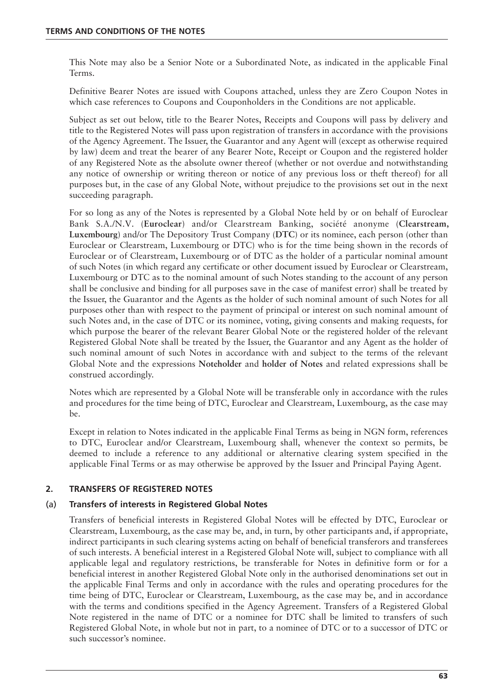This Note may also be a Senior Note or a Subordinated Note, as indicated in the applicable Final Terms.

Definitive Bearer Notes are issued with Coupons attached, unless they are Zero Coupon Notes in which case references to Coupons and Couponholders in the Conditions are not applicable.

Subject as set out below, title to the Bearer Notes, Receipts and Coupons will pass by delivery and title to the Registered Notes will pass upon registration of transfers in accordance with the provisions of the Agency Agreement. The Issuer, the Guarantor and any Agent will (except as otherwise required by law) deem and treat the bearer of any Bearer Note, Receipt or Coupon and the registered holder of any Registered Note as the absolute owner thereof (whether or not overdue and notwithstanding any notice of ownership or writing thereon or notice of any previous loss or theft thereof) for all purposes but, in the case of any Global Note, without prejudice to the provisions set out in the next succeeding paragraph.

For so long as any of the Notes is represented by a Global Note held by or on behalf of Euroclear Bank S.A./N.V. (**Euroclear**) and/or Clearstream Banking, société anonyme (**Clearstream, Luxembourg**) and/or The Depository Trust Company (**DTC**) or its nominee, each person (other than Euroclear or Clearstream, Luxembourg or DTC) who is for the time being shown in the records of Euroclear or of Clearstream, Luxembourg or of DTC as the holder of a particular nominal amount of such Notes (in which regard any certificate or other document issued by Euroclear or Clearstream, Luxembourg or DTC as to the nominal amount of such Notes standing to the account of any person shall be conclusive and binding for all purposes save in the case of manifest error) shall be treated by the Issuer, the Guarantor and the Agents as the holder of such nominal amount of such Notes for all purposes other than with respect to the payment of principal or interest on such nominal amount of such Notes and, in the case of DTC or its nominee, voting, giving consents and making requests, for which purpose the bearer of the relevant Bearer Global Note or the registered holder of the relevant Registered Global Note shall be treated by the Issuer, the Guarantor and any Agent as the holder of such nominal amount of such Notes in accordance with and subject to the terms of the relevant Global Note and the expressions **Noteholder** and **holder of Notes** and related expressions shall be construed accordingly.

Notes which are represented by a Global Note will be transferable only in accordance with the rules and procedures for the time being of DTC, Euroclear and Clearstream, Luxembourg, as the case may be.

Except in relation to Notes indicated in the applicable Final Terms as being in NGN form, references to DTC, Euroclear and/or Clearstream, Luxembourg shall, whenever the context so permits, be deemed to include a reference to any additional or alternative clearing system specified in the applicable Final Terms or as may otherwise be approved by the Issuer and Principal Paying Agent.

# **2. TRANSFERS OF REGISTERED NOTES**

# (a) **Transfers of interests in Registered Global Notes**

Transfers of beneficial interests in Registered Global Notes will be effected by DTC, Euroclear or Clearstream, Luxembourg, as the case may be, and, in turn, by other participants and, if appropriate, indirect participants in such clearing systems acting on behalf of beneficial transferors and transferees of such interests. A beneficial interest in a Registered Global Note will, subject to compliance with all applicable legal and regulatory restrictions, be transferable for Notes in definitive form or for a beneficial interest in another Registered Global Note only in the authorised denominations set out in the applicable Final Terms and only in accordance with the rules and operating procedures for the time being of DTC, Euroclear or Clearstream, Luxembourg, as the case may be, and in accordance with the terms and conditions specified in the Agency Agreement. Transfers of a Registered Global Note registered in the name of DTC or a nominee for DTC shall be limited to transfers of such Registered Global Note, in whole but not in part, to a nominee of DTC or to a successor of DTC or such successor's nominee.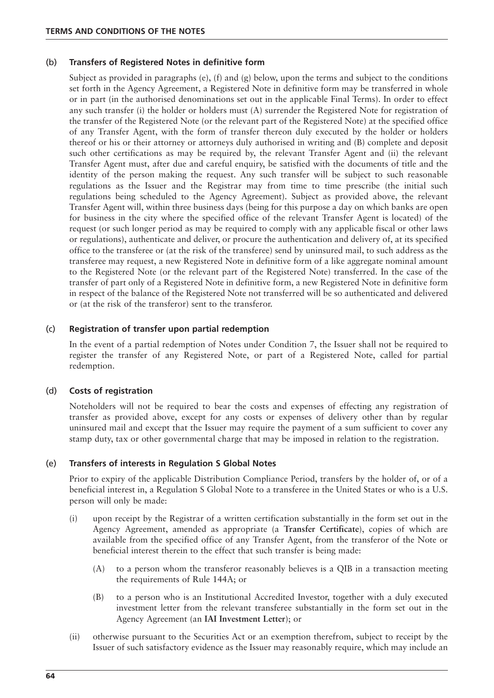# (b) **Transfers of Registered Notes in definitive form**

Subject as provided in paragraphs (e), (f) and (g) below, upon the terms and subject to the conditions set forth in the Agency Agreement, a Registered Note in definitive form may be transferred in whole or in part (in the authorised denominations set out in the applicable Final Terms). In order to effect any such transfer (i) the holder or holders must (A) surrender the Registered Note for registration of the transfer of the Registered Note (or the relevant part of the Registered Note) at the specified office of any Transfer Agent, with the form of transfer thereon duly executed by the holder or holders thereof or his or their attorney or attorneys duly authorised in writing and (B) complete and deposit such other certifications as may be required by, the relevant Transfer Agent and (ii) the relevant Transfer Agent must, after due and careful enquiry, be satisfied with the documents of title and the identity of the person making the request. Any such transfer will be subject to such reasonable regulations as the Issuer and the Registrar may from time to time prescribe (the initial such regulations being scheduled to the Agency Agreement). Subject as provided above, the relevant Transfer Agent will, within three business days (being for this purpose a day on which banks are open for business in the city where the specified office of the relevant Transfer Agent is located) of the request (or such longer period as may be required to comply with any applicable fiscal or other laws or regulations), authenticate and deliver, or procure the authentication and delivery of, at its specified office to the transferee or (at the risk of the transferee) send by uninsured mail, to such address as the transferee may request, a new Registered Note in definitive form of a like aggregate nominal amount to the Registered Note (or the relevant part of the Registered Note) transferred. In the case of the transfer of part only of a Registered Note in definitive form, a new Registered Note in definitive form in respect of the balance of the Registered Note not transferred will be so authenticated and delivered or (at the risk of the transferor) sent to the transferor.

# (c) **Registration of transfer upon partial redemption**

In the event of a partial redemption of Notes under Condition 7, the Issuer shall not be required to register the transfer of any Registered Note, or part of a Registered Note, called for partial redemption.

## (d) **Costs of registration**

Noteholders will not be required to bear the costs and expenses of effecting any registration of transfer as provided above, except for any costs or expenses of delivery other than by regular uninsured mail and except that the Issuer may require the payment of a sum sufficient to cover any stamp duty, tax or other governmental charge that may be imposed in relation to the registration.

## (e) **Transfers of interests in Regulation S Global Notes**

Prior to expiry of the applicable Distribution Compliance Period, transfers by the holder of, or of a beneficial interest in, a Regulation S Global Note to a transferee in the United States or who is a U.S. person will only be made:

- (i) upon receipt by the Registrar of a written certification substantially in the form set out in the Agency Agreement, amended as appropriate (a **Transfer Certificate**), copies of which are available from the specified office of any Transfer Agent, from the transferor of the Note or beneficial interest therein to the effect that such transfer is being made:
	- (A) to a person whom the transferor reasonably believes is a QIB in a transaction meeting the requirements of Rule 144A; or
	- (B) to a person who is an Institutional Accredited Investor, together with a duly executed investment letter from the relevant transferee substantially in the form set out in the Agency Agreement (an **IAI Investment Letter**); or
- (ii) otherwise pursuant to the Securities Act or an exemption therefrom, subject to receipt by the Issuer of such satisfactory evidence as the Issuer may reasonably require, which may include an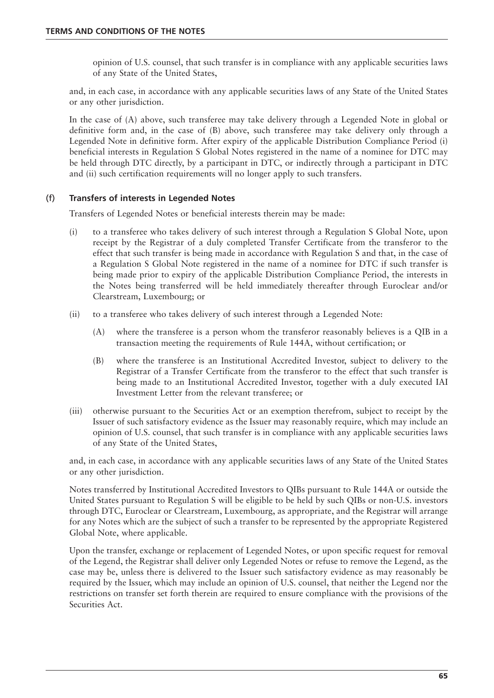opinion of U.S. counsel, that such transfer is in compliance with any applicable securities laws of any State of the United States,

and, in each case, in accordance with any applicable securities laws of any State of the United States or any other jurisdiction.

In the case of (A) above, such transferee may take delivery through a Legended Note in global or definitive form and, in the case of (B) above, such transferee may take delivery only through a Legended Note in definitive form. After expiry of the applicable Distribution Compliance Period (i) beneficial interests in Regulation S Global Notes registered in the name of a nominee for DTC may be held through DTC directly, by a participant in DTC, or indirectly through a participant in DTC and (ii) such certification requirements will no longer apply to such transfers.

# (f) **Transfers of interests in Legended Notes**

Transfers of Legended Notes or beneficial interests therein may be made:

- (i) to a transferee who takes delivery of such interest through a Regulation S Global Note, upon receipt by the Registrar of a duly completed Transfer Certificate from the transferor to the effect that such transfer is being made in accordance with Regulation S and that, in the case of a Regulation S Global Note registered in the name of a nominee for DTC if such transfer is being made prior to expiry of the applicable Distribution Compliance Period, the interests in the Notes being transferred will be held immediately thereafter through Euroclear and/or Clearstream, Luxembourg; or
- (ii) to a transferee who takes delivery of such interest through a Legended Note:
	- (A) where the transferee is a person whom the transferor reasonably believes is a QIB in a transaction meeting the requirements of Rule 144A, without certification; or
	- (B) where the transferee is an Institutional Accredited Investor, subject to delivery to the Registrar of a Transfer Certificate from the transferor to the effect that such transfer is being made to an Institutional Accredited Investor, together with a duly executed IAI Investment Letter from the relevant transferee; or
- (iii) otherwise pursuant to the Securities Act or an exemption therefrom, subject to receipt by the Issuer of such satisfactory evidence as the Issuer may reasonably require, which may include an opinion of U.S. counsel, that such transfer is in compliance with any applicable securities laws of any State of the United States,

and, in each case, in accordance with any applicable securities laws of any State of the United States or any other jurisdiction.

Notes transferred by Institutional Accredited Investors to QIBs pursuant to Rule 144A or outside the United States pursuant to Regulation S will be eligible to be held by such QIBs or non-U.S. investors through DTC, Euroclear or Clearstream, Luxembourg, as appropriate, and the Registrar will arrange for any Notes which are the subject of such a transfer to be represented by the appropriate Registered Global Note, where applicable.

Upon the transfer, exchange or replacement of Legended Notes, or upon specific request for removal of the Legend, the Registrar shall deliver only Legended Notes or refuse to remove the Legend, as the case may be, unless there is delivered to the Issuer such satisfactory evidence as may reasonably be required by the Issuer, which may include an opinion of U.S. counsel, that neither the Legend nor the restrictions on transfer set forth therein are required to ensure compliance with the provisions of the Securities Act.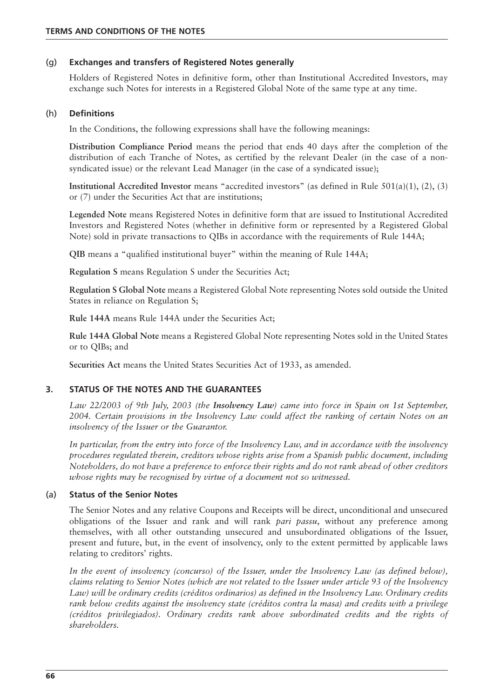# (g) **Exchanges and transfers of Registered Notes generally**

Holders of Registered Notes in definitive form, other than Institutional Accredited Investors, may exchange such Notes for interests in a Registered Global Note of the same type at any time.

# (h) **Definitions**

In the Conditions, the following expressions shall have the following meanings:

**Distribution Compliance Period** means the period that ends 40 days after the completion of the distribution of each Tranche of Notes, as certified by the relevant Dealer (in the case of a nonsyndicated issue) or the relevant Lead Manager (in the case of a syndicated issue);

**Institutional Accredited Investor** means "accredited investors" (as defined in Rule 501(a)(1), (2), (3) or (7) under the Securities Act that are institutions;

**Legended Note** means Registered Notes in definitive form that are issued to Institutional Accredited Investors and Registered Notes (whether in definitive form or represented by a Registered Global Note) sold in private transactions to QIBs in accordance with the requirements of Rule 144A;

**QIB** means a "qualified institutional buyer" within the meaning of Rule 144A;

**Regulation S** means Regulation S under the Securities Act;

**Regulation S Global Note** means a Registered Global Note representing Notes sold outside the United States in reliance on Regulation S;

**Rule 144A** means Rule 144A under the Securities Act;

**Rule 144A Global Note** means a Registered Global Note representing Notes sold in the United States or to QIBs; and

**Securities Act** means the United States Securities Act of 1933, as amended.

# **3. STATUS OF THE NOTES AND THE GUARANTEES**

*Law 22/2003 of 9th July, 2003 (the Insolvency Law) came into force in Spain on 1st September, 2004. Certain provisions in the Insolvency Law could affect the ranking of certain Notes on an insolvency of the Issuer or the Guarantor.*

*In particular, from the entry into force of the Insolvency Law, and in accordance with the insolvency procedures regulated therein, creditors whose rights arise from a Spanish public document, including Noteholders, do not have a preference to enforce their rights and do not rank ahead of other creditors whose rights may be recognised by virtue of a document not so witnessed.*

## (a) **Status of the Senior Notes**

The Senior Notes and any relative Coupons and Receipts will be direct, unconditional and unsecured obligations of the Issuer and rank and will rank *pari passu*, without any preference among themselves, with all other outstanding unsecured and unsubordinated obligations of the Issuer, present and future, but, in the event of insolvency, only to the extent permitted by applicable laws relating to creditors' rights.

*In the event of insolvency (concurso) of the Issuer, under the Insolvency Law (as defined below), claims relating to Senior Notes (which are not related to the Issuer under article 93 of the Insolvency Law) will be ordinary credits (créditos ordinarios) as defined in the Insolvency Law. Ordinary credits rank below credits against the insolvency state (créditos contra la masa) and credits with a privilege (créditos privilegiados). Ordinary credits rank above subordinated credits and the rights of shareholders.*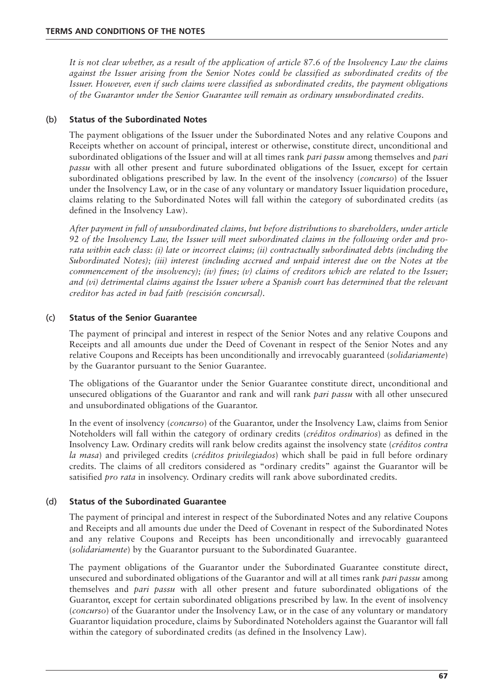*It is not clear whether, as a result of the application of article 87.6 of the Insolvency Law the claims against the Issuer arising from the Senior Notes could be classified as subordinated credits of the Issuer. However, even if such claims were classified as subordinated credits, the payment obligations of the Guarantor under the Senior Guarantee will remain as ordinary unsubordinated credits.*

# (b) **Status of the Subordinated Notes**

The payment obligations of the Issuer under the Subordinated Notes and any relative Coupons and Receipts whether on account of principal, interest or otherwise, constitute direct, unconditional and subordinated obligations of the Issuer and will at all times rank *pari passu* among themselves and *pari passu* with all other present and future subordinated obligations of the Issuer, except for certain subordinated obligations prescribed by law. In the event of the insolvency (*concurso*) of the Issuer under the Insolvency Law, or in the case of any voluntary or mandatory Issuer liquidation procedure, claims relating to the Subordinated Notes will fall within the category of subordinated credits (as defined in the Insolvency Law).

*After payment in full of unsubordinated claims, but before distributions to shareholders, under article 92 of the Insolvency Law, the Issuer will meet subordinated claims in the following order and prorata within each class: (i) late or incorrect claims; (ii) contractually subordinated debts (including the Subordinated Notes); (iii) interest (including accrued and unpaid interest due on the Notes at the commencement of the insolvency); (iv) fines; (v) claims of creditors which are related to the Issuer; and (vi) detrimental claims against the Issuer where a Spanish court has determined that the relevant creditor has acted in bad faith (rescisión concursal).*

# (c) **Status of the Senior Guarantee**

The payment of principal and interest in respect of the Senior Notes and any relative Coupons and Receipts and all amounts due under the Deed of Covenant in respect of the Senior Notes and any relative Coupons and Receipts has been unconditionally and irrevocably guaranteed (*solidariamente*) by the Guarantor pursuant to the Senior Guarantee.

The obligations of the Guarantor under the Senior Guarantee constitute direct, unconditional and unsecured obligations of the Guarantor and rank and will rank *pari passu* with all other unsecured and unsubordinated obligations of the Guarantor.

In the event of insolvency (*concurso*) of the Guarantor, under the Insolvency Law, claims from Senior Noteholders will fall within the category of ordinary credits (*créditos ordinarios*) as defined in the Insolvency Law. Ordinary credits will rank below credits against the insolvency state (*créditos contra la masa*) and privileged credits (*créditos privilegiados*) which shall be paid in full before ordinary credits. The claims of all creditors considered as "ordinary credits" against the Guarantor will be satisified *pro rata* in insolvency. Ordinary credits will rank above subordinated credits.

# (d) **Status of the Subordinated Guarantee**

The payment of principal and interest in respect of the Subordinated Notes and any relative Coupons and Receipts and all amounts due under the Deed of Covenant in respect of the Subordinated Notes and any relative Coupons and Receipts has been unconditionally and irrevocably guaranteed (*solidariamente*) by the Guarantor pursuant to the Subordinated Guarantee.

The payment obligations of the Guarantor under the Subordinated Guarantee constitute direct, unsecured and subordinated obligations of the Guarantor and will at all times rank *pari passu* among themselves and *pari passu* with all other present and future subordinated obligations of the Guarantor, except for certain subordinated obligations prescribed by law. In the event of insolvency (*concurso*) of the Guarantor under the Insolvency Law, or in the case of any voluntary or mandatory Guarantor liquidation procedure, claims by Subordinated Noteholders against the Guarantor will fall within the category of subordinated credits (as defined in the Insolvency Law).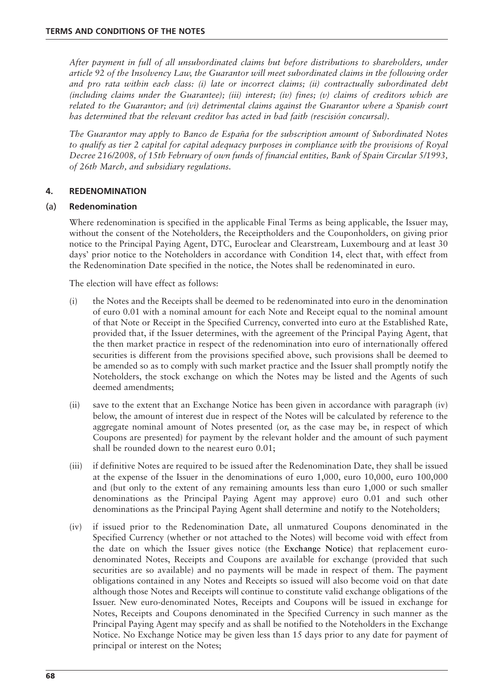*After payment in full of all unsubordinated claims but before distributions to shareholders, under article 92 of the Insolvency Law, the Guarantor will meet subordinated claims in the following order and pro rata within each class: (i) late or incorrect claims; (ii) contractually subordinated debt (including claims under the Guarantee); (iii) interest; (iv) fines; (v) claims of creditors which are related to the Guarantor; and (vi) detrimental claims against the Guarantor where a Spanish court has determined that the relevant creditor has acted in bad faith (rescisión concursal).* 

*The Guarantor may apply to Banco de España for the subscription amount of Subordinated Notes to qualify as tier 2 capital for capital adequacy purposes in compliance with the provisions of Royal Decree 216/2008, of 15th February of own funds of financial entities, Bank of Spain Circular 5/1993, of 26th March, and subsidiary regulations.*

# **4. REDENOMINATION**

# (a) **Redenomination**

Where redenomination is specified in the applicable Final Terms as being applicable, the Issuer may, without the consent of the Noteholders, the Receiptholders and the Couponholders, on giving prior notice to the Principal Paying Agent, DTC, Euroclear and Clearstream, Luxembourg and at least 30 days' prior notice to the Noteholders in accordance with Condition 14, elect that, with effect from the Redenomination Date specified in the notice, the Notes shall be redenominated in euro.

The election will have effect as follows:

- (i) the Notes and the Receipts shall be deemed to be redenominated into euro in the denomination of euro 0.01 with a nominal amount for each Note and Receipt equal to the nominal amount of that Note or Receipt in the Specified Currency, converted into euro at the Established Rate, provided that, if the Issuer determines, with the agreement of the Principal Paying Agent, that the then market practice in respect of the redenomination into euro of internationally offered securities is different from the provisions specified above, such provisions shall be deemed to be amended so as to comply with such market practice and the Issuer shall promptly notify the Noteholders, the stock exchange on which the Notes may be listed and the Agents of such deemed amendments;
- (ii) save to the extent that an Exchange Notice has been given in accordance with paragraph (iv) below, the amount of interest due in respect of the Notes will be calculated by reference to the aggregate nominal amount of Notes presented (or, as the case may be, in respect of which Coupons are presented) for payment by the relevant holder and the amount of such payment shall be rounded down to the nearest euro 0.01;
- (iii) if definitive Notes are required to be issued after the Redenomination Date, they shall be issued at the expense of the Issuer in the denominations of euro 1,000, euro 10,000, euro 100,000 and (but only to the extent of any remaining amounts less than euro 1,000 or such smaller denominations as the Principal Paying Agent may approve) euro 0.01 and such other denominations as the Principal Paying Agent shall determine and notify to the Noteholders;
- (iv) if issued prior to the Redenomination Date, all unmatured Coupons denominated in the Specified Currency (whether or not attached to the Notes) will become void with effect from the date on which the Issuer gives notice (the **Exchange Notice**) that replacement eurodenominated Notes, Receipts and Coupons are available for exchange (provided that such securities are so available) and no payments will be made in respect of them. The payment obligations contained in any Notes and Receipts so issued will also become void on that date although those Notes and Receipts will continue to constitute valid exchange obligations of the Issuer. New euro-denominated Notes, Receipts and Coupons will be issued in exchange for Notes, Receipts and Coupons denominated in the Specified Currency in such manner as the Principal Paying Agent may specify and as shall be notified to the Noteholders in the Exchange Notice. No Exchange Notice may be given less than 15 days prior to any date for payment of principal or interest on the Notes;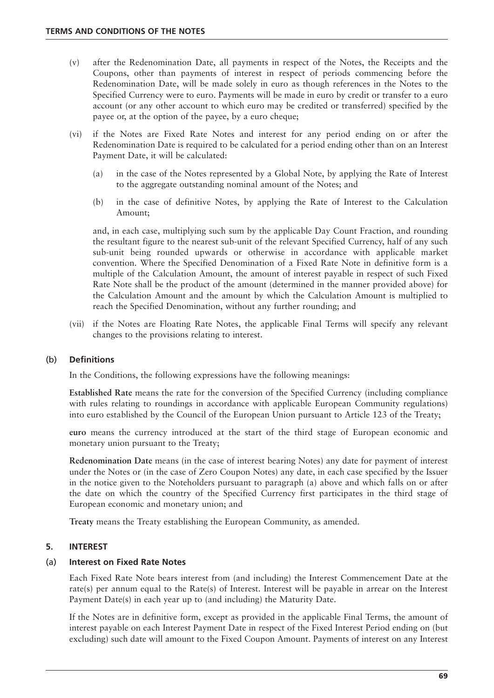- (v) after the Redenomination Date, all payments in respect of the Notes, the Receipts and the Coupons, other than payments of interest in respect of periods commencing before the Redenomination Date, will be made solely in euro as though references in the Notes to the Specified Currency were to euro. Payments will be made in euro by credit or transfer to a euro account (or any other account to which euro may be credited or transferred) specified by the payee or, at the option of the payee, by a euro cheque;
- (vi) if the Notes are Fixed Rate Notes and interest for any period ending on or after the Redenomination Date is required to be calculated for a period ending other than on an Interest Payment Date, it will be calculated:
	- (a) in the case of the Notes represented by a Global Note, by applying the Rate of Interest to the aggregate outstanding nominal amount of the Notes; and
	- (b) in the case of definitive Notes, by applying the Rate of Interest to the Calculation Amount;

and, in each case, multiplying such sum by the applicable Day Count Fraction, and rounding the resultant figure to the nearest sub-unit of the relevant Specified Currency, half of any such sub-unit being rounded upwards or otherwise in accordance with applicable market convention. Where the Specified Denomination of a Fixed Rate Note in definitive form is a multiple of the Calculation Amount, the amount of interest payable in respect of such Fixed Rate Note shall be the product of the amount (determined in the manner provided above) for the Calculation Amount and the amount by which the Calculation Amount is multiplied to reach the Specified Denomination, without any further rounding; and

(vii) if the Notes are Floating Rate Notes, the applicable Final Terms will specify any relevant changes to the provisions relating to interest.

## (b) **Definitions**

In the Conditions, the following expressions have the following meanings:

**Established Rate** means the rate for the conversion of the Specified Currency (including compliance with rules relating to roundings in accordance with applicable European Community regulations) into euro established by the Council of the European Union pursuant to Article 123 of the Treaty;

**euro** means the currency introduced at the start of the third stage of European economic and monetary union pursuant to the Treaty;

**Redenomination Date** means (in the case of interest bearing Notes) any date for payment of interest under the Notes or (in the case of Zero Coupon Notes) any date, in each case specified by the Issuer in the notice given to the Noteholders pursuant to paragraph (a) above and which falls on or after the date on which the country of the Specified Currency first participates in the third stage of European economic and monetary union; and

**Treaty** means the Treaty establishing the European Community, as amended.

## **5. INTEREST**

## (a) **Interest on Fixed Rate Notes**

Each Fixed Rate Note bears interest from (and including) the Interest Commencement Date at the rate(s) per annum equal to the Rate(s) of Interest. Interest will be payable in arrear on the Interest Payment Date(s) in each year up to (and including) the Maturity Date.

If the Notes are in definitive form, except as provided in the applicable Final Terms, the amount of interest payable on each Interest Payment Date in respect of the Fixed Interest Period ending on (but excluding) such date will amount to the Fixed Coupon Amount. Payments of interest on any Interest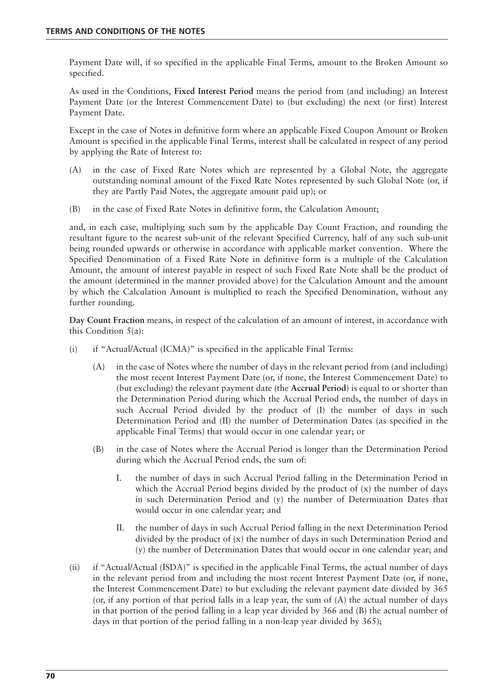Payment Date will, if so specified in the applicable Final Terms, amount to the Broken Amount so specified.

As used in the Conditions, **Fixed Interest Period** means the period from (and including) an Interest Payment Date (or the Interest Commencement Date) to (but excluding) the next (or first) Interest Payment Date.

Except in the case of Notes in definitive form where an applicable Fixed Coupon Amount or Broken Amount is specified in the applicable Final Terms, interest shall be calculated in respect of any period by applying the Rate of Interest to:

- (A) in the case of Fixed Rate Notes which are represented by a Global Note, the aggregate outstanding nominal amount of the Fixed Rate Notes represented by such Global Note (or, if they are Partly Paid Notes, the aggregate amount paid up); or
- (B) in the case of Fixed Rate Notes in definitive form, the Calculation Amount;

and, in each case, multiplying such sum by the applicable Day Count Fraction, and rounding the resultant figure to the nearest sub-unit of the relevant Specified Currency, half of any such sub-unit being rounded upwards or otherwise in accordance with applicable market convention. Where the Specified Denomination of a Fixed Rate Note in definitive form is a multiple of the Calculation Amount, the amount of interest payable in respect of such Fixed Rate Note shall be the product of the amount (determined in the manner provided above) for the Calculation Amount and the amount by which the Calculation Amount is multiplied to reach the Specified Denomination, without any further rounding.

**Day Count Fraction** means, in respect of the calculation of an amount of interest, in accordance with this Condition 5(a):

- (i) if "Actual/Actual (ICMA)" is specified in the applicable Final Terms:
	- (A) in the case of Notes where the number of days in the relevant period from (and including) the most recent Interest Payment Date (or, if none, the Interest Commencement Date) to (but excluding) the relevant payment date (the **Accrual Period**) is equal to or shorter than the Determination Period during which the Accrual Period ends, the number of days in such Accrual Period divided by the product of (I) the number of days in such Determination Period and (II) the number of Determination Dates (as specified in the applicable Final Terms) that would occur in one calendar year; or
	- (B) in the case of Notes where the Accrual Period is longer than the Determination Period during which the Accrual Period ends, the sum of:
		- I. the number of days in such Accrual Period falling in the Determination Period in which the Accrual Period begins divided by the product of  $(x)$  the number of days in such Determination Period and (y) the number of Determination Dates that would occur in one calendar year; and
		- II. the number of days in such Accrual Period falling in the next Determination Period divided by the product of (x) the number of days in such Determination Period and (y) the number of Determination Dates that would occur in one calendar year; and
- (ii) if "Actual/Actual (ISDA)" is specified in the applicable Final Terms, the actual number of days in the relevant period from and including the most recent Interest Payment Date (or, if none, the Interest Commencement Date) to but excluding the relevant payment date divided by 365 (or, if any portion of that period falls in a leap year, the sum of (A) the actual number of days in that portion of the period falling in a leap year divided by 366 and (B) the actual number of days in that portion of the period falling in a non-leap year divided by 365);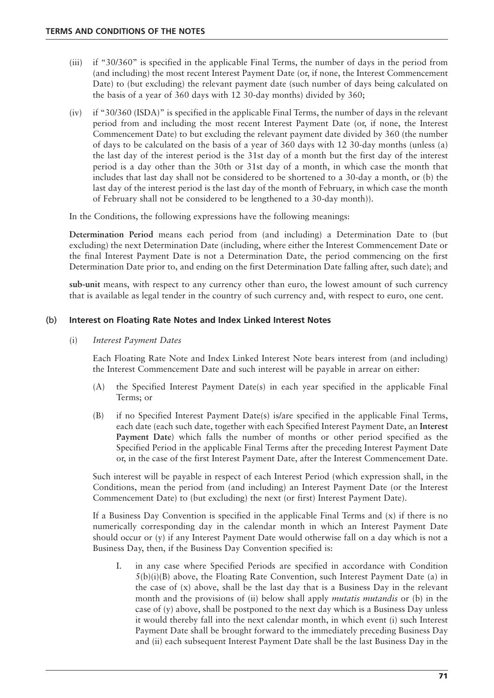- (iii) if "30/360" is specified in the applicable Final Terms, the number of days in the period from (and including) the most recent Interest Payment Date (or, if none, the Interest Commencement Date) to (but excluding) the relevant payment date (such number of days being calculated on the basis of a year of 360 days with 12 30-day months) divided by 360;
- (iv) if "30/360 (ISDA)" is specified in the applicable Final Terms, the number of days in the relevant period from and including the most recent Interest Payment Date (or, if none, the Interest Commencement Date) to but excluding the relevant payment date divided by 360 (the number of days to be calculated on the basis of a year of 360 days with 12 30-day months (unless (a) the last day of the interest period is the 31st day of a month but the first day of the interest period is a day other than the 30th or 31st day of a month, in which case the month that includes that last day shall not be considered to be shortened to a 30-day a month, or (b) the last day of the interest period is the last day of the month of February, in which case the month of February shall not be considered to be lengthened to a 30-day month)).

In the Conditions, the following expressions have the following meanings:

**Determination Period** means each period from (and including) a Determination Date to (but excluding) the next Determination Date (including, where either the Interest Commencement Date or the final Interest Payment Date is not a Determination Date, the period commencing on the first Determination Date prior to, and ending on the first Determination Date falling after, such date); and

**sub-unit** means, with respect to any currency other than euro, the lowest amount of such currency that is available as legal tender in the country of such currency and, with respect to euro, one cent.

# (b) **Interest on Floating Rate Notes and Index Linked Interest Notes**

# (i) *Interest Payment Dates*

Each Floating Rate Note and Index Linked Interest Note bears interest from (and including) the Interest Commencement Date and such interest will be payable in arrear on either:

- (A) the Specified Interest Payment Date(s) in each year specified in the applicable Final Terms; or
- (B) if no Specified Interest Payment Date(s) is/are specified in the applicable Final Terms, each date (each such date, together with each Specified Interest Payment Date, an **Interest Payment Date**) which falls the number of months or other period specified as the Specified Period in the applicable Final Terms after the preceding Interest Payment Date or, in the case of the first Interest Payment Date, after the Interest Commencement Date.

Such interest will be payable in respect of each Interest Period (which expression shall, in the Conditions, mean the period from (and including) an Interest Payment Date (or the Interest Commencement Date) to (but excluding) the next (or first) Interest Payment Date).

If a Business Day Convention is specified in the applicable Final Terms and  $(x)$  if there is no numerically corresponding day in the calendar month in which an Interest Payment Date should occur or (y) if any Interest Payment Date would otherwise fall on a day which is not a Business Day, then, if the Business Day Convention specified is:

I. in any case where Specified Periods are specified in accordance with Condition  $5(b)(i)(B)$  above, the Floating Rate Convention, such Interest Payment Date (a) in the case of  $(x)$  above, shall be the last day that is a Business Day in the relevant month and the provisions of (ii) below shall apply *mutatis mutandis* or (b) in the case of (y) above, shall be postponed to the next day which is a Business Day unless it would thereby fall into the next calendar month, in which event (i) such Interest Payment Date shall be brought forward to the immediately preceding Business Day and (ii) each subsequent Interest Payment Date shall be the last Business Day in the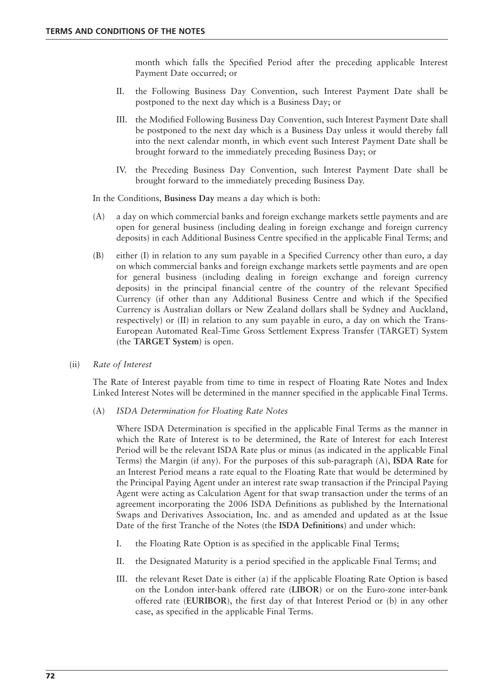month which falls the Specified Period after the preceding applicable Interest Payment Date occurred; or

- II. the Following Business Day Convention, such Interest Payment Date shall be postponed to the next day which is a Business Day; or
- III. the Modified Following Business Day Convention, such Interest Payment Date shall be postponed to the next day which is a Business Day unless it would thereby fall into the next calendar month, in which event such Interest Payment Date shall be brought forward to the immediately preceding Business Day; or
- IV. the Preceding Business Day Convention, such Interest Payment Date shall be brought forward to the immediately preceding Business Day.

In the Conditions, **Business Day** means a day which is both:

- (A) a day on which commercial banks and foreign exchange markets settle payments and are open for general business (including dealing in foreign exchange and foreign currency deposits) in each Additional Business Centre specified in the applicable Final Terms; and
- (B) either (I) in relation to any sum payable in a Specified Currency other than euro, a day on which commercial banks and foreign exchange markets settle payments and are open for general business (including dealing in foreign exchange and foreign currency deposits) in the principal financial centre of the country of the relevant Specified Currency (if other than any Additional Business Centre and which if the Specified Currency is Australian dollars or New Zealand dollars shall be Sydney and Auckland, respectively) or (II) in relation to any sum payable in euro, a day on which the Trans-European Automated Real-Time Gross Settlement Express Transfer (TARGET) System (the **TARGET System**) is open.
- (ii) *Rate of Interest*

The Rate of Interest payable from time to time in respect of Floating Rate Notes and Index Linked Interest Notes will be determined in the manner specified in the applicable Final Terms.

(A) *ISDA Determination for Floating Rate Notes*

Where ISDA Determination is specified in the applicable Final Terms as the manner in which the Rate of Interest is to be determined, the Rate of Interest for each Interest Period will be the relevant ISDA Rate plus or minus (as indicated in the applicable Final Terms) the Margin (if any). For the purposes of this sub-paragraph (A), **ISDA Rate** for an Interest Period means a rate equal to the Floating Rate that would be determined by the Principal Paying Agent under an interest rate swap transaction if the Principal Paying Agent were acting as Calculation Agent for that swap transaction under the terms of an agreement incorporating the 2006 ISDA Definitions as published by the International Swaps and Derivatives Association, Inc. and as amended and updated as at the Issue Date of the first Tranche of the Notes (the **ISDA Definitions**) and under which:

- I. the Floating Rate Option is as specified in the applicable Final Terms;
- II. the Designated Maturity is a period specified in the applicable Final Terms; and
- III. the relevant Reset Date is either (a) if the applicable Floating Rate Option is based on the London inter-bank offered rate (**LIBOR**) or on the Euro-zone inter-bank offered rate (**EURIBOR**), the first day of that Interest Period or (b) in any other case, as specified in the applicable Final Terms.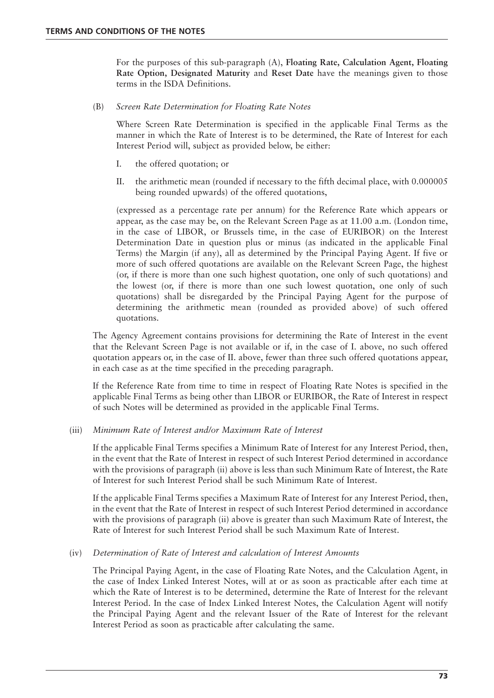For the purposes of this sub-paragraph (A), **Floating Rate, Calculation Agent, Floating Rate Option, Designated Maturity** and **Reset Date** have the meanings given to those terms in the ISDA Definitions.

(B) *Screen Rate Determination for Floating Rate Notes*

Where Screen Rate Determination is specified in the applicable Final Terms as the manner in which the Rate of Interest is to be determined, the Rate of Interest for each Interest Period will, subject as provided below, be either:

- I. the offered quotation; or
- II. the arithmetic mean (rounded if necessary to the fifth decimal place, with 0.000005 being rounded upwards) of the offered quotations,

(expressed as a percentage rate per annum) for the Reference Rate which appears or appear, as the case may be, on the Relevant Screen Page as at 11.00 a.m. (London time, in the case of LIBOR, or Brussels time, in the case of EURIBOR) on the Interest Determination Date in question plus or minus (as indicated in the applicable Final Terms) the Margin (if any), all as determined by the Principal Paying Agent. If five or more of such offered quotations are available on the Relevant Screen Page, the highest (or, if there is more than one such highest quotation, one only of such quotations) and the lowest (or, if there is more than one such lowest quotation, one only of such quotations) shall be disregarded by the Principal Paying Agent for the purpose of determining the arithmetic mean (rounded as provided above) of such offered quotations.

The Agency Agreement contains provisions for determining the Rate of Interest in the event that the Relevant Screen Page is not available or if, in the case of I. above, no such offered quotation appears or, in the case of II. above, fewer than three such offered quotations appear, in each case as at the time specified in the preceding paragraph.

If the Reference Rate from time to time in respect of Floating Rate Notes is specified in the applicable Final Terms as being other than LIBOR or EURIBOR, the Rate of Interest in respect of such Notes will be determined as provided in the applicable Final Terms.

# (iii) *Minimum Rate of Interest and/or Maximum Rate of Interest*

If the applicable Final Terms specifies a Minimum Rate of Interest for any Interest Period, then, in the event that the Rate of Interest in respect of such Interest Period determined in accordance with the provisions of paragraph (ii) above is less than such Minimum Rate of Interest, the Rate of Interest for such Interest Period shall be such Minimum Rate of Interest.

If the applicable Final Terms specifies a Maximum Rate of Interest for any Interest Period, then, in the event that the Rate of Interest in respect of such Interest Period determined in accordance with the provisions of paragraph (ii) above is greater than such Maximum Rate of Interest, the Rate of Interest for such Interest Period shall be such Maximum Rate of Interest.

# (iv) *Determination of Rate of Interest and calculation of Interest Amounts*

The Principal Paying Agent, in the case of Floating Rate Notes, and the Calculation Agent, in the case of Index Linked Interest Notes, will at or as soon as practicable after each time at which the Rate of Interest is to be determined, determine the Rate of Interest for the relevant Interest Period. In the case of Index Linked Interest Notes, the Calculation Agent will notify the Principal Paying Agent and the relevant Issuer of the Rate of Interest for the relevant Interest Period as soon as practicable after calculating the same.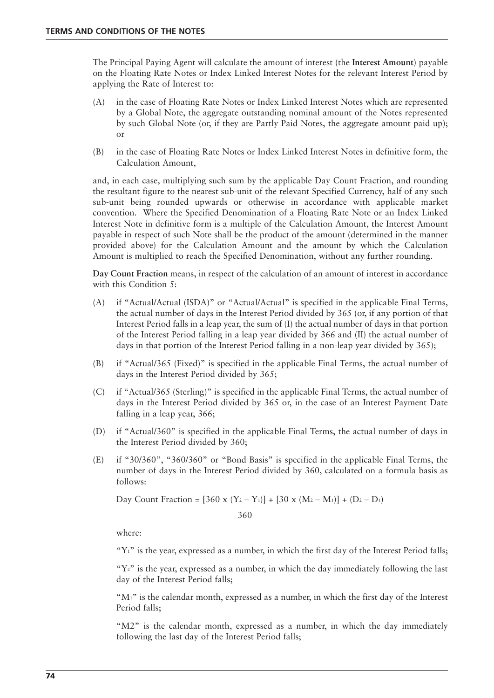The Principal Paying Agent will calculate the amount of interest (the **Interest Amount**) payable on the Floating Rate Notes or Index Linked Interest Notes for the relevant Interest Period by applying the Rate of Interest to:

- (A) in the case of Floating Rate Notes or Index Linked Interest Notes which are represented by a Global Note, the aggregate outstanding nominal amount of the Notes represented by such Global Note (or, if they are Partly Paid Notes, the aggregate amount paid up); or
- (B) in the case of Floating Rate Notes or Index Linked Interest Notes in definitive form, the Calculation Amount,

and, in each case, multiplying such sum by the applicable Day Count Fraction, and rounding the resultant figure to the nearest sub-unit of the relevant Specified Currency, half of any such sub-unit being rounded upwards or otherwise in accordance with applicable market convention. Where the Specified Denomination of a Floating Rate Note or an Index Linked Interest Note in definitive form is a multiple of the Calculation Amount, the Interest Amount payable in respect of such Note shall be the product of the amount (determined in the manner provided above) for the Calculation Amount and the amount by which the Calculation Amount is multiplied to reach the Specified Denomination, without any further rounding.

**Day Count Fraction** means, in respect of the calculation of an amount of interest in accordance with this Condition 5:

- (A) if "Actual/Actual (ISDA)" or "Actual/Actual" is specified in the applicable Final Terms, the actual number of days in the Interest Period divided by 365 (or, if any portion of that Interest Period falls in a leap year, the sum of (I) the actual number of days in that portion of the Interest Period falling in a leap year divided by 366 and (II) the actual number of days in that portion of the Interest Period falling in a non-leap year divided by 365);
- (B) if "Actual/365 (Fixed)" is specified in the applicable Final Terms, the actual number of days in the Interest Period divided by 365;
- (C) if "Actual/365 (Sterling)" is specified in the applicable Final Terms, the actual number of days in the Interest Period divided by 365 or, in the case of an Interest Payment Date falling in a leap year, 366;
- (D) if "Actual/360" is specified in the applicable Final Terms, the actual number of days in the Interest Period divided by 360;
- (E) if "30/360", "360/360" or "Bond Basis" is specified in the applicable Final Terms, the number of days in the Interest Period divided by 360, calculated on a formula basis as follows:

Day Count Fraction = 
$$
\frac{[360 \times (Y_2 - Y_1)] + [30 \times (M_2 - M_1)] + (D_2 - D_1)}{360}
$$

where:

"Y<sup>1</sup>" is the year, expressed as a number, in which the first day of the Interest Period falls;

" $Y_2$ " is the year, expressed as a number, in which the day immediately following the last day of the Interest Period falls;

"M<sub>1</sub>" is the calendar month, expressed as a number, in which the first day of the Interest Period falls;

"M2" is the calendar month, expressed as a number, in which the day immediately following the last day of the Interest Period falls;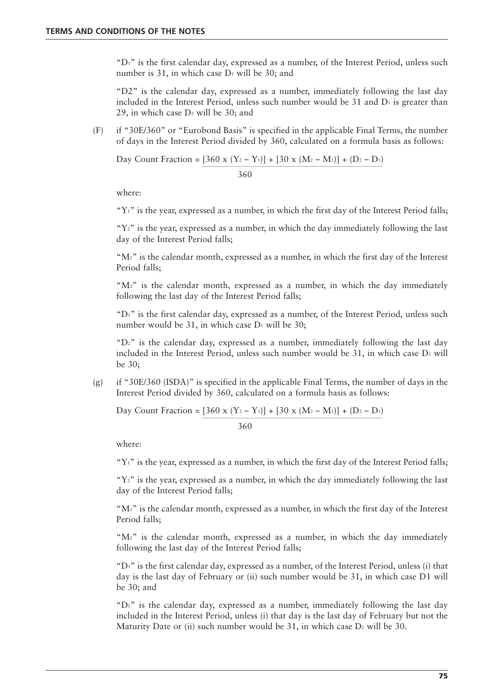"D1" is the first calendar day, expressed as a number, of the Interest Period, unless such number is 31, in which case  $D_1$  will be 30; and

"D2" is the calendar day, expressed as a number, immediately following the last day included in the Interest Period, unless such number would be 31 and  $D_1$  is greater than 29, in which case  $D_2$  will be 30; and

(F) if "30E/360" or "Eurobond Basis" is specified in the applicable Final Terms, the number of days in the Interest Period divided by 360, calculated on a formula basis as follows:

Day Count Fraction =  $[360 \times (Y_2 - Y_1)] + [30 \times (M_2 - M_1)] + (D_2 - D_1)$ 

360

where:

" $Y_1$ " is the year, expressed as a number, in which the first day of the Interest Period falls;

" $Y_2$ " is the year, expressed as a number, in which the day immediately following the last day of the Interest Period falls;

" $M_1$ " is the calendar month, expressed as a number, in which the first day of the Interest Period falls;

"M2" is the calendar month, expressed as a number, in which the day immediately following the last day of the Interest Period falls;

"D1" is the first calendar day, expressed as a number, of the Interest Period, unless such number would be 31, in which case  $D_1$  will be 30;

" $D_2$ " is the calendar day, expressed as a number, immediately following the last day included in the Interest Period, unless such number would be  $31$ , in which case  $D<sub>2</sub>$  will be 30;

(g) if "30E/360 (ISDA)" is specified in the applicable Final Terms, the number of days in the Interest Period divided by 360, calculated on a formula basis as follows:

Day Count Fraction =  $[360 \times (Y_2 - Y_1)] + [30 \times (M_2 - M_1)] + (D_2 - D_1)$ 

360

where:

" $Y_1$ " is the year, expressed as a number, in which the first day of the Interest Period falls;

" $Y_2$ " is the year, expressed as a number, in which the day immediately following the last day of the Interest Period falls;

"M<sub>1</sub>" is the calendar month, expressed as a number, in which the first day of the Interest Period falls;

"M2" is the calendar month, expressed as a number, in which the day immediately following the last day of the Interest Period falls;

" $Di$ " is the first calendar day, expressed as a number, of the Interest Period, unless (i) that day is the last day of February or (ii) such number would be 31, in which case D1 will be 30; and

" $D_2$ " is the calendar day, expressed as a number, immediately following the last day included in the Interest Period, unless (i) that day is the last day of February but not the Maturity Date or (ii) such number would be 31, in which case  $D_2$  will be 30.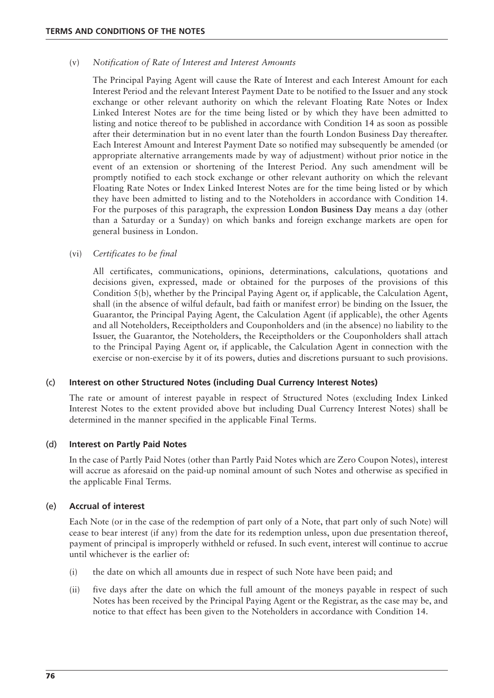#### (v) *Notification of Rate of Interest and Interest Amounts*

The Principal Paying Agent will cause the Rate of Interest and each Interest Amount for each Interest Period and the relevant Interest Payment Date to be notified to the Issuer and any stock exchange or other relevant authority on which the relevant Floating Rate Notes or Index Linked Interest Notes are for the time being listed or by which they have been admitted to listing and notice thereof to be published in accordance with Condition 14 as soon as possible after their determination but in no event later than the fourth London Business Day thereafter. Each Interest Amount and Interest Payment Date so notified may subsequently be amended (or appropriate alternative arrangements made by way of adjustment) without prior notice in the event of an extension or shortening of the Interest Period. Any such amendment will be promptly notified to each stock exchange or other relevant authority on which the relevant Floating Rate Notes or Index Linked Interest Notes are for the time being listed or by which they have been admitted to listing and to the Noteholders in accordance with Condition 14. For the purposes of this paragraph, the expression **London Business Day** means a day (other than a Saturday or a Sunday) on which banks and foreign exchange markets are open for general business in London.

#### (vi) *Certificates to be final*

All certificates, communications, opinions, determinations, calculations, quotations and decisions given, expressed, made or obtained for the purposes of the provisions of this Condition  $5(b)$ , whether by the Principal Paying Agent or, if applicable, the Calculation Agent, shall (in the absence of wilful default, bad faith or manifest error) be binding on the Issuer, the Guarantor, the Principal Paying Agent, the Calculation Agent (if applicable), the other Agents and all Noteholders, Receiptholders and Couponholders and (in the absence) no liability to the Issuer, the Guarantor, the Noteholders, the Receiptholders or the Couponholders shall attach to the Principal Paying Agent or, if applicable, the Calculation Agent in connection with the exercise or non-exercise by it of its powers, duties and discretions pursuant to such provisions.

#### (c) **Interest on other Structured Notes (including Dual Currency Interest Notes)**

The rate or amount of interest payable in respect of Structured Notes (excluding Index Linked Interest Notes to the extent provided above but including Dual Currency Interest Notes) shall be determined in the manner specified in the applicable Final Terms.

#### (d) **Interest on Partly Paid Notes**

In the case of Partly Paid Notes (other than Partly Paid Notes which are Zero Coupon Notes), interest will accrue as aforesaid on the paid-up nominal amount of such Notes and otherwise as specified in the applicable Final Terms.

#### (e) **Accrual of interest**

Each Note (or in the case of the redemption of part only of a Note, that part only of such Note) will cease to bear interest (if any) from the date for its redemption unless, upon due presentation thereof, payment of principal is improperly withheld or refused. In such event, interest will continue to accrue until whichever is the earlier of:

- (i) the date on which all amounts due in respect of such Note have been paid; and
- (ii) five days after the date on which the full amount of the moneys payable in respect of such Notes has been received by the Principal Paying Agent or the Registrar, as the case may be, and notice to that effect has been given to the Noteholders in accordance with Condition 14.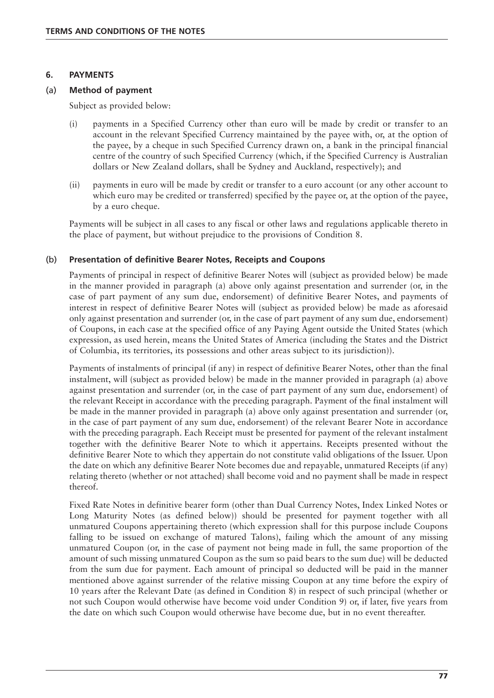#### **6. PAYMENTS**

#### (a) **Method of payment**

Subject as provided below:

- (i) payments in a Specified Currency other than euro will be made by credit or transfer to an account in the relevant Specified Currency maintained by the payee with, or, at the option of the payee, by a cheque in such Specified Currency drawn on, a bank in the principal financial centre of the country of such Specified Currency (which, if the Specified Currency is Australian dollars or New Zealand dollars, shall be Sydney and Auckland, respectively); and
- (ii) payments in euro will be made by credit or transfer to a euro account (or any other account to which euro may be credited or transferred) specified by the payee or, at the option of the payee, by a euro cheque.

Payments will be subject in all cases to any fiscal or other laws and regulations applicable thereto in the place of payment, but without prejudice to the provisions of Condition 8.

#### (b) **Presentation of definitive Bearer Notes, Receipts and Coupons**

Payments of principal in respect of definitive Bearer Notes will (subject as provided below) be made in the manner provided in paragraph (a) above only against presentation and surrender (or, in the case of part payment of any sum due, endorsement) of definitive Bearer Notes, and payments of interest in respect of definitive Bearer Notes will (subject as provided below) be made as aforesaid only against presentation and surrender (or, in the case of part payment of any sum due, endorsement) of Coupons, in each case at the specified office of any Paying Agent outside the United States (which expression, as used herein, means the United States of America (including the States and the District of Columbia, its territories, its possessions and other areas subject to its jurisdiction)).

Payments of instalments of principal (if any) in respect of definitive Bearer Notes, other than the final instalment, will (subject as provided below) be made in the manner provided in paragraph (a) above against presentation and surrender (or, in the case of part payment of any sum due, endorsement) of the relevant Receipt in accordance with the preceding paragraph. Payment of the final instalment will be made in the manner provided in paragraph (a) above only against presentation and surrender (or, in the case of part payment of any sum due, endorsement) of the relevant Bearer Note in accordance with the preceding paragraph. Each Receipt must be presented for payment of the relevant instalment together with the definitive Bearer Note to which it appertains. Receipts presented without the definitive Bearer Note to which they appertain do not constitute valid obligations of the Issuer. Upon the date on which any definitive Bearer Note becomes due and repayable, unmatured Receipts (if any) relating thereto (whether or not attached) shall become void and no payment shall be made in respect thereof.

Fixed Rate Notes in definitive bearer form (other than Dual Currency Notes, Index Linked Notes or Long Maturity Notes (as defined below)) should be presented for payment together with all unmatured Coupons appertaining thereto (which expression shall for this purpose include Coupons falling to be issued on exchange of matured Talons), failing which the amount of any missing unmatured Coupon (or, in the case of payment not being made in full, the same proportion of the amount of such missing unmatured Coupon as the sum so paid bears to the sum due) will be deducted from the sum due for payment. Each amount of principal so deducted will be paid in the manner mentioned above against surrender of the relative missing Coupon at any time before the expiry of 10 years after the Relevant Date (as defined in Condition 8) in respect of such principal (whether or not such Coupon would otherwise have become void under Condition 9) or, if later, five years from the date on which such Coupon would otherwise have become due, but in no event thereafter.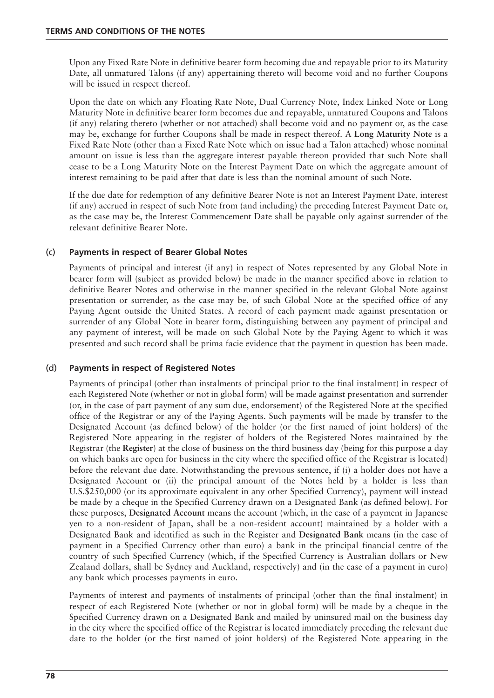Upon any Fixed Rate Note in definitive bearer form becoming due and repayable prior to its Maturity Date, all unmatured Talons (if any) appertaining thereto will become void and no further Coupons will be issued in respect thereof.

Upon the date on which any Floating Rate Note, Dual Currency Note, Index Linked Note or Long Maturity Note in definitive bearer form becomes due and repayable, unmatured Coupons and Talons (if any) relating thereto (whether or not attached) shall become void and no payment or, as the case may be, exchange for further Coupons shall be made in respect thereof. A **Long Maturity Note** is a Fixed Rate Note (other than a Fixed Rate Note which on issue had a Talon attached) whose nominal amount on issue is less than the aggregate interest payable thereon provided that such Note shall cease to be a Long Maturity Note on the Interest Payment Date on which the aggregate amount of interest remaining to be paid after that date is less than the nominal amount of such Note.

If the due date for redemption of any definitive Bearer Note is not an Interest Payment Date, interest (if any) accrued in respect of such Note from (and including) the preceding Interest Payment Date or, as the case may be, the Interest Commencement Date shall be payable only against surrender of the relevant definitive Bearer Note.

### (c) **Payments in respect of Bearer Global Notes**

Payments of principal and interest (if any) in respect of Notes represented by any Global Note in bearer form will (subject as provided below) be made in the manner specified above in relation to definitive Bearer Notes and otherwise in the manner specified in the relevant Global Note against presentation or surrender, as the case may be, of such Global Note at the specified office of any Paying Agent outside the United States. A record of each payment made against presentation or surrender of any Global Note in bearer form, distinguishing between any payment of principal and any payment of interest, will be made on such Global Note by the Paying Agent to which it was presented and such record shall be prima facie evidence that the payment in question has been made.

#### (d) **Payments in respect of Registered Notes**

Payments of principal (other than instalments of principal prior to the final instalment) in respect of each Registered Note (whether or not in global form) will be made against presentation and surrender (or, in the case of part payment of any sum due, endorsement) of the Registered Note at the specified office of the Registrar or any of the Paying Agents. Such payments will be made by transfer to the Designated Account (as defined below) of the holder (or the first named of joint holders) of the Registered Note appearing in the register of holders of the Registered Notes maintained by the Registrar (the **Register**) at the close of business on the third business day (being for this purpose a day on which banks are open for business in the city where the specified office of the Registrar is located) before the relevant due date. Notwithstanding the previous sentence, if (i) a holder does not have a Designated Account or (ii) the principal amount of the Notes held by a holder is less than U.S.\$250,000 (or its approximate equivalent in any other Specified Currency), payment will instead be made by a cheque in the Specified Currency drawn on a Designated Bank (as defined below). For these purposes, **Designated Account** means the account (which, in the case of a payment in Japanese yen to a non-resident of Japan, shall be a non-resident account) maintained by a holder with a Designated Bank and identified as such in the Register and **Designated Bank** means (in the case of payment in a Specified Currency other than euro) a bank in the principal financial centre of the country of such Specified Currency (which, if the Specified Currency is Australian dollars or New Zealand dollars, shall be Sydney and Auckland, respectively) and (in the case of a payment in euro) any bank which processes payments in euro.

Payments of interest and payments of instalments of principal (other than the final instalment) in respect of each Registered Note (whether or not in global form) will be made by a cheque in the Specified Currency drawn on a Designated Bank and mailed by uninsured mail on the business day in the city where the specified office of the Registrar is located immediately preceding the relevant due date to the holder (or the first named of joint holders) of the Registered Note appearing in the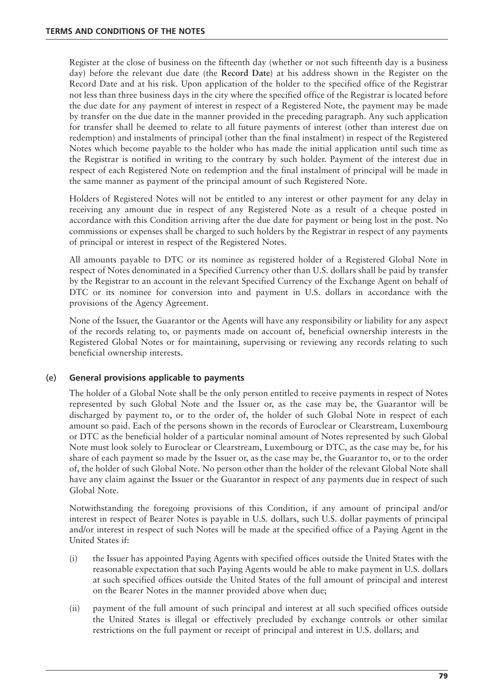Register at the close of business on the fifteenth day (whether or not such fifteenth day is a business day) before the relevant due date (the **Record Date**) at his address shown in the Register on the Record Date and at his risk. Upon application of the holder to the specified office of the Registrar not less than three business days in the city where the specified office of the Registrar is located before the due date for any payment of interest in respect of a Registered Note, the payment may be made by transfer on the due date in the manner provided in the preceding paragraph. Any such application for transfer shall be deemed to relate to all future payments of interest (other than interest due on redemption) and instalments of principal (other than the final instalment) in respect of the Registered Notes which become payable to the holder who has made the initial application until such time as the Registrar is notified in writing to the contrary by such holder. Payment of the interest due in respect of each Registered Note on redemption and the final instalment of principal will be made in the same manner as payment of the principal amount of such Registered Note.

Holders of Registered Notes will not be entitled to any interest or other payment for any delay in receiving any amount due in respect of any Registered Note as a result of a cheque posted in accordance with this Condition arriving after the due date for payment or being lost in the post. No commissions or expenses shall be charged to such holders by the Registrar in respect of any payments of principal or interest in respect of the Registered Notes.

All amounts payable to DTC or its nominee as registered holder of a Registered Global Note in respect of Notes denominated in a Specified Currency other than U.S. dollars shall be paid by transfer by the Registrar to an account in the relevant Specified Currency of the Exchange Agent on behalf of DTC or its nominee for conversion into and payment in U.S. dollars in accordance with the provisions of the Agency Agreement.

None of the Issuer, the Guarantor or the Agents will have any responsibility or liability for any aspect of the records relating to, or payments made on account of, beneficial ownership interests in the Registered Global Notes or for maintaining, supervising or reviewing any records relating to such beneficial ownership interests.

# (e) **General provisions applicable to payments**

The holder of a Global Note shall be the only person entitled to receive payments in respect of Notes represented by such Global Note and the Issuer or, as the case may be, the Guarantor will be discharged by payment to, or to the order of, the holder of such Global Note in respect of each amount so paid. Each of the persons shown in the records of Euroclear or Clearstream, Luxembourg or DTC as the beneficial holder of a particular nominal amount of Notes represented by such Global Note must look solely to Euroclear or Clearstream, Luxembourg or DTC, as the case may be, for his share of each payment so made by the Issuer or, as the case may be, the Guarantor to, or to the order of, the holder of such Global Note. No person other than the holder of the relevant Global Note shall have any claim against the Issuer or the Guarantor in respect of any payments due in respect of such Global Note.

Notwithstanding the foregoing provisions of this Condition, if any amount of principal and/or interest in respect of Bearer Notes is payable in U.S. dollars, such U.S. dollar payments of principal and/or interest in respect of such Notes will be made at the specified office of a Paying Agent in the United States if:

- (i) the Issuer has appointed Paying Agents with specified offices outside the United States with the reasonable expectation that such Paying Agents would be able to make payment in U.S. dollars at such specified offices outside the United States of the full amount of principal and interest on the Bearer Notes in the manner provided above when due;
- (ii) payment of the full amount of such principal and interest at all such specified offices outside the United States is illegal or effectively precluded by exchange controls or other similar restrictions on the full payment or receipt of principal and interest in U.S. dollars; and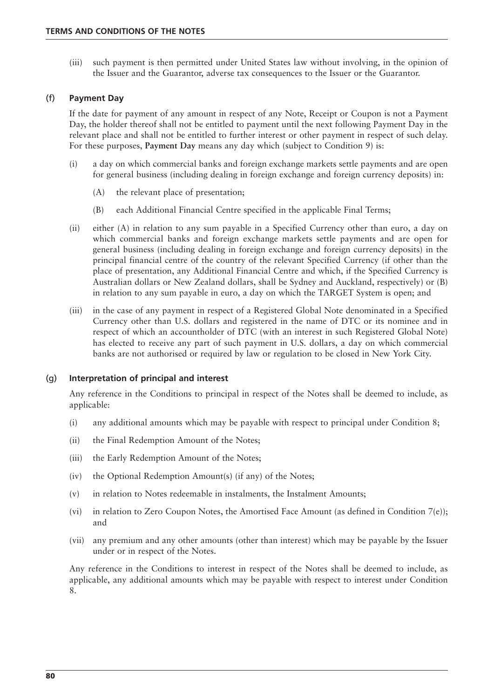(iii) such payment is then permitted under United States law without involving, in the opinion of the Issuer and the Guarantor, adverse tax consequences to the Issuer or the Guarantor.

## (f) **Payment Day**

If the date for payment of any amount in respect of any Note, Receipt or Coupon is not a Payment Day, the holder thereof shall not be entitled to payment until the next following Payment Day in the relevant place and shall not be entitled to further interest or other payment in respect of such delay. For these purposes, **Payment Day** means any day which (subject to Condition 9) is:

- (i) a day on which commercial banks and foreign exchange markets settle payments and are open for general business (including dealing in foreign exchange and foreign currency deposits) in:
	- (A) the relevant place of presentation;
	- (B) each Additional Financial Centre specified in the applicable Final Terms;
- (ii) either (A) in relation to any sum payable in a Specified Currency other than euro, a day on which commercial banks and foreign exchange markets settle payments and are open for general business (including dealing in foreign exchange and foreign currency deposits) in the principal financial centre of the country of the relevant Specified Currency (if other than the place of presentation, any Additional Financial Centre and which, if the Specified Currency is Australian dollars or New Zealand dollars, shall be Sydney and Auckland, respectively) or (B) in relation to any sum payable in euro, a day on which the TARGET System is open; and
- (iii) in the case of any payment in respect of a Registered Global Note denominated in a Specified Currency other than U.S. dollars and registered in the name of DTC or its nominee and in respect of which an accountholder of DTC (with an interest in such Registered Global Note) has elected to receive any part of such payment in U.S. dollars, a day on which commercial banks are not authorised or required by law or regulation to be closed in New York City.

#### (g) **Interpretation of principal and interest**

Any reference in the Conditions to principal in respect of the Notes shall be deemed to include, as applicable:

- (i) any additional amounts which may be payable with respect to principal under Condition 8;
- (ii) the Final Redemption Amount of the Notes;
- (iii) the Early Redemption Amount of the Notes;
- (iv) the Optional Redemption Amount(s) (if any) of the Notes;
- (v) in relation to Notes redeemable in instalments, the Instalment Amounts;
- (vi) in relation to Zero Coupon Notes, the Amortised Face Amount (as defined in Condition 7(e)); and
- (vii) any premium and any other amounts (other than interest) which may be payable by the Issuer under or in respect of the Notes.

Any reference in the Conditions to interest in respect of the Notes shall be deemed to include, as applicable, any additional amounts which may be payable with respect to interest under Condition 8.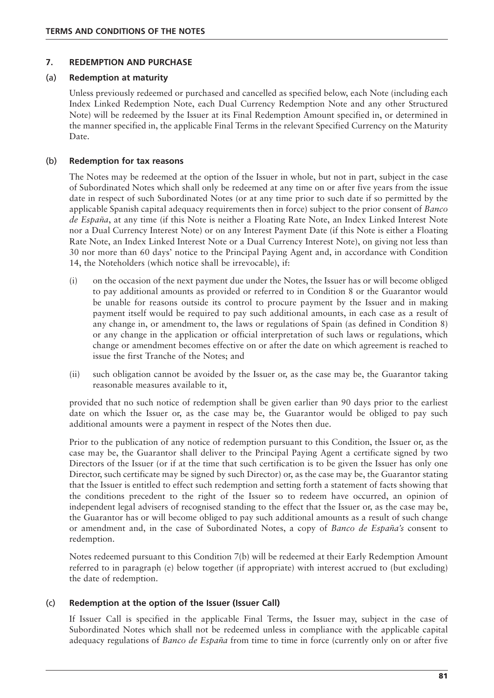#### **7. REDEMPTION AND PURCHASE**

#### (a) **Redemption at maturity**

Unless previously redeemed or purchased and cancelled as specified below, each Note (including each Index Linked Redemption Note, each Dual Currency Redemption Note and any other Structured Note) will be redeemed by the Issuer at its Final Redemption Amount specified in, or determined in the manner specified in, the applicable Final Terms in the relevant Specified Currency on the Maturity Date.

### (b) **Redemption for tax reasons**

The Notes may be redeemed at the option of the Issuer in whole, but not in part, subject in the case of Subordinated Notes which shall only be redeemed at any time on or after five years from the issue date in respect of such Subordinated Notes (or at any time prior to such date if so permitted by the applicable Spanish capital adequacy requirements then in force) subject to the prior consent of *Banco de España*, at any time (if this Note is neither a Floating Rate Note, an Index Linked Interest Note nor a Dual Currency Interest Note) or on any Interest Payment Date (if this Note is either a Floating Rate Note, an Index Linked Interest Note or a Dual Currency Interest Note), on giving not less than 30 nor more than 60 days' notice to the Principal Paying Agent and, in accordance with Condition 14, the Noteholders (which notice shall be irrevocable), if:

- (i) on the occasion of the next payment due under the Notes, the Issuer has or will become obliged to pay additional amounts as provided or referred to in Condition 8 or the Guarantor would be unable for reasons outside its control to procure payment by the Issuer and in making payment itself would be required to pay such additional amounts, in each case as a result of any change in, or amendment to, the laws or regulations of Spain (as defined in Condition 8) or any change in the application or official interpretation of such laws or regulations, which change or amendment becomes effective on or after the date on which agreement is reached to issue the first Tranche of the Notes; and
- (ii) such obligation cannot be avoided by the Issuer or, as the case may be, the Guarantor taking reasonable measures available to it,

provided that no such notice of redemption shall be given earlier than 90 days prior to the earliest date on which the Issuer or, as the case may be, the Guarantor would be obliged to pay such additional amounts were a payment in respect of the Notes then due.

Prior to the publication of any notice of redemption pursuant to this Condition, the Issuer or, as the case may be, the Guarantor shall deliver to the Principal Paying Agent a certificate signed by two Directors of the Issuer (or if at the time that such certification is to be given the Issuer has only one Director, such certificate may be signed by such Director) or, as the case may be, the Guarantor stating that the Issuer is entitled to effect such redemption and setting forth a statement of facts showing that the conditions precedent to the right of the Issuer so to redeem have occurred, an opinion of independent legal advisers of recognised standing to the effect that the Issuer or, as the case may be, the Guarantor has or will become obliged to pay such additional amounts as a result of such change or amendment and, in the case of Subordinated Notes, a copy of *Banco de España's* consent to redemption.

Notes redeemed pursuant to this Condition 7(b) will be redeemed at their Early Redemption Amount referred to in paragraph (e) below together (if appropriate) with interest accrued to (but excluding) the date of redemption.

#### (c) **Redemption at the option of the Issuer (Issuer Call)**

If Issuer Call is specified in the applicable Final Terms, the Issuer may, subject in the case of Subordinated Notes which shall not be redeemed unless in compliance with the applicable capital adequacy regulations of *Banco de España* from time to time in force (currently only on or after five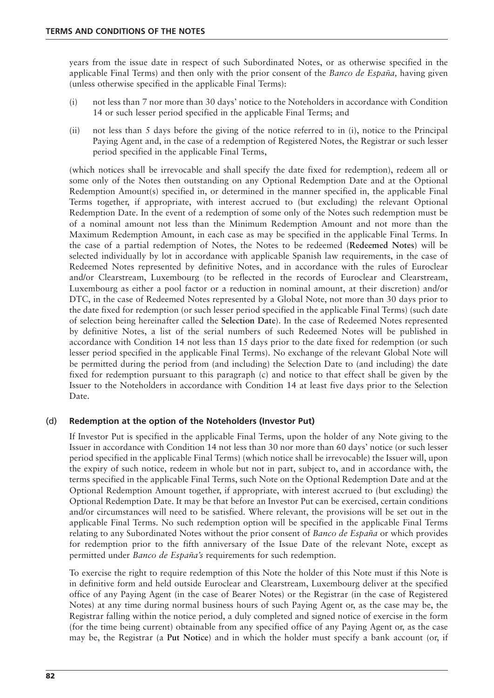years from the issue date in respect of such Subordinated Notes, or as otherwise specified in the applicable Final Terms) and then only with the prior consent of the *Banco de España,* having given (unless otherwise specified in the applicable Final Terms):

- (i) not less than 7 nor more than 30 days' notice to the Noteholders in accordance with Condition 14 or such lesser period specified in the applicable Final Terms; and
- (ii) not less than 5 days before the giving of the notice referred to in (i), notice to the Principal Paying Agent and, in the case of a redemption of Registered Notes, the Registrar or such lesser period specified in the applicable Final Terms,

(which notices shall be irrevocable and shall specify the date fixed for redemption), redeem all or some only of the Notes then outstanding on any Optional Redemption Date and at the Optional Redemption Amount(s) specified in, or determined in the manner specified in, the applicable Final Terms together, if appropriate, with interest accrued to (but excluding) the relevant Optional Redemption Date. In the event of a redemption of some only of the Notes such redemption must be of a nominal amount not less than the Minimum Redemption Amount and not more than the Maximum Redemption Amount, in each case as may be specified in the applicable Final Terms. In the case of a partial redemption of Notes, the Notes to be redeemed (**Redeemed Notes**) will be selected individually by lot in accordance with applicable Spanish law requirements, in the case of Redeemed Notes represented by definitive Notes, and in accordance with the rules of Euroclear and/or Clearstream, Luxembourg (to be reflected in the records of Euroclear and Clearstream, Luxembourg as either a pool factor or a reduction in nominal amount, at their discretion) and/or DTC, in the case of Redeemed Notes represented by a Global Note, not more than 30 days prior to the date fixed for redemption (or such lesser period specified in the applicable Final Terms) (such date of selection being hereinafter called the **Selection Date**). In the case of Redeemed Notes represented by definitive Notes, a list of the serial numbers of such Redeemed Notes will be published in accordance with Condition 14 not less than 15 days prior to the date fixed for redemption (or such lesser period specified in the applicable Final Terms). No exchange of the relevant Global Note will be permitted during the period from (and including) the Selection Date to (and including) the date fixed for redemption pursuant to this paragraph (c) and notice to that effect shall be given by the Issuer to the Noteholders in accordance with Condition 14 at least five days prior to the Selection Date.

# (d) **Redemption at the option of the Noteholders (Investor Put)**

If Investor Put is specified in the applicable Final Terms, upon the holder of any Note giving to the Issuer in accordance with Condition 14 not less than 30 nor more than 60 days' notice (or such lesser period specified in the applicable Final Terms) (which notice shall be irrevocable) the Issuer will, upon the expiry of such notice, redeem in whole but not in part, subject to, and in accordance with, the terms specified in the applicable Final Terms, such Note on the Optional Redemption Date and at the Optional Redemption Amount together, if appropriate, with interest accrued to (but excluding) the Optional Redemption Date. It may be that before an Investor Put can be exercised, certain conditions and/or circumstances will need to be satisfied. Where relevant, the provisions will be set out in the applicable Final Terms. No such redemption option will be specified in the applicable Final Terms relating to any Subordinated Notes without the prior consent of *Banco de España* or which provides for redemption prior to the fifth anniversary of the Issue Date of the relevant Note, except as permitted under *Banco de España's* requirements for such redemption.

To exercise the right to require redemption of this Note the holder of this Note must if this Note is in definitive form and held outside Euroclear and Clearstream, Luxembourg deliver at the specified office of any Paying Agent (in the case of Bearer Notes) or the Registrar (in the case of Registered Notes) at any time during normal business hours of such Paying Agent or, as the case may be, the Registrar falling within the notice period, a duly completed and signed notice of exercise in the form (for the time being current) obtainable from any specified office of any Paying Agent or, as the case may be, the Registrar (a **Put Notice**) and in which the holder must specify a bank account (or, if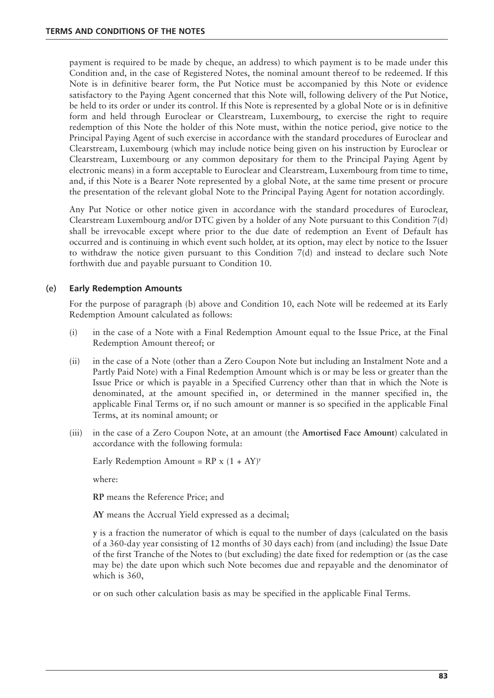payment is required to be made by cheque, an address) to which payment is to be made under this Condition and, in the case of Registered Notes, the nominal amount thereof to be redeemed. If this Note is in definitive bearer form, the Put Notice must be accompanied by this Note or evidence satisfactory to the Paying Agent concerned that this Note will, following delivery of the Put Notice, be held to its order or under its control. If this Note is represented by a global Note or is in definitive form and held through Euroclear or Clearstream, Luxembourg, to exercise the right to require redemption of this Note the holder of this Note must, within the notice period, give notice to the Principal Paying Agent of such exercise in accordance with the standard procedures of Euroclear and Clearstream, Luxembourg (which may include notice being given on his instruction by Euroclear or Clearstream, Luxembourg or any common depositary for them to the Principal Paying Agent by electronic means) in a form acceptable to Euroclear and Clearstream, Luxembourg from time to time, and, if this Note is a Bearer Note represented by a global Note, at the same time present or procure the presentation of the relevant global Note to the Principal Paying Agent for notation accordingly.

Any Put Notice or other notice given in accordance with the standard procedures of Euroclear, Clearstream Luxembourg and/or DTC given by a holder of any Note pursuant to this Condition 7(d) shall be irrevocable except where prior to the due date of redemption an Event of Default has occurred and is continuing in which event such holder, at its option, may elect by notice to the Issuer to withdraw the notice given pursuant to this Condition 7(d) and instead to declare such Note forthwith due and payable pursuant to Condition 10.

# (e) **Early Redemption Amounts**

For the purpose of paragraph (b) above and Condition 10, each Note will be redeemed at its Early Redemption Amount calculated as follows:

- (i) in the case of a Note with a Final Redemption Amount equal to the Issue Price, at the Final Redemption Amount thereof; or
- (ii) in the case of a Note (other than a Zero Coupon Note but including an Instalment Note and a Partly Paid Note) with a Final Redemption Amount which is or may be less or greater than the Issue Price or which is payable in a Specified Currency other than that in which the Note is denominated, at the amount specified in, or determined in the manner specified in, the applicable Final Terms or, if no such amount or manner is so specified in the applicable Final Terms, at its nominal amount; or
- (iii) in the case of a Zero Coupon Note, at an amount (the **Amortised Face Amount**) calculated in accordance with the following formula:

Early Redemption Amount =  $RP \times (1 + AY)^y$ 

where:

**RP** means the Reference Price; and

**AY** means the Accrual Yield expressed as a decimal;

**y** is a fraction the numerator of which is equal to the number of days (calculated on the basis of a 360-day year consisting of 12 months of 30 days each) from (and including) the Issue Date of the first Tranche of the Notes to (but excluding) the date fixed for redemption or (as the case may be) the date upon which such Note becomes due and repayable and the denominator of which is 360,

or on such other calculation basis as may be specified in the applicable Final Terms.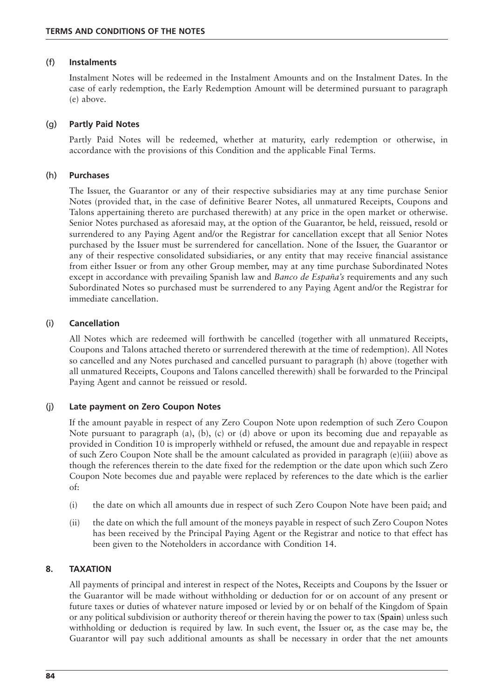#### (f) **Instalments**

Instalment Notes will be redeemed in the Instalment Amounts and on the Instalment Dates. In the case of early redemption, the Early Redemption Amount will be determined pursuant to paragraph (e) above.

### (g) **Partly Paid Notes**

Partly Paid Notes will be redeemed, whether at maturity, early redemption or otherwise, in accordance with the provisions of this Condition and the applicable Final Terms.

#### (h) **Purchases**

The Issuer, the Guarantor or any of their respective subsidiaries may at any time purchase Senior Notes (provided that, in the case of definitive Bearer Notes, all unmatured Receipts, Coupons and Talons appertaining thereto are purchased therewith) at any price in the open market or otherwise. Senior Notes purchased as aforesaid may, at the option of the Guarantor, be held, reissued, resold or surrendered to any Paying Agent and/or the Registrar for cancellation except that all Senior Notes purchased by the Issuer must be surrendered for cancellation. None of the Issuer, the Guarantor or any of their respective consolidated subsidiaries, or any entity that may receive financial assistance from either Issuer or from any other Group member, may at any time purchase Subordinated Notes except in accordance with prevailing Spanish law and *Banco de España's* requirements and any such Subordinated Notes so purchased must be surrendered to any Paying Agent and/or the Registrar for immediate cancellation.

### (i) **Cancellation**

All Notes which are redeemed will forthwith be cancelled (together with all unmatured Receipts, Coupons and Talons attached thereto or surrendered therewith at the time of redemption). All Notes so cancelled and any Notes purchased and cancelled pursuant to paragraph (h) above (together with all unmatured Receipts, Coupons and Talons cancelled therewith) shall be forwarded to the Principal Paying Agent and cannot be reissued or resold.

# (j) **Late payment on Zero Coupon Notes**

If the amount payable in respect of any Zero Coupon Note upon redemption of such Zero Coupon Note pursuant to paragraph (a), (b), (c) or (d) above or upon its becoming due and repayable as provided in Condition 10 is improperly withheld or refused, the amount due and repayable in respect of such Zero Coupon Note shall be the amount calculated as provided in paragraph (e)(iii) above as though the references therein to the date fixed for the redemption or the date upon which such Zero Coupon Note becomes due and payable were replaced by references to the date which is the earlier of:

- (i) the date on which all amounts due in respect of such Zero Coupon Note have been paid; and
- (ii) the date on which the full amount of the moneys payable in respect of such Zero Coupon Notes has been received by the Principal Paying Agent or the Registrar and notice to that effect has been given to the Noteholders in accordance with Condition 14.

# **8. TAXATION**

All payments of principal and interest in respect of the Notes, Receipts and Coupons by the Issuer or the Guarantor will be made without withholding or deduction for or on account of any present or future taxes or duties of whatever nature imposed or levied by or on behalf of the Kingdom of Spain or any political subdivision or authority thereof or therein having the power to tax (**Spain**) unless such withholding or deduction is required by law. In such event, the Issuer or, as the case may be, the Guarantor will pay such additional amounts as shall be necessary in order that the net amounts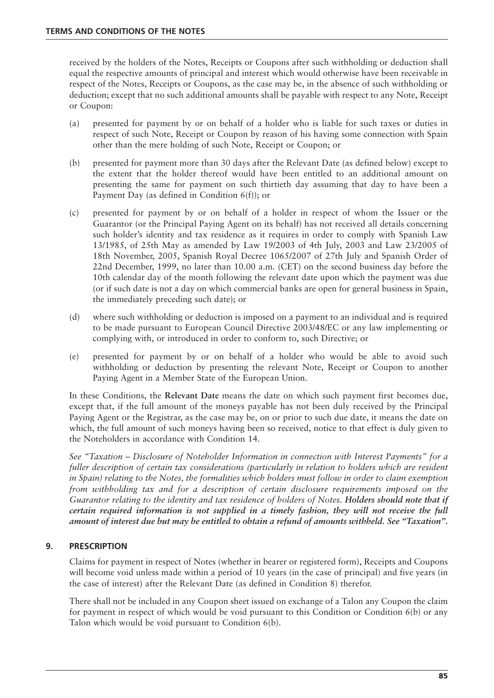received by the holders of the Notes, Receipts or Coupons after such withholding or deduction shall equal the respective amounts of principal and interest which would otherwise have been receivable in respect of the Notes, Receipts or Coupons, as the case may be, in the absence of such withholding or deduction; except that no such additional amounts shall be payable with respect to any Note, Receipt or Coupon:

- (a) presented for payment by or on behalf of a holder who is liable for such taxes or duties in respect of such Note, Receipt or Coupon by reason of his having some connection with Spain other than the mere holding of such Note, Receipt or Coupon; or
- (b) presented for payment more than 30 days after the Relevant Date (as defined below) except to the extent that the holder thereof would have been entitled to an additional amount on presenting the same for payment on such thirtieth day assuming that day to have been a Payment Day (as defined in Condition 6(f)); or
- (c) presented for payment by or on behalf of a holder in respect of whom the Issuer or the Guarantor (or the Principal Paying Agent on its behalf) has not received all details concerning such holder's identity and tax residence as it requires in order to comply with Spanish Law 13/1985, of 25th May as amended by Law 19/2003 of 4th July, 2003 and Law 23/2005 of 18th November, 2005, Spanish Royal Decree 1065/2007 of 27th July and Spanish Order of 22nd December, 1999, no later than 10.00 a.m. (CET) on the second business day before the 10th calendar day of the month following the relevant date upon which the payment was due (or if such date is not a day on which commercial banks are open for general business in Spain, the immediately preceding such date); or
- (d) where such withholding or deduction is imposed on a payment to an individual and is required to be made pursuant to European Council Directive 2003/48/EC or any law implementing or complying with, or introduced in order to conform to, such Directive; or
- (e) presented for payment by or on behalf of a holder who would be able to avoid such withholding or deduction by presenting the relevant Note, Receipt or Coupon to another Paying Agent in a Member State of the European Union.

In these Conditions, the **Relevant Date** means the date on which such payment first becomes due, except that, if the full amount of the moneys payable has not been duly received by the Principal Paying Agent or the Registrar, as the case may be, on or prior to such due date, it means the date on which, the full amount of such moneys having been so received, notice to that effect is duly given to the Noteholders in accordance with Condition 14.

*See "Taxation – Disclosure of Noteholder Information in connection with Interest Payments" for a fuller description of certain tax considerations (particularly in relation to holders which are resident in Spain) relating to the Notes, the formalities which holders must follow in order to claim exemption from withholding tax and for a description of certain disclosure requirements imposed on the Guarantor relating to the identity and tax residence of holders of Notes. Holders should note that if certain required information is not supplied in a timely fashion, they will not receive the full amount of interest due but may be entitled to obtain a refund of amounts withheld. See "Taxation".*

# **9. PRESCRIPTION**

Claims for payment in respect of Notes (whether in bearer or registered form), Receipts and Coupons will become void unless made within a period of 10 years (in the case of principal) and five years (in the case of interest) after the Relevant Date (as defined in Condition 8) therefor.

There shall not be included in any Coupon sheet issued on exchange of a Talon any Coupon the claim for payment in respect of which would be void pursuant to this Condition or Condition 6(b) or any Talon which would be void pursuant to Condition 6(b).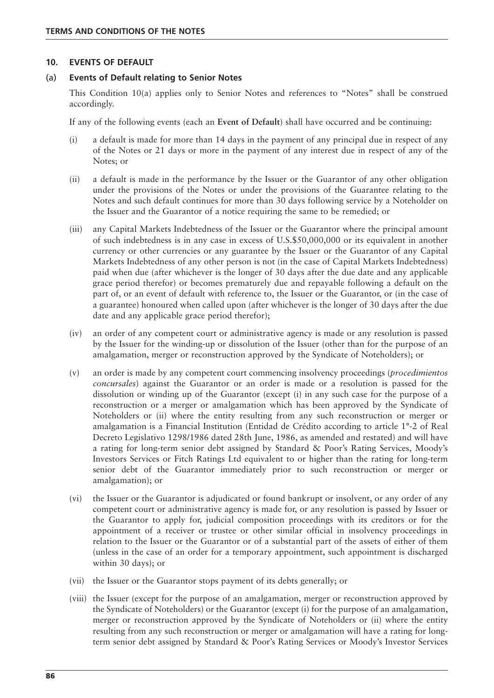#### **10. EVENTS OF DEFAULT**

#### (a) **Events of Default relating to Senior Notes**

This Condition 10(a) applies only to Senior Notes and references to "Notes" shall be construed accordingly.

If any of the following events (each an **Event of Default**) shall have occurred and be continuing:

- (i) a default is made for more than 14 days in the payment of any principal due in respect of any of the Notes or 21 days or more in the payment of any interest due in respect of any of the Notes; or
- (ii) a default is made in the performance by the Issuer or the Guarantor of any other obligation under the provisions of the Notes or under the provisions of the Guarantee relating to the Notes and such default continues for more than 30 days following service by a Noteholder on the Issuer and the Guarantor of a notice requiring the same to be remedied; or
- (iii) any Capital Markets Indebtedness of the Issuer or the Guarantor where the principal amount of such indebtedness is in any case in excess of U.S.\$50,000,000 or its equivalent in another currency or other currencies or any guarantee by the Issuer or the Guarantor of any Capital Markets Indebtedness of any other person is not (in the case of Capital Markets Indebtedness) paid when due (after whichever is the longer of 30 days after the due date and any applicable grace period therefor) or becomes prematurely due and repayable following a default on the part of, or an event of default with reference to, the Issuer or the Guarantor, or (in the case of a guarantee) honoured when called upon (after whichever is the longer of 30 days after the due date and any applicable grace period therefor);
- (iv) an order of any competent court or administrative agency is made or any resolution is passed by the Issuer for the winding-up or dissolution of the Issuer (other than for the purpose of an amalgamation, merger or reconstruction approved by the Syndicate of Noteholders); or
- (v) an order is made by any competent court commencing insolvency proceedings (*procedimientos concursales*) against the Guarantor or an order is made or a resolution is passed for the dissolution or winding up of the Guarantor (except (i) in any such case for the purpose of a reconstruction or a merger or amalgamation which has been approved by the Syndicate of Noteholders or (ii) where the entity resulting from any such reconstruction or merger or amalgamation is a Financial Institution (Entidad de Crédito according to article 1°-2 of Real Decreto Legislativo 1298/1986 dated 28th June, 1986, as amended and restated) and will have a rating for long-term senior debt assigned by Standard & Poor's Rating Services, Moody's Investors Services or Fitch Ratings Ltd equivalent to or higher than the rating for long-term senior debt of the Guarantor immediately prior to such reconstruction or merger or amalgamation); or
- (vi) the Issuer or the Guarantor is adjudicated or found bankrupt or insolvent, or any order of any competent court or administrative agency is made for, or any resolution is passed by Issuer or the Guarantor to apply for, judicial composition proceedings with its creditors or for the appointment of a receiver or trustee or other similar official in insolvency proceedings in relation to the Issuer or the Guarantor or of a substantial part of the assets of either of them (unless in the case of an order for a temporary appointment, such appointment is discharged within 30 days); or
- (vii) the Issuer or the Guarantor stops payment of its debts generally; or
- (viii) the Issuer (except for the purpose of an amalgamation, merger or reconstruction approved by the Syndicate of Noteholders) or the Guarantor (except (i) for the purpose of an amalgamation, merger or reconstruction approved by the Syndicate of Noteholders or (ii) where the entity resulting from any such reconstruction or merger or amalgamation will have a rating for longterm senior debt assigned by Standard & Poor's Rating Services or Moody's Investor Services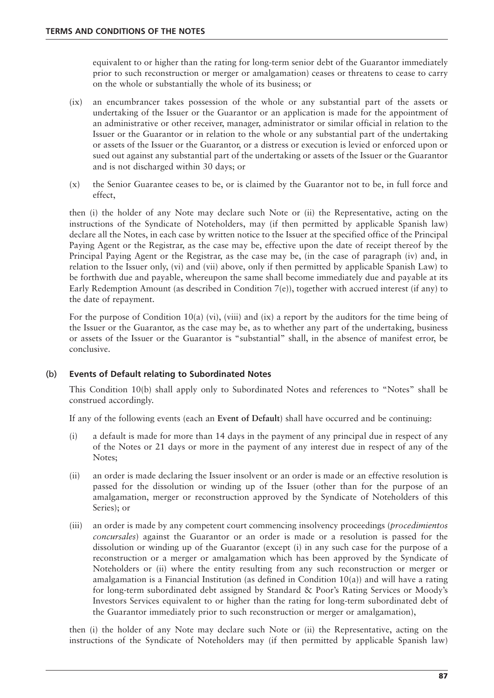equivalent to or higher than the rating for long-term senior debt of the Guarantor immediately prior to such reconstruction or merger or amalgamation) ceases or threatens to cease to carry on the whole or substantially the whole of its business; or

- (ix) an encumbrancer takes possession of the whole or any substantial part of the assets or undertaking of the Issuer or the Guarantor or an application is made for the appointment of an administrative or other receiver, manager, administrator or similar official in relation to the Issuer or the Guarantor or in relation to the whole or any substantial part of the undertaking or assets of the Issuer or the Guarantor, or a distress or execution is levied or enforced upon or sued out against any substantial part of the undertaking or assets of the Issuer or the Guarantor and is not discharged within 30 days; or
- (x) the Senior Guarantee ceases to be, or is claimed by the Guarantor not to be, in full force and effect,

then (i) the holder of any Note may declare such Note or (ii) the Representative, acting on the instructions of the Syndicate of Noteholders, may (if then permitted by applicable Spanish law) declare all the Notes, in each case by written notice to the Issuer at the specified office of the Principal Paying Agent or the Registrar, as the case may be, effective upon the date of receipt thereof by the Principal Paying Agent or the Registrar, as the case may be, (in the case of paragraph (iv) and, in relation to the Issuer only, (vi) and (vii) above, only if then permitted by applicable Spanish Law) to be forthwith due and payable, whereupon the same shall become immediately due and payable at its Early Redemption Amount (as described in Condition 7(e)), together with accrued interest (if any) to the date of repayment.

For the purpose of Condition 10(a) (vi), (viii) and (ix) a report by the auditors for the time being of the Issuer or the Guarantor, as the case may be, as to whether any part of the undertaking, business or assets of the Issuer or the Guarantor is "substantial" shall, in the absence of manifest error, be conclusive.

# (b) **Events of Default relating to Subordinated Notes**

This Condition 10(b) shall apply only to Subordinated Notes and references to "Notes" shall be construed accordingly.

If any of the following events (each an **Event of Default**) shall have occurred and be continuing:

- (i) a default is made for more than 14 days in the payment of any principal due in respect of any of the Notes or 21 days or more in the payment of any interest due in respect of any of the Notes;
- (ii) an order is made declaring the Issuer insolvent or an order is made or an effective resolution is passed for the dissolution or winding up of the Issuer (other than for the purpose of an amalgamation, merger or reconstruction approved by the Syndicate of Noteholders of this Series); or
- (iii) an order is made by any competent court commencing insolvency proceedings (*procedimientos concursales*) against the Guarantor or an order is made or a resolution is passed for the dissolution or winding up of the Guarantor (except (i) in any such case for the purpose of a reconstruction or a merger or amalgamation which has been approved by the Syndicate of Noteholders or (ii) where the entity resulting from any such reconstruction or merger or amalgamation is a Financial Institution (as defined in Condition  $10(a)$ ) and will have a rating for long-term subordinated debt assigned by Standard & Poor's Rating Services or Moody's Investors Services equivalent to or higher than the rating for long-term subordinated debt of the Guarantor immediately prior to such reconstruction or merger or amalgamation),

then (i) the holder of any Note may declare such Note or (ii) the Representative, acting on the instructions of the Syndicate of Noteholders may (if then permitted by applicable Spanish law)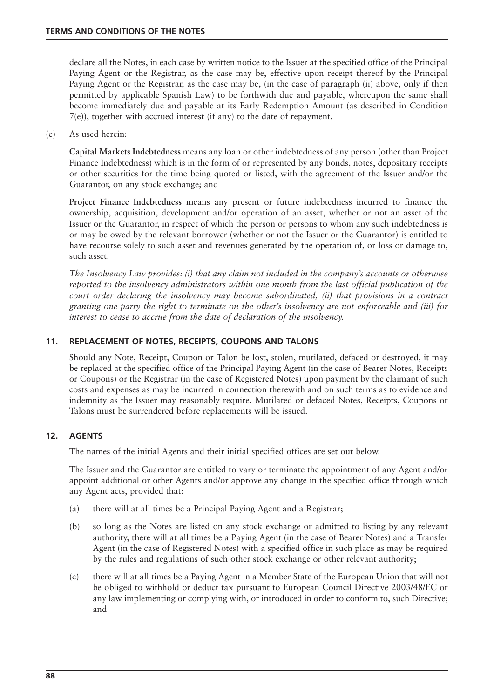declare all the Notes, in each case by written notice to the Issuer at the specified office of the Principal Paying Agent or the Registrar, as the case may be, effective upon receipt thereof by the Principal Paying Agent or the Registrar, as the case may be, (in the case of paragraph (ii) above, only if then permitted by applicable Spanish Law) to be forthwith due and payable, whereupon the same shall become immediately due and payable at its Early Redemption Amount (as described in Condition 7(e)), together with accrued interest (if any) to the date of repayment.

(c) As used herein:

**Capital Markets Indebtedness** means any loan or other indebtedness of any person (other than Project Finance Indebtedness) which is in the form of or represented by any bonds, notes, depositary receipts or other securities for the time being quoted or listed, with the agreement of the Issuer and/or the Guarantor, on any stock exchange; and

**Project Finance Indebtedness** means any present or future indebtedness incurred to finance the ownership, acquisition, development and/or operation of an asset, whether or not an asset of the Issuer or the Guarantor, in respect of which the person or persons to whom any such indebtedness is or may be owed by the relevant borrower (whether or not the Issuer or the Guarantor) is entitled to have recourse solely to such asset and revenues generated by the operation of, or loss or damage to, such asset.

*The Insolvency Law provides: (i) that any claim not included in the company's accounts or otherwise reported to the insolvency administrators within one month from the last official publication of the court order declaring the insolvency may become subordinated, (ii) that provisions in a contract granting one party the right to terminate on the other's insolvency are not enforceable and (iii) for interest to cease to accrue from the date of declaration of the insolvency.*

### **11. REPLACEMENT OF NOTES, RECEIPTS, COUPONS AND TALONS**

Should any Note, Receipt, Coupon or Talon be lost, stolen, mutilated, defaced or destroyed, it may be replaced at the specified office of the Principal Paying Agent (in the case of Bearer Notes, Receipts or Coupons) or the Registrar (in the case of Registered Notes) upon payment by the claimant of such costs and expenses as may be incurred in connection therewith and on such terms as to evidence and indemnity as the Issuer may reasonably require. Mutilated or defaced Notes, Receipts, Coupons or Talons must be surrendered before replacements will be issued.

#### **12. AGENTS**

The names of the initial Agents and their initial specified offices are set out below.

The Issuer and the Guarantor are entitled to vary or terminate the appointment of any Agent and/or appoint additional or other Agents and/or approve any change in the specified office through which any Agent acts, provided that:

- (a) there will at all times be a Principal Paying Agent and a Registrar;
- (b) so long as the Notes are listed on any stock exchange or admitted to listing by any relevant authority, there will at all times be a Paying Agent (in the case of Bearer Notes) and a Transfer Agent (in the case of Registered Notes) with a specified office in such place as may be required by the rules and regulations of such other stock exchange or other relevant authority;
- (c) there will at all times be a Paying Agent in a Member State of the European Union that will not be obliged to withhold or deduct tax pursuant to European Council Directive 2003/48/EC or any law implementing or complying with, or introduced in order to conform to, such Directive; and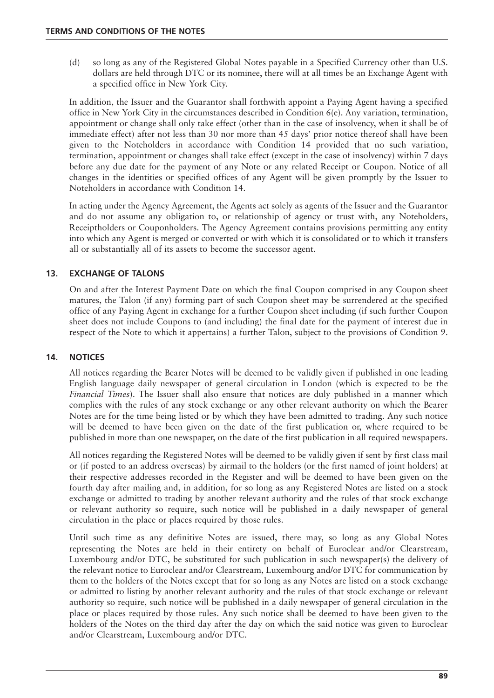(d) so long as any of the Registered Global Notes payable in a Specified Currency other than U.S. dollars are held through DTC or its nominee, there will at all times be an Exchange Agent with a specified office in New York City.

In addition, the Issuer and the Guarantor shall forthwith appoint a Paying Agent having a specified office in New York City in the circumstances described in Condition  $6(e)$ . Any variation, termination, appointment or change shall only take effect (other than in the case of insolvency, when it shall be of immediate effect) after not less than 30 nor more than 45 days' prior notice thereof shall have been given to the Noteholders in accordance with Condition 14 provided that no such variation, termination, appointment or changes shall take effect (except in the case of insolvency) within 7 days before any due date for the payment of any Note or any related Receipt or Coupon. Notice of all changes in the identities or specified offices of any Agent will be given promptly by the Issuer to Noteholders in accordance with Condition 14.

In acting under the Agency Agreement, the Agents act solely as agents of the Issuer and the Guarantor and do not assume any obligation to, or relationship of agency or trust with, any Noteholders, Receiptholders or Couponholders. The Agency Agreement contains provisions permitting any entity into which any Agent is merged or converted or with which it is consolidated or to which it transfers all or substantially all of its assets to become the successor agent.

# **13. EXCHANGE OF TALONS**

On and after the Interest Payment Date on which the final Coupon comprised in any Coupon sheet matures, the Talon (if any) forming part of such Coupon sheet may be surrendered at the specified office of any Paying Agent in exchange for a further Coupon sheet including (if such further Coupon sheet does not include Coupons to (and including) the final date for the payment of interest due in respect of the Note to which it appertains) a further Talon, subject to the provisions of Condition 9.

# **14. NOTICES**

All notices regarding the Bearer Notes will be deemed to be validly given if published in one leading English language daily newspaper of general circulation in London (which is expected to be the *Financial Times*). The Issuer shall also ensure that notices are duly published in a manner which complies with the rules of any stock exchange or any other relevant authority on which the Bearer Notes are for the time being listed or by which they have been admitted to trading. Any such notice will be deemed to have been given on the date of the first publication or, where required to be published in more than one newspaper, on the date of the first publication in all required newspapers.

All notices regarding the Registered Notes will be deemed to be validly given if sent by first class mail or (if posted to an address overseas) by airmail to the holders (or the first named of joint holders) at their respective addresses recorded in the Register and will be deemed to have been given on the fourth day after mailing and, in addition, for so long as any Registered Notes are listed on a stock exchange or admitted to trading by another relevant authority and the rules of that stock exchange or relevant authority so require, such notice will be published in a daily newspaper of general circulation in the place or places required by those rules.

Until such time as any definitive Notes are issued, there may, so long as any Global Notes representing the Notes are held in their entirety on behalf of Euroclear and/or Clearstream, Luxembourg and/or DTC, be substituted for such publication in such newspaper(s) the delivery of the relevant notice to Euroclear and/or Clearstream, Luxembourg and/or DTC for communication by them to the holders of the Notes except that for so long as any Notes are listed on a stock exchange or admitted to listing by another relevant authority and the rules of that stock exchange or relevant authority so require, such notice will be published in a daily newspaper of general circulation in the place or places required by those rules. Any such notice shall be deemed to have been given to the holders of the Notes on the third day after the day on which the said notice was given to Euroclear and/or Clearstream, Luxembourg and/or DTC.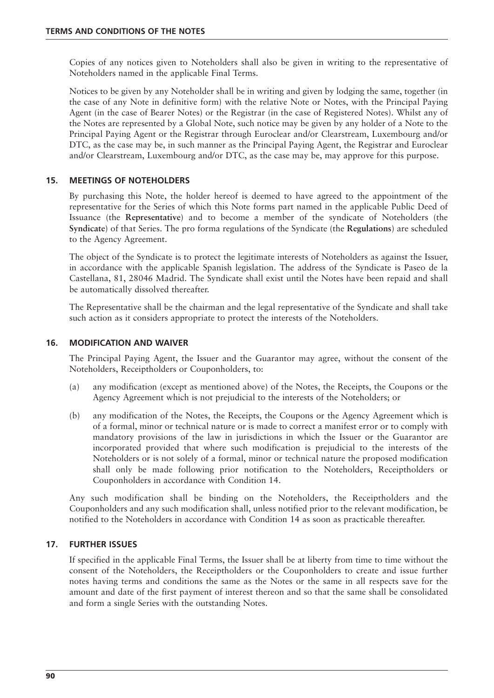Copies of any notices given to Noteholders shall also be given in writing to the representative of Noteholders named in the applicable Final Terms.

Notices to be given by any Noteholder shall be in writing and given by lodging the same, together (in the case of any Note in definitive form) with the relative Note or Notes, with the Principal Paying Agent (in the case of Bearer Notes) or the Registrar (in the case of Registered Notes). Whilst any of the Notes are represented by a Global Note, such notice may be given by any holder of a Note to the Principal Paying Agent or the Registrar through Euroclear and/or Clearstream, Luxembourg and/or DTC, as the case may be, in such manner as the Principal Paying Agent, the Registrar and Euroclear and/or Clearstream, Luxembourg and/or DTC, as the case may be, may approve for this purpose.

### **15. MEETINGS OF NOTEHOLDERS**

By purchasing this Note, the holder hereof is deemed to have agreed to the appointment of the representative for the Series of which this Note forms part named in the applicable Public Deed of Issuance (the **Representative**) and to become a member of the syndicate of Noteholders (the **Syndicate**) of that Series. The pro forma regulations of the Syndicate (the **Regulations**) are scheduled to the Agency Agreement.

The object of the Syndicate is to protect the legitimate interests of Noteholders as against the Issuer, in accordance with the applicable Spanish legislation. The address of the Syndicate is Paseo de la Castellana, 81, 28046 Madrid. The Syndicate shall exist until the Notes have been repaid and shall be automatically dissolved thereafter.

The Representative shall be the chairman and the legal representative of the Syndicate and shall take such action as it considers appropriate to protect the interests of the Noteholders.

#### **16. MODIFICATION AND WAIVER**

The Principal Paying Agent, the Issuer and the Guarantor may agree, without the consent of the Noteholders, Receiptholders or Couponholders, to:

- (a) any modification (except as mentioned above) of the Notes, the Receipts, the Coupons or the Agency Agreement which is not prejudicial to the interests of the Noteholders; or
- (b) any modification of the Notes, the Receipts, the Coupons or the Agency Agreement which is of a formal, minor or technical nature or is made to correct a manifest error or to comply with mandatory provisions of the law in jurisdictions in which the Issuer or the Guarantor are incorporated provided that where such modification is prejudicial to the interests of the Noteholders or is not solely of a formal, minor or technical nature the proposed modification shall only be made following prior notification to the Noteholders, Receiptholders or Couponholders in accordance with Condition 14.

Any such modification shall be binding on the Noteholders, the Receiptholders and the Couponholders and any such modification shall, unless notified prior to the relevant modification, be notified to the Noteholders in accordance with Condition 14 as soon as practicable thereafter.

#### **17. FURTHER ISSUES**

If specified in the applicable Final Terms, the Issuer shall be at liberty from time to time without the consent of the Noteholders, the Receiptholders or the Couponholders to create and issue further notes having terms and conditions the same as the Notes or the same in all respects save for the amount and date of the first payment of interest thereon and so that the same shall be consolidated and form a single Series with the outstanding Notes.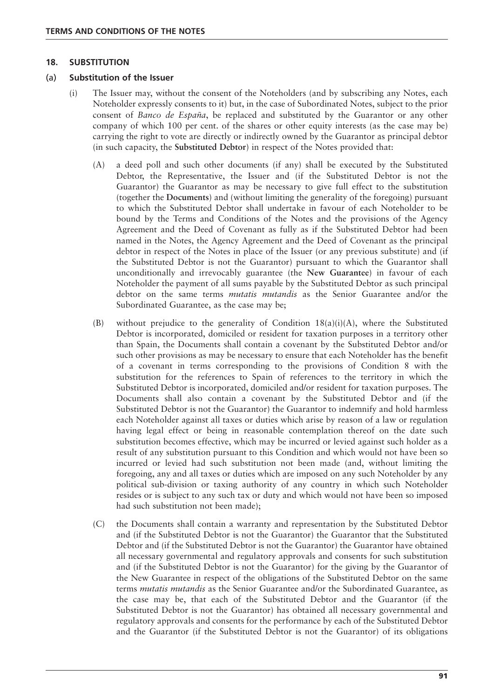#### **18. SUBSTITUTION**

#### (a) **Substitution of the Issuer**

- (i) The Issuer may, without the consent of the Noteholders (and by subscribing any Notes, each Noteholder expressly consents to it) but, in the case of Subordinated Notes, subject to the prior consent of *Banco de España*, be replaced and substituted by the Guarantor or any other company of which 100 per cent. of the shares or other equity interests (as the case may be) carrying the right to vote are directly or indirectly owned by the Guarantor as principal debtor (in such capacity, the **Substituted Debtor**) in respect of the Notes provided that:
	- (A) a deed poll and such other documents (if any) shall be executed by the Substituted Debtor, the Representative, the Issuer and (if the Substituted Debtor is not the Guarantor) the Guarantor as may be necessary to give full effect to the substitution (together the **Documents**) and (without limiting the generality of the foregoing) pursuant to which the Substituted Debtor shall undertake in favour of each Noteholder to be bound by the Terms and Conditions of the Notes and the provisions of the Agency Agreement and the Deed of Covenant as fully as if the Substituted Debtor had been named in the Notes, the Agency Agreement and the Deed of Covenant as the principal debtor in respect of the Notes in place of the Issuer (or any previous substitute) and (if the Substituted Debtor is not the Guarantor) pursuant to which the Guarantor shall unconditionally and irrevocably guarantee (the **New Guarantee**) in favour of each Noteholder the payment of all sums payable by the Substituted Debtor as such principal debtor on the same terms *mutatis mutandis* as the Senior Guarantee and/or the Subordinated Guarantee, as the case may be;
	- (B) without prejudice to the generality of Condition 18(a)(i)(A), where the Substituted Debtor is incorporated, domiciled or resident for taxation purposes in a territory other than Spain, the Documents shall contain a covenant by the Substituted Debtor and/or such other provisions as may be necessary to ensure that each Noteholder has the benefit of a covenant in terms corresponding to the provisions of Condition 8 with the substitution for the references to Spain of references to the territory in which the Substituted Debtor is incorporated, domiciled and/or resident for taxation purposes. The Documents shall also contain a covenant by the Substituted Debtor and (if the Substituted Debtor is not the Guarantor) the Guarantor to indemnify and hold harmless each Noteholder against all taxes or duties which arise by reason of a law or regulation having legal effect or being in reasonable contemplation thereof on the date such substitution becomes effective, which may be incurred or levied against such holder as a result of any substitution pursuant to this Condition and which would not have been so incurred or levied had such substitution not been made (and, without limiting the foregoing, any and all taxes or duties which are imposed on any such Noteholder by any political sub-division or taxing authority of any country in which such Noteholder resides or is subject to any such tax or duty and which would not have been so imposed had such substitution not been made);
	- (C) the Documents shall contain a warranty and representation by the Substituted Debtor and (if the Substituted Debtor is not the Guarantor) the Guarantor that the Substituted Debtor and (if the Substituted Debtor is not the Guarantor) the Guarantor have obtained all necessary governmental and regulatory approvals and consents for such substitution and (if the Substituted Debtor is not the Guarantor) for the giving by the Guarantor of the New Guarantee in respect of the obligations of the Substituted Debtor on the same terms *mutatis mutandis* as the Senior Guarantee and/or the Subordinated Guarantee, as the case may be, that each of the Substituted Debtor and the Guarantor (if the Substituted Debtor is not the Guarantor) has obtained all necessary governmental and regulatory approvals and consents for the performance by each of the Substituted Debtor and the Guarantor (if the Substituted Debtor is not the Guarantor) of its obligations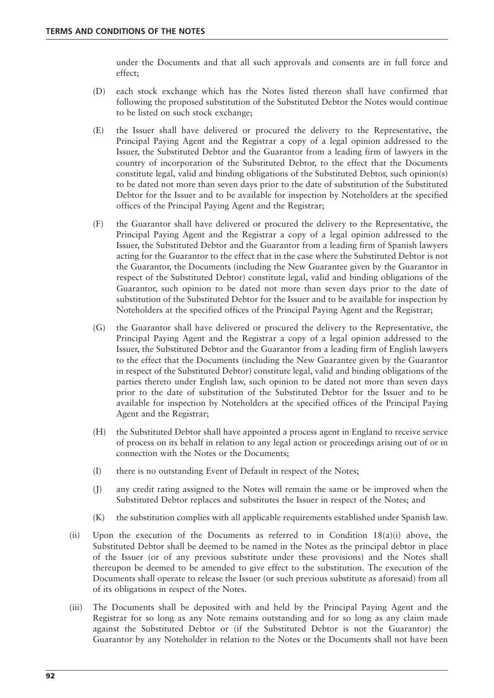under the Documents and that all such approvals and consents are in full force and effect;

- (D) each stock exchange which has the Notes listed thereon shall have confirmed that following the proposed substitution of the Substituted Debtor the Notes would continue to be listed on such stock exchange;
- (E) the Issuer shall have delivered or procured the delivery to the Representative, the Principal Paying Agent and the Registrar a copy of a legal opinion addressed to the Issuer, the Substituted Debtor and the Guarantor from a leading firm of lawyers in the country of incorporation of the Substituted Debtor, to the effect that the Documents constitute legal, valid and binding obligations of the Substituted Debtor, such opinion(s) to be dated not more than seven days prior to the date of substitution of the Substituted Debtor for the Issuer and to be available for inspection by Noteholders at the specified offices of the Principal Paying Agent and the Registrar;
- (F) the Guarantor shall have delivered or procured the delivery to the Representative, the Principal Paying Agent and the Registrar a copy of a legal opinion addressed to the Issuer, the Substituted Debtor and the Guarantor from a leading firm of Spanish lawyers acting for the Guarantor to the effect that in the case where the Substituted Debtor is not the Guarantor, the Documents (including the New Guarantee given by the Guarantor in respect of the Substituted Debtor) constitute legal, valid and binding obligations of the Guarantor, such opinion to be dated not more than seven days prior to the date of substitution of the Substituted Debtor for the Issuer and to be available for inspection by Noteholders at the specified offices of the Principal Paying Agent and the Registrar;
- (G) the Guarantor shall have delivered or procured the delivery to the Representative, the Principal Paying Agent and the Registrar a copy of a legal opinion addressed to the Issuer, the Substituted Debtor and the Guarantor from a leading firm of English lawyers to the effect that the Documents (including the New Guarantee given by the Guarantor in respect of the Substituted Debtor) constitute legal, valid and binding obligations of the parties thereto under English law, such opinion to be dated not more than seven days prior to the date of substitution of the Substituted Debtor for the Issuer and to be available for inspection by Noteholders at the specified offices of the Principal Paying Agent and the Registrar;
- (H) the Substituted Debtor shall have appointed a process agent in England to receive service of process on its behalf in relation to any legal action or proceedings arising out of or in connection with the Notes or the Documents;
- (I) there is no outstanding Event of Default in respect of the Notes;
- (J) any credit rating assigned to the Notes will remain the same or be improved when the Substituted Debtor replaces and substitutes the Issuer in respect of the Notes; and
- (K) the substitution complies with all applicable requirements established under Spanish law.
- (ii) Upon the execution of the Documents as referred to in Condition  $18(a)(i)$  above, the Substituted Debtor shall be deemed to be named in the Notes as the principal debtor in place of the Issuer (or of any previous substitute under these provisions) and the Notes shall thereupon be deemed to be amended to give effect to the substitution. The execution of the Documents shall operate to release the Issuer (or such previous substitute as aforesaid) from all of its obligations in respect of the Notes.
- (iii) The Documents shall be deposited with and held by the Principal Paying Agent and the Registrar for so long as any Note remains outstanding and for so long as any claim made against the Substituted Debtor or (if the Substituted Debtor is not the Guarantor) the Guarantor by any Noteholder in relation to the Notes or the Documents shall not have been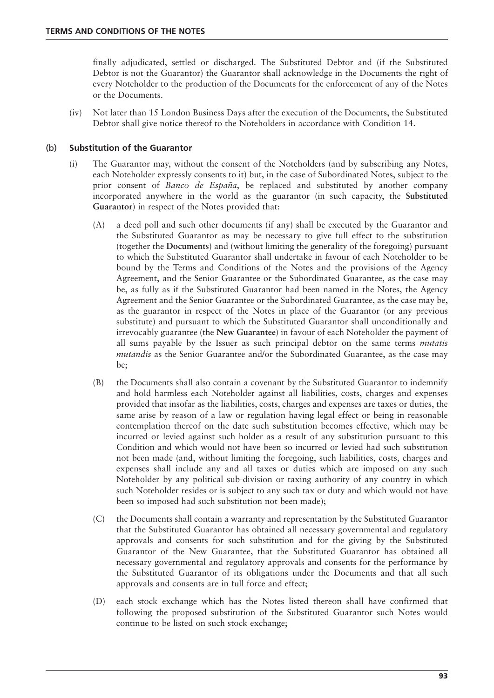finally adjudicated, settled or discharged. The Substituted Debtor and (if the Substituted Debtor is not the Guarantor) the Guarantor shall acknowledge in the Documents the right of every Noteholder to the production of the Documents for the enforcement of any of the Notes or the Documents.

(iv) Not later than 15 London Business Days after the execution of the Documents, the Substituted Debtor shall give notice thereof to the Noteholders in accordance with Condition 14.

## (b) **Substitution of the Guarantor**

- (i) The Guarantor may, without the consent of the Noteholders (and by subscribing any Notes, each Noteholder expressly consents to it) but, in the case of Subordinated Notes, subject to the prior consent of *Banco de España*, be replaced and substituted by another company incorporated anywhere in the world as the guarantor (in such capacity, the **Substituted Guarantor**) in respect of the Notes provided that:
	- (A) a deed poll and such other documents (if any) shall be executed by the Guarantor and the Substituted Guarantor as may be necessary to give full effect to the substitution (together the **Documents**) and (without limiting the generality of the foregoing) pursuant to which the Substituted Guarantor shall undertake in favour of each Noteholder to be bound by the Terms and Conditions of the Notes and the provisions of the Agency Agreement, and the Senior Guarantee or the Subordinated Guarantee, as the case may be, as fully as if the Substituted Guarantor had been named in the Notes, the Agency Agreement and the Senior Guarantee or the Subordinated Guarantee, as the case may be, as the guarantor in respect of the Notes in place of the Guarantor (or any previous substitute) and pursuant to which the Substituted Guarantor shall unconditionally and irrevocably guarantee (the **New Guarantee**) in favour of each Noteholder the payment of all sums payable by the Issuer as such principal debtor on the same terms *mutatis mutandis* as the Senior Guarantee and/or the Subordinated Guarantee, as the case may be;
	- (B) the Documents shall also contain a covenant by the Substituted Guarantor to indemnify and hold harmless each Noteholder against all liabilities, costs, charges and expenses provided that insofar as the liabilities, costs, charges and expenses are taxes or duties, the same arise by reason of a law or regulation having legal effect or being in reasonable contemplation thereof on the date such substitution becomes effective, which may be incurred or levied against such holder as a result of any substitution pursuant to this Condition and which would not have been so incurred or levied had such substitution not been made (and, without limiting the foregoing, such liabilities, costs, charges and expenses shall include any and all taxes or duties which are imposed on any such Noteholder by any political sub-division or taxing authority of any country in which such Noteholder resides or is subject to any such tax or duty and which would not have been so imposed had such substitution not been made);
	- (C) the Documents shall contain a warranty and representation by the Substituted Guarantor that the Substituted Guarantor has obtained all necessary governmental and regulatory approvals and consents for such substitution and for the giving by the Substituted Guarantor of the New Guarantee, that the Substituted Guarantor has obtained all necessary governmental and regulatory approvals and consents for the performance by the Substituted Guarantor of its obligations under the Documents and that all such approvals and consents are in full force and effect;
	- (D) each stock exchange which has the Notes listed thereon shall have confirmed that following the proposed substitution of the Substituted Guarantor such Notes would continue to be listed on such stock exchange;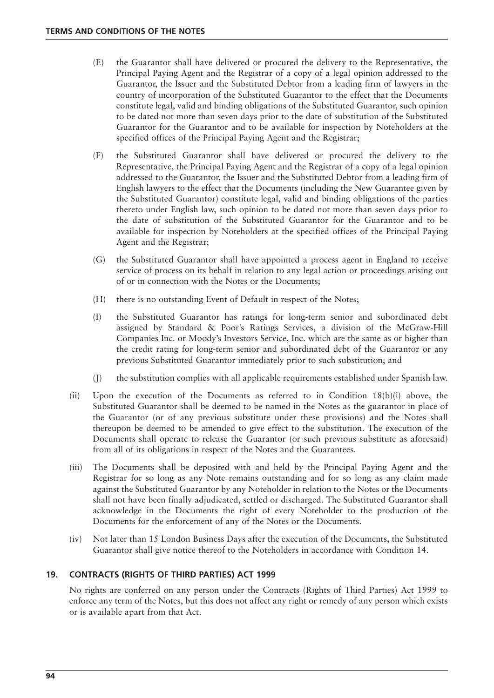- (E) the Guarantor shall have delivered or procured the delivery to the Representative, the Principal Paying Agent and the Registrar of a copy of a legal opinion addressed to the Guarantor, the Issuer and the Substituted Debtor from a leading firm of lawyers in the country of incorporation of the Substituted Guarantor to the effect that the Documents constitute legal, valid and binding obligations of the Substituted Guarantor, such opinion to be dated not more than seven days prior to the date of substitution of the Substituted Guarantor for the Guarantor and to be available for inspection by Noteholders at the specified offices of the Principal Paying Agent and the Registrar;
- (F) the Substituted Guarantor shall have delivered or procured the delivery to the Representative, the Principal Paying Agent and the Registrar of a copy of a legal opinion addressed to the Guarantor, the Issuer and the Substituted Debtor from a leading firm of English lawyers to the effect that the Documents (including the New Guarantee given by the Substituted Guarantor) constitute legal, valid and binding obligations of the parties thereto under English law, such opinion to be dated not more than seven days prior to the date of substitution of the Substituted Guarantor for the Guarantor and to be available for inspection by Noteholders at the specified offices of the Principal Paying Agent and the Registrar;
- (G) the Substituted Guarantor shall have appointed a process agent in England to receive service of process on its behalf in relation to any legal action or proceedings arising out of or in connection with the Notes or the Documents;
- (H) there is no outstanding Event of Default in respect of the Notes;
- (I) the Substituted Guarantor has ratings for long-term senior and subordinated debt assigned by Standard & Poor's Ratings Services, a division of the McGraw-Hill Companies Inc. or Moody's Investors Service, Inc. which are the same as or higher than the credit rating for long-term senior and subordinated debt of the Guarantor or any previous Substituted Guarantor immediately prior to such substitution; and
- (J) the substitution complies with all applicable requirements established under Spanish law.
- (ii) Upon the execution of the Documents as referred to in Condition 18(b)(i) above, the Substituted Guarantor shall be deemed to be named in the Notes as the guarantor in place of the Guarantor (or of any previous substitute under these provisions) and the Notes shall thereupon be deemed to be amended to give effect to the substitution. The execution of the Documents shall operate to release the Guarantor (or such previous substitute as aforesaid) from all of its obligations in respect of the Notes and the Guarantees.
- (iii) The Documents shall be deposited with and held by the Principal Paying Agent and the Registrar for so long as any Note remains outstanding and for so long as any claim made against the Substituted Guarantor by any Noteholder in relation to the Notes or the Documents shall not have been finally adjudicated, settled or discharged. The Substituted Guarantor shall acknowledge in the Documents the right of every Noteholder to the production of the Documents for the enforcement of any of the Notes or the Documents.
- (iv) Not later than 15 London Business Days after the execution of the Documents, the Substituted Guarantor shall give notice thereof to the Noteholders in accordance with Condition 14.

# **19. CONTRACTS (RIGHTS OF THIRD PARTIES) ACT 1999**

No rights are conferred on any person under the Contracts (Rights of Third Parties) Act 1999 to enforce any term of the Notes, but this does not affect any right or remedy of any person which exists or is available apart from that Act.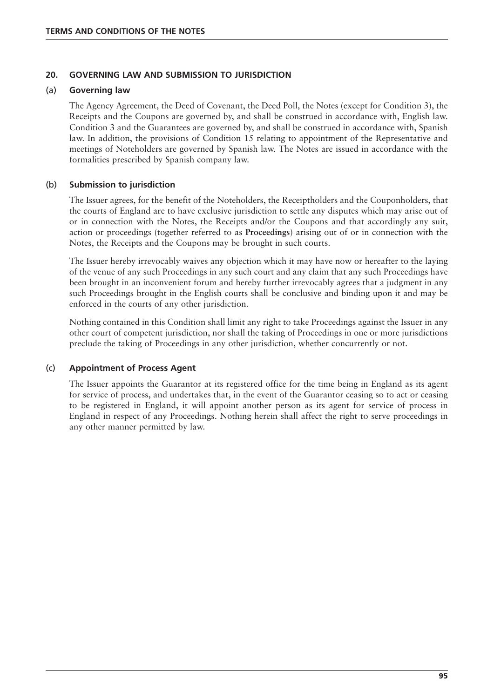#### **20. GOVERNING LAW AND SUBMISSION TO JURISDICTION**

#### (a) **Governing law**

The Agency Agreement, the Deed of Covenant, the Deed Poll, the Notes (except for Condition 3), the Receipts and the Coupons are governed by, and shall be construed in accordance with, English law. Condition 3 and the Guarantees are governed by, and shall be construed in accordance with, Spanish law. In addition, the provisions of Condition 15 relating to appointment of the Representative and meetings of Noteholders are governed by Spanish law. The Notes are issued in accordance with the formalities prescribed by Spanish company law.

### (b) **Submission to jurisdiction**

The Issuer agrees, for the benefit of the Noteholders, the Receiptholders and the Couponholders, that the courts of England are to have exclusive jurisdiction to settle any disputes which may arise out of or in connection with the Notes, the Receipts and/or the Coupons and that accordingly any suit, action or proceedings (together referred to as **Proceedings**) arising out of or in connection with the Notes, the Receipts and the Coupons may be brought in such courts.

The Issuer hereby irrevocably waives any objection which it may have now or hereafter to the laying of the venue of any such Proceedings in any such court and any claim that any such Proceedings have been brought in an inconvenient forum and hereby further irrevocably agrees that a judgment in any such Proceedings brought in the English courts shall be conclusive and binding upon it and may be enforced in the courts of any other jurisdiction.

Nothing contained in this Condition shall limit any right to take Proceedings against the Issuer in any other court of competent jurisdiction, nor shall the taking of Proceedings in one or more jurisdictions preclude the taking of Proceedings in any other jurisdiction, whether concurrently or not.

#### (c) **Appointment of Process Agent**

The Issuer appoints the Guarantor at its registered office for the time being in England as its agent for service of process, and undertakes that, in the event of the Guarantor ceasing so to act or ceasing to be registered in England, it will appoint another person as its agent for service of process in England in respect of any Proceedings. Nothing herein shall affect the right to serve proceedings in any other manner permitted by law.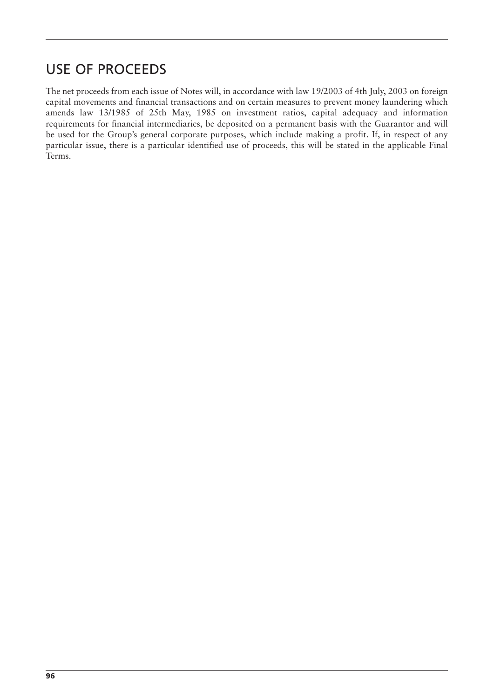# USE OF PROCEEDS

The net proceeds from each issue of Notes will, in accordance with law 19/2003 of 4th July, 2003 on foreign capital movements and financial transactions and on certain measures to prevent money laundering which amends law 13/1985 of 25th May, 1985 on investment ratios, capital adequacy and information requirements for financial intermediaries, be deposited on a permanent basis with the Guarantor and will be used for the Group's general corporate purposes, which include making a profit. If, in respect of any particular issue, there is a particular identified use of proceeds, this will be stated in the applicable Final Terms.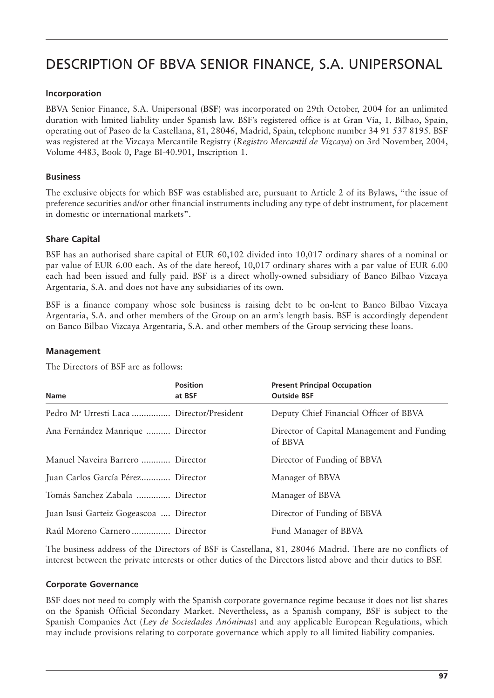# DESCRIPTION OF BBVA SENIOR FINANCE, S.A. UNIPERSONAL

## **Incorporation**

BBVA Senior Finance, S.A. Unipersonal (**BSF**) was incorporated on 29th October, 2004 for an unlimited duration with limited liability under Spanish law. BSF's registered office is at Gran Vía, 1, Bilbao, Spain, operating out of Paseo de la Castellana, 81, 28046, Madrid, Spain, telephone number 34 91 537 8195. BSF was registered at the Vizcaya Mercantile Registry (*Registro Mercantil de Vizcaya*) on 3rd November, 2004, Volume 4483, Book 0, Page BI-40.901, Inscription 1.

# **Business**

The exclusive objects for which BSF was established are, pursuant to Article 2 of its Bylaws, "the issue of preference securities and/or other financial instruments including any type of debt instrument, for placement in domestic or international markets".

# **Share Capital**

BSF has an authorised share capital of EUR 60,102 divided into 10,017 ordinary shares of a nominal or par value of EUR 6.00 each. As of the date hereof, 10,017 ordinary shares with a par value of EUR 6.00 each had been issued and fully paid. BSF is a direct wholly-owned subsidiary of Banco Bilbao Vizcaya Argentaria, S.A. and does not have any subsidiaries of its own.

BSF is a finance company whose sole business is raising debt to be on-lent to Banco Bilbao Vizcaya Argentaria, S.A. and other members of the Group on an arm's length basis. BSF is accordingly dependent on Banco Bilbao Vizcaya Argentaria, S.A. and other members of the Group servicing these loans.

#### **Management**

The Directors of BSF are as follows:

| <b>Name</b>                                           | <b>Position</b><br>at BSF | <b>Present Principal Occupation</b><br><b>Outside BSF</b> |
|-------------------------------------------------------|---------------------------|-----------------------------------------------------------|
| Pedro M <sup>ª</sup> Urresti Laca  Director/President |                           | Deputy Chief Financial Officer of BBVA                    |
| Ana Fernández Manrique  Director                      |                           | Director of Capital Management and Funding<br>of BBVA     |
| Manuel Naveira Barrero  Director                      |                           | Director of Funding of BBVA                               |
| Juan Carlos García Pérez Director                     |                           | Manager of BBVA                                           |
| Tomás Sanchez Zabala  Director                        |                           | Manager of BBVA                                           |
| Juan Isusi Garteiz Gogeascoa  Director                |                           | Director of Funding of BBVA                               |
| Raúl Moreno Carnero  Director                         |                           | Fund Manager of BBVA                                      |

The business address of the Directors of BSF is Castellana, 81, 28046 Madrid. There are no conflicts of interest between the private interests or other duties of the Directors listed above and their duties to BSF.

#### **Corporate Governance**

BSF does not need to comply with the Spanish corporate governance regime because it does not list shares on the Spanish Official Secondary Market. Nevertheless, as a Spanish company, BSF is subject to the Spanish Companies Act (*Ley de Sociedades Anónimas*) and any applicable European Regulations, which may include provisions relating to corporate governance which apply to all limited liability companies.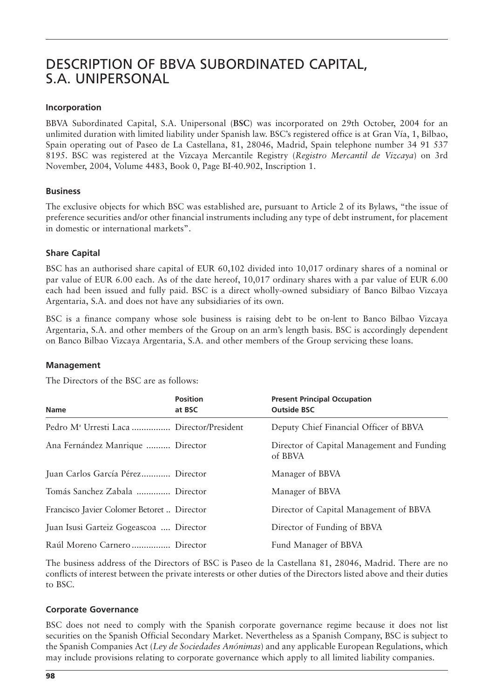# DESCRIPTION OF BBVA SUBORDINATED CAPITAL, S.A. UNIPERSONAL

# **Incorporation**

BBVA Subordinated Capital, S.A. Unipersonal (**BSC**) was incorporated on 29th October, 2004 for an unlimited duration with limited liability under Spanish law. BSC's registered office is at Gran Vía, 1, Bilbao, Spain operating out of Paseo de La Castellana, 81, 28046, Madrid, Spain telephone number 34 91 537 8195. BSC was registered at the Vizcaya Mercantile Registry (*Registro Mercantil de Vizcaya*) on 3rd November, 2004, Volume 4483, Book 0, Page BI-40.902, Inscription 1.

# **Business**

The exclusive objects for which BSC was established are, pursuant to Article 2 of its Bylaws, "the issue of preference securities and/or other financial instruments including any type of debt instrument, for placement in domestic or international markets".

# **Share Capital**

BSC has an authorised share capital of EUR 60,102 divided into 10,017 ordinary shares of a nominal or par value of EUR 6.00 each. As of the date hereof, 10,017 ordinary shares with a par value of EUR 6.00 each had been issued and fully paid. BSC is a direct wholly-owned subsidiary of Banco Bilbao Vizcaya Argentaria, S.A. and does not have any subsidiaries of its own.

BSC is a finance company whose sole business is raising debt to be on-lent to Banco Bilbao Vizcaya Argentaria, S.A. and other members of the Group on an arm's length basis. BSC is accordingly dependent on Banco Bilbao Vizcaya Argentaria, S.A. and other members of the Group servicing these loans.

# **Management**

The Directors of the BSC are as follows:

| <b>Name</b>                                           | <b>Position</b><br>at BSC | <b>Present Principal Occupation</b><br><b>Outside BSC</b> |
|-------------------------------------------------------|---------------------------|-----------------------------------------------------------|
| Pedro M <sup>ª</sup> Urresti Laca  Director/President |                           | Deputy Chief Financial Officer of BBVA                    |
| Ana Fernández Manrique  Director                      |                           | Director of Capital Management and Funding<br>of BBVA     |
| Juan Carlos García Pérez Director                     |                           | Manager of BBVA                                           |
| Tomás Sanchez Zabala  Director                        |                           | Manager of BBVA                                           |
| Francisco Javier Colomer Betoret  Director            |                           | Director of Capital Management of BBVA                    |
| Juan Isusi Garteiz Gogeascoa  Director                |                           | Director of Funding of BBVA                               |
| Raúl Moreno Carnero  Director                         |                           | Fund Manager of BBVA                                      |

The business address of the Directors of BSC is Paseo de la Castellana 81, 28046, Madrid. There are no conflicts of interest between the private interests or other duties of the Directors listed above and their duties to BSC.

# **Corporate Governance**

BSC does not need to comply with the Spanish corporate governance regime because it does not list securities on the Spanish Official Secondary Market. Nevertheless as a Spanish Company, BSC is subject to the Spanish Companies Act (*Ley de Sociedades Anónimas*) and any applicable European Regulations, which may include provisions relating to corporate governance which apply to all limited liability companies.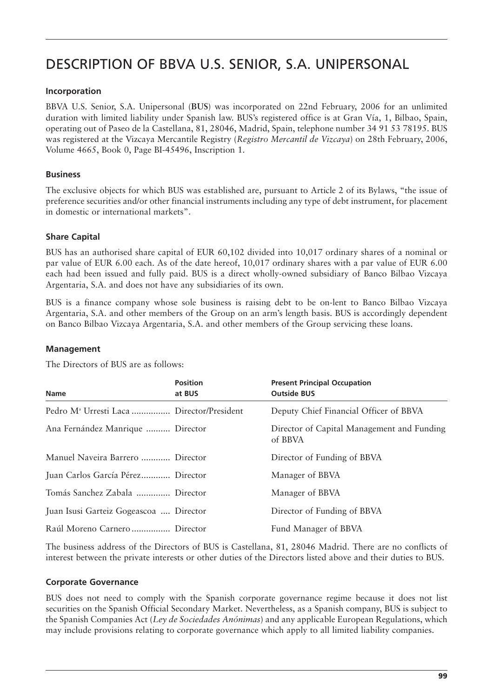# DESCRIPTION OF BBVA U.S. SENIOR, S.A. UNIPERSONAL

# **Incorporation**

BBVA U.S. Senior, S.A. Unipersonal (**BUS**) was incorporated on 22nd February, 2006 for an unlimited duration with limited liability under Spanish law. BUS's registered office is at Gran Vía, 1, Bilbao, Spain, operating out of Paseo de la Castellana, 81, 28046, Madrid, Spain, telephone number 34 91 53 78195. BUS was registered at the Vizcaya Mercantile Registry (*Registro Mercantil de Vizcaya*) on 28th February, 2006, Volume 4665, Book 0, Page BI-45496, Inscription 1.

# **Business**

The exclusive objects for which BUS was established are, pursuant to Article 2 of its Bylaws, "the issue of preference securities and/or other financial instruments including any type of debt instrument, for placement in domestic or international markets".

# **Share Capital**

BUS has an authorised share capital of EUR 60,102 divided into 10,017 ordinary shares of a nominal or par value of EUR 6.00 each. As of the date hereof, 10,017 ordinary shares with a par value of EUR 6.00 each had been issued and fully paid. BUS is a direct wholly-owned subsidiary of Banco Bilbao Vizcaya Argentaria, S.A. and does not have any subsidiaries of its own.

BUS is a finance company whose sole business is raising debt to be on-lent to Banco Bilbao Vizcaya Argentaria, S.A. and other members of the Group on an arm's length basis. BUS is accordingly dependent on Banco Bilbao Vizcaya Argentaria, S.A. and other members of the Group servicing these loans.

# **Management**

The Directors of BUS are as follows:

| <b>Name</b>                                           | <b>Position</b><br>at BUS | <b>Present Principal Occupation</b><br><b>Outside BUS</b> |
|-------------------------------------------------------|---------------------------|-----------------------------------------------------------|
| Pedro M <sup>ª</sup> Urresti Laca  Director/President |                           | Deputy Chief Financial Officer of BBVA                    |
| Ana Fernández Manrique  Director                      |                           | Director of Capital Management and Funding<br>of BBVA     |
| Manuel Naveira Barrero  Director                      |                           | Director of Funding of BBVA                               |
| Juan Carlos García Pérez Director                     |                           | Manager of BBVA                                           |
| Tomás Sanchez Zabala  Director                        |                           | Manager of BBVA                                           |
| Juan Isusi Garteiz Gogeascoa  Director                |                           | Director of Funding of BBVA                               |
| Raúl Moreno Carnero  Director                         |                           | Fund Manager of BBVA                                      |

The business address of the Directors of BUS is Castellana, 81, 28046 Madrid. There are no conflicts of interest between the private interests or other duties of the Directors listed above and their duties to BUS.

# **Corporate Governance**

BUS does not need to comply with the Spanish corporate governance regime because it does not list securities on the Spanish Official Secondary Market. Nevertheless, as a Spanish company, BUS is subject to the Spanish Companies Act (*Ley de Sociedades Anónimas*) and any applicable European Regulations, which may include provisions relating to corporate governance which apply to all limited liability companies.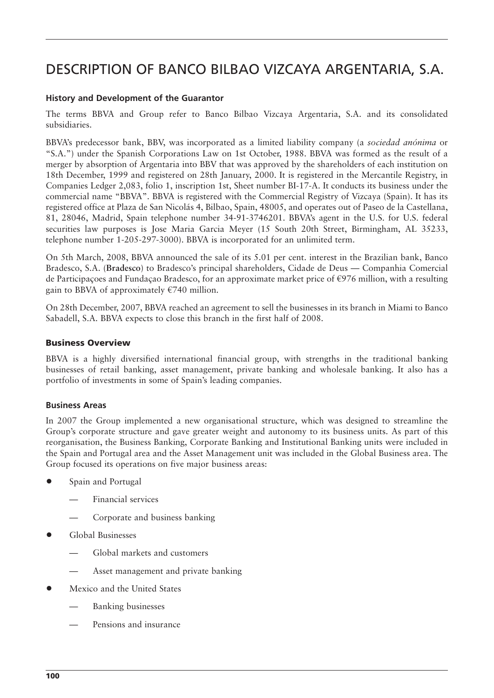# DESCRIPTION OF BANCO BILBAO VIZCAYA ARGENTARIA, S.A.

#### **History and Development of the Guarantor**

The terms BBVA and Group refer to Banco Bilbao Vizcaya Argentaria, S.A. and its consolidated subsidiaries.

BBVA's predecessor bank, BBV, was incorporated as a limited liability company (a *sociedad anónima* or "S.A.") under the Spanish Corporations Law on 1st October, 1988. BBVA was formed as the result of a merger by absorption of Argentaria into BBV that was approved by the shareholders of each institution on 18th December, 1999 and registered on 28th January, 2000. It is registered in the Mercantile Registry, in Companies Ledger 2,083, folio 1, inscription 1st, Sheet number BI-17-A. It conducts its business under the commercial name "BBVA". BBVA is registered with the Commercial Registry of Vizcaya (Spain). It has its registered office at Plaza de San Nicolás 4, Bilbao, Spain, 48005, and operates out of Paseo de la Castellana, 81, 28046, Madrid, Spain telephone number 34-91-3746201. BBVA's agent in the U.S. for U.S. federal securities law purposes is Jose Maria Garcia Meyer (15 South 20th Street, Birmingham, AL 35233, telephone number 1-205-297-3000). BBVA is incorporated for an unlimited term.

On 5th March, 2008, BBVA announced the sale of its 5.01 per cent. interest in the Brazilian bank, Banco Bradesco, S.A. (**Bradesco**) to Bradesco's principal shareholders, Cidade de Deus — Companhia Comercial de Participaçoes and Fundaçao Bradesco, for an approximate market price of €976 million, with a resulting gain to BBVA of approximately  $\epsilon$ 740 million.

On 28th December, 2007, BBVA reached an agreement to sell the businesses in its branch in Miami to Banco Sabadell, S.A. BBVA expects to close this branch in the first half of 2008.

### **Business Overview**

BBVA is a highly diversified international financial group, with strengths in the traditional banking businesses of retail banking, asset management, private banking and wholesale banking. It also has a portfolio of investments in some of Spain's leading companies.

#### **Business Areas**

In 2007 the Group implemented a new organisational structure, which was designed to streamline the Group's corporate structure and gave greater weight and autonomy to its business units. As part of this reorganisation, the Business Banking, Corporate Banking and Institutional Banking units were included in the Spain and Portugal area and the Asset Management unit was included in the Global Business area. The Group focused its operations on five major business areas:

- Spain and Portugal
	- Financial services
	- Corporate and business banking
- Global Businesses
	- Global markets and customers
	- Asset management and private banking
- Mexico and the United States
	- Banking businesses
	- Pensions and insurance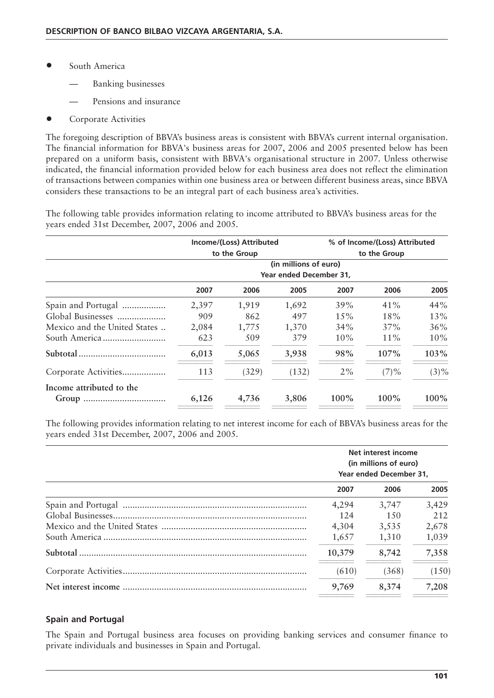- South America
	- Banking businesses
	- Pensions and insurance
- Corporate Activities

The foregoing description of BBVA's business areas is consistent with BBVA's current internal organisation. The financial information for BBVA's business areas for 2007, 2006 and 2005 presented below has been prepared on a uniform basis, consistent with BBVA's organisational structure in 2007. Unless otherwise indicated, the financial information provided below for each business area does not reflect the elimination of transactions between companies within one business area or between different business areas, since BBVA considers these transactions to be an integral part of each business area's activities.

The following table provides information relating to income attributed to BBVA's business areas for the years ended 31st December, 2007, 2006 and 2005.

|                              | Income/(Loss) Attributed<br>to the Group         |       | % of Income/(Loss) Attributed<br>to the Group |        |          |         |
|------------------------------|--------------------------------------------------|-------|-----------------------------------------------|--------|----------|---------|
|                              | (in millions of euro)<br>Year ended December 31, |       |                                               |        |          |         |
|                              |                                                  |       |                                               |        |          |         |
|                              | 2007                                             | 2006  | 2005                                          | 2007   | 2006     | 2005    |
| Spain and Portugal           | 2,397                                            | 1,919 | 1,692                                         | 39%    | 41%      | 44%     |
| Global Businesses            | 909                                              | 862   | 497                                           | 15%    | 18%      | 13%     |
| Mexico and the United States | 2,084                                            | 1,775 | 1,370                                         | $34\%$ | 37%      | 36%     |
|                              | 623                                              | 509   | 379                                           | 10%    | 11%      | $10\%$  |
|                              | 6,013                                            | 5,065 | 3,938                                         | 98%    | 107%     | 103%    |
| Corporate Activities         | 113                                              | (329) | (132)                                         | $2\%$  | $(7) \%$ | $(3)\%$ |
| Income attributed to the     | 6,126                                            | 4,736 | 3,806                                         | 100%   | 100%     | 100%    |

The following provides information relating to net interest income for each of BBVA's business areas for the years ended 31st December, 2007, 2006 and 2005.

| Net interest income<br>(in millions of euro)<br>Year ended December 31. |       |       |  |
|-------------------------------------------------------------------------|-------|-------|--|
| 2007                                                                    | 2006  | 2005  |  |
| 4,294                                                                   | 3,747 | 3,429 |  |
| 124                                                                     | 1.50  | 212   |  |
| 4,304                                                                   | 3,535 | 2,678 |  |
| 1,657                                                                   | 1,310 | 1,039 |  |
| 10,379                                                                  | 8,742 | 7,358 |  |
| (610)                                                                   | (368) | (150) |  |
| 9,769                                                                   | 8,374 | 7,208 |  |

# **Spain and Portugal**

The Spain and Portugal business area focuses on providing banking services and consumer finance to private individuals and businesses in Spain and Portugal.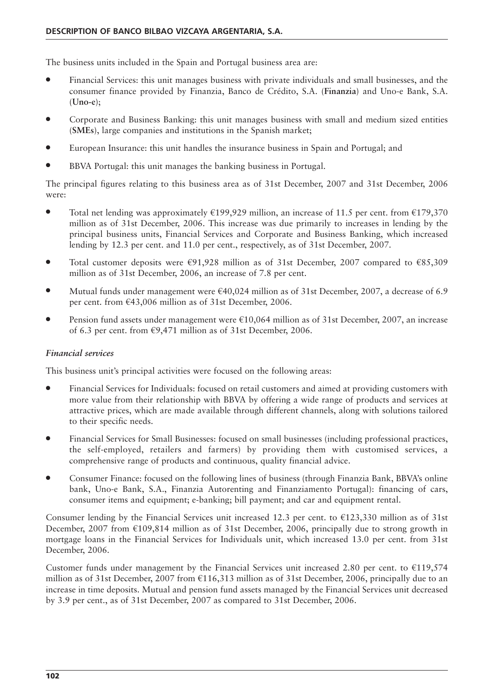The business units included in the Spain and Portugal business area are:

- Financial Services: this unit manages business with private individuals and small businesses, and the consumer finance provided by Finanzia, Banco de Crédito, S.A. (**Finanzia**) and Uno-e Bank, S.A. (**Uno-e**);
- Corporate and Business Banking: this unit manages business with small and medium sized entities (**SMEs**), large companies and institutions in the Spanish market;
- European Insurance: this unit handles the insurance business in Spain and Portugal; and
- BBVA Portugal: this unit manages the banking business in Portugal.

The principal figures relating to this business area as of 31st December, 2007 and 31st December, 2006 were:

- Total net lending was approximately  $\epsilon$ 199,929 million, an increase of 11.5 per cent. from  $\epsilon$ 179,370 million as of 31st December, 2006. This increase was due primarily to increases in lending by the principal business units, Financial Services and Corporate and Business Banking, which increased lending by 12.3 per cent. and 11.0 per cent., respectively, as of 31st December, 2007.
- Total customer deposits were  $\epsilon$ 91,928 million as of 31st December, 2007 compared to  $\epsilon$ 85,309 million as of 31st December, 2006, an increase of 7.8 per cent.
- Mutual funds under management were  $\epsilon$ 40,024 million as of 31st December, 2007, a decrease of 6.9 per cent. from €43,006 million as of 31st December, 2006.
- Pension fund assets under management were €10,064 million as of 31st December, 2007, an increase of 6.3 per cent. from €9,471 million as of 31st December, 2006.

#### *Financial services*

This business unit's principal activities were focused on the following areas:

- Financial Services for Individuals: focused on retail customers and aimed at providing customers with more value from their relationship with BBVA by offering a wide range of products and services at attractive prices, which are made available through different channels, along with solutions tailored to their specific needs.
- Financial Services for Small Businesses: focused on small businesses (including professional practices, the self-employed, retailers and farmers) by providing them with customised services, a comprehensive range of products and continuous, quality financial advice.
- Consumer Finance: focused on the following lines of business (through Finanzia Bank, BBVA's online bank, Uno-e Bank, S.A., Finanzia Autorenting and Finanziamento Portugal): financing of cars, consumer items and equipment; e-banking; bill payment; and car and equipment rental.

Consumer lending by the Financial Services unit increased 12.3 per cent. to  $\epsilon$ 123,330 million as of 31st December, 2007 from €109,814 million as of 31st December, 2006, principally due to strong growth in mortgage loans in the Financial Services for Individuals unit, which increased 13.0 per cent. from 31st December, 2006.

Customer funds under management by the Financial Services unit increased 2.80 per cent. to  $\epsilon$ 119,574 million as of 31st December, 2007 from  $\epsilon$ 116,313 million as of 31st December, 2006, principally due to an increase in time deposits. Mutual and pension fund assets managed by the Financial Services unit decreased by 3.9 per cent., as of 31st December, 2007 as compared to 31st December, 2006.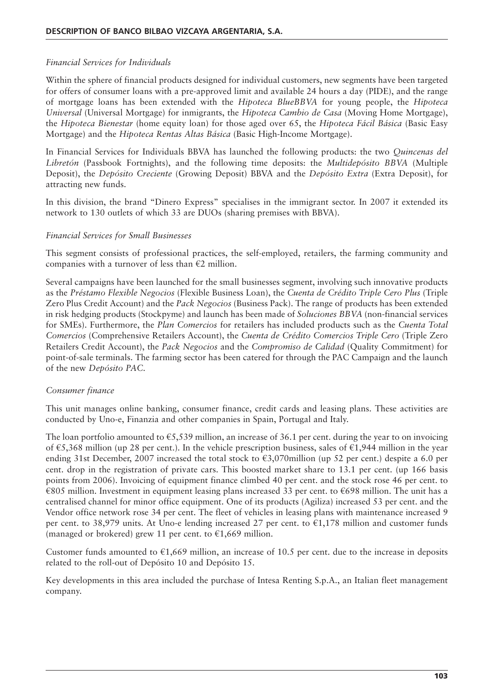# *Financial Services for Individuals*

Within the sphere of financial products designed for individual customers, new segments have been targeted for offers of consumer loans with a pre-approved limit and available 24 hours a day (PIDE), and the range of mortgage loans has been extended with the *Hipoteca BlueBBVA* for young people, the *Hipoteca Universal* (Universal Mortgage) for inmigrants, the *Hipoteca Cambio de Casa* (Moving Home Mortgage), the *Hipoteca Bienestar* (home equity loan) for those aged over 65, the *Hipoteca Fácil Básica* (Basic Easy Mortgage) and the *Hipoteca Rentas Altas Básica* (Basic High-Income Mortgage).

In Financial Services for Individuals BBVA has launched the following products: the two *Quincenas del Libretón* (Passbook Fortnights), and the following time deposits: the *Multidepósito BBVA* (Multiple Deposit), the *Depósito Creciente* (Growing Deposit) BBVA and the *Depósito Extra* (Extra Deposit), for attracting new funds.

In this division, the brand "Dinero Express" specialises in the immigrant sector. In 2007 it extended its network to 130 outlets of which 33 are DUOs (sharing premises with BBVA).

### *Financial Services for Small Businesses*

This segment consists of professional practices, the self-employed, retailers, the farming community and companies with a turnover of less than  $E2$  million.

Several campaigns have been launched for the small businesses segment, involving such innovative products as the *Préstamo Flexible Negocios* (Flexible Business Loan), the *Cuenta de Crédito Triple Cero Plus* (Triple Zero Plus Credit Account) and the *Pack Negocios* (Business Pack). The range of products has been extended in risk hedging products (Stockpyme) and launch has been made of *Soluciones BBVA* (non-financial services for SMEs). Furthermore, the *Plan Comercios* for retailers has included products such as the *Cuenta Total Comercios* (Comprehensive Retailers Account), the *Cuenta de Crédito Comercios Triple Cero* (Triple Zero Retailers Credit Account), the *Pack Negocios* and the *Compromiso de Calidad* (Quality Commitment) for point-of-sale terminals. The farming sector has been catered for through the PAC Campaign and the launch of the new *Depósito PAC*.

# *Consumer finance*

This unit manages online banking, consumer finance, credit cards and leasing plans. These activities are conducted by Uno-e, Finanzia and other companies in Spain, Portugal and Italy.

The loan portfolio amounted to  $\epsilon$ 5,539 million, an increase of 36.1 per cent. during the year to on invoicing of €5,368 million (up 28 per cent.). In the vehicle prescription business, sales of €1,944 million in the year ending 31st December, 2007 increased the total stock to  $\epsilon$ 3,070million (up 52 per cent.) despite a 6.0 per cent. drop in the registration of private cars. This boosted market share to 13.1 per cent. (up 166 basis points from 2006). Invoicing of equipment finance climbed 40 per cent. and the stock rose 46 per cent. to €805 million. Investment in equipment leasing plans increased 33 per cent. to €698 million. The unit has a centralised channel for minor office equipment. One of its products (Agiliza) increased 53 per cent. and the Vendor office network rose 34 per cent. The fleet of vehicles in leasing plans with maintenance increased 9 per cent. to 38,979 units. At Uno-e lending increased 27 per cent. to €1,178 million and customer funds (managed or brokered) grew 11 per cent. to  $\epsilon$ 1,669 million.

Customer funds amounted to  $\epsilon$ 1,669 million, an increase of 10.5 per cent. due to the increase in deposits related to the roll-out of Depósito 10 and Depósito 15.

Key developments in this area included the purchase of Intesa Renting S.p.A., an Italian fleet management company.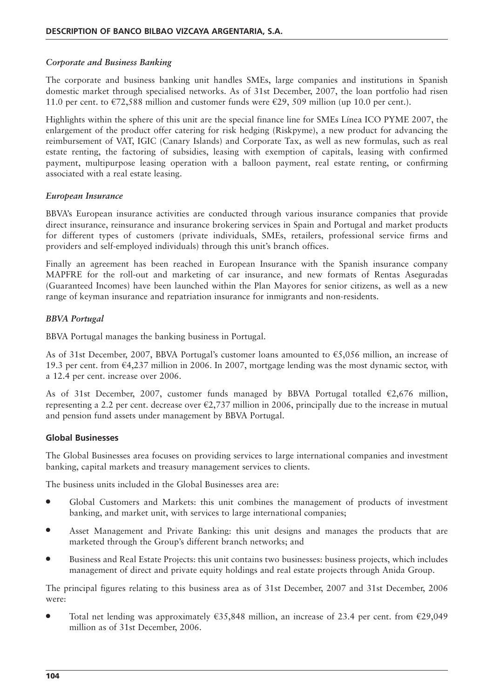# *Corporate and Business Banking*

The corporate and business banking unit handles SMEs, large companies and institutions in Spanish domestic market through specialised networks. As of 31st December, 2007, the loan portfolio had risen 11.0 per cent. to  $\epsilon$ 72,588 million and customer funds were  $\epsilon$ 29, 509 million (up 10.0 per cent.).

Highlights within the sphere of this unit are the special finance line for SMEs Línea ICO PYME 2007, the enlargement of the product offer catering for risk hedging (Riskpyme), a new product for advancing the reimbursement of VAT, IGIC (Canary Islands) and Corporate Tax, as well as new formulas, such as real estate renting, the factoring of subsidies, leasing with exemption of capitals, leasing with confirmed payment, multipurpose leasing operation with a balloon payment, real estate renting, or confirming associated with a real estate leasing.

# *European Insurance*

BBVA's European insurance activities are conducted through various insurance companies that provide direct insurance, reinsurance and insurance brokering services in Spain and Portugal and market products for different types of customers (private individuals, SMEs, retailers, professional service firms and providers and self-employed individuals) through this unit's branch offices.

Finally an agreement has been reached in European Insurance with the Spanish insurance company MAPFRE for the roll-out and marketing of car insurance, and new formats of Rentas Aseguradas (Guaranteed Incomes) have been launched within the Plan Mayores for senior citizens, as well as a new range of keyman insurance and repatriation insurance for inmigrants and non-residents.

# *BBVA Portugal*

BBVA Portugal manages the banking business in Portugal.

As of 31st December, 2007, BBVA Portugal's customer loans amounted to  $\epsilon$ 5,056 million, an increase of 19.3 per cent. from €4,237 million in 2006. In 2007, mortgage lending was the most dynamic sector, with a 12.4 per cent. increase over 2006.

As of 31st December, 2007, customer funds managed by BBVA Portugal totalled  $\epsilon$ 2,676 million, representing a 2.2 per cent. decrease over  $\epsilon$ 2,737 million in 2006, principally due to the increase in mutual and pension fund assets under management by BBVA Portugal.

# **Global Businesses**

The Global Businesses area focuses on providing services to large international companies and investment banking, capital markets and treasury management services to clients.

The business units included in the Global Businesses area are:

- Global Customers and Markets: this unit combines the management of products of investment banking, and market unit, with services to large international companies;
- Asset Management and Private Banking: this unit designs and manages the products that are marketed through the Group's different branch networks; and
- Business and Real Estate Projects: this unit contains two businesses: business projects, which includes management of direct and private equity holdings and real estate projects through Anida Group.

The principal figures relating to this business area as of 31st December, 2007 and 31st December, 2006 were:

Total net lending was approximately  $\epsilon$ 35,848 million, an increase of 23.4 per cent. from  $\epsilon$ 29,049 million as of 31st December, 2006.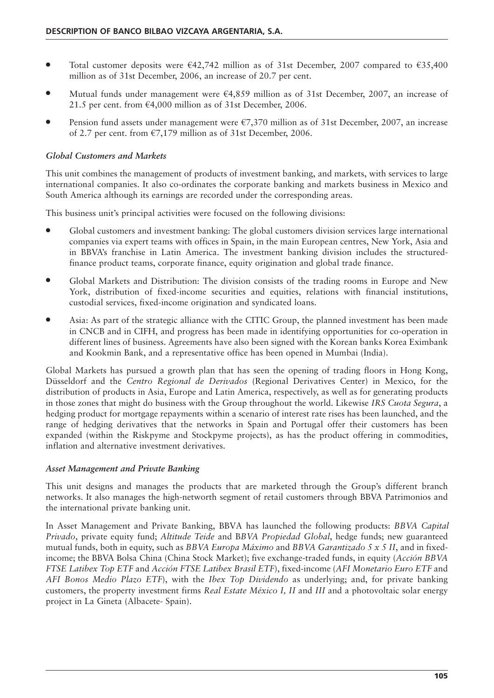- Total customer deposits were  $\in$ 42,742 million as of 31st December, 2007 compared to  $\in$ 35,400 million as of 31st December, 2006, an increase of 20.7 per cent.
- Mutual funds under management were  $\epsilon$ 4,859 million as of 31st December, 2007, an increase of 21.5 per cent. from  $\epsilon$ 4,000 million as of 31st December, 2006.
- Pension fund assets under management were  $\epsilon$ 7,370 million as of 31st December, 2007, an increase of 2.7 per cent. from €7,179 million as of 31st December, 2006.

# *Global Customers and Markets*

This unit combines the management of products of investment banking, and markets, with services to large international companies. It also co-ordinates the corporate banking and markets business in Mexico and South America although its earnings are recorded under the corresponding areas.

This business unit's principal activities were focused on the following divisions:

- Global customers and investment banking: The global customers division services large international companies via expert teams with offices in Spain, in the main European centres, New York, Asia and in BBVA's franchise in Latin America. The investment banking division includes the structuredfinance product teams, corporate finance, equity origination and global trade finance.
- Global Markets and Distribution: The division consists of the trading rooms in Europe and New York, distribution of fixed-income securities and equities, relations with financial institutions, custodial services, fixed-income origination and syndicated loans.
- Asia: As part of the strategic alliance with the CITIC Group, the planned investment has been made in CNCB and in CIFH, and progress has been made in identifying opportunities for co-operation in different lines of business. Agreements have also been signed with the Korean banks Korea Eximbank and Kookmin Bank, and a representative office has been opened in Mumbai (India).

Global Markets has pursued a growth plan that has seen the opening of trading floors in Hong Kong, Düsseldorf and the *Centro Regional de Derivados* (Regional Derivatives Center) in Mexico, for the distribution of products in Asia, Europe and Latin America, respectively, as well as for generating products in those zones that might do business with the Group throughout the world. Likewise *IRS Cuota Segura*, a hedging product for mortgage repayments within a scenario of interest rate rises has been launched, and the range of hedging derivatives that the networks in Spain and Portugal offer their customers has been expanded (within the Riskpyme and Stockpyme projects), as has the product offering in commodities, inflation and alternative investment derivatives.

# *Asset Management and Private Banking*

This unit designs and manages the products that are marketed through the Group's different branch networks. It also manages the high-networth segment of retail customers through BBVA Patrimonios and the international private banking unit.

In Asset Management and Private Banking, BBVA has launched the following products: *BBVA Capital Privado*, private equity fund; *Altitude Teide* and B*BVA Propiedad Global*, hedge funds; new guaranteed mutual funds, both in equity, such as *BBVA Europa Máximo* and *BBVA Garantizado 5 x 5 II*, and in fixedincome; the BBVA Bolsa China (China Stock Market); five exchange-traded funds, in equity (*Acción BBVA FTSE Latibex Top ETF* and *Acción FTSE Latibex Brasil ETF*), fixed-income (*AFI Monetario Euro ETF* and *AFI Bonos Medio Plazo ETF*), with the *Ibex Top Dividendo* as underlying; and, for private banking customers, the property investment firms *Real Estate México I, II* and *III* and a photovoltaic solar energy project in La Gineta (Albacete- Spain).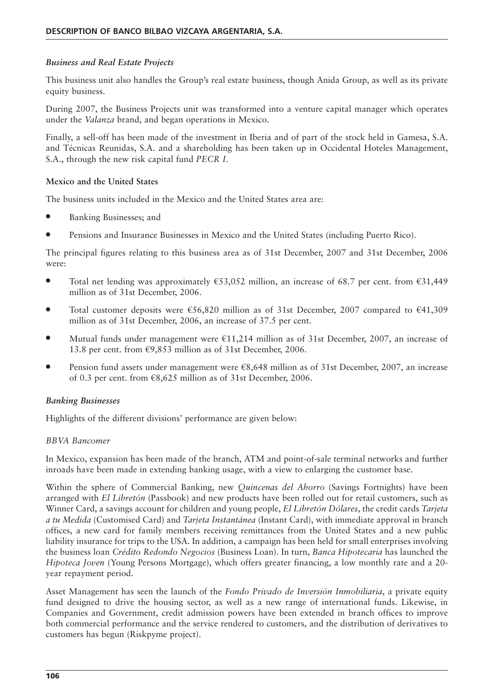# *Business and Real Estate Projects*

This business unit also handles the Group's real estate business, though Anida Group, as well as its private equity business.

During 2007, the Business Projects unit was transformed into a venture capital manager which operates under the *Valanza* brand, and began operations in Mexico.

Finally, a sell-off has been made of the investment in Iberia and of part of the stock held in Gamesa, S.A. and Técnicas Reunidas, S.A. and a shareholding has been taken up in Occidental Hoteles Management, S.A., through the new risk capital fund *PECR I*.

### **Mexico and the United States**

The business units included in the Mexico and the United States area are:

- Banking Businesses; and
- Pensions and Insurance Businesses in Mexico and the United States (including Puerto Rico).

The principal figures relating to this business area as of 31st December, 2007 and 31st December, 2006 were:

- Total net lending was approximately  $\epsilon$ 53,052 million, an increase of 68.7 per cent. from  $\epsilon$ 31,449 million as of 31st December, 2006.
- Total customer deposits were  $\epsilon$ 56,820 million as of 31st December, 2007 compared to  $\epsilon$ 41,309 million as of 31st December, 2006, an increase of 37.5 per cent.
- Mutual funds under management were  $\epsilon$ 11,214 million as of 31st December, 2007, an increase of 13.8 per cent. from  $\epsilon$ 9,853 million as of 31st December, 2006.
- Pension fund assets under management were  $\epsilon$ 8,648 million as of 31st December, 2007, an increase of 0.3 per cent. from €8,625 million as of 31st December, 2006.

#### *Banking Businesses*

Highlights of the different divisions' performance are given below:

#### *BBVA Bancomer*

In Mexico, expansion has been made of the branch, ATM and point-of-sale terminal networks and further inroads have been made in extending banking usage, with a view to enlarging the customer base.

Within the sphere of Commercial Banking, new *Quincenas del Ahorro* (Savings Fortnights) have been arranged with *El Libretón* (Passbook) and new products have been rolled out for retail customers, such as Winner Card, a savings account for children and young people, *El Libretón Dólares*, the credit cards *Tarjeta a tu Medida* (Customised Card) and *Tarjeta Instantánea* (Instant Card), with immediate approval in branch offices, a new card for family members receiving remittances from the United States and a new public liability insurance for trips to the USA. In addition, a campaign has been held for small enterprises involving the business loan *Crédito Redondo Negocios* (Business Loan). In turn, *Banca Hipotecaria* has launched the *Hipoteca Joven* (Young Persons Mortgage), which offers greater financing, a low monthly rate and a 20 year repayment period.

Asset Management has seen the launch of the *Fondo Privado de Inversión Inmobiliaria*, a private equity fund designed to drive the housing sector, as well as a new range of international funds. Likewise, in Companies and Government, credit admission powers have been extended in branch offices to improve both commercial performance and the service rendered to customers, and the distribution of derivatives to customers has begun (Riskpyme project).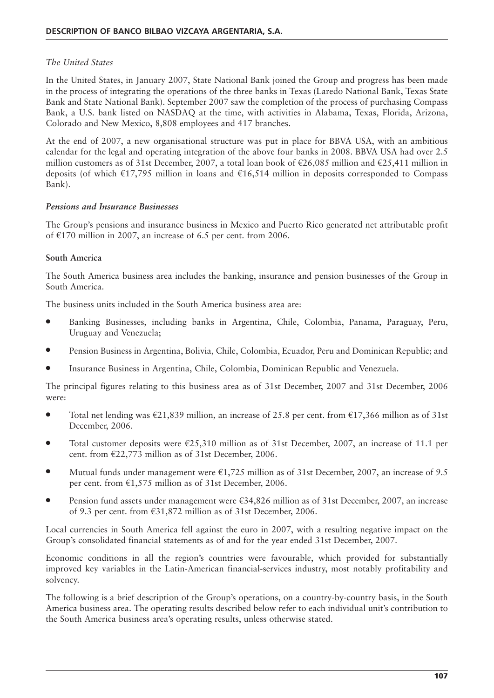# *The United States*

In the United States, in January 2007, State National Bank joined the Group and progress has been made in the process of integrating the operations of the three banks in Texas (Laredo National Bank, Texas State Bank and State National Bank). September 2007 saw the completion of the process of purchasing Compass Bank, a U.S. bank listed on NASDAQ at the time, with activities in Alabama, Texas, Florida, Arizona, Colorado and New Mexico, 8,808 employees and 417 branches.

At the end of 2007, a new organisational structure was put in place for BBVA USA, with an ambitious calendar for the legal and operating integration of the above four banks in 2008. BBVA USA had over 2.5 million customers as of 31st December, 2007, a total loan book of  $\epsilon$ 26,085 million and  $\epsilon$ 25,411 million in deposits (of which €17,795 million in loans and €16,514 million in deposits corresponded to Compass Bank).

# *Pensions and Insurance Businesses*

The Group's pensions and insurance business in Mexico and Puerto Rico generated net attributable profit of €170 million in 2007, an increase of 6.5 per cent. from 2006.

# **South America**

The South America business area includes the banking, insurance and pension businesses of the Group in South America.

The business units included in the South America business area are:

- Banking Businesses, including banks in Argentina, Chile, Colombia, Panama, Paraguay, Peru, Uruguay and Venezuela;
- Pension Business in Argentina, Bolivia, Chile, Colombia, Ecuador, Peru and Dominican Republic; and
- Insurance Business in Argentina, Chile, Colombia, Dominican Republic and Venezuela.

The principal figures relating to this business area as of 31st December, 2007 and 31st December, 2006 were:

- Total net lending was  $\epsilon$ 21,839 million, an increase of 25.8 per cent. from  $\epsilon$ 17,366 million as of 31st December, 2006.
- Total customer deposits were €25,310 million as of 31st December, 2007, an increase of 11.1 per cent. from €22,773 million as of 31st December, 2006.
- Mutual funds under management were  $\epsilon$ 1,725 million as of 31st December, 2007, an increase of 9.5 per cent. from €1,575 million as of 31st December, 2006.
- Pension fund assets under management were €34,826 million as of 31st December, 2007, an increase of 9.3 per cent. from €31,872 million as of 31st December, 2006.

Local currencies in South America fell against the euro in 2007, with a resulting negative impact on the Group's consolidated financial statements as of and for the year ended 31st December, 2007.

Economic conditions in all the region's countries were favourable, which provided for substantially improved key variables in the Latin-American financial-services industry, most notably profitability and solvency.

The following is a brief description of the Group's operations, on a country-by-country basis, in the South America business area. The operating results described below refer to each individual unit's contribution to the South America business area's operating results, unless otherwise stated.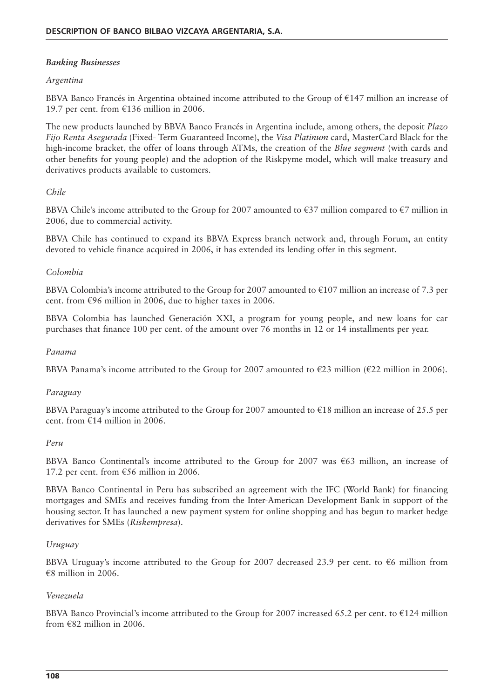# *Banking Businesses*

### *Argentina*

BBVA Banco Francés in Argentina obtained income attributed to the Group of €147 million an increase of 19.7 per cent. from €136 million in 2006.

The new products launched by BBVA Banco Francés in Argentina include, among others, the deposit *Plazo Fijo Renta Asegurada* (Fixed- Term Guaranteed Income), the *Visa Platinum* card, MasterCard Black for the high-income bracket, the offer of loans through ATMs, the creation of the *Blue segment* (with cards and other benefits for young people) and the adoption of the Riskpyme model, which will make treasury and derivatives products available to customers.

# *Chile*

BBVA Chile's income attributed to the Group for 2007 amounted to  $\epsilon$ 37 million compared to  $\epsilon$ 7 million in 2006, due to commercial activity.

BBVA Chile has continued to expand its BBVA Express branch network and, through Forum, an entity devoted to vehicle finance acquired in 2006, it has extended its lending offer in this segment.

### *Colombia*

BBVA Colombia's income attributed to the Group for 2007 amounted to €107 million an increase of 7.3 per cent. from €96 million in 2006, due to higher taxes in 2006.

BBVA Colombia has launched Generación XXI, a program for young people, and new loans for car purchases that finance 100 per cent. of the amount over 76 months in 12 or 14 installments per year.

#### *Panama*

BBVA Panama's income attributed to the Group for 2007 amounted to  $\epsilon$ 23 million ( $\epsilon$ 22 million in 2006).

#### *Paraguay*

BBVA Paraguay's income attributed to the Group for 2007 amounted to  $\epsilon$ 18 million an increase of 25.5 per cent. from €14 million in 2006.

#### *Peru*

BBVA Banco Continental's income attributed to the Group for 2007 was  $\epsilon$ 63 million, an increase of 17.2 per cent. from  $\epsilon$ 56 million in 2006.

BBVA Banco Continental in Peru has subscribed an agreement with the IFC (World Bank) for financing mortgages and SMEs and receives funding from the Inter-American Development Bank in support of the housing sector. It has launched a new payment system for online shopping and has begun to market hedge derivatives for SMEs (*Riskempresa*).

#### *Uruguay*

BBVA Uruguay's income attributed to the Group for 2007 decreased 23.9 per cent. to  $\epsilon$ 6 million from  $€8$  million in 2006.

#### *Venezuela*

BBVA Banco Provincial's income attributed to the Group for 2007 increased 65.2 per cent. to  $\epsilon$ 124 million from  $\epsilon$ 82 million in 2006.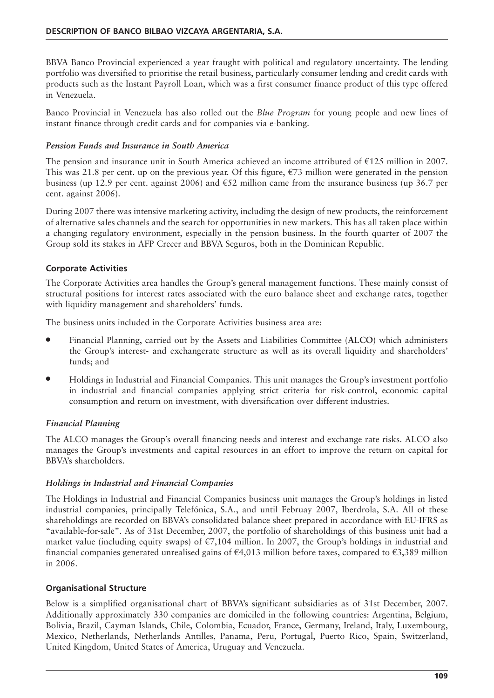BBVA Banco Provincial experienced a year fraught with political and regulatory uncertainty. The lending portfolio was diversified to prioritise the retail business, particularly consumer lending and credit cards with products such as the Instant Payroll Loan, which was a first consumer finance product of this type offered in Venezuela.

Banco Provincial in Venezuela has also rolled out the *Blue Program* for young people and new lines of instant finance through credit cards and for companies via e-banking.

### *Pension Funds and Insurance in South America*

The pension and insurance unit in South America achieved an income attributed of €125 million in 2007. This was 21.8 per cent. up on the previous year. Of this figure,  $\epsilon$ 73 million were generated in the pension business (up 12.9 per cent. against 2006) and  $\epsilon$ 52 million came from the insurance business (up 36.7 per cent. against 2006).

During 2007 there was intensive marketing activity, including the design of new products, the reinforcement of alternative sales channels and the search for opportunities in new markets. This has all taken place within a changing regulatory environment, especially in the pension business. In the fourth quarter of 2007 the Group sold its stakes in AFP Crecer and BBVA Seguros, both in the Dominican Republic.

# **Corporate Activities**

The Corporate Activities area handles the Group's general management functions. These mainly consist of structural positions for interest rates associated with the euro balance sheet and exchange rates, together with liquidity management and shareholders' funds.

The business units included in the Corporate Activities business area are:

- Financial Planning, carried out by the Assets and Liabilities Committee (**ALCO**) which administers the Group's interest- and exchangerate structure as well as its overall liquidity and shareholders' funds; and
- Holdings in Industrial and Financial Companies. This unit manages the Group's investment portfolio in industrial and financial companies applying strict criteria for risk-control, economic capital consumption and return on investment, with diversification over different industries.

# *Financial Planning*

The ALCO manages the Group's overall financing needs and interest and exchange rate risks. ALCO also manages the Group's investments and capital resources in an effort to improve the return on capital for BBVA's shareholders.

# *Holdings in Industrial and Financial Companies*

The Holdings in Industrial and Financial Companies business unit manages the Group's holdings in listed industrial companies, principally Telefónica, S.A., and until Februay 2007, Iberdrola, S.A. All of these shareholdings are recorded on BBVA's consolidated balance sheet prepared in accordance with EU-IFRS as "available-for-sale". As of 31st December, 2007, the portfolio of shareholdings of this business unit had a market value (including equity swaps) of  $\epsilon$ 7,104 million. In 2007, the Group's holdings in industrial and financial companies generated unrealised gains of  $\epsilon$ 4,013 million before taxes, compared to  $\epsilon$ 3,389 million in 2006.

# **Organisational Structure**

Below is a simplified organisational chart of BBVA's significant subsidiaries as of 31st December, 2007. Additionally approximately 330 companies are domiciled in the following countries: Argentina, Belgium, Bolivia, Brazil, Cayman Islands, Chile, Colombia, Ecuador, France, Germany, Ireland, Italy, Luxembourg, Mexico, Netherlands, Netherlands Antilles, Panama, Peru, Portugal, Puerto Rico, Spain, Switzerland, United Kingdom, United States of America, Uruguay and Venezuela.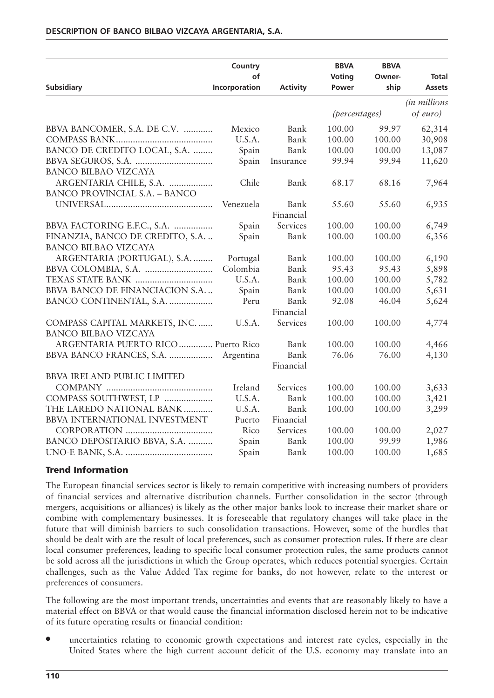|                                      | Country             |                 | <b>BBVA</b>            | <b>BBVA</b>    |                                 |
|--------------------------------------|---------------------|-----------------|------------------------|----------------|---------------------------------|
| <b>Subsidiary</b>                    | of<br>Incorporation | <b>Activity</b> | <b>Voting</b><br>Power | Owner-<br>ship | <b>Total</b><br><b>Assets</b>   |
|                                      |                     |                 |                        |                |                                 |
|                                      |                     |                 | (percentages)          |                | <i>(in millions</i><br>of euro) |
|                                      |                     |                 |                        |                |                                 |
| BBVA BANCOMER, S.A. DE C.V.          | Mexico              | Bank            | 100.00                 | 99.97          | 62,314                          |
|                                      | U.S.A.              | Bank            | 100.00                 | 100.00         | 30,908                          |
| BANCO DE CREDITO LOCAL, S.A.         | Spain               | Bank            | 100.00                 | 100.00         | 13,087                          |
|                                      | Spain               | Insurance       | 99.94                  | 99.94          | 11,620                          |
| BANCO BILBAO VIZCAYA                 |                     |                 |                        |                |                                 |
| ARGENTARIA CHILE, S.A.               | Chile               | Bank            | 68.17                  | 68.16          | 7,964                           |
| <b>BANCO PROVINCIAL S.A. - BANCO</b> |                     |                 |                        |                |                                 |
|                                      | Venezuela           | Bank            | 55.60                  | 55.60          | 6,935                           |
|                                      |                     | Financial       |                        |                |                                 |
| BBVA FACTORING E.F.C., S.A.          | Spain               | Services        | 100.00                 | 100.00         | 6,749                           |
| FINANZIA, BANCO DE CREDITO, S.A.     | Spain               | Bank            | 100.00                 | 100.00         | 6,356                           |
| <b>BANCO BILBAO VIZCAYA</b>          |                     |                 |                        |                |                                 |
| ARGENTARIA (PORTUGAL), S.A.          | Portugal            | Bank            | 100.00                 | 100.00         | 6,190                           |
|                                      | Colombia            | Bank            | 95.43                  | 95.43          | 5,898                           |
| TEXAS STATE BANK                     | U.S.A.              | Bank            | 100.00                 | 100.00         | 5,782                           |
| BBVA BANCO DE FINANCIACION S.A       | Spain               | Bank            | 100.00                 | 100.00         | 5,631                           |
| BANCO CONTINENTAL, S.A.              | Peru                | Bank            | 92.08                  | 46.04          | 5,624                           |
|                                      |                     | Financial       |                        |                |                                 |
| COMPASS CAPITAL MARKETS, INC.        | U.S.A.              | Services        | 100.00                 | 100.00         | 4,774                           |
| <b>BANCO BILBAO VIZCAYA</b>          |                     |                 |                        |                |                                 |
| ARGENTARIA PUERTO RICO  Puerto Rico  |                     | Bank            | 100.00                 | 100.00         | 4,466                           |
| BBVA BANCO FRANCES, S.A.             | Argentina           | Bank            | 76.06                  | 76.00          | 4,130                           |
|                                      |                     | Financial       |                        |                |                                 |
| <b>BBVA IRELAND PUBLIC LIMITED</b>   |                     |                 |                        |                |                                 |
|                                      | Ireland             | Services        | 100.00                 | 100.00         | 3,633                           |
| COMPASS SOUTHWEST, LP                | U.S.A.              | Bank            | 100.00                 | 100.00         | 3,421                           |
| THE LAREDO NATIONAL BANK             | U.S.A.              | Bank            | 100.00                 | 100.00         | 3,299                           |
| <b>BBVA INTERNATIONAL INVESTMENT</b> | Puerto              | Financial       |                        |                |                                 |
|                                      | Rico                | Services        | 100.00                 | 100.00         | 2,027                           |
| BANCO DEPOSITARIO BBVA, S.A.         | Spain               | Bank            | 100.00                 | 99.99          | 1,986                           |
|                                      | Spain               | Bank            | 100.00                 | 100.00         | 1,685                           |
|                                      |                     |                 |                        |                |                                 |

#### **Trend Information**

The European financial services sector is likely to remain competitive with increasing numbers of providers of financial services and alternative distribution channels. Further consolidation in the sector (through mergers, acquisitions or alliances) is likely as the other major banks look to increase their market share or combine with complementary businesses. It is foreseeable that regulatory changes will take place in the future that will diminish barriers to such consolidation transactions. However, some of the hurdles that should be dealt with are the result of local preferences, such as consumer protection rules. If there are clear local consumer preferences, leading to specific local consumer protection rules, the same products cannot be sold across all the jurisdictions in which the Group operates, which reduces potential synergies. Certain challenges, such as the Value Added Tax regime for banks, do not however, relate to the interest or preferences of consumers.

The following are the most important trends, uncertainties and events that are reasonably likely to have a material effect on BBVA or that would cause the financial information disclosed herein not to be indicative of its future operating results or financial condition:

• uncertainties relating to economic growth expectations and interest rate cycles, especially in the United States where the high current account deficit of the U.S. economy may translate into an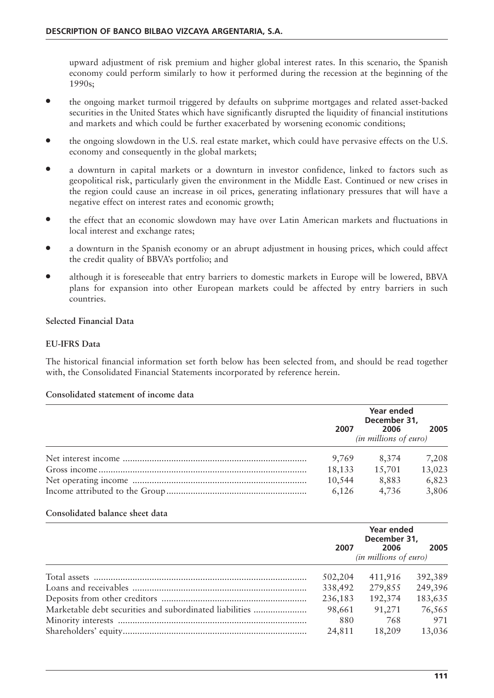upward adjustment of risk premium and higher global interest rates. In this scenario, the Spanish economy could perform similarly to how it performed during the recession at the beginning of the 1990s;

- the ongoing market turmoil triggered by defaults on subprime mortgages and related asset-backed securities in the United States which have significantly disrupted the liquidity of financial institutions and markets and which could be further exacerbated by worsening economic conditions;
- the ongoing slowdown in the U.S. real estate market, which could have pervasive effects on the U.S. economy and consequently in the global markets;
- a downturn in capital markets or a downturn in investor confidence, linked to factors such as geopolitical risk, particularly given the environment in the Middle East. Continued or new crises in the region could cause an increase in oil prices, generating inflationary pressures that will have a negative effect on interest rates and economic growth;
- the effect that an economic slowdown may have over Latin American markets and fluctuations in local interest and exchange rates;
- a downturn in the Spanish economy or an abrupt adjustment in housing prices, which could affect the credit quality of BBVA's portfolio; and
- although it is foreseeable that entry barriers to domestic markets in Europe will be lowered, BBVA plans for expansion into other European markets could be affected by entry barriers in such countries.

#### **Selected Financial Data**

#### **EU-IFRS Data**

The historical financial information set forth below has been selected from, and should be read together with, the Consolidated Financial Statements incorporated by reference herein.

### **Consolidated statement of income data**

| 2007   | Year ended<br>December 31,<br>2006<br><i>(in millions of euro)</i> | 2005   |
|--------|--------------------------------------------------------------------|--------|
| 9,769  | 8,374                                                              | 7,208  |
| 18,133 | 15,701                                                             | 13,023 |
| 10,544 | 8,883                                                              | 6,823  |
| 6,126  | 4,736                                                              | 3,806  |

#### **Consolidated balance sheet data**

|                                                         | 2007    | Year ended<br>December 31,<br>2006<br><i>(in millions of euro)</i> | 2005    |
|---------------------------------------------------------|---------|--------------------------------------------------------------------|---------|
|                                                         | 502,204 | 411,916                                                            | 392,389 |
|                                                         | 338,492 | 279,855                                                            | 249,396 |
|                                                         | 236,183 | 192,374                                                            | 183,635 |
| Marketable debt securities and subordinated liabilities | 98,661  | 91,271                                                             | 76,565  |
|                                                         | 880     | 768                                                                | 971     |
|                                                         | 24,811  | 18,209                                                             | 13,036  |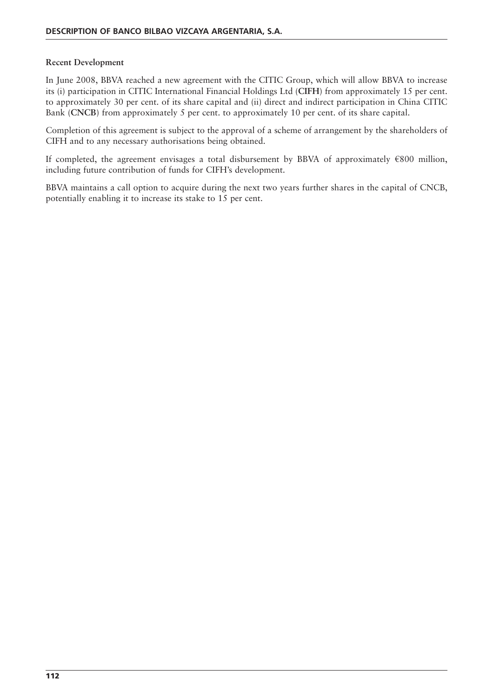#### **Recent Development**

In June 2008, BBVA reached a new agreement with the CITIC Group, which will allow BBVA to increase its (i) participation in CITIC International Financial Holdings Ltd (**CIFH**) from approximately 15 per cent. to approximately 30 per cent. of its share capital and (ii) direct and indirect participation in China CITIC Bank (**CNCB**) from approximately 5 per cent. to approximately 10 per cent. of its share capital.

Completion of this agreement is subject to the approval of a scheme of arrangement by the shareholders of CIFH and to any necessary authorisations being obtained.

If completed, the agreement envisages a total disbursement by BBVA of approximately €800 million, including future contribution of funds for CIFH's development.

BBVA maintains a call option to acquire during the next two years further shares in the capital of CNCB, potentially enabling it to increase its stake to 15 per cent.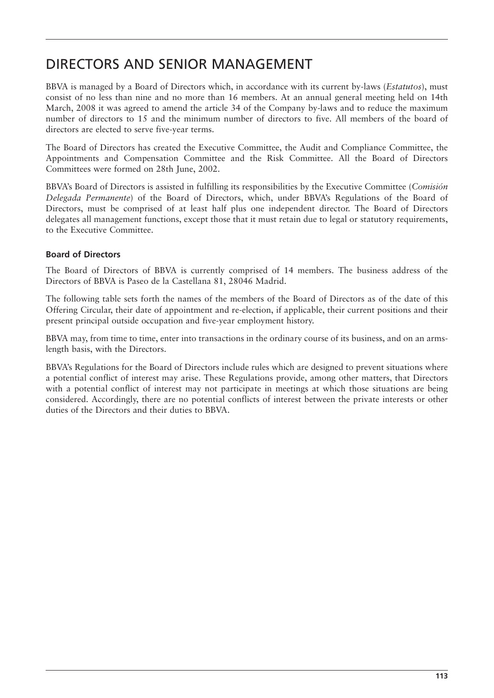# DIRECTORS AND SENIOR MANAGEMENT

BBVA is managed by a Board of Directors which, in accordance with its current by-laws (*Estatutos*), must consist of no less than nine and no more than 16 members. At an annual general meeting held on 14th March, 2008 it was agreed to amend the article 34 of the Company by-laws and to reduce the maximum number of directors to 15 and the minimum number of directors to five. All members of the board of directors are elected to serve five-year terms.

The Board of Directors has created the Executive Committee, the Audit and Compliance Committee, the Appointments and Compensation Committee and the Risk Committee. All the Board of Directors Committees were formed on 28th June, 2002.

BBVA's Board of Directors is assisted in fulfilling its responsibilities by the Executive Committee (*Comisión Delegada Permanente*) of the Board of Directors, which, under BBVA's Regulations of the Board of Directors, must be comprised of at least half plus one independent director. The Board of Directors delegates all management functions, except those that it must retain due to legal or statutory requirements, to the Executive Committee.

## **Board of Directors**

The Board of Directors of BBVA is currently comprised of 14 members. The business address of the Directors of BBVA is Paseo de la Castellana 81, 28046 Madrid.

The following table sets forth the names of the members of the Board of Directors as of the date of this Offering Circular, their date of appointment and re-election, if applicable, their current positions and their present principal outside occupation and five-year employment history.

BBVA may, from time to time, enter into transactions in the ordinary course of its business, and on an armslength basis, with the Directors.

BBVA's Regulations for the Board of Directors include rules which are designed to prevent situations where a potential conflict of interest may arise. These Regulations provide, among other matters, that Directors with a potential conflict of interest may not participate in meetings at which those situations are being considered. Accordingly, there are no potential conflicts of interest between the private interests or other duties of the Directors and their duties to BBVA.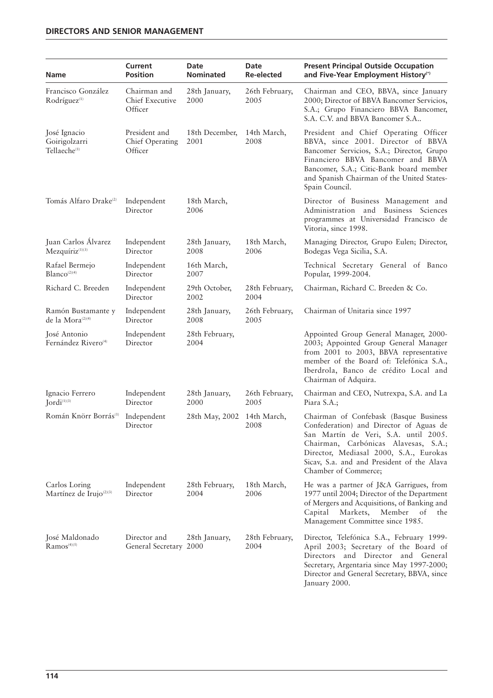| <b>Name</b>                                               | Current<br><b>Position</b>                  | Date<br><b>Nominated</b> | Date<br><b>Re-elected</b> | <b>Present Principal Outside Occupation</b><br>and Five-Year Employment History <sup>(*)</sup>                                                                                                                                                                                    |
|-----------------------------------------------------------|---------------------------------------------|--------------------------|---------------------------|-----------------------------------------------------------------------------------------------------------------------------------------------------------------------------------------------------------------------------------------------------------------------------------|
| Francisco González<br>Rodríguez <sup>(1)</sup>            | Chairman and<br>Chief Executive<br>Officer  | 28th January,<br>2000    | 26th February,<br>2005    | Chairman and CEO, BBVA, since January<br>2000; Director of BBVA Bancomer Servicios,<br>S.A.; Grupo Financiero BBVA Bancomer,<br>S.A. C.V. and BBVA Bancomer S.A                                                                                                                   |
| José Ignacio<br>Goirigolzarri<br>Tellaeche <sup>(1)</sup> | President and<br>Chief Operating<br>Officer | 18th December,<br>2001   | 14th March,<br>2008       | President and Chief Operating Officer<br>BBVA, since 2001. Director of BBVA<br>Bancomer Servicios, S.A.; Director, Grupo<br>Financiero BBVA Bancomer and BBVA<br>Bancomer, S.A.; Citic-Bank board member<br>and Spanish Chairman of the United States-<br>Spain Council.          |
| Tomás Alfaro Drake <sup>(2)</sup>                         | Independent<br>Director                     | 18th March,<br>2006      |                           | Director of Business Management and<br>Administration and Business Sciences<br>programmes at Universidad Francisco de<br>Vitoria, since 1998.                                                                                                                                     |
| Juan Carlos Álvarez<br>Mezquíriz <sup>(1)(3)</sup>        | Independent<br>Director                     | 28th January,<br>2008    | 18th March,<br>2006       | Managing Director, Grupo Eulen; Director,<br>Bodegas Vega Sicilia, S.A.                                                                                                                                                                                                           |
| Rafael Bermejo<br>Blanco <sup>(2)(4)</sup>                | Independent<br>Director                     | 16th March,<br>2007      |                           | Technical Secretary General of Banco<br>Popular, 1999-2004.                                                                                                                                                                                                                       |
| Richard C. Breeden                                        | Independent<br>Director                     | 29th October,<br>2002    | 28th February,<br>2004    | Chairman, Richard C. Breeden & Co.                                                                                                                                                                                                                                                |
| Ramón Bustamante y<br>de la Mora <sup>(2)(4)</sup>        | Independent<br>Director                     | 28th January,<br>2008    | 26th February,<br>2005    | Chairman of Unitaria since 1997                                                                                                                                                                                                                                                   |
| José Antonio<br>Fernández Rivero <sup>(4)</sup>           | Independent<br>Director                     | 28th February,<br>2004   |                           | Appointed Group General Manager, 2000-<br>2003; Appointed Group General Manager<br>from 2001 to 2003, BBVA representative<br>member of the Board of: Telefónica S.A.,<br>Iberdrola, Banco de crédito Local and<br>Chairman of Adquira.                                            |
| Ignacio Ferrero<br>Jordi <sup>(1)(3)</sup>                | Independent<br>Director                     | 28th January,<br>2000    | 26th February,<br>2005    | Chairman and CEO, Nutrexpa, S.A. and La<br>Piara S.A.;                                                                                                                                                                                                                            |
| Román Knörr Borrás <sup>(1)</sup>                         | Independent<br>Director                     | 28th May, 2002           | 14th March,<br>2008       | Chairman of Confebask (Basque Business<br>Confederation) and Director of Aguas de<br>San Martín de Veri, S.A. until 2005.<br>Chairman, Carbónicas Alavesas, S.A.;<br>Director, Mediasal 2000, S.A., Eurokas<br>Sicav, S.a. and and President of the Alava<br>Chamber of Commerce; |
| Carlos Loring<br>Martínez de Irujo <sup>(2)(3)</sup>      | Independent<br>Director                     | 28th February,<br>2004   | 18th March,<br>2006       | He was a partner of J&A Garrigues, from<br>1977 until 2004; Director of the Department<br>of Mergers and Acquisitions, of Banking and<br>Markets,<br>Member<br>Capital<br>of<br>the<br>Management Committee since 1985.                                                           |
| José Maldonado<br>$Ramos^{(4)(5)}$                        | Director and<br>General Secretary 2000      | 28th January,            | 28th February,<br>2004    | Director, Telefónica S.A., February 1999-<br>April 2003; Secretary of the Board of<br>Directors and Director and General<br>Secretary, Argentaria since May 1997-2000;<br>Director and General Secretary, BBVA, since<br>January 2000.                                            |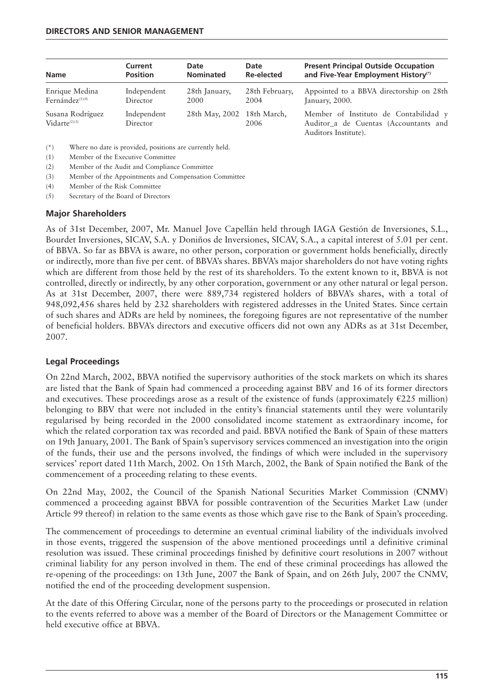| <b>Name</b>                            | Current                 | Date                       | Date           | <b>Present Principal Outside Occupation</b>                                                            |
|----------------------------------------|-------------------------|----------------------------|----------------|--------------------------------------------------------------------------------------------------------|
|                                        | <b>Position</b>         | <b>Nominated</b>           | Re-elected     | and Five-Year Employment History <sup>(*)</sup>                                                        |
| Enrique Medina                         | Independent             | 28th January,              | 28th February, | Appointed to a BBVA directorship on 28th                                                               |
| Fernández <sup>(1)(4)</sup>            | Director                | 2000                       | 2004           | January, 2000.                                                                                         |
| Susana Rodríguez<br>$Vidarte^{(2)(3)}$ | Independent<br>Director | 28th May, 2002 18th March, | 2006           | Member of Instituto de Contabilidad y<br>Auditor a de Cuentas (Accountants and<br>Auditors Institute). |

(\*) Where no date is provided, positions are currently held.

- (1) Member of the Executive Committee
- (2) Member of the Audit and Compliance Committee
- (3) Member of the Appointments and Compensation Committee
- (4) Member of the Risk Committee
- (5) Secretary of the Board of Directors

#### **Major Shareholders**

As of 31st December, 2007, Mr. Manuel Jove Capellán held through IAGA Gestión de Inversiones, S.L., Bourdet Inversiones, SICAV, S.A. y Doniños de Inversiones, SICAV, S.A., a capital interest of 5.01 per cent. of BBVA. So far as BBVA is aware, no other person, corporation or government holds beneficially, directly or indirectly, more than five per cent. of BBVA's shares. BBVA's major shareholders do not have voting rights which are different from those held by the rest of its shareholders. To the extent known to it, BBVA is not controlled, directly or indirectly, by any other corporation, government or any other natural or legal person. As at 31st December, 2007, there were 889,734 registered holders of BBVA's shares, with a total of 948,092,456 shares held by 232 shareholders with registered addresses in the United States. Since certain of such shares and ADRs are held by nominees, the foregoing figures are not representative of the number of beneficial holders. BBVA's directors and executive officers did not own any ADRs as at 31st December, 2007.

#### **Legal Proceedings**

On 22nd March, 2002, BBVA notified the supervisory authorities of the stock markets on which its shares are listed that the Bank of Spain had commenced a proceeding against BBV and 16 of its former directors and executives. These proceedings arose as a result of the existence of funds (approximately  $\epsilon$ 225 million) belonging to BBV that were not included in the entity's financial statements until they were voluntarily regularised by being recorded in the 2000 consolidated income statement as extraordinary income, for which the related corporation tax was recorded and paid. BBVA notified the Bank of Spain of these matters on 19th January, 2001. The Bank of Spain's supervisory services commenced an investigation into the origin of the funds, their use and the persons involved, the findings of which were included in the supervisory services' report dated 11th March, 2002. On 15th March, 2002, the Bank of Spain notified the Bank of the commencement of a proceeding relating to these events.

On 22nd May, 2002, the Council of the Spanish National Securities Market Commission (**CNMV**) commenced a proceeding against BBVA for possible contravention of the Securities Market Law (under Article 99 thereof) in relation to the same events as those which gave rise to the Bank of Spain's proceeding.

The commencement of proceedings to determine an eventual criminal liability of the individuals involved in those events, triggered the suspension of the above mentioned proceedings until a definitive criminal resolution was issued. These criminal proceedings finished by definitive court resolutions in 2007 without criminal liability for any person involved in them. The end of these criminal proceedings has allowed the re-opening of the proceedings: on 13th June, 2007 the Bank of Spain, and on 26th July, 2007 the CNMV, notified the end of the proceeding development suspension.

At the date of this Offering Circular, none of the persons party to the proceedings or prosecuted in relation to the events referred to above was a member of the Board of Directors or the Management Committee or held executive office at BBVA.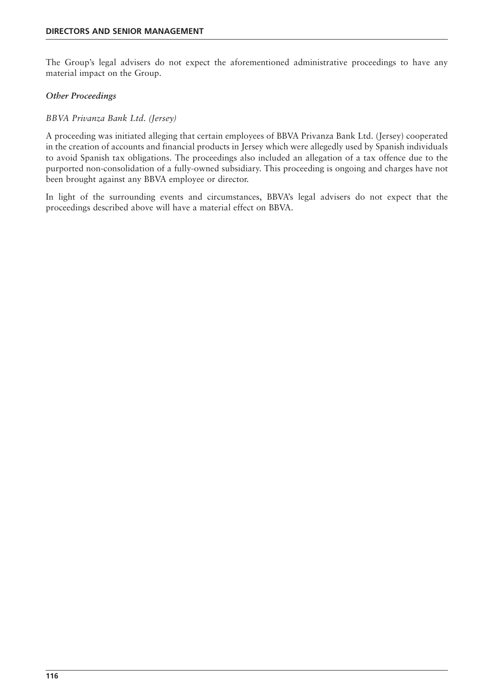The Group's legal advisers do not expect the aforementioned administrative proceedings to have any material impact on the Group.

#### *Other Proceedings*

#### *BBVA Privanza Bank Ltd. (Jersey)*

A proceeding was initiated alleging that certain employees of BBVA Privanza Bank Ltd. (Jersey) cooperated in the creation of accounts and financial products in Jersey which were allegedly used by Spanish individuals to avoid Spanish tax obligations. The proceedings also included an allegation of a tax offence due to the purported non-consolidation of a fully-owned subsidiary. This proceeding is ongoing and charges have not been brought against any BBVA employee or director.

In light of the surrounding events and circumstances, BBVA's legal advisers do not expect that the proceedings described above will have a material effect on BBVA.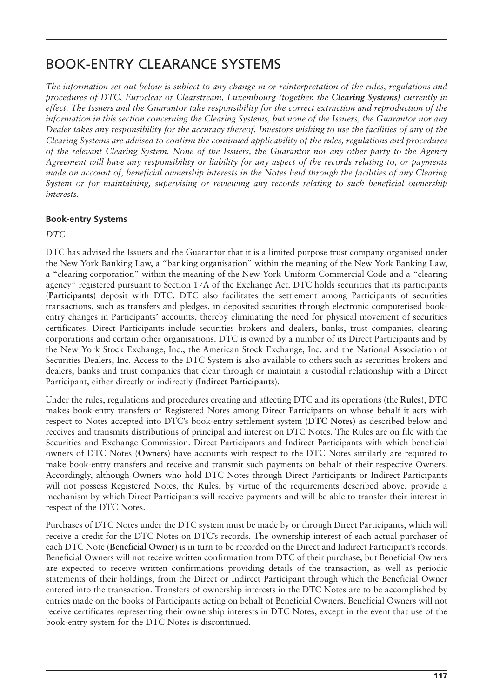# BOOK-ENTRY CLEARANCE SYSTEMS

*The information set out below is subject to any change in or reinterpretation of the rules, regulations and procedures of DTC, Euroclear or Clearstream, Luxembourg (together, the Clearing Systems) currently in effect. The Issuers and the Guarantor take responsibility for the correct extraction and reproduction of the information in this section concerning the Clearing Systems, but none of the Issuers, the Guarantor nor any Dealer takes any responsibility for the accuracy thereof. Investors wishing to use the facilities of any of the Clearing Systems are advised to confirm the continued applicability of the rules, regulations and procedures of the relevant Clearing System. None of the Issuers, the Guarantor nor any other party to the Agency Agreement will have any responsibility or liability for any aspect of the records relating to, or payments made on account of, beneficial ownership interests in the Notes held through the facilities of any Clearing System or for maintaining, supervising or reviewing any records relating to such beneficial ownership interests.*

# **Book-entry Systems**

*DTC*

DTC has advised the Issuers and the Guarantor that it is a limited purpose trust company organised under the New York Banking Law, a "banking organisation" within the meaning of the New York Banking Law, a "clearing corporation" within the meaning of the New York Uniform Commercial Code and a "clearing agency" registered pursuant to Section 17A of the Exchange Act. DTC holds securities that its participants (**Participants**) deposit with DTC. DTC also facilitates the settlement among Participants of securities transactions, such as transfers and pledges, in deposited securities through electronic computerised bookentry changes in Participants' accounts, thereby eliminating the need for physical movement of securities certificates. Direct Participants include securities brokers and dealers, banks, trust companies, clearing corporations and certain other organisations. DTC is owned by a number of its Direct Participants and by the New York Stock Exchange, Inc., the American Stock Exchange, Inc. and the National Association of Securities Dealers, Inc. Access to the DTC System is also available to others such as securities brokers and dealers, banks and trust companies that clear through or maintain a custodial relationship with a Direct Participant, either directly or indirectly (**Indirect Participants**).

Under the rules, regulations and procedures creating and affecting DTC and its operations (the **Rules**), DTC makes book-entry transfers of Registered Notes among Direct Participants on whose behalf it acts with respect to Notes accepted into DTC's book-entry settlement system (**DTC Notes**) as described below and receives and transmits distributions of principal and interest on DTC Notes. The Rules are on file with the Securities and Exchange Commission. Direct Participants and Indirect Participants with which beneficial owners of DTC Notes (**Owners**) have accounts with respect to the DTC Notes similarly are required to make book-entry transfers and receive and transmit such payments on behalf of their respective Owners. Accordingly, although Owners who hold DTC Notes through Direct Participants or Indirect Participants will not possess Registered Notes, the Rules, by virtue of the requirements described above, provide a mechanism by which Direct Participants will receive payments and will be able to transfer their interest in respect of the DTC Notes.

Purchases of DTC Notes under the DTC system must be made by or through Direct Participants, which will receive a credit for the DTC Notes on DTC's records. The ownership interest of each actual purchaser of each DTC Note (**Beneficial Owner**) is in turn to be recorded on the Direct and Indirect Participant's records. Beneficial Owners will not receive written confirmation from DTC of their purchase, but Beneficial Owners are expected to receive written confirmations providing details of the transaction, as well as periodic statements of their holdings, from the Direct or Indirect Participant through which the Beneficial Owner entered into the transaction. Transfers of ownership interests in the DTC Notes are to be accomplished by entries made on the books of Participants acting on behalf of Beneficial Owners. Beneficial Owners will not receive certificates representing their ownership interests in DTC Notes, except in the event that use of the book-entry system for the DTC Notes is discontinued.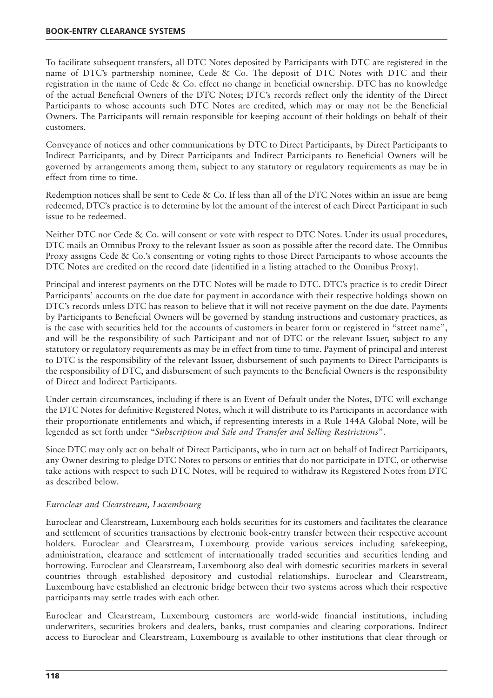To facilitate subsequent transfers, all DTC Notes deposited by Participants with DTC are registered in the name of DTC's partnership nominee, Cede & Co. The deposit of DTC Notes with DTC and their registration in the name of Cede & Co. effect no change in beneficial ownership. DTC has no knowledge of the actual Beneficial Owners of the DTC Notes; DTC's records reflect only the identity of the Direct Participants to whose accounts such DTC Notes are credited, which may or may not be the Beneficial Owners. The Participants will remain responsible for keeping account of their holdings on behalf of their customers.

Conveyance of notices and other communications by DTC to Direct Participants, by Direct Participants to Indirect Participants, and by Direct Participants and Indirect Participants to Beneficial Owners will be governed by arrangements among them, subject to any statutory or regulatory requirements as may be in effect from time to time.

Redemption notices shall be sent to Cede & Co. If less than all of the DTC Notes within an issue are being redeemed, DTC's practice is to determine by lot the amount of the interest of each Direct Participant in such issue to be redeemed.

Neither DTC nor Cede & Co. will consent or vote with respect to DTC Notes. Under its usual procedures, DTC mails an Omnibus Proxy to the relevant Issuer as soon as possible after the record date. The Omnibus Proxy assigns Cede & Co.'s consenting or voting rights to those Direct Participants to whose accounts the DTC Notes are credited on the record date (identified in a listing attached to the Omnibus Proxy).

Principal and interest payments on the DTC Notes will be made to DTC. DTC's practice is to credit Direct Participants' accounts on the due date for payment in accordance with their respective holdings shown on DTC's records unless DTC has reason to believe that it will not receive payment on the due date. Payments by Participants to Beneficial Owners will be governed by standing instructions and customary practices, as is the case with securities held for the accounts of customers in bearer form or registered in "street name", and will be the responsibility of such Participant and not of DTC or the relevant Issuer, subject to any statutory or regulatory requirements as may be in effect from time to time. Payment of principal and interest to DTC is the responsibility of the relevant Issuer, disbursement of such payments to Direct Participants is the responsibility of DTC, and disbursement of such payments to the Beneficial Owners is the responsibility of Direct and Indirect Participants.

Under certain circumstances, including if there is an Event of Default under the Notes, DTC will exchange the DTC Notes for definitive Registered Notes, which it will distribute to its Participants in accordance with their proportionate entitlements and which, if representing interests in a Rule 144A Global Note, will be legended as set forth under "*Subscription and Sale and Transfer and Selling Restrictions*".

Since DTC may only act on behalf of Direct Participants, who in turn act on behalf of Indirect Participants, any Owner desiring to pledge DTC Notes to persons or entities that do not participate in DTC, or otherwise take actions with respect to such DTC Notes, will be required to withdraw its Registered Notes from DTC as described below.

#### *Euroclear and Clearstream, Luxembourg*

Euroclear and Clearstream, Luxembourg each holds securities for its customers and facilitates the clearance and settlement of securities transactions by electronic book-entry transfer between their respective account holders. Euroclear and Clearstream, Luxembourg provide various services including safekeeping, administration, clearance and settlement of internationally traded securities and securities lending and borrowing. Euroclear and Clearstream, Luxembourg also deal with domestic securities markets in several countries through established depository and custodial relationships. Euroclear and Clearstream, Luxembourg have established an electronic bridge between their two systems across which their respective participants may settle trades with each other.

Euroclear and Clearstream, Luxembourg customers are world-wide financial institutions, including underwriters, securities brokers and dealers, banks, trust companies and clearing corporations. Indirect access to Euroclear and Clearstream, Luxembourg is available to other institutions that clear through or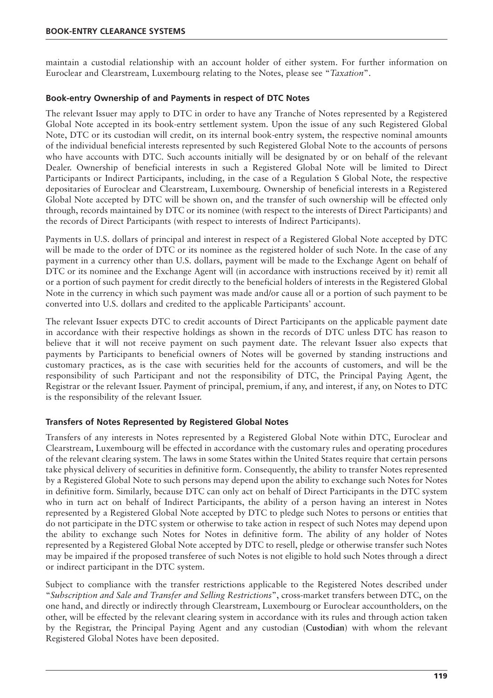maintain a custodial relationship with an account holder of either system. For further information on Euroclear and Clearstream, Luxembourg relating to the Notes, please see "*Taxation*".

#### **Book-entry Ownership of and Payments in respect of DTC Notes**

The relevant Issuer may apply to DTC in order to have any Tranche of Notes represented by a Registered Global Note accepted in its book-entry settlement system. Upon the issue of any such Registered Global Note, DTC or its custodian will credit, on its internal book-entry system, the respective nominal amounts of the individual beneficial interests represented by such Registered Global Note to the accounts of persons who have accounts with DTC. Such accounts initially will be designated by or on behalf of the relevant Dealer. Ownership of beneficial interests in such a Registered Global Note will be limited to Direct Participants or Indirect Participants, including, in the case of a Regulation S Global Note, the respective depositaries of Euroclear and Clearstream, Luxembourg. Ownership of beneficial interests in a Registered Global Note accepted by DTC will be shown on, and the transfer of such ownership will be effected only through, records maintained by DTC or its nominee (with respect to the interests of Direct Participants) and the records of Direct Participants (with respect to interests of Indirect Participants).

Payments in U.S. dollars of principal and interest in respect of a Registered Global Note accepted by DTC will be made to the order of DTC or its nominee as the registered holder of such Note. In the case of any payment in a currency other than U.S. dollars, payment will be made to the Exchange Agent on behalf of DTC or its nominee and the Exchange Agent will (in accordance with instructions received by it) remit all or a portion of such payment for credit directly to the beneficial holders of interests in the Registered Global Note in the currency in which such payment was made and/or cause all or a portion of such payment to be converted into U.S. dollars and credited to the applicable Participants' account.

The relevant Issuer expects DTC to credit accounts of Direct Participants on the applicable payment date in accordance with their respective holdings as shown in the records of DTC unless DTC has reason to believe that it will not receive payment on such payment date. The relevant Issuer also expects that payments by Participants to beneficial owners of Notes will be governed by standing instructions and customary practices, as is the case with securities held for the accounts of customers, and will be the responsibility of such Participant and not the responsibility of DTC, the Principal Paying Agent, the Registrar or the relevant Issuer. Payment of principal, premium, if any, and interest, if any, on Notes to DTC is the responsibility of the relevant Issuer.

#### **Transfers of Notes Represented by Registered Global Notes**

Transfers of any interests in Notes represented by a Registered Global Note within DTC, Euroclear and Clearstream, Luxembourg will be effected in accordance with the customary rules and operating procedures of the relevant clearing system. The laws in some States within the United States require that certain persons take physical delivery of securities in definitive form. Consequently, the ability to transfer Notes represented by a Registered Global Note to such persons may depend upon the ability to exchange such Notes for Notes in definitive form. Similarly, because DTC can only act on behalf of Direct Participants in the DTC system who in turn act on behalf of Indirect Participants, the ability of a person having an interest in Notes represented by a Registered Global Note accepted by DTC to pledge such Notes to persons or entities that do not participate in the DTC system or otherwise to take action in respect of such Notes may depend upon the ability to exchange such Notes for Notes in definitive form. The ability of any holder of Notes represented by a Registered Global Note accepted by DTC to resell, pledge or otherwise transfer such Notes may be impaired if the proposed transferee of such Notes is not eligible to hold such Notes through a direct or indirect participant in the DTC system.

Subject to compliance with the transfer restrictions applicable to the Registered Notes described under "*Subscription and Sale and Transfer and Selling Restrictions*", cross-market transfers between DTC, on the one hand, and directly or indirectly through Clearstream, Luxembourg or Euroclear accountholders, on the other, will be effected by the relevant clearing system in accordance with its rules and through action taken by the Registrar, the Principal Paying Agent and any custodian (**Custodian**) with whom the relevant Registered Global Notes have been deposited.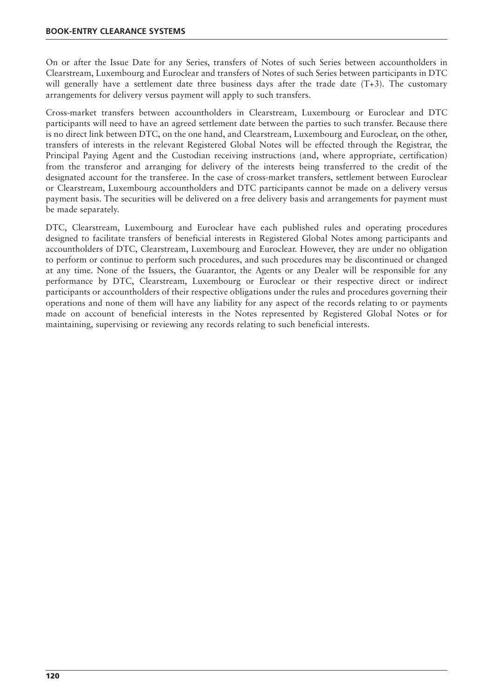On or after the Issue Date for any Series, transfers of Notes of such Series between accountholders in Clearstream, Luxembourg and Euroclear and transfers of Notes of such Series between participants in DTC will generally have a settlement date three business days after the trade date (T+3). The customary arrangements for delivery versus payment will apply to such transfers.

Cross-market transfers between accountholders in Clearstream, Luxembourg or Euroclear and DTC participants will need to have an agreed settlement date between the parties to such transfer. Because there is no direct link between DTC, on the one hand, and Clearstream, Luxembourg and Euroclear, on the other, transfers of interests in the relevant Registered Global Notes will be effected through the Registrar, the Principal Paying Agent and the Custodian receiving instructions (and, where appropriate, certification) from the transferor and arranging for delivery of the interests being transferred to the credit of the designated account for the transferee. In the case of cross-market transfers, settlement between Euroclear or Clearstream, Luxembourg accountholders and DTC participants cannot be made on a delivery versus payment basis. The securities will be delivered on a free delivery basis and arrangements for payment must be made separately.

DTC, Clearstream, Luxembourg and Euroclear have each published rules and operating procedures designed to facilitate transfers of beneficial interests in Registered Global Notes among participants and accountholders of DTC, Clearstream, Luxembourg and Euroclear. However, they are under no obligation to perform or continue to perform such procedures, and such procedures may be discontinued or changed at any time. None of the Issuers, the Guarantor, the Agents or any Dealer will be responsible for any performance by DTC, Clearstream, Luxembourg or Euroclear or their respective direct or indirect participants or accountholders of their respective obligations under the rules and procedures governing their operations and none of them will have any liability for any aspect of the records relating to or payments made on account of beneficial interests in the Notes represented by Registered Global Notes or for maintaining, supervising or reviewing any records relating to such beneficial interests.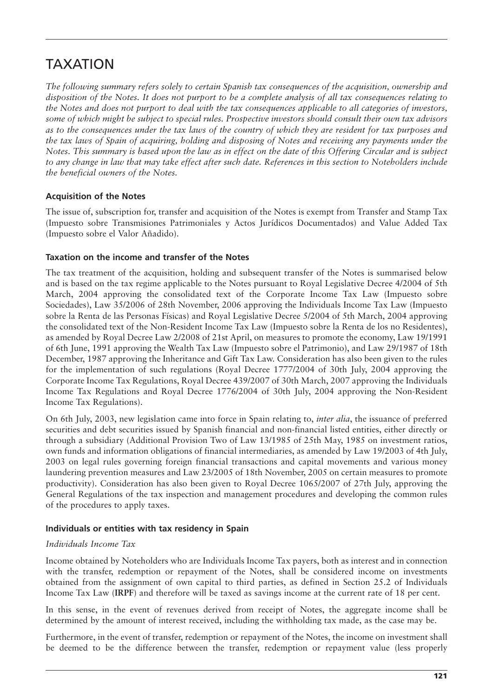# TAXATION

*The following summary refers solely to certain Spanish tax consequences of the acquisition, ownership and disposition of the Notes. It does not purport to be a complete analysis of all tax consequences relating to the Notes and does not purport to deal with the tax consequences applicable to all categories of investors, some of which might be subject to special rules. Prospective investors should consult their own tax advisors as to the consequences under the tax laws of the country of which they are resident for tax purposes and the tax laws of Spain of acquiring, holding and disposing of Notes and receiving any payments under the Notes. This summary is based upon the law as in effect on the date of this Offering Circular and is subject to any change in law that may take effect after such date. References in this section to Noteholders include the beneficial owners of the Notes.*

# **Acquisition of the Notes**

The issue of, subscription for, transfer and acquisition of the Notes is exempt from Transfer and Stamp Tax (Impuesto sobre Transmisiones Patrimoniales y Actos Jurídicos Documentados) and Value Added Tax (Impuesto sobre el Valor Añadido).

#### **Taxation on the income and transfer of the Notes**

The tax treatment of the acquisition, holding and subsequent transfer of the Notes is summarised below and is based on the tax regime applicable to the Notes pursuant to Royal Legislative Decree 4/2004 of 5th March, 2004 approving the consolidated text of the Corporate Income Tax Law (Impuesto sobre Sociedades), Law 35/2006 of 28th November, 2006 approving the Individuals Income Tax Law (Impuesto sobre la Renta de las Personas Físicas) and Royal Legislative Decree 5/2004 of 5th March, 2004 approving the consolidated text of the Non-Resident Income Tax Law (Impuesto sobre la Renta de los no Residentes), as amended by Royal Decree Law 2/2008 of 21st April, on measures to promote the economy, Law 19/1991 of 6th June, 1991 approving the Wealth Tax Law (Impuesto sobre el Patrimonio), and Law 29/1987 of 18th December, 1987 approving the Inheritance and Gift Tax Law. Consideration has also been given to the rules for the implementation of such regulations (Royal Decree 1777/2004 of 30th July, 2004 approving the Corporate Income Tax Regulations, Royal Decree 439/2007 of 30th March, 2007 approving the Individuals Income Tax Regulations and Royal Decree 1776/2004 of 30th July, 2004 approving the Non-Resident Income Tax Regulations).

On 6th July, 2003, new legislation came into force in Spain relating to, *inter alia*, the issuance of preferred securities and debt securities issued by Spanish financial and non-financial listed entities, either directly or through a subsidiary (Additional Provision Two of Law 13/1985 of 25th May, 1985 on investment ratios, own funds and information obligations of financial intermediaries, as amended by Law 19/2003 of 4th July, 2003 on legal rules governing foreign financial transactions and capital movements and various money laundering prevention measures and Law 23/2005 of 18th November, 2005 on certain measures to promote productivity). Consideration has also been given to Royal Decree 1065/2007 of 27th July, approving the General Regulations of the tax inspection and management procedures and developing the common rules of the procedures to apply taxes.

#### **Individuals or entities with tax residency in Spain**

#### *Individuals Income Tax*

Income obtained by Noteholders who are Individuals Income Tax payers, both as interest and in connection with the transfer, redemption or repayment of the Notes, shall be considered income on investments obtained from the assignment of own capital to third parties, as defined in Section 25.2 of Individuals Income Tax Law (**IRPF**) and therefore will be taxed as savings income at the current rate of 18 per cent.

In this sense, in the event of revenues derived from receipt of Notes, the aggregate income shall be determined by the amount of interest received, including the withholding tax made, as the case may be.

Furthermore, in the event of transfer, redemption or repayment of the Notes, the income on investment shall be deemed to be the difference between the transfer, redemption or repayment value (less properly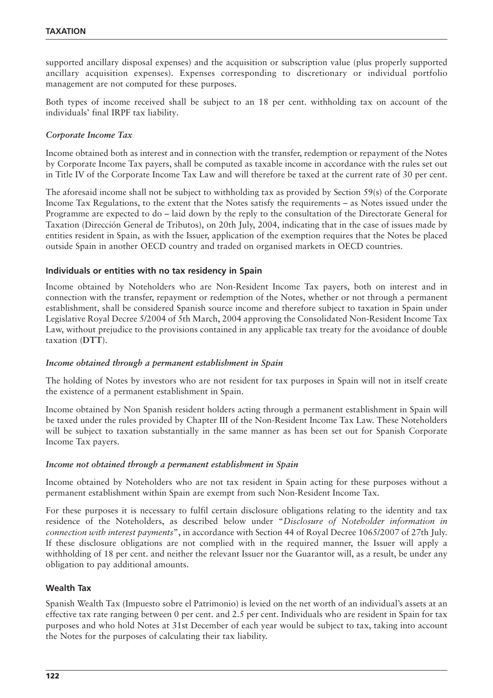supported ancillary disposal expenses) and the acquisition or subscription value (plus properly supported ancillary acquisition expenses). Expenses corresponding to discretionary or individual portfolio management are not computed for these purposes.

Both types of income received shall be subject to an 18 per cent. withholding tax on account of the individuals' final IRPF tax liability.

#### *Corporate Income Tax*

Income obtained both as interest and in connection with the transfer, redemption or repayment of the Notes by Corporate Income Tax payers, shall be computed as taxable income in accordance with the rules set out in Title IV of the Corporate Income Tax Law and will therefore be taxed at the current rate of 30 per cent.

The aforesaid income shall not be subject to withholding tax as provided by Section 59(s) of the Corporate Income Tax Regulations, to the extent that the Notes satisfy the requirements – as Notes issued under the Programme are expected to do – laid down by the reply to the consultation of the Directorate General for Taxation (Dirección General de Tributos), on 20th July, 2004, indicating that in the case of issues made by entities resident in Spain, as with the Issuer, application of the exemption requires that the Notes be placed outside Spain in another OECD country and traded on organised markets in OECD countries.

#### **Individuals or entities with no tax residency in Spain**

Income obtained by Noteholders who are Non-Resident Income Tax payers, both on interest and in connection with the transfer, repayment or redemption of the Notes, whether or not through a permanent establishment, shall be considered Spanish source income and therefore subject to taxation in Spain under Legislative Royal Decree 5/2004 of 5th March, 2004 approving the Consolidated Non-Resident Income Tax Law, without prejudice to the provisions contained in any applicable tax treaty for the avoidance of double taxation (**DTT**).

#### *Income obtained through a permanent establishment in Spain*

The holding of Notes by investors who are not resident for tax purposes in Spain will not in itself create the existence of a permanent establishment in Spain.

Income obtained by Non Spanish resident holders acting through a permanent establishment in Spain will be taxed under the rules provided by Chapter III of the Non-Resident Income Tax Law. These Noteholders will be subject to taxation substantially in the same manner as has been set out for Spanish Corporate Income Tax payers.

#### *Income not obtained through a permanent establishment in Spain*

Income obtained by Noteholders who are not tax resident in Spain acting for these purposes without a permanent establishment within Spain are exempt from such Non-Resident Income Tax.

For these purposes it is necessary to fulfil certain disclosure obligations relating to the identity and tax residence of the Noteholders, as described below under "*Disclosure of Noteholder information in connection with interest payments*", in accordance with Section 44 of Royal Decree 1065/2007 of 27th July. If these disclosure obligations are not complied with in the required manner, the Issuer will apply a withholding of 18 per cent. and neither the relevant Issuer nor the Guarantor will, as a result, be under any obligation to pay additional amounts.

#### **Wealth Tax**

Spanish Wealth Tax (Impuesto sobre el Patrimonio) is levied on the net worth of an individual's assets at an effective tax rate ranging between 0 per cent. and 2.5 per cent. Individuals who are resident in Spain for tax purposes and who hold Notes at 31st December of each year would be subject to tax, taking into account the Notes for the purposes of calculating their tax liability.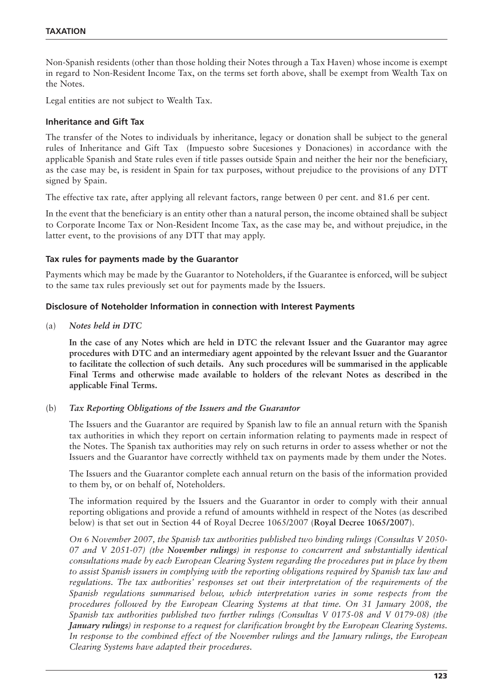Non-Spanish residents (other than those holding their Notes through a Tax Haven) whose income is exempt in regard to Non-Resident Income Tax, on the terms set forth above, shall be exempt from Wealth Tax on the Notes.

Legal entities are not subject to Wealth Tax.

#### **Inheritance and Gift Tax**

The transfer of the Notes to individuals by inheritance, legacy or donation shall be subject to the general rules of Inheritance and Gift Tax (Impuesto sobre Sucesiones y Donaciones) in accordance with the applicable Spanish and State rules even if title passes outside Spain and neither the heir nor the beneficiary, as the case may be, is resident in Spain for tax purposes, without prejudice to the provisions of any DTT signed by Spain.

The effective tax rate, after applying all relevant factors, range between 0 per cent. and 81.6 per cent.

In the event that the beneficiary is an entity other than a natural person, the income obtained shall be subject to Corporate Income Tax or Non-Resident Income Tax, as the case may be, and without prejudice, in the latter event, to the provisions of any DTT that may apply.

#### **Tax rules for payments made by the Guarantor**

Payments which may be made by the Guarantor to Noteholders, if the Guarantee is enforced, will be subject to the same tax rules previously set out for payments made by the Issuers.

#### **Disclosure of Noteholder Information in connection with Interest Payments**

(a) *Notes held in DTC*

**In the case of any Notes which are held in DTC the relevant Issuer and the Guarantor may agree procedures with DTC and an intermediary agent appointed by the relevant Issuer and the Guarantor to facilitate the collection of such details. Any such procedures will be summarised in the applicable Final Terms and otherwise made available to holders of the relevant Notes as described in the applicable Final Terms.**

#### (b) *Tax Reporting Obligations of the Issuers and the Guarantor*

The Issuers and the Guarantor are required by Spanish law to file an annual return with the Spanish tax authorities in which they report on certain information relating to payments made in respect of the Notes. The Spanish tax authorities may rely on such returns in order to assess whether or not the Issuers and the Guarantor have correctly withheld tax on payments made by them under the Notes.

The Issuers and the Guarantor complete each annual return on the basis of the information provided to them by, or on behalf of, Noteholders.

The information required by the Issuers and the Guarantor in order to comply with their annual reporting obligations and provide a refund of amounts withheld in respect of the Notes (as described below) is that set out in Section 44 of Royal Decree 1065/2007 (**Royal Decree 1065/2007**).

*On 6 November 2007, the Spanish tax authorities published two binding rulings (Consultas V 2050- 07 and V 2051-07) (the November rulings) in response to concurrent and substantially identical consultations made by each European Clearing System regarding the procedures put in place by them to assist Spanish issuers in complying with the reporting obligations required by Spanish tax law and regulations. The tax authorities' responses set out their interpretation of the requirements of the Spanish regulations summarised below, which interpretation varies in some respects from the procedures followed by the European Clearing Systems at that time. On 31 January 2008, the Spanish tax authorities published two further rulings (Consultas V 0175-08 and V 0179-08) (the January rulings) in response to a request for clarification brought by the European Clearing Systems. In response to the combined effect of the November rulings and the January rulings, the European Clearing Systems have adapted their procedures.*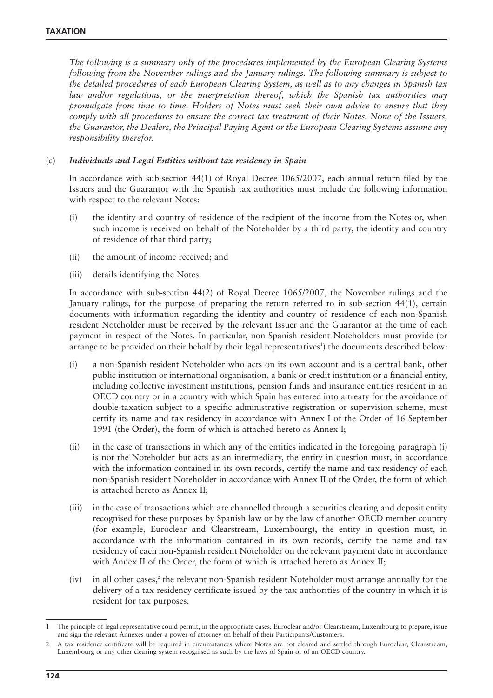*The following is a summary only of the procedures implemented by the European Clearing Systems following from the November rulings and the January rulings. The following summary is subject to the detailed procedures of each European Clearing System, as well as to any changes in Spanish tax law and/or regulations, or the interpretation thereof, which the Spanish tax authorities may promulgate from time to time. Holders of Notes must seek their own advice to ensure that they comply with all procedures to ensure the correct tax treatment of their Notes. None of the Issuers, the Guarantor, the Dealers, the Principal Paying Agent or the European Clearing Systems assume any responsibility therefor.*

#### (c) *Individuals and Legal Entities without tax residency in Spain*

In accordance with sub-section 44(1) of Royal Decree 1065/2007, each annual return filed by the Issuers and the Guarantor with the Spanish tax authorities must include the following information with respect to the relevant Notes:

- (i) the identity and country of residence of the recipient of the income from the Notes or, when such income is received on behalf of the Noteholder by a third party, the identity and country of residence of that third party;
- (ii) the amount of income received; and
- (iii) details identifying the Notes.

In accordance with sub-section 44(2) of Royal Decree 1065/2007, the November rulings and the January rulings, for the purpose of preparing the return referred to in sub-section 44(1), certain documents with information regarding the identity and country of residence of each non-Spanish resident Noteholder must be received by the relevant Issuer and the Guarantor at the time of each payment in respect of the Notes. In particular, non-Spanish resident Noteholders must provide (or arrange to be provided on their behalf by their legal representatives<sup>1</sup>) the documents described below:

- (i) a non-Spanish resident Noteholder who acts on its own account and is a central bank, other public institution or international organisation, a bank or credit institution or a financial entity, including collective investment institutions, pension funds and insurance entities resident in an OECD country or in a country with which Spain has entered into a treaty for the avoidance of double-taxation subject to a specific administrative registration or supervision scheme, must certify its name and tax residency in accordance with Annex I of the Order of 16 September 1991 (the **Order**), the form of which is attached hereto as Annex I;
- (ii) in the case of transactions in which any of the entities indicated in the foregoing paragraph (i) is not the Noteholder but acts as an intermediary, the entity in question must, in accordance with the information contained in its own records, certify the name and tax residency of each non-Spanish resident Noteholder in accordance with Annex II of the Order, the form of which is attached hereto as Annex II;
- (iii) in the case of transactions which are channelled through a securities clearing and deposit entity recognised for these purposes by Spanish law or by the law of another OECD member country (for example, Euroclear and Clearstream, Luxembourg), the entity in question must, in accordance with the information contained in its own records, certify the name and tax residency of each non-Spanish resident Noteholder on the relevant payment date in accordance with Annex II of the Order, the form of which is attached hereto as Annex II;
- $(iv)$  in all other cases,<sup>2</sup> the relevant non-Spanish resident Noteholder must arrange annually for the delivery of a tax residency certificate issued by the tax authorities of the country in which it is resident for tax purposes.

<sup>1</sup> The principle of legal representative could permit, in the appropriate cases, Euroclear and/or Clearstream, Luxembourg to prepare, issue and sign the relevant Annexes under a power of attorney on behalf of their Participants/Customers.

<sup>2</sup> A tax residence certificate will be required in circumstances where Notes are not cleared and settled through Euroclear, Clearstream, Luxembourg or any other clearing system recognised as such by the laws of Spain or of an OECD country.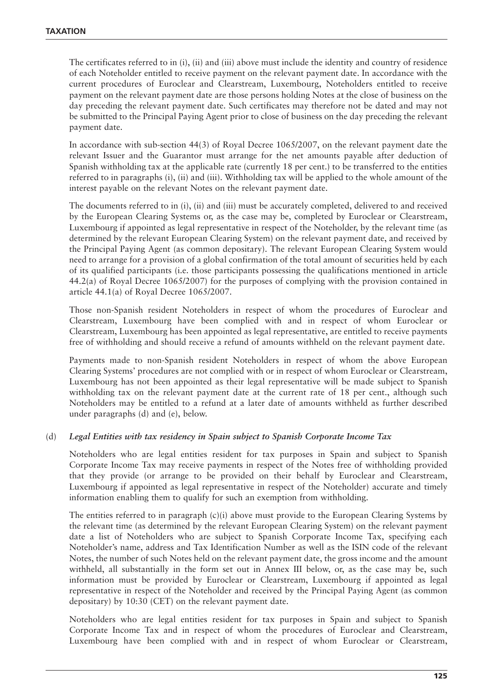The certificates referred to in (i), (ii) and (iii) above must include the identity and country of residence of each Noteholder entitled to receive payment on the relevant payment date. In accordance with the current procedures of Euroclear and Clearstream, Luxembourg, Noteholders entitled to receive payment on the relevant payment date are those persons holding Notes at the close of business on the day preceding the relevant payment date. Such certificates may therefore not be dated and may not be submitted to the Principal Paying Agent prior to close of business on the day preceding the relevant payment date.

In accordance with sub-section 44(3) of Royal Decree 1065/2007, on the relevant payment date the relevant Issuer and the Guarantor must arrange for the net amounts payable after deduction of Spanish withholding tax at the applicable rate (currently 18 per cent.) to be transferred to the entities referred to in paragraphs (i), (ii) and (iii). Withholding tax will be applied to the whole amount of the interest payable on the relevant Notes on the relevant payment date.

The documents referred to in (i), (ii) and (iii) must be accurately completed, delivered to and received by the European Clearing Systems or, as the case may be, completed by Euroclear or Clearstream, Luxembourg if appointed as legal representative in respect of the Noteholder, by the relevant time (as determined by the relevant European Clearing System) on the relevant payment date, and received by the Principal Paying Agent (as common depositary). The relevant European Clearing System would need to arrange for a provision of a global confirmation of the total amount of securities held by each of its qualified participants (i.e. those participants possessing the qualifications mentioned in article 44.2(a) of Royal Decree 1065/2007) for the purposes of complying with the provision contained in article 44.1(a) of Royal Decree 1065/2007.

Those non-Spanish resident Noteholders in respect of whom the procedures of Euroclear and Clearstream, Luxembourg have been complied with and in respect of whom Euroclear or Clearstream, Luxembourg has been appointed as legal representative, are entitled to receive payments free of withholding and should receive a refund of amounts withheld on the relevant payment date.

Payments made to non-Spanish resident Noteholders in respect of whom the above European Clearing Systems' procedures are not complied with or in respect of whom Euroclear or Clearstream, Luxembourg has not been appointed as their legal representative will be made subject to Spanish withholding tax on the relevant payment date at the current rate of 18 per cent., although such Noteholders may be entitled to a refund at a later date of amounts withheld as further described under paragraphs (d) and (e), below.

#### (d) *Legal Entities with tax residency in Spain subject to Spanish Corporate Income Tax*

Noteholders who are legal entities resident for tax purposes in Spain and subject to Spanish Corporate Income Tax may receive payments in respect of the Notes free of withholding provided that they provide (or arrange to be provided on their behalf by Euroclear and Clearstream, Luxembourg if appointed as legal representative in respect of the Noteholder) accurate and timely information enabling them to qualify for such an exemption from withholding.

The entities referred to in paragraph (c)(i) above must provide to the European Clearing Systems by the relevant time (as determined by the relevant European Clearing System) on the relevant payment date a list of Noteholders who are subject to Spanish Corporate Income Tax, specifying each Noteholder's name, address and Tax Identification Number as well as the ISIN code of the relevant Notes, the number of such Notes held on the relevant payment date, the gross income and the amount withheld, all substantially in the form set out in Annex III below, or, as the case may be, such information must be provided by Euroclear or Clearstream, Luxembourg if appointed as legal representative in respect of the Noteholder and received by the Principal Paying Agent (as common depositary) by 10:30 (CET) on the relevant payment date.

Noteholders who are legal entities resident for tax purposes in Spain and subject to Spanish Corporate Income Tax and in respect of whom the procedures of Euroclear and Clearstream, Luxembourg have been complied with and in respect of whom Euroclear or Clearstream,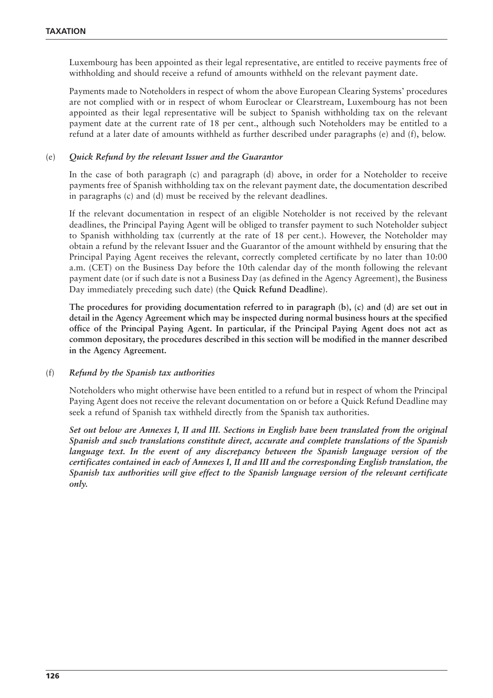Luxembourg has been appointed as their legal representative, are entitled to receive payments free of withholding and should receive a refund of amounts withheld on the relevant payment date.

Payments made to Noteholders in respect of whom the above European Clearing Systems' procedures are not complied with or in respect of whom Euroclear or Clearstream, Luxembourg has not been appointed as their legal representative will be subject to Spanish withholding tax on the relevant payment date at the current rate of 18 per cent., although such Noteholders may be entitled to a refund at a later date of amounts withheld as further described under paragraphs (e) and (f), below.

#### (e) *Quick Refund by the relevant Issuer and the Guarantor*

In the case of both paragraph (c) and paragraph (d) above, in order for a Noteholder to receive payments free of Spanish withholding tax on the relevant payment date, the documentation described in paragraphs (c) and (d) must be received by the relevant deadlines.

If the relevant documentation in respect of an eligible Noteholder is not received by the relevant deadlines, the Principal Paying Agent will be obliged to transfer payment to such Noteholder subject to Spanish withholding tax (currently at the rate of 18 per cent.). However, the Noteholder may obtain a refund by the relevant Issuer and the Guarantor of the amount withheld by ensuring that the Principal Paying Agent receives the relevant, correctly completed certificate by no later than 10:00 a.m. (CET) on the Business Day before the 10th calendar day of the month following the relevant payment date (or if such date is not a Business Day (as defined in the Agency Agreement), the Business Day immediately preceding such date) (the **Quick Refund Deadline**).

**The procedures for providing documentation referred to in paragraph (b), (c) and (d) are set out in detail in the Agency Agreement which may be inspected during normal business hours at the specified office of the Principal Paying Agent. In particular, if the Principal Paying Agent does not act as common depositary, the procedures described in this section will be modified in the manner described in the Agency Agreement.**

#### (f) *Refund by the Spanish tax authorities*

Noteholders who might otherwise have been entitled to a refund but in respect of whom the Principal Paying Agent does not receive the relevant documentation on or before a Quick Refund Deadline may seek a refund of Spanish tax withheld directly from the Spanish tax authorities.

*Set out below are Annexes I, II and III. Sections in English have been translated from the original Spanish and such translations constitute direct, accurate and complete translations of the Spanish language text. In the event of any discrepancy between the Spanish language version of the certificates contained in each of Annexes I, II and III and the corresponding English translation, the Spanish tax authorities will give effect to the Spanish language version of the relevant certificate only.*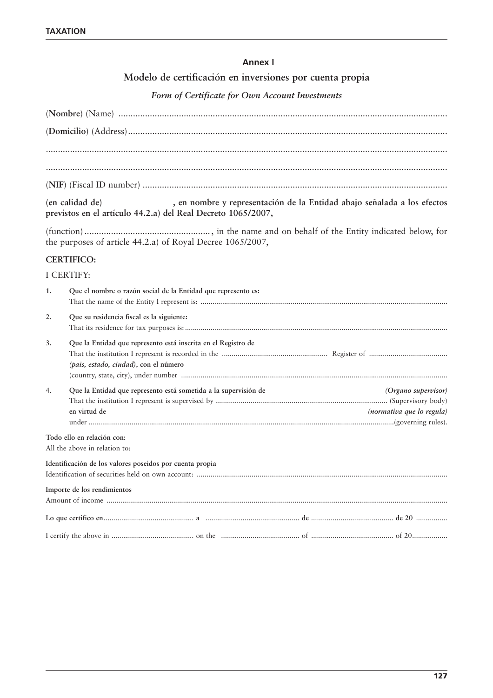# **Annex I**

# **Modelo de certificación en inversiones por cuenta propia**

# *Form of Certificate for Own Account Investments*

|                   | , en nombre y representación de la Entidad abajo señalada a los efectos<br>(en calidad de)<br>previstos en el artículo 44.2.a) del Real Decreto 1065/2007, |
|-------------------|------------------------------------------------------------------------------------------------------------------------------------------------------------|
|                   | the purposes of article 44.2.a) of Royal Decree 1065/2007,                                                                                                 |
|                   | <b>CERTIFICO:</b>                                                                                                                                          |
| <b>I CERTIFY:</b> |                                                                                                                                                            |
| 1.                | Que el nombre o razón social de la Entidad que represento es:                                                                                              |
| 2.                | Que su residencia fiscal es la siguiente:                                                                                                                  |
| 3.                | Que la Entidad que represento está inscrita en el Registro de<br>(pais, estado, ciudad), con el número                                                     |
| 4.                | Que la Entidad que represento está sometida a la supervisión de<br>(Organo supervisor)                                                                     |
|                   | en virtud de<br>(normativa que lo regula)                                                                                                                  |
|                   |                                                                                                                                                            |
|                   | Todo ello en relación con:<br>All the above in relation to:                                                                                                |
|                   | Identificación de los valores poseidos por cuenta propia                                                                                                   |
|                   | Importe de los rendimientos                                                                                                                                |
|                   |                                                                                                                                                            |
|                   |                                                                                                                                                            |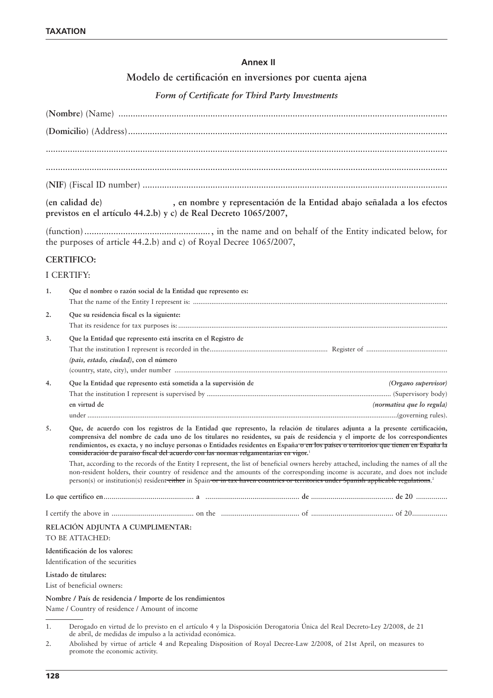# **Annex II**

# **Modelo de certificación en inversiones por cuenta ajena**

# *Form of Certificate for Third Party Investments*

|    | (en calidad de)<br>, en nombre y representación de la Entidad abajo señalada a los efectos<br>previstos en el artículo 44.2.b) y c) de Real Decreto 1065/2007,                                                                                                                                                                                                                                                                                                                                              |  |  |  |
|----|-------------------------------------------------------------------------------------------------------------------------------------------------------------------------------------------------------------------------------------------------------------------------------------------------------------------------------------------------------------------------------------------------------------------------------------------------------------------------------------------------------------|--|--|--|
|    | the purposes of article 44.2.b) and c) of Royal Decree 1065/2007,                                                                                                                                                                                                                                                                                                                                                                                                                                           |  |  |  |
|    | <b>CERTIFICO:</b>                                                                                                                                                                                                                                                                                                                                                                                                                                                                                           |  |  |  |
|    | I CERTIFY:                                                                                                                                                                                                                                                                                                                                                                                                                                                                                                  |  |  |  |
| 1. | Que el nombre o razón social de la Entidad que represento es:                                                                                                                                                                                                                                                                                                                                                                                                                                               |  |  |  |
| 2. | Que su residencia fiscal es la siguiente:                                                                                                                                                                                                                                                                                                                                                                                                                                                                   |  |  |  |
| 3. | Que la Entidad que represento está inscrita en el Registro de<br>(pais, estado, ciudad), con el número                                                                                                                                                                                                                                                                                                                                                                                                      |  |  |  |
| 4. | Que la Entidad que represento está sometida a la supervisión de<br>(Organo supervisor)                                                                                                                                                                                                                                                                                                                                                                                                                      |  |  |  |
|    |                                                                                                                                                                                                                                                                                                                                                                                                                                                                                                             |  |  |  |
|    | en virtud de<br>(normativa que lo regula)                                                                                                                                                                                                                                                                                                                                                                                                                                                                   |  |  |  |
| 5. | Que, de acuerdo con los registros de la Entidad que represento, la relación de titulares adjunta a la presente certificación,<br>comprensiva del nombre de cada uno de los titulares no residentes, su país de residencia y el importe de los correspondientes<br>rendimientos, es exacta, y no incluye personas o Entidades residentes en España o en los países o territorios que tienen en España la<br>consideración de paraíso fiscal del acuerdo con las normas relgamentarias en vigor. <sup>1</sup> |  |  |  |
|    | That, according to the records of the Entity I represent, the list of beneficial owners hereby attached, including the names of all the<br>non-resident holders, their country of residence and the amounts of the corresponding income is accurate, and does not include<br>person(s) or institution(s) resident either in Spain or in tax haven countries or territories under Spanish applicable regulations. <sup>2</sup>                                                                               |  |  |  |
|    |                                                                                                                                                                                                                                                                                                                                                                                                                                                                                                             |  |  |  |
|    |                                                                                                                                                                                                                                                                                                                                                                                                                                                                                                             |  |  |  |
|    | RELACIÓN ADJUNTA A CUMPLIMENTAR:<br>TO BE ATTACHED:                                                                                                                                                                                                                                                                                                                                                                                                                                                         |  |  |  |
|    | Identificación de los valores:                                                                                                                                                                                                                                                                                                                                                                                                                                                                              |  |  |  |
|    | Identification of the securities                                                                                                                                                                                                                                                                                                                                                                                                                                                                            |  |  |  |
|    | Listado de titulares:                                                                                                                                                                                                                                                                                                                                                                                                                                                                                       |  |  |  |
|    | List of beneficial owners:                                                                                                                                                                                                                                                                                                                                                                                                                                                                                  |  |  |  |
|    | Nombre / País de residencia / Importe de los rendimientos                                                                                                                                                                                                                                                                                                                                                                                                                                                   |  |  |  |
|    | Name / Country of residence / Amount of income                                                                                                                                                                                                                                                                                                                                                                                                                                                              |  |  |  |
| 1. | Derogado en virtud de lo previsto en el artículo 4 y la Disposición Derogatoria Única del Real Decreto-Ley 2/2008, de 21<br>de abril, de medidas de impulso a la actividad económica.                                                                                                                                                                                                                                                                                                                       |  |  |  |

2. Abolished by virtue of article 4 and Repealing Disposition of Royal Decree-Law 2/2008, of 21st April, on measures to promote the economic activity.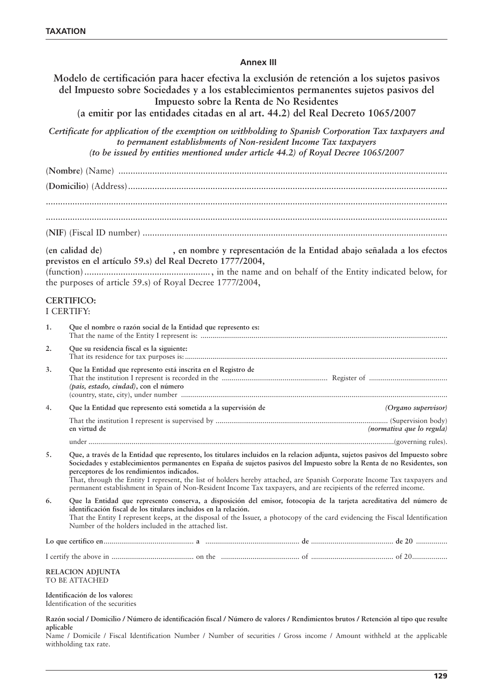#### **Annex III**

**Modelo de certificación para hacer efectiva la exclusión de retención a los sujetos pasivos del Impuesto sobre Sociedades y a los establecimientos permanentes sujetos pasivos del Impuesto sobre la Renta de No Residentes (a emitir por las entidades citadas en al art. 44.2) del Real Decreto 1065/2007** *Certificate for application of the exemption on withholding to Spanish Corporation Tax taxpayers and to permanent establishments of Non-resident Income Tax taxpayers (to be issued by entities mentioned under article 44.2) of Royal Decree 1065/2007* (**Nombre**) (Name) ........................................................................................................................................ (**Domicilio**) (Address).................................................................................................................................... ...................................................................................................................................................................... ...................................................................................................................................................................... (**NIF**) (Fiscal ID number) .............................................................................................................................. **(en calidad de) , en nombre y representación de la Entidad abajo señalada a los efectos previstos en el artículo 59.s) del Real Decreto 1777/2004,** (function) ...................................................., in the name and on behalf of the Entity indicated below, for the purposes of article 59.s) of Royal Decree 1777/2004, **CERTIFICO:** I CERTIFY: **1. Que el nombre o razón social de la Entidad que represento es:** That the name of the Entity I represent is: .............................................................................................................................. **2. Que su residencia fiscal es la siguiente:** That its residence for tax purposes is: ...................................................................................................................................... **3. Que la Entidad que represento está inscrita en el Registro de** That the institution I represent is recorded in the ...................................................... Register of ........................................ *(pais, estado, ciudad)***, con el número** (country, state, city), under number ........................................................................................................................................ 4**. Que la Entidad que represento está sometida a la supervisión de** *(Organo supervisor)* That the institution I represent is supervised by ........................................................................................ (Supervision body) **en virtud de** *(normativa que lo regula)* under ............................................................................................................................................................(governing rules). **5. Que, a través de la Entidad que represento, los titulares incluidos en la relacion adjunta, sujetos pasivos del Impuesto sobre Sociedades y establecimientos permanentes en España de sujetos pasivos del Impuesto sobre la Renta de no Residentes, son perceptores de los rendimientos indicados.** That, through the Entity I represent, the list of holders hereby attached, are Spanish Corporate Income Tax taxpayers and permanent establishment in Spain of Non-Resident Income Tax taxpayers, and are recipients of the referred income. **6. Que la Entidad que represento conserva, a disposición del emisor, fotocopia de la tarjeta acreditativa del número de identificación fiscal de los titulares incluidos en la relación.** That the Entity I represent keeps, at the disposal of the Issuer, a photocopy of the card evidencing the Fiscal Identification Number of the holders included in the attached list. **Lo que certifico en**.............................................. **a** ................................................ **de** .......................................... **de 20** ................ I certify the above in .......................................... on the ........................................ of .......................................... of 20.................. **RELACION ADJUNTA** TO BE ATTACHED **Identificación de los valores:** Identification of the securities **Razón social / Domicilio / Número de identificación fiscal / Número de valores / Rendimientos brutos / Retención al tipo que resulte**

**aplicable** Name / Domicile / Fiscal Identification Number / Number of securities / Gross income / Amount withheld at the applicable withholding tax rate.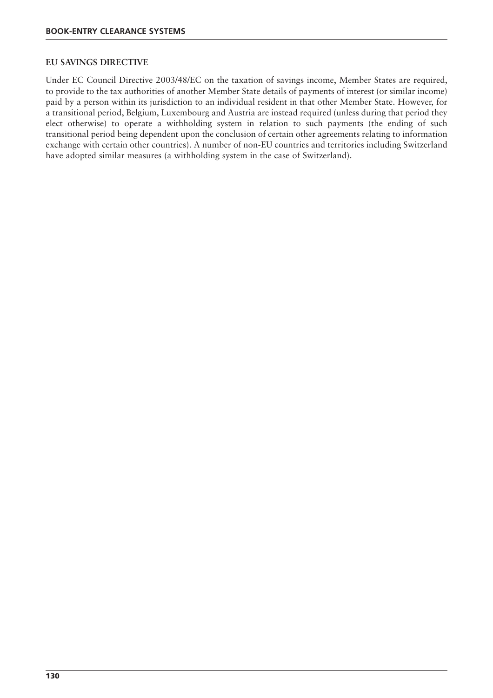#### **EU SAVINGS DIRECTIVE**

Under EC Council Directive 2003/48/EC on the taxation of savings income, Member States are required, to provide to the tax authorities of another Member State details of payments of interest (or similar income) paid by a person within its jurisdiction to an individual resident in that other Member State. However, for a transitional period, Belgium, Luxembourg and Austria are instead required (unless during that period they elect otherwise) to operate a withholding system in relation to such payments (the ending of such transitional period being dependent upon the conclusion of certain other agreements relating to information exchange with certain other countries). A number of non-EU countries and territories including Switzerland have adopted similar measures (a withholding system in the case of Switzerland).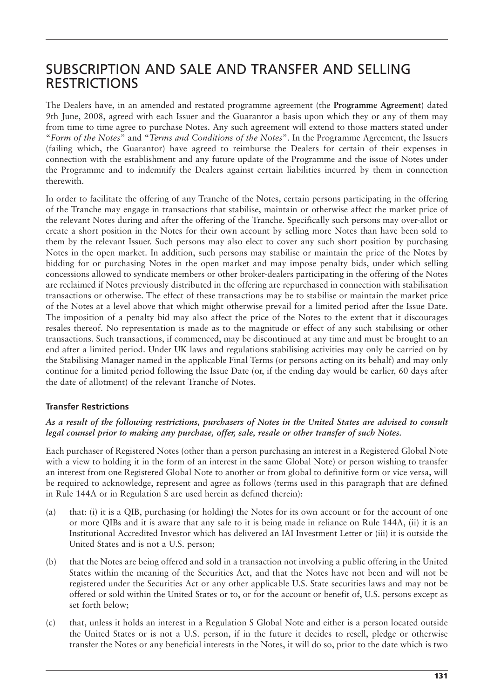# SUBSCRIPTION AND SALE AND TRANSFER AND SELLING RESTRICTIONS

The Dealers have, in an amended and restated programme agreement (the **Programme Agreement**) dated 9th June, 2008, agreed with each Issuer and the Guarantor a basis upon which they or any of them may from time to time agree to purchase Notes. Any such agreement will extend to those matters stated under "*Form of the Notes*" and "*Terms and Conditions of the Notes*". In the Programme Agreement, the Issuers (failing which, the Guarantor) have agreed to reimburse the Dealers for certain of their expenses in connection with the establishment and any future update of the Programme and the issue of Notes under the Programme and to indemnify the Dealers against certain liabilities incurred by them in connection therewith.

In order to facilitate the offering of any Tranche of the Notes, certain persons participating in the offering of the Tranche may engage in transactions that stabilise, maintain or otherwise affect the market price of the relevant Notes during and after the offering of the Tranche. Specifically such persons may over-allot or create a short position in the Notes for their own account by selling more Notes than have been sold to them by the relevant Issuer. Such persons may also elect to cover any such short position by purchasing Notes in the open market. In addition, such persons may stabilise or maintain the price of the Notes by bidding for or purchasing Notes in the open market and may impose penalty bids, under which selling concessions allowed to syndicate members or other broker-dealers participating in the offering of the Notes are reclaimed if Notes previously distributed in the offering are repurchased in connection with stabilisation transactions or otherwise. The effect of these transactions may be to stabilise or maintain the market price of the Notes at a level above that which might otherwise prevail for a limited period after the Issue Date. The imposition of a penalty bid may also affect the price of the Notes to the extent that it discourages resales thereof. No representation is made as to the magnitude or effect of any such stabilising or other transactions. Such transactions, if commenced, may be discontinued at any time and must be brought to an end after a limited period. Under UK laws and regulations stabilising activities may only be carried on by the Stabilising Manager named in the applicable Final Terms (or persons acting on its behalf) and may only continue for a limited period following the Issue Date (or, if the ending day would be earlier, 60 days after the date of allotment) of the relevant Tranche of Notes.

# **Transfer Restrictions**

#### *As a result of the following restrictions, purchasers of Notes in the United States are advised to consult legal counsel prior to making any purchase, offer, sale, resale or other transfer of such Notes.*

Each purchaser of Registered Notes (other than a person purchasing an interest in a Registered Global Note with a view to holding it in the form of an interest in the same Global Note) or person wishing to transfer an interest from one Registered Global Note to another or from global to definitive form or vice versa, will be required to acknowledge, represent and agree as follows (terms used in this paragraph that are defined in Rule 144A or in Regulation S are used herein as defined therein):

- (a) that: (i) it is a QIB, purchasing (or holding) the Notes for its own account or for the account of one or more QIBs and it is aware that any sale to it is being made in reliance on Rule 144A, (ii) it is an Institutional Accredited Investor which has delivered an IAI Investment Letter or (iii) it is outside the United States and is not a U.S. person;
- (b) that the Notes are being offered and sold in a transaction not involving a public offering in the United States within the meaning of the Securities Act, and that the Notes have not been and will not be registered under the Securities Act or any other applicable U.S. State securities laws and may not be offered or sold within the United States or to, or for the account or benefit of, U.S. persons except as set forth below;
- (c) that, unless it holds an interest in a Regulation S Global Note and either is a person located outside the United States or is not a U.S. person, if in the future it decides to resell, pledge or otherwise transfer the Notes or any beneficial interests in the Notes, it will do so, prior to the date which is two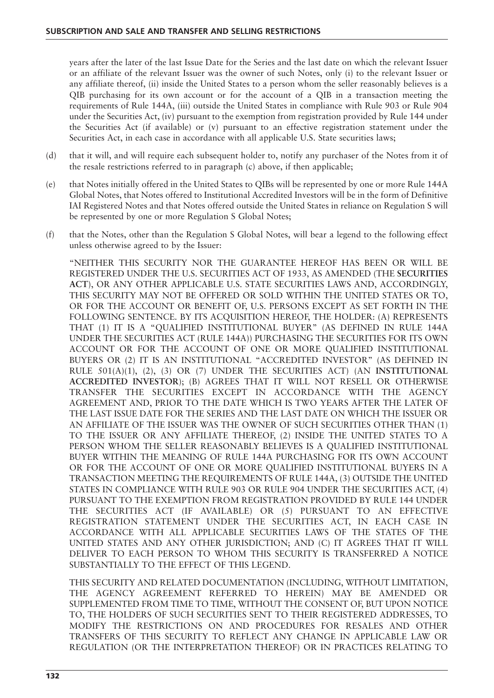years after the later of the last Issue Date for the Series and the last date on which the relevant Issuer or an affiliate of the relevant Issuer was the owner of such Notes, only (i) to the relevant Issuer or any affiliate thereof, (ii) inside the United States to a person whom the seller reasonably believes is a QIB purchasing for its own account or for the account of a QIB in a transaction meeting the requirements of Rule 144A, (iii) outside the United States in compliance with Rule 903 or Rule 904 under the Securities Act, (iv) pursuant to the exemption from registration provided by Rule 144 under the Securities Act (if available) or (v) pursuant to an effective registration statement under the Securities Act, in each case in accordance with all applicable U.S. State securities laws;

- (d) that it will, and will require each subsequent holder to, notify any purchaser of the Notes from it of the resale restrictions referred to in paragraph (c) above, if then applicable;
- (e) that Notes initially offered in the United States to QIBs will be represented by one or more Rule 144A Global Notes, that Notes offered to Institutional Accredited Investors will be in the form of Definitive IAI Registered Notes and that Notes offered outside the United States in reliance on Regulation S will be represented by one or more Regulation S Global Notes;
- (f) that the Notes, other than the Regulation S Global Notes, will bear a legend to the following effect unless otherwise agreed to by the Issuer:

"NEITHER THIS SECURITY NOR THE GUARANTEE HEREOF HAS BEEN OR WILL BE REGISTERED UNDER THE U.S. SECURITIES ACT OF 1933, AS AMENDED (THE **SECURITIES ACT**), OR ANY OTHER APPLICABLE U.S. STATE SECURITIES LAWS AND, ACCORDINGLY, THIS SECURITY MAY NOT BE OFFERED OR SOLD WITHIN THE UNITED STATES OR TO, OR FOR THE ACCOUNT OR BENEFIT OF, U.S. PERSONS EXCEPT AS SET FORTH IN THE FOLLOWING SENTENCE. BY ITS ACQUISITION HEREOF, THE HOLDER: (A) REPRESENTS THAT (1) IT IS A "QUALIFIED INSTITUTIONAL BUYER" (AS DEFINED IN RULE 144A UNDER THE SECURITIES ACT (RULE 144A)) PURCHASING THE SECURITIES FOR ITS OWN ACCOUNT OR FOR THE ACCOUNT OF ONE OR MORE QUALIFIED INSTITUTIONAL BUYERS OR (2) IT IS AN INSTITUTIONAL "ACCREDITED INVESTOR" (AS DEFINED IN RULE 501(A)(1), (2), (3) OR (7) UNDER THE SECURITIES ACT) (AN **INSTITUTIONAL ACCREDITED INVESTOR**); (B) AGREES THAT IT WILL NOT RESELL OR OTHERWISE TRANSFER THE SECURITIES EXCEPT IN ACCORDANCE WITH THE AGENCY AGREEMENT AND, PRIOR TO THE DATE WHICH IS TWO YEARS AFTER THE LATER OF THE LAST ISSUE DATE FOR THE SERIES AND THE LAST DATE ON WHICH THE ISSUER OR AN AFFILIATE OF THE ISSUER WAS THE OWNER OF SUCH SECURITIES OTHER THAN (1) TO THE ISSUER OR ANY AFFILIATE THEREOF, (2) INSIDE THE UNITED STATES TO A PERSON WHOM THE SELLER REASONABLY BELIEVES IS A QUALIFIED INSTITUTIONAL BUYER WITHIN THE MEANING OF RULE 144A PURCHASING FOR ITS OWN ACCOUNT OR FOR THE ACCOUNT OF ONE OR MORE QUALIFIED INSTITUTIONAL BUYERS IN A TRANSACTION MEETING THE REQUIREMENTS OF RULE 144A, (3) OUTSIDE THE UNITED STATES IN COMPLIANCE WITH RULE 903 OR RULE 904 UNDER THE SECURITIES ACT, (4) PURSUANT TO THE EXEMPTION FROM REGISTRATION PROVIDED BY RULE 144 UNDER THE SECURITIES ACT (IF AVAILABLE) OR (5) PURSUANT TO AN EFFECTIVE REGISTRATION STATEMENT UNDER THE SECURITIES ACT, IN EACH CASE IN ACCORDANCE WITH ALL APPLICABLE SECURITIES LAWS OF THE STATES OF THE UNITED STATES AND ANY OTHER JURISDICTION; AND (C) IT AGREES THAT IT WILL DELIVER TO EACH PERSON TO WHOM THIS SECURITY IS TRANSFERRED A NOTICE SUBSTANTIALLY TO THE EFFECT OF THIS LEGEND.

THIS SECURITY AND RELATED DOCUMENTATION (INCLUDING, WITHOUT LIMITATION, THE AGENCY AGREEMENT REFERRED TO HEREIN) MAY BE AMENDED OR SUPPLEMENTED FROM TIME TO TIME, WITHOUT THE CONSENT OF, BUT UPON NOTICE TO, THE HOLDERS OF SUCH SECURITIES SENT TO THEIR REGISTERED ADDRESSES, TO MODIFY THE RESTRICTIONS ON AND PROCEDURES FOR RESALES AND OTHER TRANSFERS OF THIS SECURITY TO REFLECT ANY CHANGE IN APPLICABLE LAW OR REGULATION (OR THE INTERPRETATION THEREOF) OR IN PRACTICES RELATING TO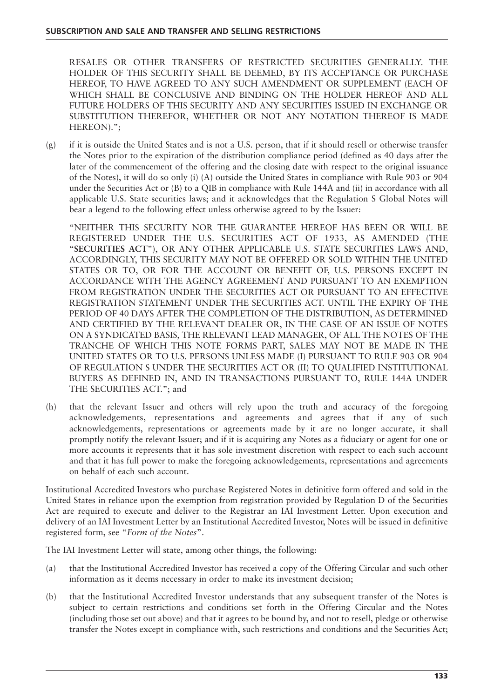RESALES OR OTHER TRANSFERS OF RESTRICTED SECURITIES GENERALLY. THE HOLDER OF THIS SECURITY SHALL BE DEEMED, BY ITS ACCEPTANCE OR PURCHASE HEREOF, TO HAVE AGREED TO ANY SUCH AMENDMENT OR SUPPLEMENT (EACH OF WHICH SHALL BE CONCLUSIVE AND BINDING ON THE HOLDER HEREOF AND ALL FUTURE HOLDERS OF THIS SECURITY AND ANY SECURITIES ISSUED IN EXCHANGE OR SUBSTITUTION THEREFOR, WHETHER OR NOT ANY NOTATION THEREOF IS MADE HEREON).";

(g) if it is outside the United States and is not a U.S. person, that if it should resell or otherwise transfer the Notes prior to the expiration of the distribution compliance period (defined as 40 days after the later of the commencement of the offering and the closing date with respect to the original issuance of the Notes), it will do so only (i) (A) outside the United States in compliance with Rule 903 or 904 under the Securities Act or (B) to a QIB in compliance with Rule 144A and (ii) in accordance with all applicable U.S. State securities laws; and it acknowledges that the Regulation S Global Notes will bear a legend to the following effect unless otherwise agreed to by the Issuer:

"NEITHER THIS SECURITY NOR THE GUARANTEE HEREOF HAS BEEN OR WILL BE REGISTERED UNDER THE U.S. SECURITIES ACT OF 1933, AS AMENDED (THE "**SECURITIES ACT**"), OR ANY OTHER APPLICABLE U.S. STATE SECURITIES LAWS AND, ACCORDINGLY, THIS SECURITY MAY NOT BE OFFERED OR SOLD WITHIN THE UNITED STATES OR TO, OR FOR THE ACCOUNT OR BENEFIT OF, U.S. PERSONS EXCEPT IN ACCORDANCE WITH THE AGENCY AGREEMENT AND PURSUANT TO AN EXEMPTION FROM REGISTRATION UNDER THE SECURITIES ACT OR PURSUANT TO AN EFFECTIVE REGISTRATION STATEMENT UNDER THE SECURITIES ACT. UNTIL THE EXPIRY OF THE PERIOD OF 40 DAYS AFTER THE COMPLETION OF THE DISTRIBUTION, AS DETERMINED AND CERTIFIED BY THE RELEVANT DEALER OR, IN THE CASE OF AN ISSUE OF NOTES ON A SYNDICATED BASIS, THE RELEVANT LEAD MANAGER, OF ALL THE NOTES OF THE TRANCHE OF WHICH THIS NOTE FORMS PART, SALES MAY NOT BE MADE IN THE UNITED STATES OR TO U.S. PERSONS UNLESS MADE (I) PURSUANT TO RULE 903 OR 904 OF REGULATION S UNDER THE SECURITIES ACT OR (II) TO QUALIFIED INSTITUTIONAL BUYERS AS DEFINED IN, AND IN TRANSACTIONS PURSUANT TO, RULE 144A UNDER THE SECURITIES ACT."; and

(h) that the relevant Issuer and others will rely upon the truth and accuracy of the foregoing acknowledgements, representations and agreements and agrees that if any of such acknowledgements, representations or agreements made by it are no longer accurate, it shall promptly notify the relevant Issuer; and if it is acquiring any Notes as a fiduciary or agent for one or more accounts it represents that it has sole investment discretion with respect to each such account and that it has full power to make the foregoing acknowledgements, representations and agreements on behalf of each such account.

Institutional Accredited Investors who purchase Registered Notes in definitive form offered and sold in the United States in reliance upon the exemption from registration provided by Regulation D of the Securities Act are required to execute and deliver to the Registrar an IAI Investment Letter. Upon execution and delivery of an IAI Investment Letter by an Institutional Accredited Investor, Notes will be issued in definitive registered form, see "*Form of the Notes*".

The IAI Investment Letter will state, among other things, the following:

- (a) that the Institutional Accredited Investor has received a copy of the Offering Circular and such other information as it deems necessary in order to make its investment decision;
- (b) that the Institutional Accredited Investor understands that any subsequent transfer of the Notes is subject to certain restrictions and conditions set forth in the Offering Circular and the Notes (including those set out above) and that it agrees to be bound by, and not to resell, pledge or otherwise transfer the Notes except in compliance with, such restrictions and conditions and the Securities Act;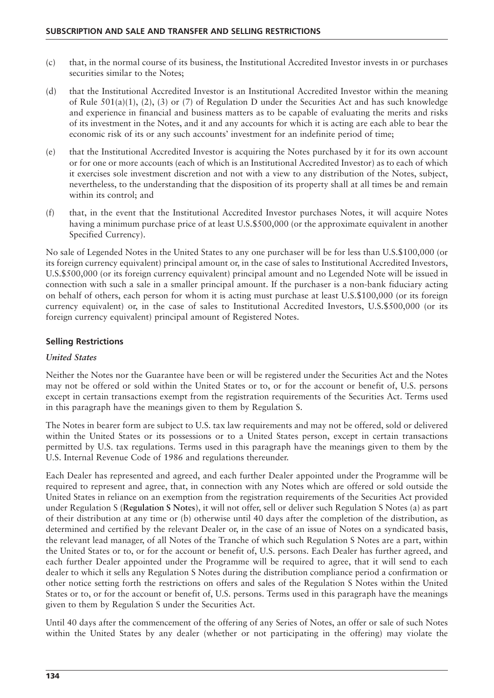- (c) that, in the normal course of its business, the Institutional Accredited Investor invests in or purchases securities similar to the Notes;
- (d) that the Institutional Accredited Investor is an Institutional Accredited Investor within the meaning of Rule  $501(a)(1)$ , (2), (3) or (7) of Regulation D under the Securities Act and has such knowledge and experience in financial and business matters as to be capable of evaluating the merits and risks of its investment in the Notes, and it and any accounts for which it is acting are each able to bear the economic risk of its or any such accounts' investment for an indefinite period of time;
- (e) that the Institutional Accredited Investor is acquiring the Notes purchased by it for its own account or for one or more accounts (each of which is an Institutional Accredited Investor) as to each of which it exercises sole investment discretion and not with a view to any distribution of the Notes, subject, nevertheless, to the understanding that the disposition of its property shall at all times be and remain within its control; and
- (f) that, in the event that the Institutional Accredited Investor purchases Notes, it will acquire Notes having a minimum purchase price of at least U.S.\$500,000 (or the approximate equivalent in another Specified Currency).

No sale of Legended Notes in the United States to any one purchaser will be for less than U.S.\$100,000 (or its foreign currency equivalent) principal amount or, in the case of sales to Institutional Accredited Investors, U.S.\$500,000 (or its foreign currency equivalent) principal amount and no Legended Note will be issued in connection with such a sale in a smaller principal amount. If the purchaser is a non-bank fiduciary acting on behalf of others, each person for whom it is acting must purchase at least U.S.\$100,000 (or its foreign currency equivalent) or, in the case of sales to Institutional Accredited Investors, U.S.\$500,000 (or its foreign currency equivalent) principal amount of Registered Notes.

#### **Selling Restrictions**

#### *United States*

Neither the Notes nor the Guarantee have been or will be registered under the Securities Act and the Notes may not be offered or sold within the United States or to, or for the account or benefit of, U.S. persons except in certain transactions exempt from the registration requirements of the Securities Act. Terms used in this paragraph have the meanings given to them by Regulation S.

The Notes in bearer form are subject to U.S. tax law requirements and may not be offered, sold or delivered within the United States or its possessions or to a United States person, except in certain transactions permitted by U.S. tax regulations. Terms used in this paragraph have the meanings given to them by the U.S. Internal Revenue Code of 1986 and regulations thereunder.

Each Dealer has represented and agreed, and each further Dealer appointed under the Programme will be required to represent and agree, that, in connection with any Notes which are offered or sold outside the United States in reliance on an exemption from the registration requirements of the Securities Act provided under Regulation S (**Regulation S Notes**), it will not offer, sell or deliver such Regulation S Notes (a) as part of their distribution at any time or (b) otherwise until 40 days after the completion of the distribution, as determined and certified by the relevant Dealer or, in the case of an issue of Notes on a syndicated basis, the relevant lead manager, of all Notes of the Tranche of which such Regulation S Notes are a part, within the United States or to, or for the account or benefit of, U.S. persons. Each Dealer has further agreed, and each further Dealer appointed under the Programme will be required to agree, that it will send to each dealer to which it sells any Regulation S Notes during the distribution compliance period a confirmation or other notice setting forth the restrictions on offers and sales of the Regulation S Notes within the United States or to, or for the account or benefit of, U.S. persons. Terms used in this paragraph have the meanings given to them by Regulation S under the Securities Act.

Until 40 days after the commencement of the offering of any Series of Notes, an offer or sale of such Notes within the United States by any dealer (whether or not participating in the offering) may violate the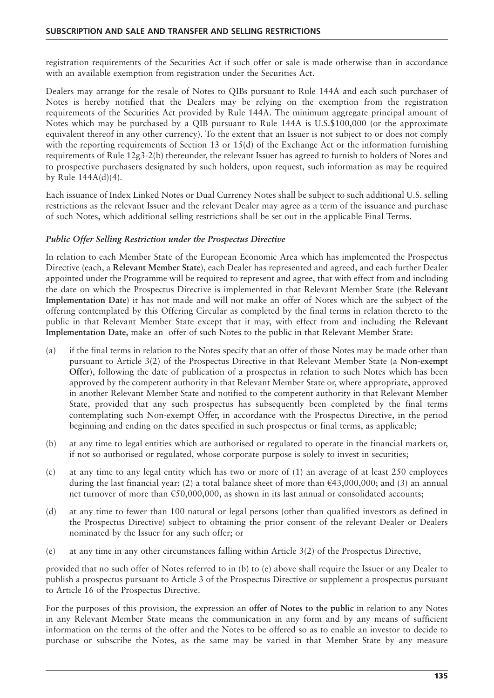registration requirements of the Securities Act if such offer or sale is made otherwise than in accordance with an available exemption from registration under the Securities Act.

Dealers may arrange for the resale of Notes to QIBs pursuant to Rule 144A and each such purchaser of Notes is hereby notified that the Dealers may be relying on the exemption from the registration requirements of the Securities Act provided by Rule 144A. The minimum aggregate principal amount of Notes which may be purchased by a QIB pursuant to Rule 144A is U.S.\$100,000 (or the approximate equivalent thereof in any other currency). To the extent that an Issuer is not subject to or does not comply with the reporting requirements of Section 13 or  $15(d)$  of the Exchange Act or the information furnishing requirements of Rule 12g3-2(b) thereunder, the relevant Issuer has agreed to furnish to holders of Notes and to prospective purchasers designated by such holders, upon request, such information as may be required by Rule 144A(d)(4).

Each issuance of Index Linked Notes or Dual Currency Notes shall be subject to such additional U.S. selling restrictions as the relevant Issuer and the relevant Dealer may agree as a term of the issuance and purchase of such Notes, which additional selling restrictions shall be set out in the applicable Final Terms.

## *Public Offer Selling Restriction under the Prospectus Directive*

In relation to each Member State of the European Economic Area which has implemented the Prospectus Directive (each, a **Relevant Member State**), each Dealer has represented and agreed, and each further Dealer appointed under the Programme will be required to represent and agree, that with effect from and including the date on which the Prospectus Directive is implemented in that Relevant Member State (the **Relevant Implementation Date**) it has not made and will not make an offer of Notes which are the subject of the offering contemplated by this Offering Circular as completed by the final terms in relation thereto to the public in that Relevant Member State except that it may, with effect from and including the **Relevant Implementation Date**, make an offer of such Notes to the public in that Relevant Member State:

- (a) if the final terms in relation to the Notes specify that an offer of those Notes may be made other than pursuant to Article 3(2) of the Prospectus Directive in that Relevant Member State (a **Non-exempt Offer**), following the date of publication of a prospectus in relation to such Notes which has been approved by the competent authority in that Relevant Member State or, where appropriate, approved in another Relevant Member State and notified to the competent authority in that Relevant Member State, provided that any such prospectus has subsequently been completed by the final terms contemplating such Non-exempt Offer, in accordance with the Prospectus Directive, in the period beginning and ending on the dates specified in such prospectus or final terms, as applicable;
- (b) at any time to legal entities which are authorised or regulated to operate in the financial markets or, if not so authorised or regulated, whose corporate purpose is solely to invest in securities;
- (c) at any time to any legal entity which has two or more of (1) an average of at least 250 employees during the last financial year; (2) a total balance sheet of more than €43,000,000; and (3) an annual net turnover of more than €50,000,000, as shown in its last annual or consolidated accounts;
- (d) at any time to fewer than 100 natural or legal persons (other than qualified investors as defined in the Prospectus Directive) subject to obtaining the prior consent of the relevant Dealer or Dealers nominated by the Issuer for any such offer; or
- (e) at any time in any other circumstances falling within Article 3(2) of the Prospectus Directive,

provided that no such offer of Notes referred to in (b) to (e) above shall require the Issuer or any Dealer to publish a prospectus pursuant to Article 3 of the Prospectus Directive or supplement a prospectus pursuant to Article 16 of the Prospectus Directive.

For the purposes of this provision, the expression an **offer of Notes to the public** in relation to any Notes in any Relevant Member State means the communication in any form and by any means of sufficient information on the terms of the offer and the Notes to be offered so as to enable an investor to decide to purchase or subscribe the Notes, as the same may be varied in that Member State by any measure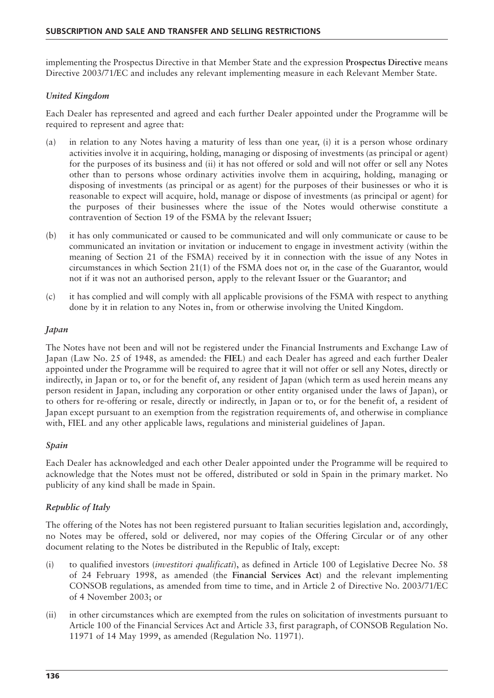implementing the Prospectus Directive in that Member State and the expression **Prospectus Directive** means Directive 2003/71/EC and includes any relevant implementing measure in each Relevant Member State.

## *United Kingdom*

Each Dealer has represented and agreed and each further Dealer appointed under the Programme will be required to represent and agree that:

- (a) in relation to any Notes having a maturity of less than one year, (i) it is a person whose ordinary activities involve it in acquiring, holding, managing or disposing of investments (as principal or agent) for the purposes of its business and (ii) it has not offered or sold and will not offer or sell any Notes other than to persons whose ordinary activities involve them in acquiring, holding, managing or disposing of investments (as principal or as agent) for the purposes of their businesses or who it is reasonable to expect will acquire, hold, manage or dispose of investments (as principal or agent) for the purposes of their businesses where the issue of the Notes would otherwise constitute a contravention of Section 19 of the FSMA by the relevant Issuer;
- (b) it has only communicated or caused to be communicated and will only communicate or cause to be communicated an invitation or invitation or inducement to engage in investment activity (within the meaning of Section 21 of the FSMA) received by it in connection with the issue of any Notes in circumstances in which Section 21(1) of the FSMA does not or, in the case of the Guarantor, would not if it was not an authorised person, apply to the relevant Issuer or the Guarantor; and
- (c) it has complied and will comply with all applicable provisions of the FSMA with respect to anything done by it in relation to any Notes in, from or otherwise involving the United Kingdom.

#### *Japan*

The Notes have not been and will not be registered under the Financial Instruments and Exchange Law of Japan (Law No. 25 of 1948, as amended: the **FIEL**) and each Dealer has agreed and each further Dealer appointed under the Programme will be required to agree that it will not offer or sell any Notes, directly or indirectly, in Japan or to, or for the benefit of, any resident of Japan (which term as used herein means any person resident in Japan, including any corporation or other entity organised under the laws of Japan), or to others for re-offering or resale, directly or indirectly, in Japan or to, or for the benefit of, a resident of Japan except pursuant to an exemption from the registration requirements of, and otherwise in compliance with, FIEL and any other applicable laws, regulations and ministerial guidelines of Japan.

#### *Spain*

Each Dealer has acknowledged and each other Dealer appointed under the Programme will be required to acknowledge that the Notes must not be offered, distributed or sold in Spain in the primary market. No publicity of any kind shall be made in Spain.

# *Republic of Italy*

The offering of the Notes has not been registered pursuant to Italian securities legislation and, accordingly, no Notes may be offered, sold or delivered, nor may copies of the Offering Circular or of any other document relating to the Notes be distributed in the Republic of Italy, except:

- (i) to qualified investors (*investitori qualificati*), as defined in Article 100 of Legislative Decree No. 58 of 24 February 1998, as amended (the **Financial Services Act**) and the relevant implementing CONSOB regulations, as amended from time to time, and in Article 2 of Directive No. 2003/71/EC of 4 November 2003; or
- (ii) in other circumstances which are exempted from the rules on solicitation of investments pursuant to Article 100 of the Financial Services Act and Article 33, first paragraph, of CONSOB Regulation No. 11971 of 14 May 1999, as amended (Regulation No. 11971).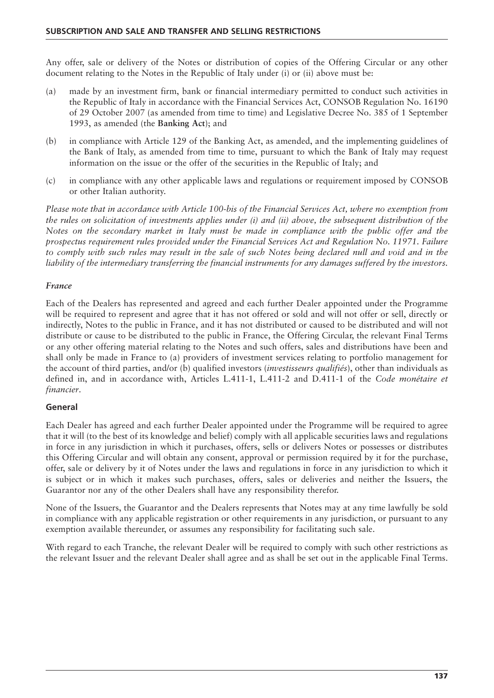Any offer, sale or delivery of the Notes or distribution of copies of the Offering Circular or any other document relating to the Notes in the Republic of Italy under (i) or (ii) above must be:

- (a) made by an investment firm, bank or financial intermediary permitted to conduct such activities in the Republic of Italy in accordance with the Financial Services Act, CONSOB Regulation No. 16190 of 29 October 2007 (as amended from time to time) and Legislative Decree No. 385 of 1 September 1993, as amended (the **Banking Act**); and
- (b) in compliance with Article 129 of the Banking Act, as amended, and the implementing guidelines of the Bank of Italy, as amended from time to time, pursuant to which the Bank of Italy may request information on the issue or the offer of the securities in the Republic of Italy; and
- (c) in compliance with any other applicable laws and regulations or requirement imposed by CONSOB or other Italian authority.

*Please note that in accordance with Article 100-bis of the Financial Services Act, where no exemption from the rules on solicitation of investments applies under (i) and (ii) above, the subsequent distribution of the Notes on the secondary market in Italy must be made in compliance with the public offer and the prospectus requirement rules provided under the Financial Services Act and Regulation No. 11971. Failure to comply with such rules may result in the sale of such Notes being declared null and void and in the liability of the intermediary transferring the financial instruments for any damages suffered by the investors.*

#### *France*

Each of the Dealers has represented and agreed and each further Dealer appointed under the Programme will be required to represent and agree that it has not offered or sold and will not offer or sell, directly or indirectly, Notes to the public in France, and it has not distributed or caused to be distributed and will not distribute or cause to be distributed to the public in France, the Offering Circular, the relevant Final Terms or any other offering material relating to the Notes and such offers, sales and distributions have been and shall only be made in France to (a) providers of investment services relating to portfolio management for the account of third parties, and/or (b) qualified investors (*investisseurs qualifiés*), other than individuals as defined in, and in accordance with, Articles L.411-1, L.411-2 and D.411-1 of the *Code monétaire et financier*.

#### **General**

Each Dealer has agreed and each further Dealer appointed under the Programme will be required to agree that it will (to the best of its knowledge and belief) comply with all applicable securities laws and regulations in force in any jurisdiction in which it purchases, offers, sells or delivers Notes or possesses or distributes this Offering Circular and will obtain any consent, approval or permission required by it for the purchase, offer, sale or delivery by it of Notes under the laws and regulations in force in any jurisdiction to which it is subject or in which it makes such purchases, offers, sales or deliveries and neither the Issuers, the Guarantor nor any of the other Dealers shall have any responsibility therefor.

None of the Issuers, the Guarantor and the Dealers represents that Notes may at any time lawfully be sold in compliance with any applicable registration or other requirements in any jurisdiction, or pursuant to any exemption available thereunder, or assumes any responsibility for facilitating such sale.

With regard to each Tranche, the relevant Dealer will be required to comply with such other restrictions as the relevant Issuer and the relevant Dealer shall agree and as shall be set out in the applicable Final Terms.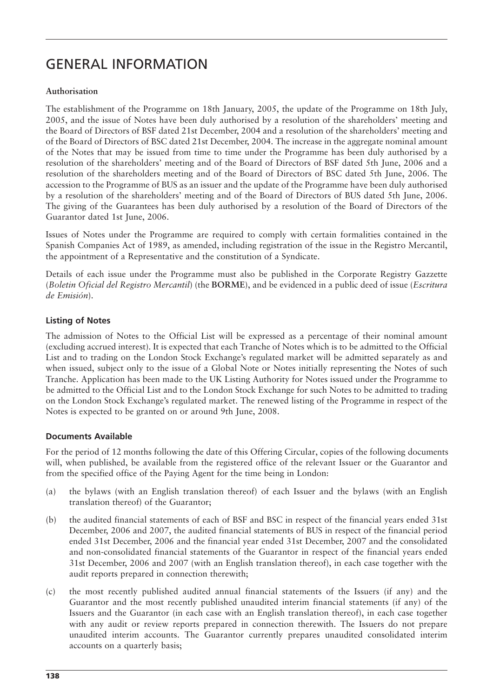# GENERAL INFORMATION

### **Authorisation**

The establishment of the Programme on 18th January, 2005, the update of the Programme on 18th July, 2005, and the issue of Notes have been duly authorised by a resolution of the shareholders' meeting and the Board of Directors of BSF dated 21st December, 2004 and a resolution of the shareholders' meeting and of the Board of Directors of BSC dated 21st December, 2004. The increase in the aggregate nominal amount of the Notes that may be issued from time to time under the Programme has been duly authorised by a resolution of the shareholders' meeting and of the Board of Directors of BSF dated 5th June, 2006 and a resolution of the shareholders meeting and of the Board of Directors of BSC dated 5th June, 2006. The accession to the Programme of BUS as an issuer and the update of the Programme have been duly authorised by a resolution of the shareholders' meeting and of the Board of Directors of BUS dated 5th June, 2006. The giving of the Guarantees has been duly authorised by a resolution of the Board of Directors of the Guarantor dated 1st June, 2006.

Issues of Notes under the Programme are required to comply with certain formalities contained in the Spanish Companies Act of 1989, as amended, including registration of the issue in the Registro Mercantil, the appointment of a Representative and the constitution of a Syndicate.

Details of each issue under the Programme must also be published in the Corporate Registry Gazzette (*Boletin Oficial del Registro Mercantil*) (the **BORME**), and be evidenced in a public deed of issue (*Escritura de Emisión*).

## **Listing of Notes**

The admission of Notes to the Official List will be expressed as a percentage of their nominal amount (excluding accrued interest). It is expected that each Tranche of Notes which is to be admitted to the Official List and to trading on the London Stock Exchange's regulated market will be admitted separately as and when issued, subject only to the issue of a Global Note or Notes initially representing the Notes of such Tranche. Application has been made to the UK Listing Authority for Notes issued under the Programme to be admitted to the Official List and to the London Stock Exchange for such Notes to be admitted to trading on the London Stock Exchange's regulated market. The renewed listing of the Programme in respect of the Notes is expected to be granted on or around 9th June, 2008.

#### **Documents Available**

For the period of 12 months following the date of this Offering Circular, copies of the following documents will, when published, be available from the registered office of the relevant Issuer or the Guarantor and from the specified office of the Paying Agent for the time being in London:

- (a) the bylaws (with an English translation thereof) of each Issuer and the bylaws (with an English translation thereof) of the Guarantor;
- (b) the audited financial statements of each of BSF and BSC in respect of the financial years ended 31st December, 2006 and 2007, the audited financial statements of BUS in respect of the financial period ended 31st December, 2006 and the financial year ended 31st December, 2007 and the consolidated and non-consolidated financial statements of the Guarantor in respect of the financial years ended 31st December, 2006 and 2007 (with an English translation thereof), in each case together with the audit reports prepared in connection therewith;
- (c) the most recently published audited annual financial statements of the Issuers (if any) and the Guarantor and the most recently published unaudited interim financial statements (if any) of the Issuers and the Guarantor (in each case with an English translation thereof), in each case together with any audit or review reports prepared in connection therewith. The Issuers do not prepare unaudited interim accounts. The Guarantor currently prepares unaudited consolidated interim accounts on a quarterly basis;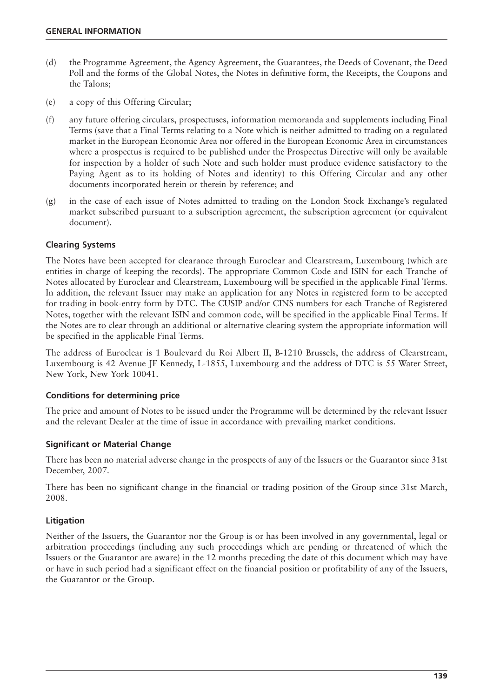- (d) the Programme Agreement, the Agency Agreement, the Guarantees, the Deeds of Covenant, the Deed Poll and the forms of the Global Notes, the Notes in definitive form, the Receipts, the Coupons and the Talons;
- (e) a copy of this Offering Circular;
- (f) any future offering circulars, prospectuses, information memoranda and supplements including Final Terms (save that a Final Terms relating to a Note which is neither admitted to trading on a regulated market in the European Economic Area nor offered in the European Economic Area in circumstances where a prospectus is required to be published under the Prospectus Directive will only be available for inspection by a holder of such Note and such holder must produce evidence satisfactory to the Paying Agent as to its holding of Notes and identity) to this Offering Circular and any other documents incorporated herein or therein by reference; and
- (g) in the case of each issue of Notes admitted to trading on the London Stock Exchange's regulated market subscribed pursuant to a subscription agreement, the subscription agreement (or equivalent document).

#### **Clearing Systems**

The Notes have been accepted for clearance through Euroclear and Clearstream, Luxembourg (which are entities in charge of keeping the records). The appropriate Common Code and ISIN for each Tranche of Notes allocated by Euroclear and Clearstream, Luxembourg will be specified in the applicable Final Terms. In addition, the relevant Issuer may make an application for any Notes in registered form to be accepted for trading in book-entry form by DTC. The CUSIP and/or CINS numbers for each Tranche of Registered Notes, together with the relevant ISIN and common code, will be specified in the applicable Final Terms. If the Notes are to clear through an additional or alternative clearing system the appropriate information will be specified in the applicable Final Terms.

The address of Euroclear is 1 Boulevard du Roi Albert II, B-1210 Brussels, the address of Clearstream, Luxembourg is 42 Avenue JF Kennedy, L-1855, Luxembourg and the address of DTC is 55 Water Street, New York, New York 10041.

#### **Conditions for determining price**

The price and amount of Notes to be issued under the Programme will be determined by the relevant Issuer and the relevant Dealer at the time of issue in accordance with prevailing market conditions.

#### **Significant or Material Change**

There has been no material adverse change in the prospects of any of the Issuers or the Guarantor since 31st December, 2007.

There has been no significant change in the financial or trading position of the Group since 31st March, 2008.

#### **Litigation**

Neither of the Issuers, the Guarantor nor the Group is or has been involved in any governmental, legal or arbitration proceedings (including any such proceedings which are pending or threatened of which the Issuers or the Guarantor are aware) in the 12 months preceding the date of this document which may have or have in such period had a significant effect on the financial position or profitability of any of the Issuers, the Guarantor or the Group.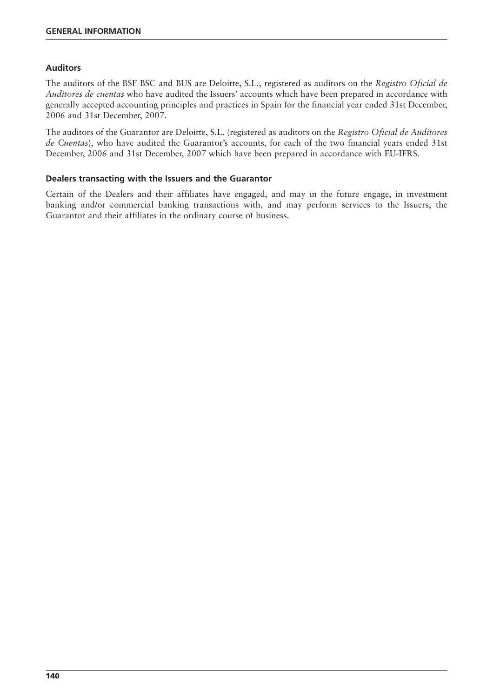### **Auditors**

The auditors of the BSF BSC and BUS are Deloitte, S.L., registered as auditors on the *Registro Oficial de Auditores de cuentas* who have audited the Issuers' accounts which have been prepared in accordance with generally accepted accounting principles and practices in Spain for the financial year ended 31st December, 2006 and 31st December, 2007.

The auditors of the Guarantor are Deloitte, S.L. (registered as auditors on the *Registro Oficial de Auditores de Cuentas*), who have audited the Guarantor's accounts, for each of the two financial years ended 31st December, 2006 and 31st December, 2007 which have been prepared in accordance with EU-IFRS.

#### **Dealers transacting with the Issuers and the Guarantor**

Certain of the Dealers and their affiliates have engaged, and may in the future engage, in investment banking and/or commercial banking transactions with, and may perform services to the Issuers, the Guarantor and their affiliates in the ordinary course of business.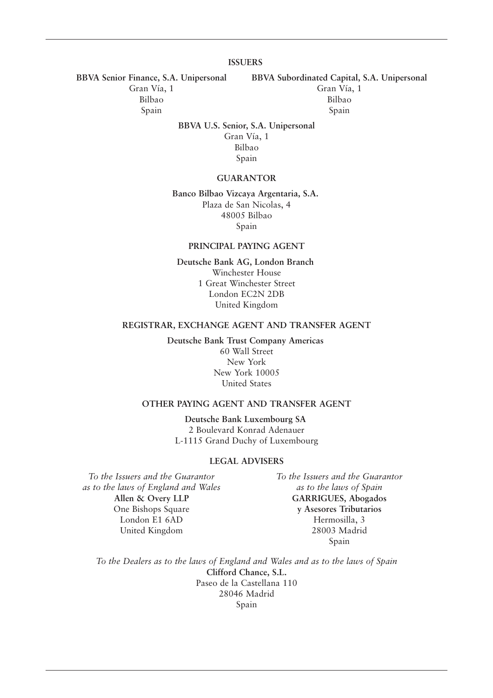#### **ISSUERS**

**BBVA Senior Finance, S.A. Unipersonal BBVA Subordinated Capital, S.A. Unipersonal**

Gran Vía, 1 Gran Vía, 1

Bilbao Bilbao Spain Spain Spain Spain

**BBVA U.S. Senior, S.A. Unipersonal**

Gran Vía, 1 Bilbao Spain

#### **GUARANTOR**

**Banco Bilbao Vizcaya Argentaria, S.A.** Plaza de San Nicolas, 4 48005 Bilbao Spain

#### **PRINCIPAL PAYING AGENT**

**Deutsche Bank AG, London Branch** Winchester House 1 Great Winchester Street London EC2N 2DB United Kingdom

#### **REGISTRAR, EXCHANGE AGENT AND TRANSFER AGENT**

**Deutsche Bank Trust Company Americas** 60 Wall Street New York New York 10005 United States

#### **OTHER PAYING AGENT AND TRANSFER AGENT**

**Deutsche Bank Luxembourg SA** 2 Boulevard Konrad Adenauer L-1115 Grand Duchy of Luxembourg

#### **LEGAL ADVISERS**

*To the Issuers and the Guarantor To the Issuers and the Guarantor as to the laws of England and Wales as to the laws of Spain* **Allen & Overy LLP GARRIGUES, Abogados** One Bishops Square **y Asesores Tributarios** London E1 6AD Hermosilla, 3 United Kingdom 28003 Madrid

Spain

*To the Dealers as to the laws of England and Wales and as to the laws of Spain* **Clifford Chance, S.L.** Paseo de la Castellana 110 28046 Madrid Spain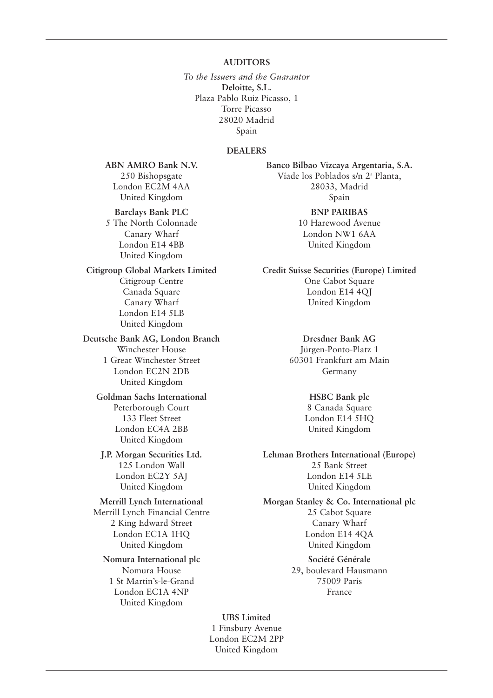#### **AUDITORS**

*To the Issuers and the Guarantor*  **Deloitte, S.L.** Plaza Pablo Ruiz Picasso, 1 Torre Picasso 28020 Madrid Spain

#### **DEALERS**

**Barclays Bank PLC** BNP PARIBAS

5 The North Colonnade 10 Harewood Avenue London E14 4BB United Kingdom United Kingdom

# Canary Wharf United Kingdom London E14 5LB United Kingdom

**Deutsche Bank AG, London Branch Dresdner Bank AG** Winchester House Jürgen-Ponto-Platz 1 1 Great Winchester Street 60301 Frankfurt am Main London EC2N 2DB Germany United Kingdom

#### Goldman Sachs International **HSBC Bank plc** Peterborough Court 8 Canada Square 133 Fleet Street London E14 5HQ London EC4A 2BB United Kingdom United Kingdom

United Kingdom United Kingdom

# **Nomura International plc Société Générale**

1 St Martin's-le-Grand 75009 Paris London EC1A 4NP France United Kingdom

**ABN AMRO Bank N.V. Banco Bilbao Vizcaya Argentaria, S.A.** 250 Bishopsgate Víade los Poblados s/n 2<sup>ª</sup> Planta, London EC2M 4AA 28033, Madrid United Kingdom Spain

Canary Wharf London NW1 6AA

**Citigroup Global Markets Limited Credit Suisse Securities (Europe) Limited** Citigroup Centre **Cabot Square** One Cabot Square Canada Square London E14 4QJ

#### **J.P. Morgan Securities Ltd. Lehman Brothers International (Europe)** 125 London Wall 25 Bank Street London EC2Y 5AJ London E14 5LE

**Merrill Lynch International Morgan Stanley & Co. International plc** Merrill Lynch Financial Centre 25 Cabot Square 2 King Edward Street Canary Wharf London EC1A 1HQ London E14 4QA United Kingdom United Kingdom

Nomura House 29, boulevard Hausmann

**UBS Limited** 1 Finsbury Avenue London EC2M 2PP United Kingdom